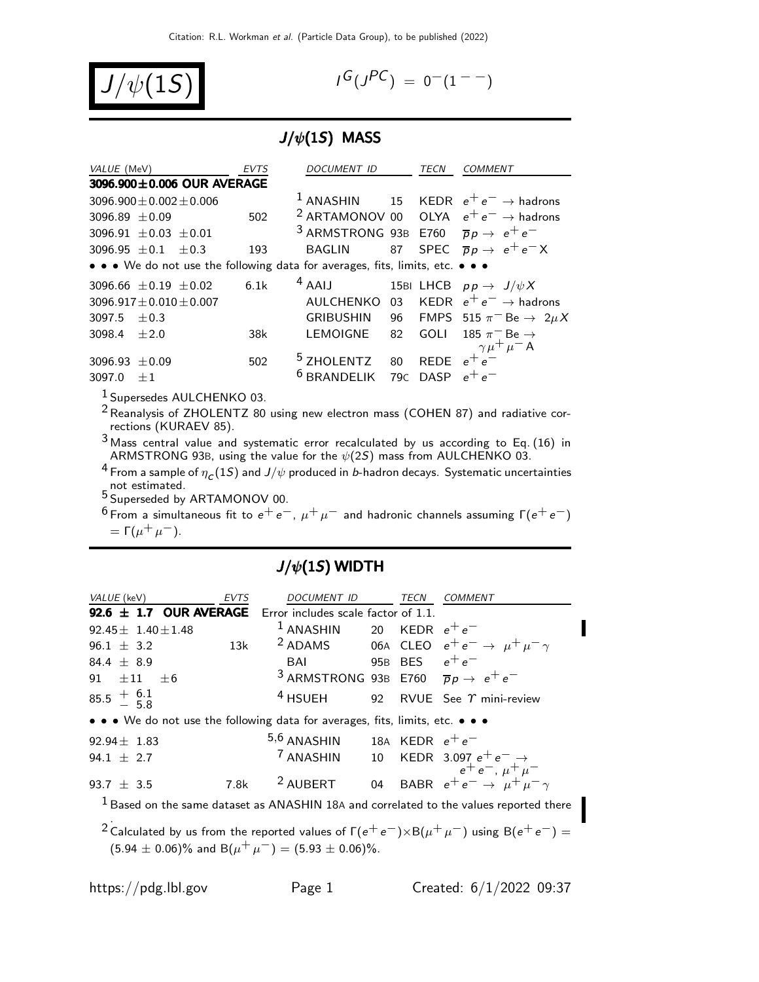

$$
I^G(J^{PC}) = 0^-(1^{--})
$$

## $J/\psi(1S)$  MASS

| VALUE (MeV)                    |      |                                  | <b>EVTS</b> | DOCUMENT ID                                                                                      | <b>TECN</b> | <b>COMMENT</b>                                                      |
|--------------------------------|------|----------------------------------|-------------|--------------------------------------------------------------------------------------------------|-------------|---------------------------------------------------------------------|
|                                |      | 3096.900±0.006 OUR AVERAGE       |             |                                                                                                  |             |                                                                     |
| $3096.900 \pm 0.002 \pm 0.006$ |      |                                  |             |                                                                                                  |             | <sup>1</sup> ANASHIN 15 KEDR $e^+e^- \rightarrow$ hadrons           |
| $3096.89 + 0.09$               |      |                                  | 502         |                                                                                                  |             | <sup>2</sup> ARTAMONOV 00 OLYA $e^+e^- \rightarrow$ hadrons         |
| 3096.91 $\pm$ 0.03 $\pm$ 0.01  |      |                                  |             | <sup>3</sup> ARMSTRONG 93B E760 $\overline{p}p \rightarrow e^+e^-$                               |             |                                                                     |
|                                |      | 3096.95 $\pm$ 0.1 $\pm$ 0.3      | 193         |                                                                                                  |             | BAGLIN 87 SPEC $\overline{p}p \rightarrow e^+e^-X$                  |
|                                |      |                                  |             | • • • We do not use the following data for averages, fits, limits, etc. • • •                    |             |                                                                     |
|                                |      | $3096.66 \pm 0.19 \pm 0.02$ 6.1k |             | <sup>4</sup> AAIJ 15BI LHCB $pp \rightarrow J/\psi X$                                            |             |                                                                     |
| $3096.917 \pm 0.010 \pm 0.007$ |      |                                  |             |                                                                                                  |             | AULCHENKO 03 KEDR $e^+e^- \rightarrow$ hadrons                      |
| $3097.5 + 0.3$                 |      |                                  |             |                                                                                                  |             | GRIBUSHIN 96 FMPS 515 $\pi$ <sup>-</sup> Be $\rightarrow$ 2 $\mu$ X |
| 3098.4 $\pm 2.0$               |      |                                  | 38k         | LEMOIGNE                                                                                         | 82 GOLI     | 185 $\pi^-$ Be $\rightarrow$                                        |
| 3096.93 $\pm$ 0.09<br>3097.0   | $+1$ |                                  | 502         | <sup>5</sup> ZHOLENTZ 80 REDE $e^{+\frac{r^{2}}{6}}$<br><sup>6</sup> BRANDELIK 79C DASP $e^+e^-$ |             | $\gamma \mu^+ \mu^-$ A                                              |
|                                |      |                                  |             |                                                                                                  |             |                                                                     |

1 Supersedes AULCHENKO 03.

 $^2$ Reanalysis of ZHOLENTZ 80 using new electron mass (COHEN 87) and radiative corrections (KURAEV 85).

3 Mass central value and systematic error recalculated by us according to Eq. (16) in ARMSTRONG 93B, using the value for the  $\psi(2S)$  mass from AULCHENKO 03.

 $^4$  From a sample of  $\eta_{\,\bm{C}}(1S)$  and  $J/\psi$  produced in  $b$ -hadron decays. Systematic uncertainties not estimated.<br><sup>5</sup> Superseded by ARTAMONOV 00.

 $^6$ From a simultaneous fit to  $e^+ \, e^-$ ,  $\mu^+ \, \mu^-$  and hadronic channels assuming Γ $(e^+ \, e^-)$ =  $\Gamma(\mu^+ \mu^-)$ .

## $J/\psi(1S)$  WIDTH

| <i>VALUE</i> (keV)                                                            | <b>EVTS</b> | <i>DOCUMENT ID</i>                                                 | TECN | COMMENT                                                                                  |
|-------------------------------------------------------------------------------|-------------|--------------------------------------------------------------------|------|------------------------------------------------------------------------------------------|
| 92.6 $\pm$ 1.7 OUR AVERAGE Error includes scale factor of 1.1.                |             |                                                                    |      |                                                                                          |
| $92.45 \pm 1.40 \pm 1.48$                                                     |             | $1$ ANASHIN 20 KEDR $e^+e^-$                                       |      |                                                                                          |
| <b>13k</b><br>$96.1 \pm 3.2$                                                  |             |                                                                    |      | <sup>2</sup> ADAMS 06A CLEO $e^+e^- \rightarrow \mu^+\mu^-\gamma$                        |
| 84.4 $\pm$ 8.9                                                                |             | BAI 95B BES $e^+e^-$                                               |      |                                                                                          |
| 91 $\pm 11$ $\pm 6$                                                           |             | <sup>3</sup> ARMSTRONG 93B E760 $\overline{p}p \rightarrow e^+e^-$ |      |                                                                                          |
| $85.5 \div 6.1$                                                               |             | $4$ HSUEH                                                          |      | 92 RVUE See $\gamma$ mini-review                                                         |
| • • • We do not use the following data for averages, fits, limits, etc. • • • |             |                                                                    |      |                                                                                          |
| $92.94 \pm 1.83$                                                              |             | 5,6 ANASHIN 18A KEDR $e^+e^-$                                      |      |                                                                                          |
| 94.1 $\pm$ 2.7                                                                |             |                                                                    |      | 7 ANASHIN 10 KEDR 3.097 $e^+e^- \rightarrow$<br>$e^+e^-$ , $\mu^+ \mu^-$                 |
| 93.7 $\pm$ 3.5                                                                | 7.8k        | <sup>2</sup> AUBERT                                                |      | 04 BABR $e^+e^- \rightarrow \mu^+\mu^-\gamma$                                            |
|                                                                               |             |                                                                    |      | $1$ Based on the same dataset as ANASHIN 18A and correlated to the values reported there |

 $2$  Calculated by us from the reported values of  $\Gamma(e^+ \, e^-) \times {\cal B}(\mu^+ \, \mu^-)$  using  ${\cal B}(e^+ \, e^-) = 0$  $(5.94 \pm 0.06)\%$  and B $(\mu^+ \mu^-) = (5.93 \pm 0.06)\%$ .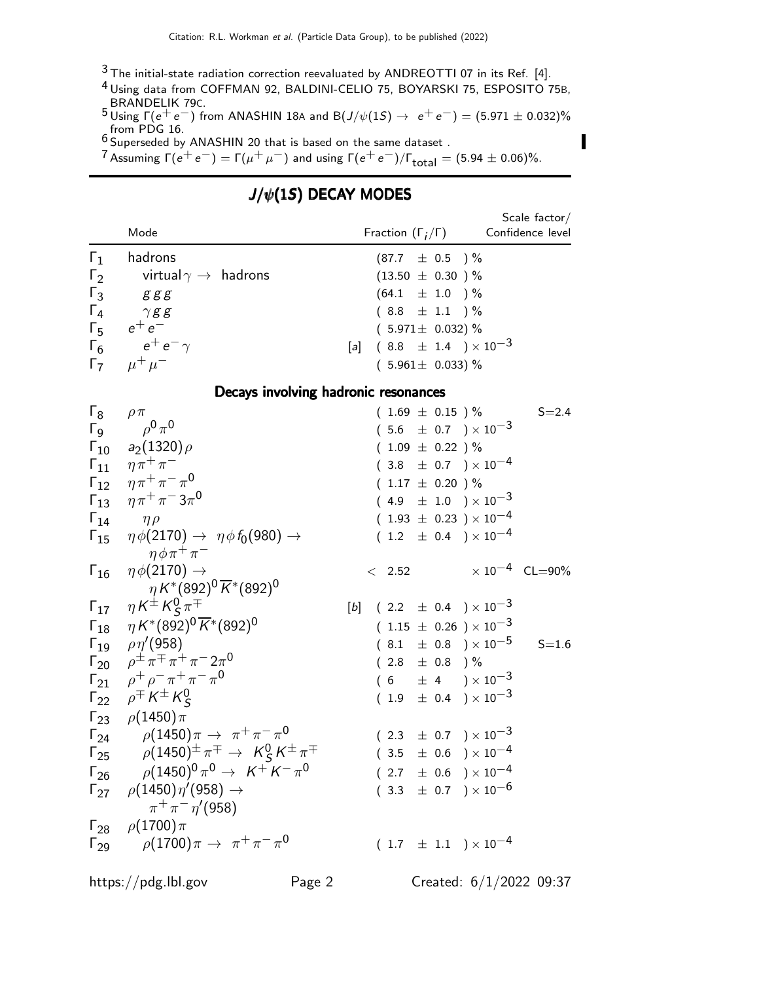$3$  The initial-state radiation correction reevaluated by ANDREOTTI 07 in its Ref. [4].

4 Using data from COFFMAN 92, BALDINI-CELIO 75, BOYARSKI 75, ESPOSITO 75B, BRANDELIK 79C.

5 Using Γ( $e^+e^-$ ) from ANASHIN 18A and B( $J/\psi(1S)$  →  $e^+e^-$ ) = (5.971 ± 0.032)% from PDG 16.<br><sup>6</sup> Superseded by ANASHIN 20 that is based on the same dataset .

 $7$  Assuming  $\Gamma(e^+e^-)=\Gamma(\mu^+\mu^-)$  and using  $\Gamma(e^+e^-)/\Gamma_{\rm total}=(5.94\pm0.06)\%.$ 

## $J/\psi(1S)$  DECAY MODES

|                                                                                                                                                                 | Mode                                                                                                                                                                                                                                                                                                                   | Fraction $(\Gamma_i/\Gamma)$                                                                                                                                                                                                                   | Scale factor $/$<br>Confidence level |
|-----------------------------------------------------------------------------------------------------------------------------------------------------------------|------------------------------------------------------------------------------------------------------------------------------------------------------------------------------------------------------------------------------------------------------------------------------------------------------------------------|------------------------------------------------------------------------------------------------------------------------------------------------------------------------------------------------------------------------------------------------|--------------------------------------|
| $\Gamma_1$<br>$\Gamma_2$<br>$\Gamma_3$<br>$\Gamma_4$<br>$\Gamma_{5}$<br>$\Gamma_6$                                                                              | hadrons<br>virtual $\gamma\to\;$ hadrons<br>g g g<br>$\gamma$ g g<br>$e^+e^-$<br>$e^+\,e^-\,\gamma$<br>$\Gamma_7$ $\mu^+ \mu^-$                                                                                                                                                                                        | $(87.7 \pm 0.5)$ %<br>$(13.50 \pm 0.30)$ %<br>$(64.1 \pm 1.0) \%$<br>$(8.8 \pm 1.1) \%$<br>$(5.971 \pm 0.032)\%$<br>$(8.8 \pm 1.4) \times 10^{-3}$<br>[a]<br>$(5.961 \pm 0.033)\%$                                                             |                                      |
|                                                                                                                                                                 | Decays involving hadronic resonances                                                                                                                                                                                                                                                                                   |                                                                                                                                                                                                                                                |                                      |
| $\mathsf{L}^8$<br>$\Gamma_{\mathsf{Q}}$<br>$\mathsf{\Gamma}_{10}$<br>$\mathsf{\Gamma}_{11}$<br>$\Gamma_{12}$<br>$\Gamma_{13}$<br>$\Gamma_{14}$<br>$\Gamma_{15}$ | $\rho \pi$<br>$\rho^0 \pi^0$<br>$a_2(1320)\rho$<br>$\eta \pi^+ \pi^-$<br>$\eta \pi^+ \pi^- \pi^0$<br>$\eta \pi^+ \pi^- 3 \pi^0$<br>$\eta \rho$<br>$\eta \phi(2170) \rightarrow \eta \phi f_0(980) \rightarrow$<br>$\eta \phi \pi^+ \pi^-$                                                                              | $(1.69 \pm 0.15)$ %<br>$(5.6 \pm 0.7) \times 10^{-3}$<br>$(1.09 \pm 0.22)$ %<br>$(3.8 \pm 0.7) \times 10^{-4}$<br>$(1.17 \pm 0.20) \%$<br>$(4.9 \pm 1.0) \times 10^{-3}$<br>$(1.93 \pm 0.23) \times 10^{-4}$<br>$(1.2 \pm 0.4) \times 10^{-4}$ | $S = 2.4$                            |
| $\Gamma_{16}$                                                                                                                                                   | $\eta \phi(2170) \rightarrow$<br>$\eta K^{*}(892)^{0} \overline{K}^{*}(892)^{0}$                                                                                                                                                                                                                                       | $\times 10^{-4}$ CL=90%<br>$\langle$ 2.52                                                                                                                                                                                                      |                                      |
| $\Gamma_{17}$                                                                                                                                                   | $\eta K^{\pm} K^0_{\mathcal{S}} \pi^{\mp}$<br>$\Gamma_{18}$ $\eta K^{*}(892)^{0} \overline{K}^{*}(892)^{0}$                                                                                                                                                                                                            | $(2.2 \pm 0.4) \times 10^{-3}$<br>[b]<br>$(1.15 \pm 0.26) \times 10^{-3}$                                                                                                                                                                      |                                      |
| $\Gamma_{23}$<br>$\Gamma_{24}$<br>$\Gamma_{25}$                                                                                                                 | $\Gamma_{19}$ $\rho\eta'(958)$<br>$\Gamma_{20}$ $\rho^{\pm} \pi^{\mp} \pi^+ \pi^- 2\pi^0$<br>$\Gamma_{21}$ $\rho^+ \rho^- \pi^+ \pi^- \pi^0$<br>$\Gamma_{22}$ $\rho^{\pm} K^{\pm} K^0_S$<br>$\rho(1450)\pi$<br>$\rho(1450)\pi \to \pi^+\pi^-\pi^0$<br>$\rho(1450)^{\pm} \pi^{\mp} \rightarrow K^0_S K^{\pm} \pi^{\mp}$ | $(8.1 \pm 0.8) \times 10^{-5}$<br>$(2.8 \pm 0.8)$ %<br>$(6 \pm 4) \times 10^{-3}$<br>$(1.9 \pm 0.4) \times 10^{-3}$<br>$(2.3 \pm 0.7) \times 10^{-3}$<br>$(3.5 \pm 0.6) \times 10^{-4}$                                                        | $S = 1.6$                            |
| $\Gamma_{26}$                                                                                                                                                   | $\rho (1450)^0 \pi^0 \to K^+ K^- \pi^0$<br>$\Gamma_{27}$ $\rho(1450)\eta'(958) \rightarrow$<br>$\pi^{+}\pi^{-}\eta'$ (958)<br>$\Gamma_{28}$ $\rho(1700)\pi$<br>$\Gamma_{29}$ $\rho(1700)\pi \to \pi^+\pi^-\pi^0$                                                                                                       | $(2.7 \pm 0.6) \times 10^{-4}$<br>) $\times$ 10 $^{-6}$<br>$\pm$ 0.7<br>(3.3)<br>$(1.7 \pm 1.1) \times 10^{-4}$                                                                                                                                |                                      |

П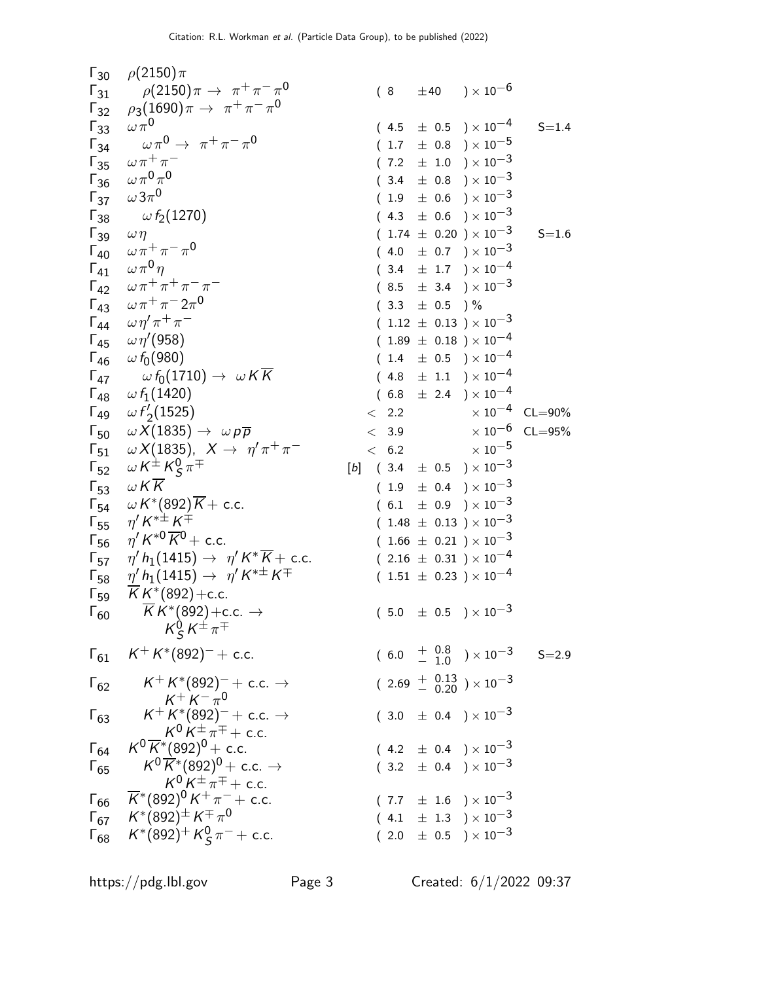| $\Gamma_{30}$ | $\rho(2150)\pi$                                                                            |                                    |                   |                                                                          |                         |
|---------------|--------------------------------------------------------------------------------------------|------------------------------------|-------------------|--------------------------------------------------------------------------|-------------------------|
| $\Gamma_{31}$ | $\rho(2150)\pi\to~\pi^+\pi^-\pi^0$                                                         |                                    |                   | $(8 + 40) \times 10^{-6}$                                                |                         |
| $\Gamma_{32}$ | $\rho_3(1690)\pi \to \pi^+\pi^-\pi^0$                                                      |                                    |                   |                                                                          |                         |
| $\Gamma_{33}$ | $\omega \pi^0$                                                                             | (4.5)                              |                   | $\pm$ 0.5 $\times 10^{-4}$                                               | $S = 1.4$               |
| $\Gamma_{34}$ | $\omega \pi^0 \rightarrow \pi^+ \pi^- \pi^0$                                               |                                    |                   | $(1.7 \pm 0.8) \times 10^{-5}$                                           |                         |
| $\Gamma_{35}$ | $\omega\,\pi^+\,\pi^-$                                                                     |                                    |                   | $(7.2 \pm 1.0) \times 10^{-3}$                                           |                         |
| $\Gamma_{36}$ | $\omega\pi^{0}\pi^{0}$                                                                     | (3.4)                              |                   | $\pm$ 0.8 $)\times10^{-3}$                                               |                         |
| $\Gamma_{37}$ | $\omega 3\pi^0$                                                                            |                                    |                   | $(1.9 \pm 0.6) \times 10^{-3}$                                           |                         |
| $\Gamma_{38}$ | $\omega$ f <sub>2</sub> (1270)                                                             |                                    |                   | $(4.3 \pm 0.6) \times 10^{-3}$                                           |                         |
| $\Gamma_{39}$ | $\omega \eta$                                                                              |                                    |                   | $(1.74 \pm 0.20) \times 10^{-3}$                                         | $S = 1.6$               |
| $\Gamma_{40}$ | $\omega\,\pi^+\,\pi^-\,\pi^0$                                                              |                                    |                   | $(4.0 \pm 0.7) \times 10^{-3}$                                           |                         |
| $\Gamma_{41}$ | $\omega \pi^0 \eta$                                                                        |                                    |                   | $(3.4 \pm 1.7) \times 10^{-4}$                                           |                         |
|               | $\Gamma_{42}$ $\omega \pi^+ \pi^+ \pi^- \pi^-$                                             |                                    |                   | $(8.5 \pm 3.4) \times 10^{-3}$                                           |                         |
| $\Gamma_{43}$ | $\omega \pi^+ \pi^- 2 \pi^0$                                                               |                                    | $(3.3 \pm 0.5)$ % |                                                                          |                         |
| $\Gamma_{44}$ | $\omega \eta' \pi^+ \pi^-$                                                                 |                                    |                   | $(1.12 \pm 0.13) \times 10^{-3}$                                         |                         |
| $\Gamma_{45}$ | $\omega \eta'(958)$                                                                        |                                    |                   | $(1.89 \pm 0.18) \times 10^{-4}$                                         |                         |
| $\Gamma_{46}$ | $\omega f_0(980)$                                                                          | 1.4                                |                   | $\pm$ 0.5 $)\times10^{-4}$                                               |                         |
| $\Gamma_{47}$ | $\omega f_0(1710) \rightarrow \omega K \overline{K}$                                       |                                    |                   | $(4.8 \pm 1.1) \times 10^{-4}$                                           |                         |
| $\Gamma_{48}$ | $\omega f_1(1420)$                                                                         |                                    |                   | $(6.8 \pm 2.4) \times 10^{-4}$                                           |                         |
| $\Gamma_{49}$ | $\omega f_2'(1525)$                                                                        | $\langle$ 2.2                      |                   |                                                                          | $\times 10^{-4}$ CL=90% |
| $\Gamma_{50}$ | $\omega X(1835) \rightarrow \omega p \overline{p}$                                         | < 3.9                              |                   |                                                                          | $\times 10^{-6}$ CL=95% |
| $\Gamma_{51}$ | $\omega X(1835)$ , $X \rightarrow \eta' \pi^+ \pi^-$                                       |                                    |                   | $< 6.2$ $\times 10^{-5}$                                                 |                         |
| $\Gamma_{52}$ | $\omega K^{\pm} K_S^0 \pi^{\mp}$                                                           | [b] $(3.4 \pm 0.5) \times 10^{-3}$ |                   |                                                                          |                         |
| $\Gamma_{53}$ | W K K                                                                                      |                                    |                   | $(1.9 \pm 0.4) \times 10^{-3}$                                           |                         |
| $\Gamma_{54}$ | $\omega K^{*}(892)K + \text{c.c.}$                                                         |                                    |                   | $(6.1 \pm 0.9) \times 10^{-3}$                                           |                         |
| $\Gamma_{55}$ | $\eta^{\prime} K^{*\pm} K^{\mp}$                                                           |                                    |                   | $(1.48 \pm 0.13) \times 10^{-3}$                                         |                         |
| $\Gamma_{56}$ | $\eta' K^{*0} \overline{K}{}^0$ + c.c.                                                     |                                    |                   | $(1.66 \pm 0.21) \times 10^{-3}$                                         |                         |
| $\Gamma_{57}$ | $\eta' h_1(1415) \rightarrow \eta' K^* \overline{K}$ + c.c.                                |                                    |                   | $(2.16 \pm 0.31) \times 10^{-4}$                                         |                         |
| $\Gamma_{58}$ | $\eta' h_1(1415) \rightarrow \eta' K^{*\pm} K^{\mp}$                                       |                                    |                   | $(1.51 \pm 0.23) \times 10^{-4}$                                         |                         |
| $\Gamma_{59}$ | $\overline{K}K^{*}(892) + c.c.$                                                            |                                    |                   |                                                                          |                         |
| $\Gamma_{60}$ | $\overline{K}K^*(892) + c.c. \rightarrow$                                                  |                                    |                   | $(5.0 \pm 0.5) \times 10^{-3}$                                           |                         |
|               | $K_S^0 K^{\pm} \pi^{\mp}$                                                                  |                                    |                   |                                                                          |                         |
| $\Gamma_{61}$ | $K^+ K^*(892)^- +$ c.c.                                                                    |                                    |                   | $(6.0 + \begin{array}{cc} 0.8 \\ -1.0 \end{array}) \times 10^{-3}$ S=2.9 |                         |
|               |                                                                                            |                                    |                   |                                                                          |                         |
| $\Gamma_{62}$ | $\mathsf{K}^{+} \mathsf{K}^{*}(\mathsf{892})^{-}+$ c.c. $\rightarrow$                      |                                    |                   | $(2.69 + \begin{array}{c} 0.13 \\ - 0.20 \end{array}) \times 10^{-3}$    |                         |
|               | $K^+ K^- \pi^0$<br>$K^+ K^* (892)^- +$ c.c. $\rightarrow$                                  |                                    |                   |                                                                          |                         |
| $\Gamma_{63}$ |                                                                                            |                                    |                   | $(3.0 \pm 0.4) \times 10^{-3}$                                           |                         |
|               | $K^0 K^{\pm} \pi^{\mp} +$ c.c.<br>$K^0 \overline{K}{}^*(892)^0+$ c.c.                      |                                    |                   |                                                                          |                         |
| $\Gamma_{64}$ |                                                                                            |                                    |                   | $(4.2 \pm 0.4) \times 10^{-3}$                                           |                         |
| $\Gamma_{65}$ | $K^0 \overline{K}^* (892)^0 + \text{c.c.} \rightarrow$<br>$K^0 K^{\pm} \pi^{\mp} +$ c.c.   |                                    |                   | $(3.2 \pm 0.4) \times 10^{-3}$                                           |                         |
|               | $\Gamma_{66}$ $\overline{K}$ * (892) <sup>0</sup> K <sup>+</sup> $\pi$ <sup>-</sup> + c.c. |                                    |                   | $(7.7 \pm 1.6) \times 10^{-3}$                                           |                         |
| $\Gamma_{67}$ | $\mathcal{K}^{*}(892)^{\pm}\,\mathcal{K}^{\mp}\,\pi^{0}$                                   |                                    |                   | $(4.1 \pm 1.3) \times 10^{-3}$                                           |                         |
| $\Gamma_{68}$ | $K^*(892)^+ K^0_S \pi^- +$ c.c.                                                            |                                    |                   | $(2.0 \pm 0.5) \times 10^{-3}$                                           |                         |
|               |                                                                                            |                                    |                   |                                                                          |                         |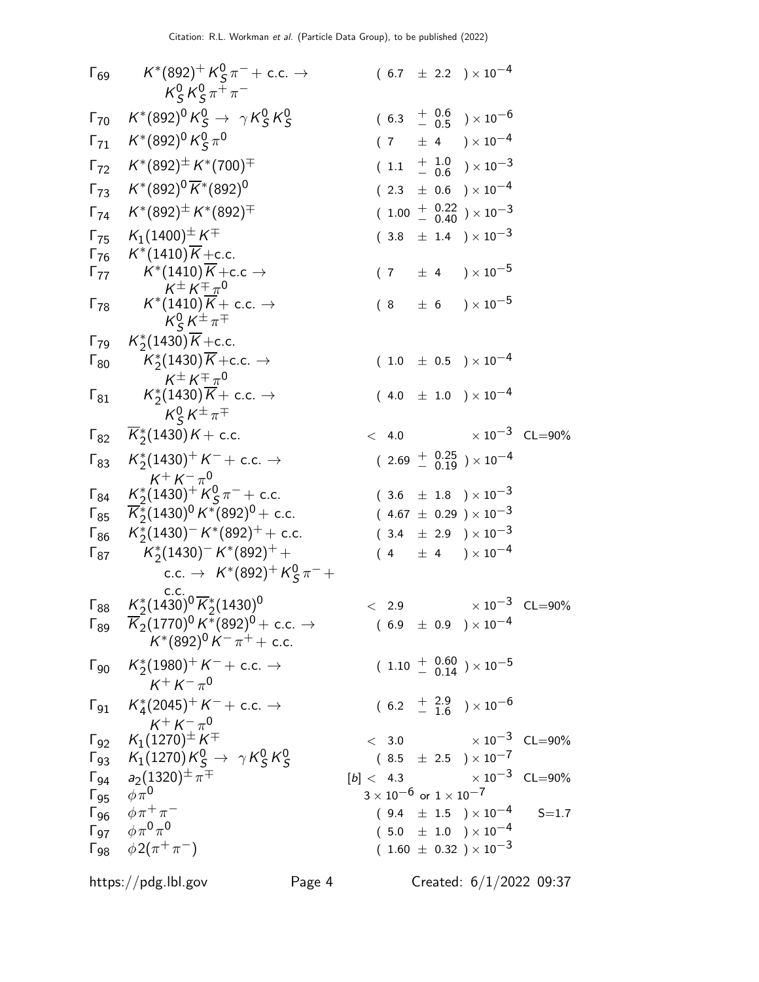|                            | $\Gamma_{69}$ $K^*(892)^+ K^0_S \pi^- + \text{c.c.} \rightarrow$<br>$K_S^0 K_S^0 \pi^+ \pi^-$                                                         |        |  |                                      | $(6.7 \pm 2.2) \times 10^{-4}$                                         |                         |  |
|----------------------------|-------------------------------------------------------------------------------------------------------------------------------------------------------|--------|--|--------------------------------------|------------------------------------------------------------------------|-------------------------|--|
|                            | $\Gamma_{70}$ $K^*(892)^0 K^0_S \rightarrow \gamma K^0_S K^0_S$                                                                                       |        |  |                                      | $(6.3 + \frac{0.6}{0.5}) \times 10^{-6}$                               |                         |  |
|                            | $\Gamma_{71}$ $K^*(892)^0 K_S^0 \pi^0$                                                                                                                |        |  |                                      | $(7 \pm 4) \times 10^{-4}$                                             |                         |  |
|                            | $\Gamma_{72}$ $K^*(892)^{\pm} K^*(700)^{\mp}$                                                                                                         |        |  |                                      | $(1.1 + \frac{1.0}{0.6}) \times 10^{-3}$                               |                         |  |
|                            | $\Gamma_{73}$ $K^*(892)^0 \overline{K}^*(892)^0$                                                                                                      |        |  |                                      | $(2.3 \pm 0.6) \times 10^{-4}$                                         |                         |  |
|                            | $\Gamma_{74}$ $K^*(892)^{\pm} K^*(892)^{\mp}$                                                                                                         |        |  |                                      | $(1.00 + 0.22 \over 0.40) \times 10^{-3}$                              |                         |  |
|                            | $\Gamma_{75}$ $K_1(1400)^{\pm} K^{\mp}$                                                                                                               |        |  |                                      | $(3.8 \pm 1.4) \times 10^{-3}$                                         |                         |  |
|                            | $\Gamma_{76}$ $K^*(1410)\overline{K}$ + c.c.                                                                                                          |        |  |                                      |                                                                        |                         |  |
|                            | $\Gamma_{77}$ $K^*(1410)\overline{K}$ + c.c $\rightarrow$                                                                                             |        |  |                                      | $(7 \pm 4) \times 10^{-5}$                                             |                         |  |
|                            | $K^{\pm} K^{\mp} \pi^0$<br>$\Gamma_{78}$ $K^*(1410)\overline{K}$ + c.c. $\rightarrow$<br>$K_S^0 K^{\pm} \pi^{\mp}$                                    |        |  |                                      | $(8 \pm 6) \times 10^{-5}$                                             |                         |  |
|                            | $\Gamma_{79}$ $K_2^*(1430)\overline{K}$ + c.c.                                                                                                        |        |  |                                      |                                                                        |                         |  |
|                            | $\Gamma_{80}$ $K_2^*(1430)\overline{K}$ + c.c. $\rightarrow$                                                                                          |        |  |                                      | $(1.0 \pm 0.5) \times 10^{-4}$                                         |                         |  |
|                            | $\mathcal{K}^{\pm}\,\mathcal{K}^{\mp}\,\pi^{\mathsf{0}}$<br>$\Gamma_{81}$ $K_2^*(1430)\overline{K}$ + c.c. $\rightarrow$<br>$K_S^0 K^{\pm} \pi^{\mp}$ |        |  |                                      | $(4.0 \pm 1.0) \times 10^{-4}$                                         |                         |  |
|                            | $\Gamma_{82}$ $\overline{K}_2^*(1430)K + \text{c.c.}$                                                                                                 |        |  |                                      | $< 4.0$ $\times 10^{-3}$ CL=90%                                        |                         |  |
|                            | $\Gamma_{83}$ $K_2^*(1430)^+ K^- +$ c.c. $\rightarrow$                                                                                                |        |  |                                      | $(2.69 + \begin{array}{c} 0.25 \\ 0.19 \end{array}) \times 10^{-4}$    |                         |  |
|                            | $K^+ K^- \pi^0$<br>$\Gamma_{84}$ $K_2^*(1430)^+ K_5^0 \pi^-$ + c.c.                                                                                   |        |  |                                      | $(\begin{array}{cc} 3.6 \end{array} \pm 1.8^-)\times 10^{-3}$          |                         |  |
|                            | $\Gamma_{85}$ $\overline{K}_2^*(1430)^0 K^*(892)^0$ + c.c.                                                                                            |        |  |                                      | $(~4.67~\pm~0.29~ \ ) \times 10^{-3}$                                  |                         |  |
|                            | $\Gamma_{86}$ $K_2^*(1430)^- K^*(892)^+ +$ c.c.                                                                                                       |        |  |                                      | $(\phantom{-}3.4\phantom{0}\pm\phantom{0}2.9\phantom{0})\times10^{-3}$ |                         |  |
|                            | $\Gamma_{87}$ $K_2^*(1430)^- K^*(892)^+$ +                                                                                                            |        |  |                                      | $(4 \pm 4) \times 10^{-4}$                                             |                         |  |
|                            | c.c. $\rightarrow$ $K^*(892)^+ K^0_S \pi^-$                                                                                                           |        |  |                                      |                                                                        |                         |  |
|                            | $\Gamma_{88}$ $K_2^*(1430)^0 \overline{K}_2^*(1430)^0$                                                                                                |        |  | < 2.9                                |                                                                        | $\times 10^{-3}$ CL=90% |  |
|                            | $\Gamma_{89}$ $\overline{K}_2(1770)^0 K^*(892)^0$ + c.c. $\rightarrow$                                                                                |        |  |                                      | $(6.9 \pm 0.9) \times 10^{-4}$                                         |                         |  |
|                            | $K^*(892)^0 K^- \pi^+ +$ c.c.                                                                                                                         |        |  |                                      |                                                                        |                         |  |
|                            | $\Gamma_{90}$ $K_2^*(1980)^+ K^-$ + c.c. $\rightarrow$<br>$K^+ K^- \pi^0$                                                                             |        |  |                                      | $(1.10 + \begin{array}{c} 0.60 \\ - 0.14 \end{array}) \times 10^{-5}$  |                         |  |
|                            | $\Gamma_{91}$ $K_4^*(2045)^+ K^- +$ c.c. $\rightarrow$<br>$K^+ K^- \pi^0$                                                                             |        |  |                                      | $(6.2 + \frac{2.9}{1.6}) \times 10^{-6}$                               |                         |  |
|                            | $\Gamma_{92}$ $K_1(1270)^\pm K^\mp$                                                                                                                   |        |  |                                      | $< 3.0$ $\times 10^{-3}$ CL=90%                                        |                         |  |
|                            | $\Gamma_{93}$ $K_1(1270)K_S^0 \to \gamma K_S^0 K_S^0$                                                                                                 |        |  |                                      | $(8.5 \pm 2.5) \times 10^{-7}$                                         |                         |  |
|                            | $\Gamma_{94}$ $a_2(1320)^{\pm} \pi^{\mp}$                                                                                                             |        |  |                                      | $[b] < 4.3$ $\times 10^{-3}$ CL=90%                                    |                         |  |
| $\Gamma_{95}$ $\phi \pi^0$ |                                                                                                                                                       |        |  | $3\times10^{-6}$ or $1\times10^{-7}$ |                                                                        |                         |  |
|                            | $\Gamma_{96}$ $\phi \pi^+ \pi^-$                                                                                                                      |        |  |                                      | $(9.4 \pm 1.5) \times 10^{-4}$                                         | $S = 1.7$               |  |
|                            | $\Gamma_{97}$ $\phi \pi^0 \pi^0$<br>$\Gamma_{98}$ $\phi 2(\pi^+\pi^-)$                                                                                |        |  |                                      | $(5.0 \pm 1.0) \times 10^{-4}$<br>$(1.60 \pm 0.32) \times 10^{-3}$     |                         |  |
|                            |                                                                                                                                                       |        |  |                                      |                                                                        |                         |  |
|                            | https://pdg.lbl.gov                                                                                                                                   | Page 4 |  |                                      | Created: $6/1/2022$ 09:37                                              |                         |  |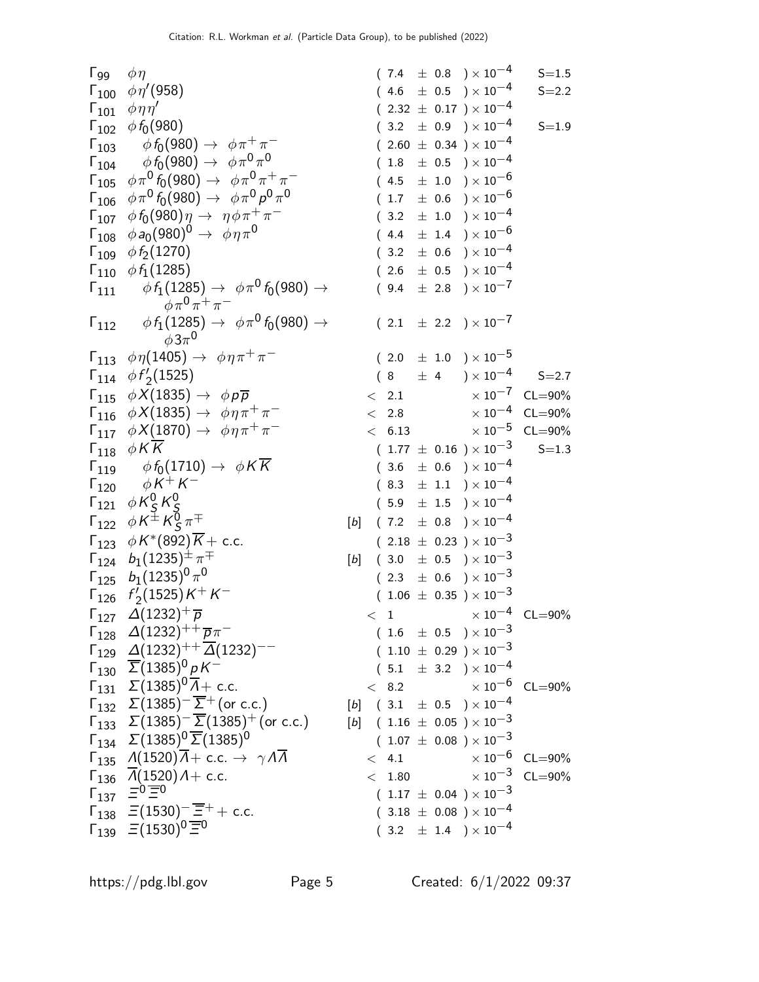| $\mathsf{\Gamma}_{99}$  | $\phi \eta$                                                                                                                                 | $(7.4 \pm 0.8) \times 10^{-4}$                                                            | $S = 1.5$               |
|-------------------------|---------------------------------------------------------------------------------------------------------------------------------------------|-------------------------------------------------------------------------------------------|-------------------------|
|                         | $\Gamma_{100}$ $\phi \eta' (958)$                                                                                                           | $(4.6 \pm 0.5) \times 10^{-4}$                                                            | $S = 2.2$               |
|                         | $\Gamma_{101}$ $\phi\eta\eta'$                                                                                                              | $(2.32 \pm 0.17) \times 10^{-4}$                                                          |                         |
|                         | $\Gamma_{102}$ $\phi f_0(980)$                                                                                                              | $(3.2 \pm 0.9) \times 10^{-4}$                                                            | $S = 1.9$               |
|                         | $\Gamma_{103}$ $\phi f_0(980) \to \phi \pi^+ \pi^-$                                                                                         | $(2.60 \pm 0.34) \times 10^{-4}$                                                          |                         |
| $\mathsf{\Gamma}_{104}$ | $\phi\, f_0(980) \rightarrow \; \phi \pi^0 \pi^0$                                                                                           | $\pm$ 0.5 $\mathrm{)}\times10^{-4}$<br>(1.8)                                              |                         |
|                         | $\Gamma_{105}$ $\phi \pi^0 f_0(980) \rightarrow \phi \pi^0 \pi^+ \pi^-$                                                                     | $(4.5 \pm 1.0) \times 10^{-6}$                                                            |                         |
|                         | $\Gamma_{106}$ $\phi \pi^0 f_0(980) \rightarrow \phi \pi^0 \rho^0 \pi^0$                                                                    | $(1.7 \pm 0.6) \times 10^{-6}$                                                            |                         |
|                         | $\Gamma_{107}$ $\phi f_0(980)\eta \to \eta \phi \pi^+ \pi^-$                                                                                | $(3.2 \pm 1.0) \times 10^{-4}$                                                            |                         |
|                         | $\Gamma_{108}$ $\phi a_0(980)^0 \rightarrow \phi \eta \pi^0$                                                                                | $(4.4 \pm 1.4) \times 10^{-6}$                                                            |                         |
|                         | $\Gamma_{109}$ $\phi f_2(1270)$                                                                                                             | $(3.2 \pm 0.6) \times 10^{-4}$                                                            |                         |
|                         | $\Gamma_{110}$ $\phi f_1(1285)$                                                                                                             | $(2.6 \pm 0.5) \times 10^{-4}$                                                            |                         |
| $\mathsf{\Gamma}_{111}$ | $\phi f_1(1285) \rightarrow \phi \pi^0 f_0(980) \rightarrow$                                                                                | $(9.4 \pm 2.8) \times 10^{-7}$                                                            |                         |
|                         | $\phi \pi^0 \pi^+ \pi^-$                                                                                                                    |                                                                                           |                         |
|                         | $\Gamma_{112}$ $\phi f_1(1285) \rightarrow \phi \pi^0 f_0(980) \rightarrow$                                                                 | $(2.1 \pm 2.2) \times 10^{-7}$                                                            |                         |
|                         | $\phi 3\pi^0$                                                                                                                               |                                                                                           |                         |
|                         | $\Gamma_{113}$ $\phi \eta(1405) \rightarrow \phi \eta \pi^+ \pi^-$                                                                          | $(2.0 \pm 1.0) \times 10^{-5}$                                                            |                         |
|                         | $\Gamma_{114}$ $\phi f_2'(1525)$                                                                                                            | $(8\ \pm\ 4\ )\times 10^{-4}$                                                             | $S = 2.7$               |
|                         | $\Gamma_{115} \phi X(1835) \rightarrow \phi p \overline{p}$                                                                                 | $\langle$ 2.1                                                                             | $\times 10^{-7}$ CL=90% |
|                         | $\Gamma_{116}$ $\phi X(1835) \rightarrow \phi \eta \pi^+ \pi^-$                                                                             | < 2.8                                                                                     | $\times 10^{-4}$ CL=90% |
|                         | $\Gamma_{117}$ $\phi X(1870) \rightarrow \phi \eta \pi^+ \pi^-$                                                                             | < 6.13                                                                                    | $\times 10^{-5}$ CL=90% |
|                         | $\Gamma_{118}$ $\phi K\overline{K}$                                                                                                         | $(1.77 \pm 0.16) \times 10^{-3}$                                                          | $S = 1.3$               |
|                         | $\Gamma_{119}$ $\phi f_0(1710) \rightarrow \phi K \overline{K}$                                                                             | $(3.6 \pm 0.6) \times 10^{-4}$                                                            |                         |
|                         | $\Gamma_{120}$ $\phi K^{+} K^{-}$                                                                                                           | $(8.3 \pm 1.1) \times 10^{-4}$                                                            |                         |
|                         | $\Gamma_{121}$ $\phi K_S^0 K_S^0$                                                                                                           | $(5.9 \pm 1.5) \times 10^{-4}$                                                            |                         |
|                         | $\Gamma_{122}$ $\phi K^{\pm} K^0_S \pi^{\mp}$                                                                                               | $[b]$ (7.2 $\pm$ 0.8 ) $\times$ 10 <sup>-4</sup>                                          |                         |
|                         | $\Gamma_{123}$ $\phi K^*(892)\overline{K}$ + c.c.                                                                                           | $(2.18 \pm 0.23) \times 10^{-3}$                                                          |                         |
|                         | $\Gamma_{124}$ $b_1(1235)^{\pm} \pi^{\mp}$                                                                                                  | $(3.0 \pm 0.5) \times 10^{-3}$<br>$[b]$                                                   |                         |
|                         | $\Gamma_{125}$ $b_1(1235)^0 \pi^0$                                                                                                          | $(2.3 \pm 0.6) \times 10^{-3}$                                                            |                         |
|                         | $\Gamma_{126}$ $f'_2(1525)K^+K^-$                                                                                                           | $(1.06 \pm 0.35) \times 10^{-3}$                                                          |                         |
|                         | $\Gamma_{127}$ $\Delta(1232)^{+}$ $\overline{p}$                                                                                            | $< 1$ $\times 10^{-4}$ CL=90%                                                             |                         |
|                         | $\Gamma_{128}$ $\Delta(1232)^{++} \overline{p} \pi^-$                                                                                       | $(1.6 \pm 0.5) \times 10^{-3}$                                                            |                         |
|                         | $\Gamma_{129}$ $\Delta(1232)^{++} \overline{\Delta}(1232)^{--}$                                                                             | $(1.10 \pm 0.29) \times 10^{-3}$                                                          |                         |
|                         | $\Gamma_{130} \ \ \overline{\Sigma} (1385)^0 pK^-$                                                                                          | $(5.1 \pm 3.2) \times 10^{-4}$                                                            |                         |
|                         | $\Gamma_{131}$ $\Sigma(1385)^{0}\overline{A}$ + c.c.                                                                                        | $< 8.2$ $\times 10^{-6}$ CL=90%                                                           |                         |
|                         | $\Gamma_{132} \Sigma(1385)^{-} \overline{\Sigma}^{+}$ (or c.c.)                                                                             | $[b]$ (3.1 $\pm$ 0.5 ) × 10 <sup>-4</sup>                                                 |                         |
|                         | $\Gamma_{133}$ $\Sigma(1385)^{-} \overline{\Sigma}(1385)^{+}$ (or c.c.)                                                                     | [b] $(1.16 \pm 0.05) \times 10^{-3}$                                                      |                         |
|                         | $\Gamma_{134}$ $\Sigma (1385)^{0}$ $\overline{\Sigma} (1385)^{0}$                                                                           | $( \hspace{.1cm} 1.07 \hspace{.1cm} \pm \hspace{.1cm} 0.08 \hspace{.1cm} )\times 10^{-3}$ |                         |
|                         | $\Gamma_{135}$ $\Lambda(1520)\overline{\Lambda}$ + c.c. $\rightarrow \gamma \Lambda \overline{\Lambda}$                                     | $< 4.1$ $\times 10^{-6}$ CL=90%                                                           |                         |
|                         |                                                                                                                                             | $<$ 1.80 $\times$ 10 $^{-3}$ CL=90%                                                       |                         |
|                         | $\begin{array}{rcl} \Gamma_{136} & \overline{\Lambda}(1520)A + \text{c.c.} \\ \Gamma_{137} & \overline{\Xi}^0 \overline{\Xi}^0 \end{array}$ | $(1.17 \pm 0.04) \times 10^{-3}$                                                          |                         |
|                         | $\Gamma_{138}$ $\Xi(1530)^{-} \overline{\Xi}^{+} +$ c.c.                                                                                    | $(3.18 \pm 0.08) \times 10^{-4}$                                                          |                         |
|                         | $\Gamma_{139}$ $\Xi(1530)^{0}\overline{\Xi}^{0}$                                                                                            | $(3.2 \pm 1.4) \times 10^{-4}$                                                            |                         |
|                         |                                                                                                                                             |                                                                                           |                         |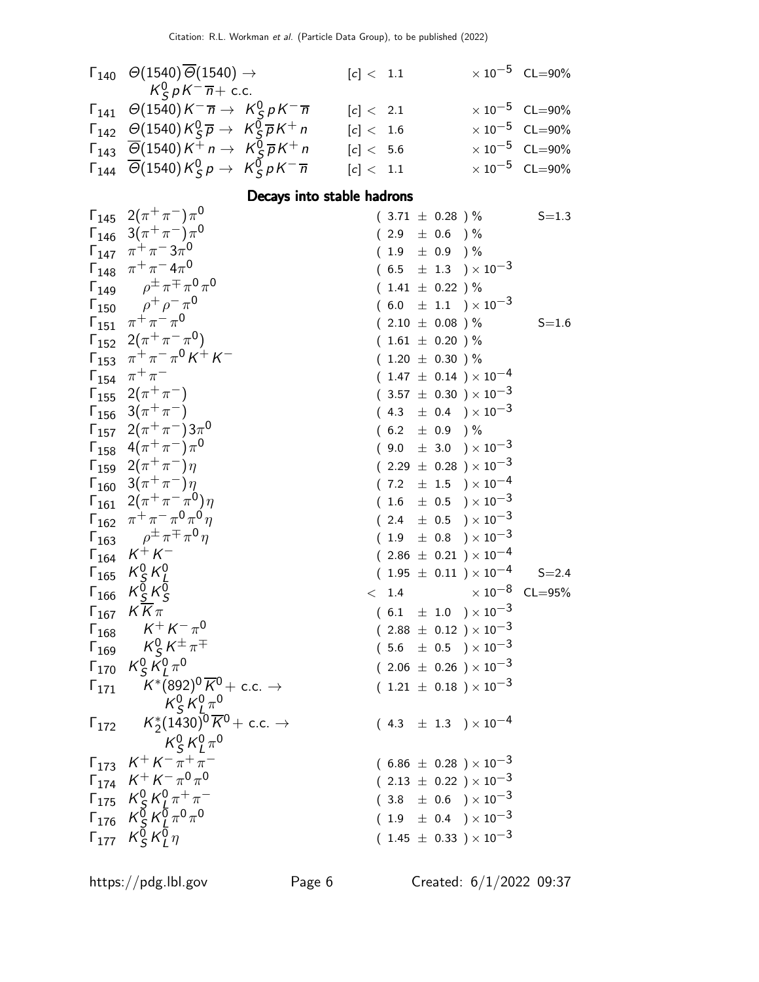| $\Gamma_{140}$ $\Theta(1540)\overline{\Theta}(1540)$ $\rightarrow$                                                                   | [c] < 1.1   | $\times 10^{-5}$ CL=90% |
|--------------------------------------------------------------------------------------------------------------------------------------|-------------|-------------------------|
| $K^0_S p K^- \overline{n}$ + c.c.                                                                                                    |             |                         |
| $\Gamma_{141}$ $\Theta(1540)K^{-}\overline{n} \rightarrow K_{S}^{0}pK^{-}\overline{n}$                                               | [c] < 2.1   | $\times 10^{-5}$ CL=90% |
| $\Gamma_{142}$ $\Theta(1540)K_S^0\overline{p} \rightarrow K_S^0\overline{p}K^+n$                                                     | $[c] < 1.6$ | $\times 10^{-5}$ CL=90% |
| $\Gamma_{143}$ $\overline{\Theta}$ (1540) K <sup>+</sup> n $\rightarrow$ K <sup>0</sup> <sub>S</sub> $\overline{p}$ K <sup>+</sup> n | [c] < 5.6   | $\times 10^{-5}$ CL=90% |
| $\Gamma_{144}$ $\overline{\Theta}$ (1540) $K_S^0 p \rightarrow K_S^0 p K^- \overline{n}$                                             | [c] < 1.1   | $\times 10^{-5}$ CL=90% |

## Decays into stable hadrons

|                | $\Gamma_{145}$ $2(\pi^{+}\pi^{-})\pi^{0}$                                                                                      | $(3.71 \pm 0.28)$ %              | $S = 1.3$               |
|----------------|--------------------------------------------------------------------------------------------------------------------------------|----------------------------------|-------------------------|
|                | $\Gamma_{146}$ 3( $\pi^{+}\pi^{-}$ ) $\pi^{0}$                                                                                 | $(2.9 \pm 0.6)$ %                |                         |
|                | $\Gamma_{147}$ $\pi^{+}\pi^{-}3\pi^{0}$                                                                                        | $(1.9 \pm 0.9)$ %                |                         |
|                | $\Gamma_{148}$ $\pi^{+}\pi^{-}4\pi^{0}$                                                                                        | $(6.5 \pm 1.3) \times 10^{-3}$   |                         |
|                | $\Gamma_{149}$ $\rho^{\pm} \pi^{\mp} \pi^0 \pi^0$                                                                              | $(1.41 \pm 0.22)$ %              |                         |
|                | $\Gamma_{150}$ $\rho^+ \rho^- \pi^0$                                                                                           | $(6.0 \pm 1.1) \times 10^{-3}$   |                         |
|                | $\Gamma_{151}$ $\pi^+\pi^-\pi^0$                                                                                               | $(2.10 \pm 0.08) \%$             | $S = 1.6$               |
|                | $\Gamma_{152}$ 2( $\pi^{+}\pi^{-}\pi^{0}$ )                                                                                    | $(1.61 \pm 0.20)$ %              |                         |
|                | $\Gamma_{153}$ $\pi^{+}\pi^{-}\pi^{0}K^{+}K^{-}$                                                                               | $(1.20 \pm 0.30)$ %              |                         |
|                | $\Gamma_{154}$ $\pi^{+}\pi^{-}$                                                                                                | $(1.47 \pm 0.14) \times 10^{-4}$ |                         |
|                | $\begin{bmatrix} 1 & 1 & 2 & 2 & 4 & 7 & 7 \ 1 & 1 & 5 & 6 & 3 & 7 & 7 & 7 \ 1 & 1 & 5 & 6 & 3 & 7 & 7 & 7 \ \end{bmatrix}$    | $(3.57 \pm 0.30) \times 10^{-3}$ |                         |
|                |                                                                                                                                | $(4.3 \pm 0.4) \times 10^{-3}$   |                         |
|                | $\Gamma_{157}$ 2( $\pi^{+}\pi^{-}$ )3 $\pi^{0}$                                                                                | $(6.2 \pm 0.9) \%$               |                         |
|                | $\Gamma_{158}$ 4( $\pi^{+}\pi^{-}\gamma^{0}$                                                                                   | $(9.0 \pm 3.0) \times 10^{-3}$   |                         |
|                | $\Gamma_{159}$ $2(\pi^{+}\pi^{-})\eta$                                                                                         | $(2.29 \pm 0.28) \times 10^{-3}$ |                         |
|                | $\Gamma_{160}$ 3( $\pi^{+}\pi^{-}$ ) $\eta$                                                                                    | $(7.2 \pm 1.5) \times 10^{-4}$   |                         |
|                | $\int_{161} 2(\pi^{+}\pi^{-}\pi^{0})\eta$                                                                                      | $(1.6 \pm 0.5) \times 10^{-3}$   |                         |
|                | $\Gamma_{162}$ $\pi^{+}\pi^{-}\pi^{0}\pi^{0}\eta$                                                                              | $(2.4 \pm 0.5) \times 10^{-3}$   |                         |
|                | $\Gamma_{163}$ $\rho^{\pm} \pi^{\mp} \pi^0 \eta$                                                                               | $(1.9 \pm 0.8) \times 10^{-3}$   |                         |
|                | $\Gamma_{164}$ $K^+ K^-$                                                                                                       | $(2.86 \pm 0.21) \times 10^{-4}$ |                         |
|                | $\Gamma_{165}$ $K_S^0 K_I^0$                                                                                                   | $(1.95 \pm 0.11) \times 10^{-4}$ | $S = 2.4$               |
| $\Gamma_{166}$ | $K_S^{\overline{0}} K_S^{\overline{0}}$                                                                                        | < 1.4                            | $\times 10^{-8}$ CL=95% |
|                | $\Gamma_{167}$ $K\overline{K}\pi$                                                                                              | $(6.1 \pm 1.0) \times 10^{-3}$   |                         |
|                | $\begin{matrix} 1 & 1 & 1 \\ 1 & 1 & 6 \\ 1 & 1 & 6 \end{matrix}$ $\begin{matrix} K^+ K^- \pi^0 \\ K_S K^+ \pi^+ \end{matrix}$ | $(2.88 \pm 0.12) \times 10^{-3}$ |                         |
|                |                                                                                                                                | $(5.6 \pm 0.5) \times 10^{-3}$   |                         |
| $\Gamma_{170}$ | $K_S^0 K_I^0 \pi^0$                                                                                                            | $(2.06 \pm 0.26) \times 10^{-3}$ |                         |
| $\Gamma_{171}$ | $\mathcal{K}^{*}(892)^{0}\overline{\mathcal{K}}^{0}+$ c.c. $\rightarrow$                                                       | $(1.21 \pm 0.18) \times 10^{-3}$ |                         |
|                | $K_S^0 K_L^0 \pi^0$                                                                                                            |                                  |                         |
|                | $\Gamma_{172}$ $K_2^*(1430)^0 \overline{K}^0 + \text{c.c.} \rightarrow$                                                        | $(4.3 \pm 1.3) \times 10^{-4}$   |                         |
|                | $K_S^0 K_I^0 \pi^0$                                                                                                            |                                  |                         |
|                | $\Gamma_{173}$ $K^+ K^- \pi^+ \pi^-$                                                                                           | $(6.86 \pm 0.28) \times 10^{-3}$ |                         |
|                | $\Gamma_{174}$ $K^+ K^- \pi^0 \pi^0$                                                                                           | $(2.13 \pm 0.22) \times 10^{-3}$ |                         |
|                | $\Gamma_{175}$ $K_S^0 K_I^0 \pi^+ \pi^-$                                                                                       | $(3.8 \pm 0.6) \times 10^{-3}$   |                         |
|                | $\Gamma_{176}$ $K_5^{\check{0}} K_L^{\check{0}} \pi^0 \pi^0$                                                                   |                                  |                         |
|                |                                                                                                                                | $(1.9 \pm 0.4) \times 10^{-3}$   |                         |
|                | $\Gamma_{177}$ $K_S^0 K_L^0 \eta$                                                                                              | $(1.45 \pm 0.33) \times 10^{-3}$ |                         |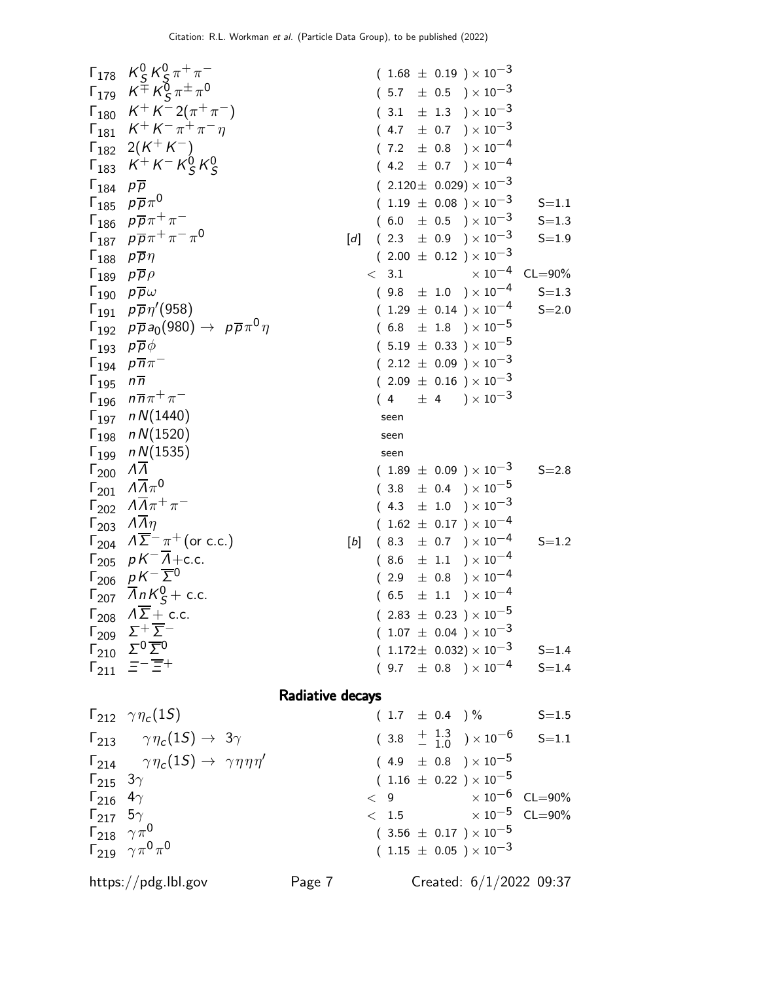| 178 | $K_S^G K_S^T \pi^+ \pi^-$                  | (1.68 ± 0.19) × 10 <sup>-3</sup>             |
|-----|--------------------------------------------|----------------------------------------------|
| 179 | $K^+ K^C \pi^+ \pi^-$                      | (3.1 ± 13) × 10 <sup>-3</sup>                |
| 180 | $K^+ K^- \pi^+ \pi^-$                      | (4.7 ± 0.7) × 10 <sup>-4</sup>               |
| 181 | $K^+ K^- \pi^+ \pi^-$                      | (4.7 ± 0.7) × 10 <sup>-4</sup>               |
| 182 | $2(K^+ K^-)$                               | (7.2 ± 0.8) × 10 <sup>-4</sup>               |
| 183 | $K^+ K^- R_S^0 K_S^0$                      | (4.2 ± 0.7) × 10 <sup>-4</sup>               |
| 184 | $p \overline{p} \overline{n}^0$            | (2.120 ± 0.029) × 10 <sup>-3</sup>           |
| 185 | $p \overline{p} \overline{p} \overline{p}$ | (6.0 ± 0.5) × 10 <sup>-3</sup>               |
| 186 | $p \overline{p} \overline{p} \overline{p}$ | (6.0 ± 0.8) × 10 <sup>-3</sup>               |
| 189 | $p \overline{p} \overline{p}$              | (6.0 ± 0.12) × 10 <sup>-4</sup>              |
| 191 | $p \overline{p} \overline{p}$              | (6.1 ± 0.9) × 10 <sup>-3</sup>               |
| 192 | $p \overline{p} \overline{p}$              | (1.29 ± 0.09) × 10 <sup>-3<!--</sup--></sup> |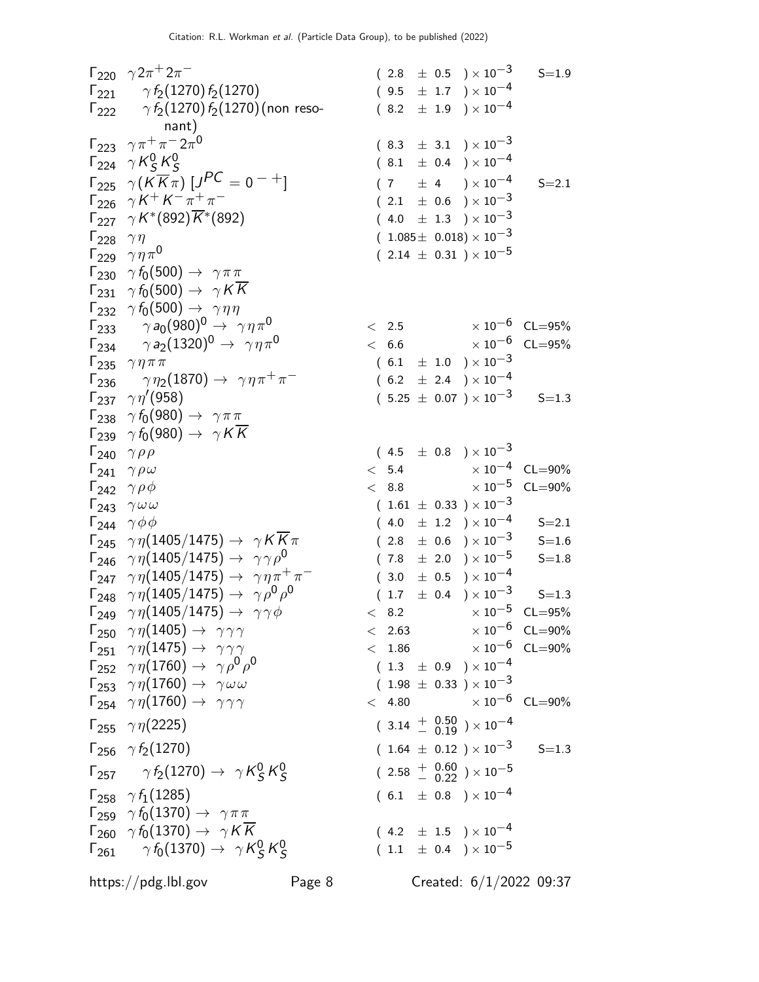$\Gamma_{220} \gamma 2\pi^+ 2\pi$  $(2.8 \pm 0.5) \times 10^{-3}$  S=1.9  $\Gamma_{221}$   $\gamma f_2(1270) f_2(1270)$  ( 9.5  $\pm$  1.7 ) × 10<sup>-4</sup>  $\Gamma_{222}$  γ $f_2(1270)f_2(1270)$ (non resonant)  $(8.2 \pm 1.9) \times 10^{-4}$  $\Gamma_{223}$   $\gamma \pi^+ \pi^- 2 \pi^0$  $(8.3 \pm 3.1) \times 10^{-3}$  $\Gamma_{224}$  γ $K_S^0$  $^0_S$  K $^0_S$ S  $(8.1 \pm 0.4) \times 10^{-4}$  $\Gamma_{225}$   $\gamma(\overline{K}\overline{K}\overline{n})$   $[J^{PC} = 0^{-+}]$  $(7 \pm 4) \times 10^{-4}$  S=2.1  $\Gamma_{226}$   $\gamma K^{+} K^{-} \pi^{+} \pi$  $(2.1 \pm 0.6) \times 10^{-3}$  $\Gamma_{227}$   $\gamma K^*(892)\overline{K}^*$  $(4.0 \pm 1.3) \times 10^{-3}$  $\Gamma_{228}$   $\gamma \eta$  ( 1.085 $\pm$  0.018)  $\times$  10<sup>-3</sup> Γ<sub>229</sub>  $γηπ<sup>0</sup>$  $(2.14 \pm 0.31) \times 10^{-5}$  $\Gamma_{230}$   $\gamma f_0(500) \rightarrow \gamma \pi \pi$  $\Gamma_{231}$   $\gamma f_0(500) \rightarrow \gamma K K$  $\Gamma_{232}$   $\gamma f_0(500) \rightarrow \gamma \eta \eta$  $\Gamma_{233}$   $\gamma a_0 (980)^0 \rightarrow \gamma \eta \pi^0$   $\qquad \qquad < 2.5$   $\times 10^{-6}$  CL=95%<br>  $\Gamma_{234}$   $\qquad \gamma a_2 (1320)^0 \rightarrow \gamma \eta \pi^0$   $\qquad \qquad < 6.6$   $\times 10^{-6}$  CL=95%  $Γ<sub>234</sub>$   $γ a<sub>2</sub>(1320)<sup>0</sup>$   $→$   $γ η π<sup>0</sup>$ <br> $Γ<sub>235</sub>$   $γ η π π$  $(6.1 \pm 1.0) \times 10^{-3}$  $\Gamma_{236}$   $\gamma \eta_2(1870) \rightarrow \gamma \eta \pi^+ \pi^ (6.2 \pm 2.4) \times 10^{-4}$  $\Gamma_{237}$   $\gamma\eta'(958)$  $(5.25 \pm 0.07 \, ) \times 10^{-3} \qquad$  S=1.3  $\Gamma_{238}$   $\gamma f_0(980) \rightarrow \gamma \pi \pi$  $\Gamma_{239}$  γ  $f_0(980) \rightarrow \gamma K K$ <br>  $\Gamma_{240}$  γρρ  $\Gamma_{240}$   $\gamma \rho \rho$  ( 4.5  $\pm$  0.8 ) × 10<sup>-3</sup><br>  $\Gamma_{241}$   $\gamma \rho \omega$  < 5.4  $\times$  10<sup>-4</sup>  $\begin{array}{ccccccc}\n\Gamma_{241} & \gamma \, \rho \, \omega & & & & & & & & \times 5.4 & & \times 10^{-4} & \text{CL} = & 90\% \\
\Gamma_{242} & \gamma \, \rho \, \phi & & & & & & & \times 10^{-5} & \text{CL} = & 90\% \\
\end{array}$  $\Gamma_{242}$   $\gamma \rho \phi$   $\gamma_{243}$   $\gamma \omega \omega$   $(1.61 \pm 0.33) \times 10^{-3}$  CL=90%  $(1.61 \pm 0.33) \times 10^{-3}$  $\Gamma_{244}$   $\gamma \phi \phi$  (  $4.0 \pm 1.2$  )  $\times 10^{-4}$  S=2.1<br>  $\Gamma_{245}$   $\gamma \eta (1405/1475) \rightarrow \gamma K \overline{K} \pi$  (  $2.8 \pm 0.6$  )  $\times 10^{-3}$  S=1.6  $\Gamma_{245}$   $\gamma \eta (1405/1475) \rightarrow \gamma K \overline{K} \pi$  ( 2.8  $\pm$  0.6 ) × 10<sup>-3</sup> S=1.6  $\Gamma_{246}$   $\gamma \eta (1405/1475) \rightarrow \gamma \gamma \rho^0$  $( 7.8 \pm 2.0 \ ) \times 10^{-5} \qquad$  S=1.8  $\Gamma_{247}$   $\gamma \eta (1405/1475) \rightarrow \gamma \eta \pi^{+} \pi^{-}$  $(\phantom{-}3.0\phantom{0} \pm \phantom{0}0.5\phantom{0}) \times 10^{-4}$  $\Gamma_{248}$   $\gamma\eta(1405/1475)\rightarrow$   $\gamma\rho^0\rho^0$  $(1.7 \pm 0.4) \times 10^{-3}$  S=1.3  $\Gamma_{249}$   $\gamma \eta (1405/1475) \rightarrow \gamma \gamma \phi$   $\sim$  8.2  $\times 10^{-5}$  CL=95%<br>  $\Gamma_{249}$   $\gamma \eta (1405) \rightarrow \gamma \gamma \gamma$   $\sim$  2.63  $\times 10^{-6}$  CL=90%  $\Gamma_{250}$   $\gamma \eta(1405) \rightarrow \gamma \gamma \gamma$  $\Gamma_{251} \ \ \gamma \eta(1475) \to \ \gamma \gamma \gamma$  < 1.86  $\times 10^{-6}$  CL=90%  $\Gamma_{252}$  γη $(1760)$   $\rightarrow$  γρ<sup>0</sup>ρ<sup>0</sup>  $(\begin{array}{ccc} 1.3 & \pm & 0.9 \end{array}) \times 10^{-4}$  $\Gamma_{253}$   $\gamma \eta (1760) \to \gamma \omega \omega$  (1.98  $\pm$  0.33 )  $\times 10^{-3}$  $\Gamma_{254}$   $\gamma \eta(1760) \rightarrow \gamma \gamma \gamma$  < 4.80  $\times 10^{-6}$  CL=90%  $\Gamma_{255}$   $\gamma \eta(2225)$  ( 3.14  $^{+}$   $_{-0.19}^{0.50}$  )  $\times 10^{-4}$  $\Gamma_{256}$   $\gamma f_2(1270)$  ( 1.64  $\pm$  0.12 ) × 10<sup>-3</sup> S=1.3 Г $_{257}$   $\gamma\,f_2(1270)\rightarrow\,\,\gamma\,K_S^0$  $^0_S$  K $^0_S$ S  $(~ 2.58 ~+~ 0.60 ~\atop -~ 0.22 ~) \times 10^{-5}$  $\Gamma_{258}$   $\gamma f_1(1285)$  ( 6.1  $\pm$  0.8 ) × 10<sup>-4</sup>  $\Gamma_{259}$   $\gamma f_0(1370) \rightarrow \gamma \pi \pi$  $\Gamma_{260}$   $\gamma f_0(1370) \rightarrow \gamma K \overline{K}$  ( 4.2  $\pm$  1.5 ) × 10<sup>-4</sup>  $\Gamma_{261}$   $\gamma f_0(1370) \rightarrow \gamma K_S^0$  $^0_S$  K $^0_S$ S  $(\begin{array}{cc} 1.1 & \pm \end{array} 0.4\end{array})\times 10^{-5}$ https://pdg.lbl.gov Page 8 Created: 6/1/2022 09:37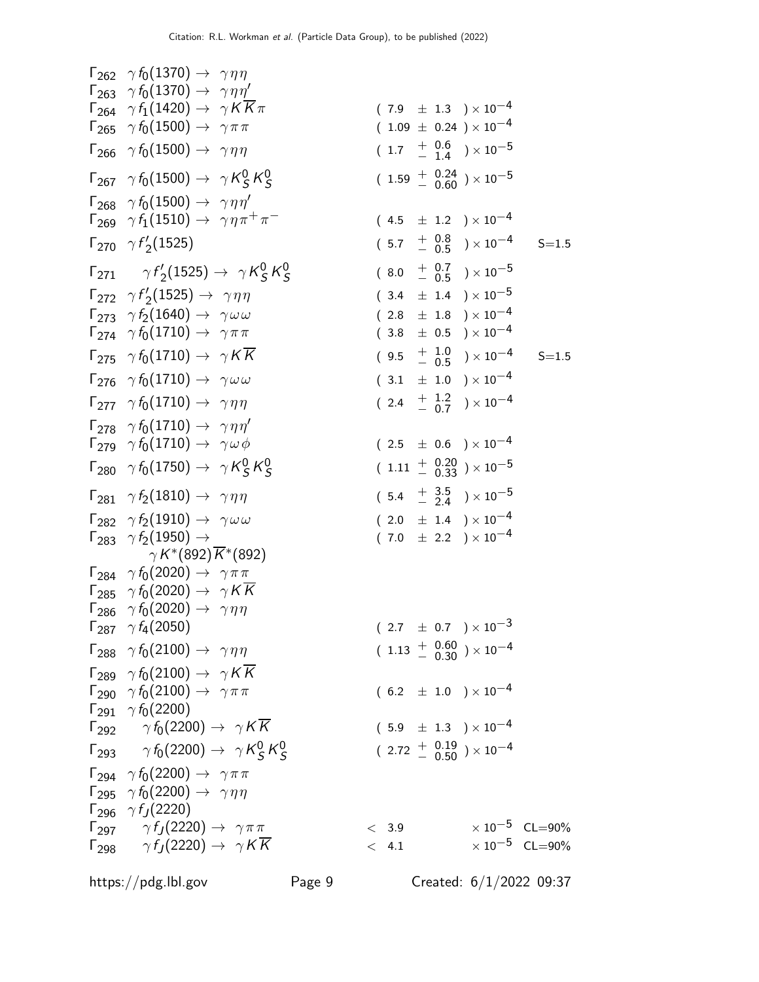$$
F_{262} \gamma f_0(1370) \rightarrow \gamma \eta \eta
$$
\n
$$
F_{264} \gamma f_1(1420) \rightarrow \gamma \pi \pi
$$
\n
$$
F_{265} \gamma f_0(1500) \rightarrow \gamma \pi \pi
$$
\n
$$
F_{266} \gamma f_0(1500) \rightarrow \gamma \pi \pi
$$
\n
$$
F_{267} \gamma f_0(1500) \rightarrow \gamma \eta \eta
$$
\n
$$
F_{268} \gamma f_0(1500) \rightarrow \gamma \eta \eta
$$
\n
$$
F_{268} \gamma f_0(1500) \rightarrow \gamma \eta \eta
$$
\n
$$
F_{268} \gamma f_0(1500) \rightarrow \gamma \eta \eta
$$
\n
$$
F_{269} \gamma f_1(1510) \rightarrow \gamma \eta \eta
$$
\n
$$
F_{270} \gamma f_2'(1525) \rightarrow \gamma \eta \eta
$$
\n
$$
F_{270} \gamma f_1'(1525) \rightarrow \gamma \eta \eta
$$
\n
$$
F_{271} \gamma f_2'(1525) \rightarrow \gamma \eta \eta
$$
\n
$$
F_{272} \gamma f_2'(1525) \rightarrow \gamma \eta \eta
$$
\n
$$
F_{271} \gamma f_2'(1525) \rightarrow \gamma \eta \eta
$$
\n
$$
F_{272} \gamma f_2'(1525) \rightarrow \gamma \eta \eta
$$
\n
$$
F_{273} \gamma f_2(1525) \rightarrow \gamma \eta \eta
$$
\n
$$
F_{274} \gamma f_0(1710) \rightarrow \gamma \pi \pi
$$
\n
$$
F_{275} \gamma f_0(1710) \rightarrow \gamma \eta \gamma
$$
\n
$$
F_{276} \gamma f_0(1710) \rightarrow \gamma \eta \gamma
$$
\n
$$
F_{276} \gamma f_0(1710) \rightarrow \gamma \eta \gamma
$$
\n
$$
F_{278} \gamma f_0(1710) \rightarrow \gamma \eta \gamma
$$
\n
$$
F_{278} \gamma f_0(1710) \rightarrow \gamma \
$$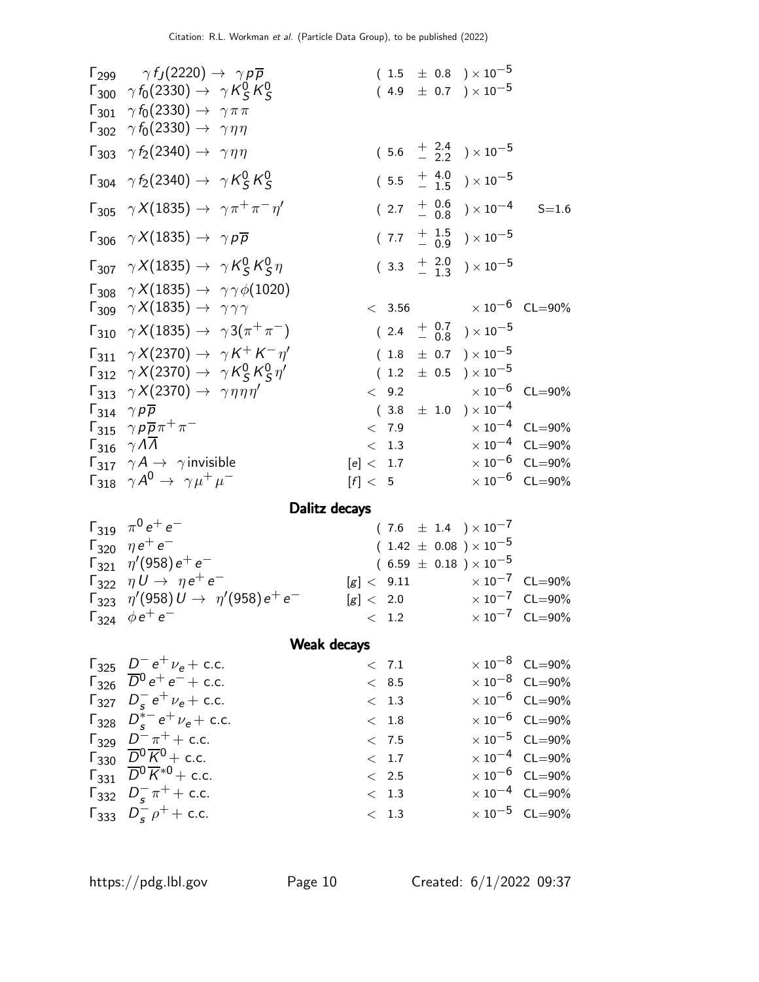| $\Gamma_{299}$ $\gamma f_J(2220) \rightarrow \gamma p \overline{p}$<br>$\Gamma_{300}$ $\gamma f_0(2330) \rightarrow \gamma K_S^0 K_S^0$<br>$\Gamma_{301}$ $\gamma f_0(2330) \rightarrow \gamma \pi \pi$<br>$\Gamma_{302}$ $\gamma f_0(2330) \rightarrow \gamma \eta \eta$<br>$\Gamma_{303}$ $\gamma f_2(2340) \rightarrow \gamma \eta \eta$<br>$\Gamma_{304}$ $\gamma f_2(2340) \rightarrow \gamma K_S^0 K_S^0$<br>$\Gamma_{305}$ $\gamma X(1835) \rightarrow \gamma \pi^+ \pi^- \eta'$<br>$\Gamma_{306}$ $\gamma X(1835) \rightarrow \gamma p \overline{p}$ |                                    | $(1.5 \pm 0.8) \times 10^{-5}$<br>$(4.9 \pm 0.7) \times 10^{-5}$                                       |  | $(5.6 \tfrac{+}{2} \tfrac{2.4}{2.2}) \times 10^{-5}$<br>$(5.5 \tfrac{+4.0}{-1.5}) \times 10^{-5}$<br>$(2.7 + \frac{0.6}{0.8}) \times 10^{-4}$<br>$(7.7 \frac{+}{0.9}) \times 10^{-5}$<br>$(3.3 + \frac{2.0}{1.3}) \times 10^{-5}$ | $S = 1.6$                                                                                                                           |
|--------------------------------------------------------------------------------------------------------------------------------------------------------------------------------------------------------------------------------------------------------------------------------------------------------------------------------------------------------------------------------------------------------------------------------------------------------------------------------------------------------------------------------------------------------------|------------------------------------|--------------------------------------------------------------------------------------------------------|--|-----------------------------------------------------------------------------------------------------------------------------------------------------------------------------------------------------------------------------------|-------------------------------------------------------------------------------------------------------------------------------------|
| $\Gamma_{307}$ $\gamma X(1835) \rightarrow \gamma K_S^0 K_S^0 \eta$<br>$\Gamma_{308}$ $\gamma X(1835) \rightarrow \gamma \gamma \phi(1020)$<br>$\Gamma_{309} \gamma X(1835) \rightarrow \gamma \gamma \gamma$                                                                                                                                                                                                                                                                                                                                                |                                    | < 3.56                                                                                                 |  |                                                                                                                                                                                                                                   | $\times$ 10 $^{-6}$ CL=90%                                                                                                          |
| $\Gamma_{310}$ $\gamma X(1835) \rightarrow \gamma 3(\pi^{+}\pi^{-})$<br>$\Gamma_{311}$ $\gamma X(2370) \rightarrow \gamma K^+ K^- \eta'$<br>$\Gamma_{312}$ $\gamma X(2370) \rightarrow \gamma K_S^0 K_S^0 \eta'$                                                                                                                                                                                                                                                                                                                                             |                                    | $(1.8 \pm 0.7) \times 10^{-5}$<br>$(1.2 \pm 0.5) \times 10^{-5}$                                       |  | $(2.4 + \frac{0.7}{0.8}) \times 10^{-5}$                                                                                                                                                                                          |                                                                                                                                     |
| $\Gamma_{313}$ $\gamma X(2370) \rightarrow \gamma \eta \eta \eta'$<br>$\Gamma_{314}$ $\gamma p \overline{p}$<br>$\Gamma_{315}$ $\gamma p \overline{p} \pi^+ \pi^-$                                                                                                                                                                                                                                                                                                                                                                                           | $\lt$                              | 9.2<br>< 7.9                                                                                           |  | $(3.8 \pm 1.0) \times 10^{-4}$                                                                                                                                                                                                    | $\times\,10^{-6}$ CL=90%<br>$\times 10^{-4}$ CL=90%                                                                                 |
| $\Gamma_{316}$ $\gamma \Lambda \overline{\Lambda}$<br>$\Gamma_{317}$ $\gamma A \rightarrow \gamma$ invisible<br>$\Gamma_{318}$ $\gamma A^0 \rightarrow \gamma \mu^+ \mu^-$                                                                                                                                                                                                                                                                                                                                                                                   | [e] < 1.7<br>$\lceil f \rceil < 5$ | < 1.3                                                                                                  |  |                                                                                                                                                                                                                                   | $\times$ $10^{-4}$ $\,$ CL=90%<br>$\times 10^{-6}$ CL=90%<br>$\times 10^{-6}$ CL=90%                                                |
| Dalitz decays                                                                                                                                                                                                                                                                                                                                                                                                                                                                                                                                                |                                    |                                                                                                        |  |                                                                                                                                                                                                                                   |                                                                                                                                     |
| $\Gamma_{319}$ $\pi^{0}e^{+}e^{-}$<br>$\Gamma_{320}$ $\eta e^+e^-$<br>$\Gamma_{321}$ $\eta'(958) e^+ e^-$<br>$\Gamma_{322}$ $\eta U \rightarrow \eta e^+ e^-$<br>$\Gamma_{323}$ $\eta'(958) U \rightarrow \eta'(958) e^+ e^-$<br>$\Gamma_{324}$ $\phi e^+ e^-$                                                                                                                                                                                                                                                                                               | [g] < 9.11                         | $(7.6 \pm 1.4) \times 10^{-7}$<br>$(1.42 \pm 0.08) \times 10^{-5}$<br>$(6.59 \pm 0.18) \times 10^{-5}$ |  |                                                                                                                                                                                                                                   | $\times 10^{-7}$ CL=90%<br>$[g] < 2.0$ $\times 10^{-7}$ CL=90%<br>$< 1.2$ $\times 10^{-7}$ CL=90%                                   |
| Weak decays<br>$\Gamma_{325}$ $D^-e^+\nu_e + c.c.$                                                                                                                                                                                                                                                                                                                                                                                                                                                                                                           |                                    | < 7.1                                                                                                  |  |                                                                                                                                                                                                                                   | $\times 10^{-8}$ CL=90%                                                                                                             |
| $\overline{D^0}e^+e^-+c.c.$<br>$\Gamma_{327}$ $D_e^- e^+ \nu_e + c.c.$<br>$\Gamma_{328}$ $D_s^{*-}e^+\nu_e + c.c.$<br>$\Gamma_{329}$ $D^2 \pi^+ +$ c.c.<br>$\Gamma_{330}$ $\overline{D^0 K^0}$ + c.c.<br>$\Gamma_{331}$ $\overline{D^0 K^*}$ + c.c.                                                                                                                                                                                                                                                                                                          |                                    | < 8.5<br>< 1.3<br>< 1.8<br>< 7.5<br>< 1.7                                                              |  |                                                                                                                                                                                                                                   | $\times 10^{-8}$ CL=90%<br>$\times 10^{-6}$ CL=90%<br>$\times 10^{-6}$ CL=90%<br>$\times 10^{-5}$ CL=90%<br>$\times 10^{-4}$ CL=90% |
| $\Gamma_{332}$ $D_s^- \pi^+ +$ c.c.<br>$\Gamma_{333}$ $D_s^ \rho^+$ + c.c.                                                                                                                                                                                                                                                                                                                                                                                                                                                                                   |                                    | < 2.5<br>< 1.3<br>< 1.3                                                                                |  |                                                                                                                                                                                                                                   | $\times$ 10 <sup>-6</sup> CL=90%<br>$\times 10^{-4}$ CL=90%<br>$\times 10^{-5}$ CL=90%                                              |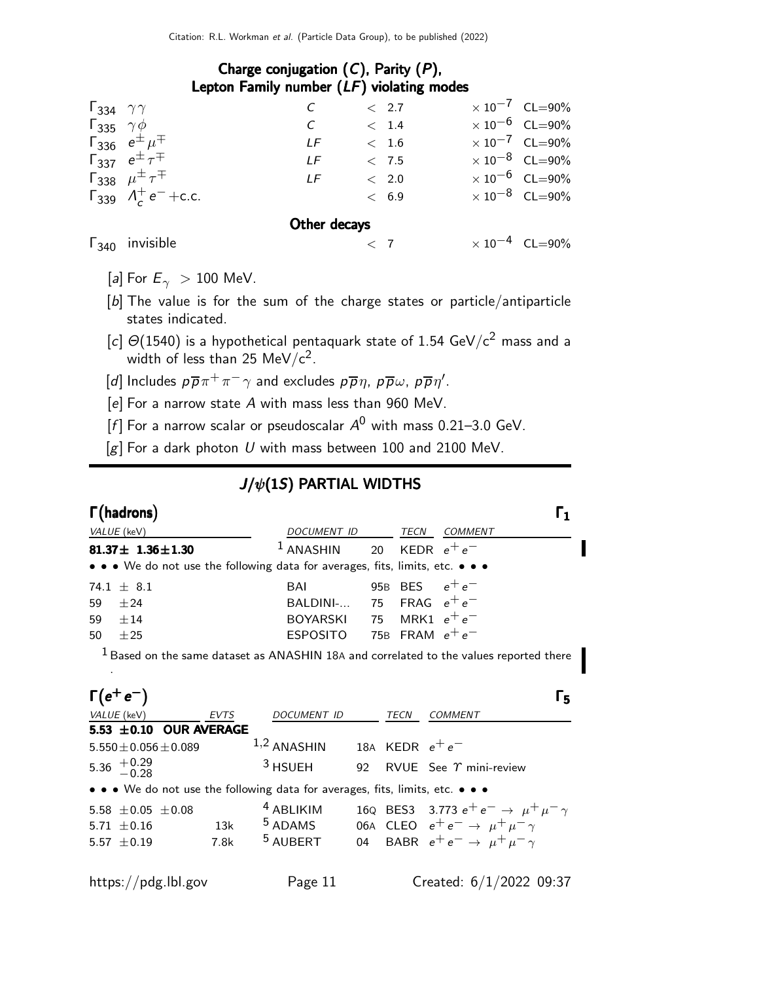### Charge conjugation  $(C)$ , Parity  $(P)$ , Lepton Family number (LF) violating modes

| $\Gamma_{334}$ $\gamma\gamma$ |                                         |              |             | < 2.7       | $\times 10^{-7}$ CL=90% |
|-------------------------------|-----------------------------------------|--------------|-------------|-------------|-------------------------|
|                               |                                         |              |             |             |                         |
| $\Gamma_{335}$ $\gamma \phi$  |                                         | C            |             | < 1.4       | $\times 10^{-6}$ CL=90% |
|                               | $\Gamma_{336} e^{\pm} \mu^{\mp}$        | LF           |             | < 1.6       | $\times 10^{-7}$ CL=90% |
|                               | $\Gamma_{337} e^{\pm} \tau^{\mp}$       | LF           |             | < 7.5       | $\times 10^{-8}$ CL=90% |
|                               | $\Gamma_{338}$ $\mu^{\pm} \tau^{\mp}$   | LF           |             | $\rm <$ 2.0 | $\times 10^{-6}$ CL=90% |
|                               | $\Gamma_{339}$ $\Lambda_c^+ e^- + c.c.$ |              |             | < 6.9       | $\times 10^{-8}$ CL=90% |
|                               |                                         | Other decays |             |             |                         |
|                               | $\Gamma_{340}$ invisible                |              | $\langle$ 7 |             | $\times 10^{-4}$ CL=90% |

- [a] For  $E_{\gamma} > 100$  MeV.
- [b] The value is for the sum of the charge states or particle/antiparticle states indicated.
- [c]  $\Theta(1540)$  is a hypothetical pentaquark state of 1.54 GeV/c<sup>2</sup> mass and a width of less than 25 MeV/c $^2$ .
- [d] Includes  $p\overline{p}\pi^{+}\pi^{-}\gamma$  and excludes  $p\overline{p}\eta$ ,  $p\overline{p}\omega$ ,  $p\overline{p}\eta'$ .
- $[e]$  For a narrow state  $A$  with mass less than 960 MeV.
- [f] For a narrow scalar or pseudoscalar  $A^0$  with mass 0.21-3.0 GeV.
- $[g]$  For a dark photon U with mass between 100 and 2100 MeV.

## $J/\psi(1S)$  PARTIAL WIDTHS

| $\Gamma$ (hadrons)                                                            |      |                               |  | Γ1                                                                                       |
|-------------------------------------------------------------------------------|------|-------------------------------|--|------------------------------------------------------------------------------------------|
| VALUE (keV)                                                                   |      |                               |  | DOCUMENT ID TECN COMMENT                                                                 |
| 81.37 $\pm$ 1.36 $\pm$ 1.30                                                   |      | $1$ ANASHIN                   |  | 20 KEDR $e^+e^-$                                                                         |
| • • • We do not use the following data for averages, fits, limits, etc. • • • |      |                               |  |                                                                                          |
| 74.1 $\pm$ 8.1                                                                |      | BAI                           |  | 95B BES $e^+e^-$                                                                         |
| 59<br>±24                                                                     |      | BALDINI- 75 FRAG $e^+e^-$     |  |                                                                                          |
| 59<br>$\pm 14$                                                                |      | BOYARSKI 75 MRK1 $e^+e^-$     |  |                                                                                          |
| 50<br>±25                                                                     |      | ESPOSITO 75B FRAM $e^+e^-$    |  |                                                                                          |
|                                                                               |      |                               |  | $1$ Based on the same dataset as ANASHIN 18A and correlated to the values reported there |
|                                                                               |      |                               |  |                                                                                          |
| $\Gamma(e^+e^-)$                                                              |      |                               |  | Г5                                                                                       |
| VALUE (keV) EVTS                                                              |      | DOCUMENT ID TECN              |  | COMMENT                                                                                  |
| 5.53 ±0.10 OUR AVERAGE                                                        |      |                               |  |                                                                                          |
| $5.550 \pm 0.056 \pm 0.089$                                                   |      | 1,2 ANASHIN 18A KEDR $e^+e^-$ |  |                                                                                          |
| 5.36 $^{+0.29}_{-0.28}$                                                       |      | $3$ HSUEH                     |  | 92 RVUE See $\gamma$ mini-review                                                         |
| • • • We do not use the following data for averages, fits, limits, etc. • • • |      |                               |  |                                                                                          |
| 5.58 $\pm$ 0.05 $\pm$ 0.08                                                    |      | <sup>4</sup> ABLIKIM          |  | 16Q BES3 3.773 $e^+e^- \rightarrow \mu^+\mu^-\gamma$                                     |
| $5.71 \pm 0.16$                                                               | 13k  |                               |  | <sup>5</sup> ADAMS 06A CLEO $e^+e^- \rightarrow \mu^+\mu^-\gamma$                        |
| 5.57 $\pm$ 0.19                                                               | 7.8k |                               |  | <sup>5</sup> AUBERT 04 BABR $e^+e^- \rightarrow \mu^+\mu^-\gamma$                        |
|                                                                               |      |                               |  |                                                                                          |
| https://pdg.lbl.gov                                                           |      | Page 11                       |  | Created: $6/1/2022$ 09:37                                                                |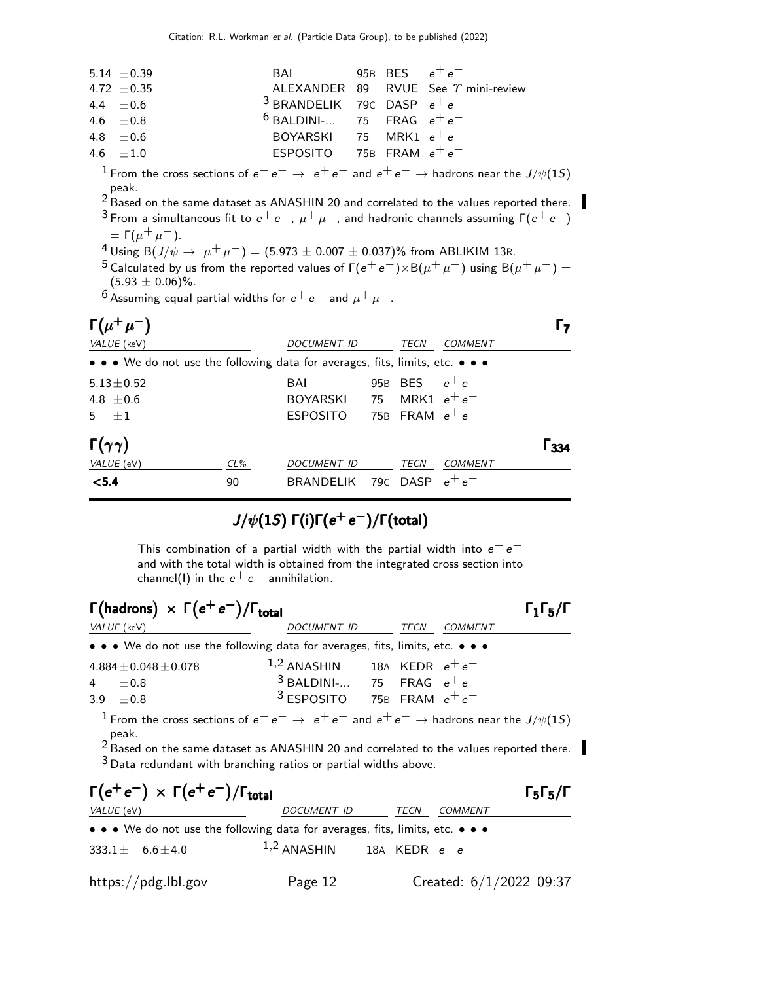| 5.14 $\pm$ 0.39 | BAI 95B BES $e^+e^-$                     |  |                                            |
|-----------------|------------------------------------------|--|--------------------------------------------|
| 4.72 $\pm$ 0.35 |                                          |  | ALEXANDER 89 RVUE See $\gamma$ mini-review |
| $4.4 + 0.6$     | <sup>3</sup> BRANDELIK 79C DASP $e^+e^-$ |  |                                            |
| 4.6 $\pm 0.8$   | $6$ BALDINI- 75 FRAG $e^+e^-$            |  |                                            |
| $4.8 + 0.6$     | BOYARSKI 75 MRK1 $e^+e^-$                |  |                                            |
| $4.6 + 1.0$     | ESPOSITO 75B FRAM $e^+e^-$               |  |                                            |
|                 |                                          |  |                                            |

<sup>1</sup> From the cross sections of  $e^+e^- \rightarrow e^+e^-$  and  $e^+e^- \rightarrow$  hadrons near the J/ $\psi$ (15) peak.

2 Based on the same dataset as ANASHIN 20 and correlated to the values reported there. <sup>3</sup> From a simultaneous fit to  $e^+e^-, \mu^+\mu^-$ , and hadronic channels assuming  $\Gamma(e^+e^-)$ 

=  $\Gamma(\mu^+ \mu^-)$ .

<sup>4</sup> Using B(J/ $\psi \rightarrow \mu^+ \mu^-$ ) = (5.973 ± 0.007 ± 0.037)% from ABLIKIM 13R.

<sup>5</sup> Calculated by us from the reported values of  $\Gamma(e^+e^-)\times B(\mu^+\mu^-)$  using  $B(\mu^+\mu^-) =$  $(5.93 \pm 0.06)\%$ .

6 Assuming equal partial widths for  $e^+e^-$  and  $\mu^+\mu^-$ .

| $\Gamma(\mu^+\mu^-)$                                                                                                  |        |                  |                   |                |     |
|-----------------------------------------------------------------------------------------------------------------------|--------|------------------|-------------------|----------------|-----|
| VALUE (keV)                                                                                                           |        | DOCUMENT ID      | TECN              | <b>COMMENT</b> |     |
| $\bullet \bullet \bullet$ We do not use the following data for averages, fits, limits, etc. $\bullet \bullet \bullet$ |        |                  |                   |                |     |
| $5.13 \pm 0.52$                                                                                                       |        | BAI              | 95B BES           | $e^+e^-$       |     |
| 4.8 $\pm$ 0.6                                                                                                         |        | BOYARSKI 75      | MRK1 $e^+e^-$     |                |     |
| $5 + 1$                                                                                                               |        | ESPOSITO         | 75B FRAM $e^+e^-$ |                |     |
| $\Gamma(\gamma\gamma)$                                                                                                |        |                  |                   |                | ววง |
| VALUE (eV)                                                                                                            | $CL\%$ | DOCUMENT ID      | <b>TECN</b>       | <b>COMMENT</b> |     |
| < 5.4                                                                                                                 | 90     | <b>BRANDELIK</b> | 79C DASP          | −م +م          |     |

# $J/\psi(1S)$   $\Gamma(i)\Gamma(e^+e^-)/\Gamma(\text{total})$

This combination of a partial width with the partial width into  $e^+e^$ and with the total width is obtained from the integrated cross section into channel(I) in the  $e^+e^-$  annihilation.

| $\Gamma(\text{hadrons}) \times \Gamma(e^+e^-)/\Gamma_{\text{total}}$ |             |              | $\Gamma_1\Gamma_5/\Gamma$ |
|----------------------------------------------------------------------|-------------|--------------|---------------------------|
| VALUE (keV)                                                          | DOCUMENT ID | TECN COMMENT |                           |

| $\bullet \bullet \bullet$ We do not use the following data for averages, fits, limits, etc. $\bullet \bullet \bullet$ |                                 |  |  |
|-----------------------------------------------------------------------------------------------------------------------|---------------------------------|--|--|
| $4.884 \pm 0.048 \pm 0.078$                                                                                           | $1,2$ ANASHIN 18A KEDR $e^+e^-$ |  |  |
| $4+0.8$                                                                                                               | $3$ BALDINI- 75 FRAG $e^+e^-$   |  |  |
| $3.9 + 0.8$                                                                                                           | $3$ ESPOSITO 75B FRAM $e^+e^-$  |  |  |

<sup>1</sup> From the cross sections of  $e^+e^- \rightarrow e^+e^-$  and  $e^+e^- \rightarrow$  hadrons near the  $J/\psi(15)$ peak.

2 Based on the same dataset as ANASHIN 20 and correlated to the values reported there.  $3$  Data redundant with branching ratios or partial widths above.

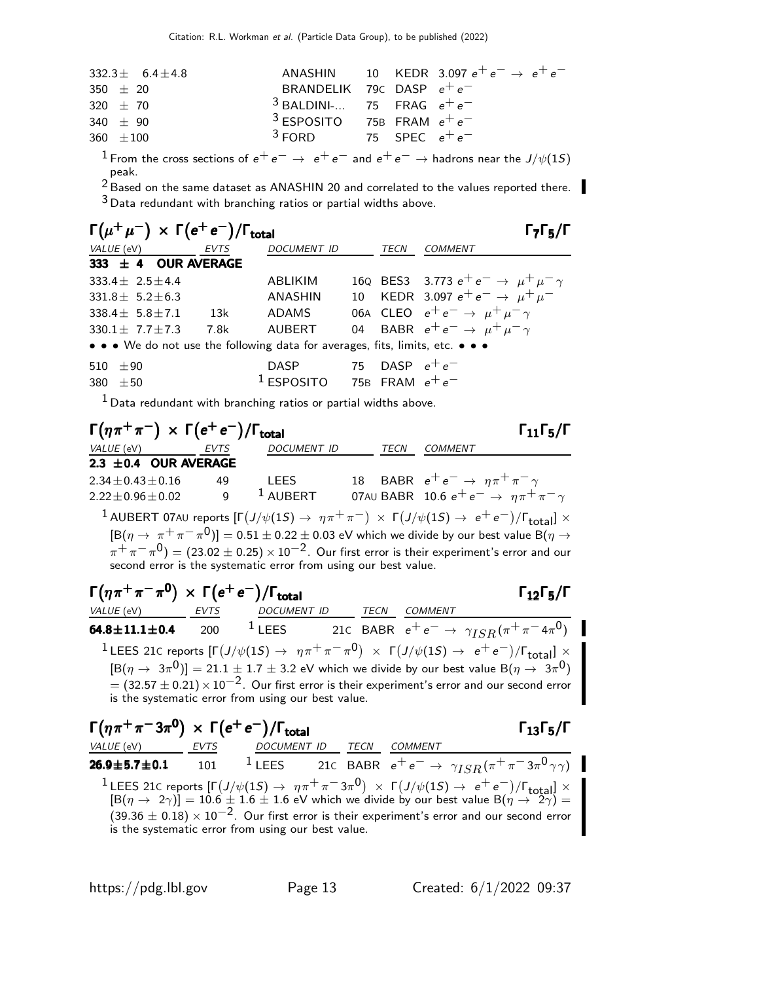| $332.3\pm$ 6.4 $\pm$ 4.8                                                                                                                                                                                                      |                                         | ANASHIN 10 KEDR 3.097 $e^+e^- \rightarrow e^+e^-$ |
|-------------------------------------------------------------------------------------------------------------------------------------------------------------------------------------------------------------------------------|-----------------------------------------|---------------------------------------------------|
| 350 $\pm$ 20                                                                                                                                                                                                                  | BRANDELIK 79 $c$ DASP $e^+e^-$          |                                                   |
| 320 $\pm$ 70                                                                                                                                                                                                                  | $3$ BALDINI- 75 FRAG $e^+e^-$           |                                                   |
| 340 $\pm$ 90                                                                                                                                                                                                                  | <sup>3</sup> ESPOSITO 75B FRAM $e^+e^-$ |                                                   |
| $360 \pm 100$                                                                                                                                                                                                                 | $3$ FORD 75 SPEC $e^+e^-$               |                                                   |
| . The contract of the contract of the contract of the contract of the contract of the contract of the contract of the contract of the contract of the contract of the contract of the contract of the contract of the contrac |                                         |                                                   |

<sup>1</sup> From the cross sections of  $e^+e^- \rightarrow e^+e^-$  and  $e^+e^- \rightarrow$  hadrons near the J/ $\psi$ (1S) peak.

2 Based on the same dataset as ANASHIN 20 and correlated to the values reported there.  $3$  Data redundant with branching ratios or partial widths above.

|              | $\Gamma(\mu^+\mu^-) \times \Gamma(e^+e^-)/\Gamma_{\text{total}}$ |             |                                                                               |                  | $\Gamma_7\Gamma_5/\Gamma$                            |
|--------------|------------------------------------------------------------------|-------------|-------------------------------------------------------------------------------|------------------|------------------------------------------------------|
| VALUE (eV)   |                                                                  | <b>EVTS</b> | <b>DOCUMENT ID</b>                                                            | <b>TECN</b>      | <b>COMMENT</b>                                       |
|              | 333 $\pm$ 4 OUR AVERAGE                                          |             |                                                                               |                  |                                                      |
|              | $333.4 \pm 2.5 \pm 4.4$                                          |             | ABLIKIM                                                                       |                  | 16Q BES3 3.773 $e^+e^- \rightarrow \mu^+\mu^-\gamma$ |
|              | $331.8 \pm 5.2 \pm 6.3$                                          |             | ANASHIN                                                                       |                  | 10 KEDR 3.097 $e^+e^- \rightarrow \mu^+\mu^-$        |
|              | 338.4 $\pm$ 5.8 $\pm$ 7.1                                        | 13k         | ADAMS                                                                         |                  | 06A CLEO $e^+e^- \rightarrow \mu^+\mu^-\gamma$       |
|              | $330.1 + 7.7 + 7.3$                                              | 7.8k        | AUBERT                                                                        |                  | 04 BABR $e^+e^- \rightarrow \mu^+\mu^-\gamma$        |
|              |                                                                  |             | • • • We do not use the following data for averages, fits, limits, etc. • • • |                  |                                                      |
| 510 $\pm 90$ |                                                                  |             | <b>DASP</b>                                                                   | 75 DASP $e^+e^-$ |                                                      |
| 380          | $+50$                                                            |             | <sup>1</sup> ESPOSITO 75B FRAM $e^+e^-$                                       |                  |                                                      |
|              |                                                                  |             |                                                                               |                  |                                                      |

 $1$  Data redundant with branching ratios or partial widths above.

| $\Gamma(\eta \pi^+ \pi^-) \times \Gamma(e^+ e^-)/\Gamma_{\text{total}}$ |             |                    |      | $\Gamma_{11}\Gamma_{5}/\Gamma$                                                                                                                              |
|-------------------------------------------------------------------------|-------------|--------------------|------|-------------------------------------------------------------------------------------------------------------------------------------------------------------|
| VALUE (eV)                                                              | <b>EVTS</b> | <b>DOCUMENT ID</b> | TECN | COMMENT                                                                                                                                                     |
| 2.3 $\pm$ 0.4 OUR AVERAGE                                               |             |                    |      |                                                                                                                                                             |
| $2.34 \pm 0.43 \pm 0.16$                                                | 49          | <b>LEES</b>        |      | 18 BABR $e^+e^- \rightarrow \eta \pi^+ \pi^- \gamma$                                                                                                        |
| $2.22 \pm 0.96 \pm 0.02$                                                | q           | $1$ AUBERT         |      | 07AU BABR 10.6 $e^+e^- \rightarrow \eta \pi^+ \pi^- \gamma$                                                                                                 |
|                                                                         |             |                    |      | <b>1</b> AUBERT 07AU reports $[\Gamma(J/\psi(1S) \rightarrow \eta \pi^+ \pi^-) \times \Gamma(J/\psi(1S) \rightarrow e^+ e^-)/\Gamma_{\text{total}}] \times$ |
|                                                                         |             |                    |      | $[{\rm B}(\eta \to \pi^+ \pi^- \pi^0)] = 0.51 \pm 0.22 \pm 0.03$ eV which we divide by our best value B $(\eta \to \pi^+ \pi^- \pi^0)$                      |
|                                                                         |             |                    |      | $\pi^+\pi^-\pi^0$ ) = (23.02 $\pm$ 0.25) × 10 <sup>-2</sup> . Our first error is their experiment's error and our                                           |
| second error is the systematic error from using our best value.         |             |                    |      |                                                                                                                                                             |
|                                                                         |             |                    |      |                                                                                                                                                             |

| $\Gamma(\eta \pi^+ \pi^- \pi^0) \times \Gamma(e^+ e^-)/\Gamma_{\text{total}}$ |             |                                                    |             | $\Gamma_{12}\Gamma_5/\Gamma$                                                                                                                                                                                                                                                                                                                                                            |
|-------------------------------------------------------------------------------|-------------|----------------------------------------------------|-------------|-----------------------------------------------------------------------------------------------------------------------------------------------------------------------------------------------------------------------------------------------------------------------------------------------------------------------------------------------------------------------------------------|
| VALUE (eV)                                                                    | <b>EVTS</b> | <b>DOCUMENT ID</b>                                 | <b>TECN</b> | COMMENT                                                                                                                                                                                                                                                                                                                                                                                 |
| $64.8 \pm 11.1 \pm 0.4$ 200                                                   |             | $1$ LEES                                           |             | 21C BABR $e^+e^- \to \gamma_{ISR}(\pi^+\pi^-4\pi^0)$                                                                                                                                                                                                                                                                                                                                    |
|                                                                               |             | is the systematic error from using our best value. |             | <sup>1</sup> LEES 21C reports $[\Gamma(J/\psi(1S) \to \eta \pi^+ \pi^- \pi^0) \times \Gamma(J/\psi(1S) \to e^+ e^-)/\Gamma_{\text{total}}] \times$<br>$[ B(\eta \to 3\pi^0) ] = 21.1 \pm 1.7 \pm 3.2$ eV which we divide by our best value B $(\eta \to 3\pi^0)$<br>$=$ (32.57 $\pm$ 0.21) $\times$ 10 <sup>-2</sup> . Our first error is their experiment's error and our second error |

Γ $(\eta \pi^+ \pi^- 3 \pi^0) \times \Gamma(e^+ e^-)/\Gamma_{\mathrm{total}}$  Γ $_{13}$ Γ $_{5}/\Gamma$ total  $\overline{1}3!\,\overline{5}/\overline{1}$ VALUE (eV) EVTS DOCUMENT ID TECN COMMENT **26.9±5.7±0.1** 101 <sup>1</sup> LEES 21c BABR  $e^+e^- \rightarrow \gamma_{ISR}(\pi^+\pi^-3\pi^0\gamma\gamma)$ <sup>1</sup> LEES 21C reports  $[Γ(J/\psi(1S) → ηπ + π - 3π<sup>0</sup>) × Γ(J/\psi(1S) → e<sup>+</sup>e<sup>-</sup>)/Γ<sub>total</sub>] × [B(η → 2γ)] = 10.6 ± 1.6 ± 1.6 eV which we divide by our best value B(η → 2γ) =$  $(39.36 \pm 0.18) \times 10^{-2}$ . Our first error is their experiment's error and our second error is the systematic error from using our best value.

https://pdg.lbl.gov Page 13 Created: 6/1/2022 09:37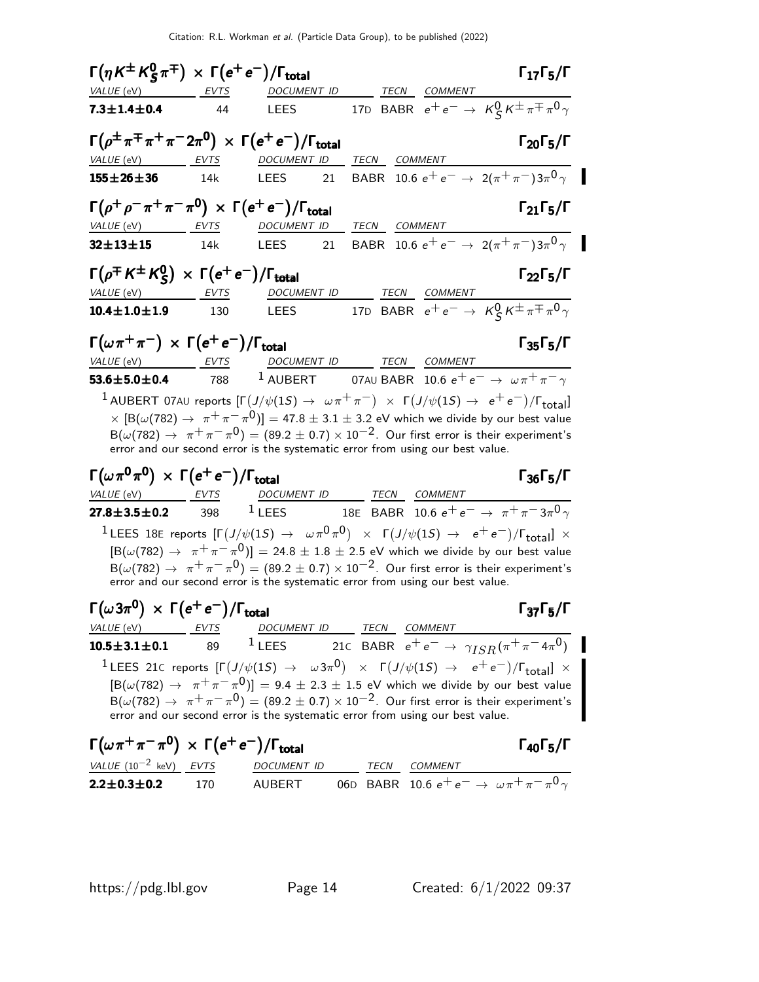| $\Gamma(\eta K^{\pm} K_S^0 \pi^{\mp}) \times \Gamma(e^+ e^-)/\Gamma_{\text{total}}$       |     |                                                                                                                                                                                                                                                                                                                                                                                                                                                                                                   |              |              | $\Gamma_{17}\Gamma_{5}/\Gamma$                                                                                                                           |
|-------------------------------------------------------------------------------------------|-----|---------------------------------------------------------------------------------------------------------------------------------------------------------------------------------------------------------------------------------------------------------------------------------------------------------------------------------------------------------------------------------------------------------------------------------------------------------------------------------------------------|--------------|--------------|----------------------------------------------------------------------------------------------------------------------------------------------------------|
| VALUE (eV) EVTS                                                                           |     | DOCUMENT ID                                                                                                                                                                                                                                                                                                                                                                                                                                                                                       |              | TECN COMMENT |                                                                                                                                                          |
| $7.3 \pm 1.4 \pm 0.4$                                                                     | 44  | LEES                                                                                                                                                                                                                                                                                                                                                                                                                                                                                              |              |              | 17D BABR $e^+e^- \rightarrow K^0_S K^{\pm} \pi^{\mp} \pi^0 \gamma$                                                                                       |
| $\Gamma(\rho^{\pm}\pi^{\mp}\pi^+\pi^-2\pi^0) \times \Gamma(e^+e^-)/\Gamma_{\text{total}}$ |     |                                                                                                                                                                                                                                                                                                                                                                                                                                                                                                   | <b>TECN</b>  |              | $\Gamma_{20}\Gamma_5/\Gamma$                                                                                                                             |
| VALUE (eV) EVTS<br>$155 \pm 26 \pm 36$                                                    | 14k | DOCUMENT ID<br>LEES<br>21                                                                                                                                                                                                                                                                                                                                                                                                                                                                         |              | COMMENT      | BABR 10.6 $e^+e^- \rightarrow 2(\pi^+\pi^-)3\pi^0$                                                                                                       |
|                                                                                           |     |                                                                                                                                                                                                                                                                                                                                                                                                                                                                                                   |              |              |                                                                                                                                                          |
| $\Gamma(\rho^+ \rho^- \pi^+ \pi^- \pi^0) \times \Gamma(e^+ e^-)/\Gamma_{\text{total}}$    |     |                                                                                                                                                                                                                                                                                                                                                                                                                                                                                                   |              |              | $\Gamma_{21}\Gamma_{5}/\Gamma$                                                                                                                           |
| VALUE (eV) EVTS                                                                           |     | DOCUMENT ID                                                                                                                                                                                                                                                                                                                                                                                                                                                                                       | TECN COMMENT |              |                                                                                                                                                          |
| $32 \pm 13 \pm 15$                                                                        | 14k | LEES<br>21                                                                                                                                                                                                                                                                                                                                                                                                                                                                                        |              |              | BABR 10.6 $e^+e^- \rightarrow 2(\pi^+\pi^-)3\pi^0\gamma$                                                                                                 |
| $\Gamma(\rho^{\mp} K^{\pm} K^0_S) \times \Gamma(e^+ e^-)/\Gamma_{\text{total}}$           |     |                                                                                                                                                                                                                                                                                                                                                                                                                                                                                                   |              |              | $\Gamma_{22}\Gamma_5/\Gamma$                                                                                                                             |
| VALUE (eV) EVTS                                                                           |     |                                                                                                                                                                                                                                                                                                                                                                                                                                                                                                   |              |              | DOCUMENT ID<br>LEES 17D BABR $e^+e^- \rightarrow K_S^0 K^{\pm} \pi^{\mp} \pi^0 \gamma$                                                                   |
| $10.4 \pm 1.0 \pm 1.9$                                                                    | 130 | LEES                                                                                                                                                                                                                                                                                                                                                                                                                                                                                              |              |              |                                                                                                                                                          |
| $\Gamma(\omega \pi^+ \pi^-) \times \Gamma(e^+ e^-)/\Gamma_{\text{total}}$                 |     |                                                                                                                                                                                                                                                                                                                                                                                                                                                                                                   |              |              | $\Gamma_{35}\Gamma_{5}/\Gamma$                                                                                                                           |
| VALUE (eV) EVTS                                                                           |     | DOCUMENT ID TECN COMMENT                                                                                                                                                                                                                                                                                                                                                                                                                                                                          |              |              |                                                                                                                                                          |
| $53.6 \pm 5.0 \pm 0.4$ 788                                                                |     | $^1$ AUBERT 07AU BABR 10.6 $e^+e^- \rightarrow \omega \pi^+ \pi^- \gamma$                                                                                                                                                                                                                                                                                                                                                                                                                         |              |              |                                                                                                                                                          |
|                                                                                           |     | $^1$ AUBERT 07AU reports $[\Gamma(J/\psi(1S) \to \omega \pi^+ \pi^-) \times \Gamma(J/\psi(1S) \to e^+ e^-)/\Gamma_{\rm total}]$<br>$\times$ $\left[\text{B}(\omega(782)\to\ \pi^+\pi^-\pi^0)\right]=$ 47.8 $\pm$ 3.1 $\pm$ 3.2 eV which we divide by our best value<br>$B(\omega(782) \rightarrow \pi^+\pi^-\pi^0) = (89.2 \pm 0.7) \times 10^{-2}$ . Our first error is their experiment's<br>error and our second error is the systematic error from using our best value.                      |              |              |                                                                                                                                                          |
| $\Gamma(\omega \pi^0 \pi^0) \times \Gamma(e^+ e^-)/\Gamma_{\text{total}}$                 |     |                                                                                                                                                                                                                                                                                                                                                                                                                                                                                                   |              |              | $\Gamma_{36}\Gamma_{5}/\Gamma$                                                                                                                           |
| <u>VALUE (eV) EVTS</u><br>$27.8 \pm 3.5 \pm 0.2$ 398                                      |     | DOCUMENT ID TECN COMMENT<br><sup>1</sup> LEES 18E BABR 10.6 $e^+e^- \rightarrow \pi^+\pi^-3\pi^0\gamma$                                                                                                                                                                                                                                                                                                                                                                                           |              |              |                                                                                                                                                          |
|                                                                                           |     |                                                                                                                                                                                                                                                                                                                                                                                                                                                                                                   |              |              |                                                                                                                                                          |
|                                                                                           |     | <sup>1</sup> LEES 18E reports $[\Gamma(J/\psi(1S) \rightarrow \omega \pi^0 \pi^0) \times \Gamma(J/\psi(1S) \rightarrow e^+e^-)/\Gamma_{\text{total}}] \times$<br>$\left[ B(\omega(782) \rightarrow \pi^+\pi^-\pi^0) \right] = 24.8 \pm 1.8 \pm 2.5$ eV which we divide by our best value<br>$B(\omega(782) \rightarrow \pi^+\pi^-\pi^0) = (89.2 \pm 0.7) \times 10^{-2}$ . Our first error is their experiment's<br>error and our second error is the systematic error from using our best value. |              |              |                                                                                                                                                          |
| $\Gamma(\omega 3\pi^0) \times \Gamma(e^+e^-)/\Gamma_{\text{total}}$                       |     |                                                                                                                                                                                                                                                                                                                                                                                                                                                                                                   |              |              | $\Gamma_{37}\Gamma_{5}/\Gamma$                                                                                                                           |
| VALUE (eV) EVTS                                                                           |     | DOCUMENT ID TECN COMMENT                                                                                                                                                                                                                                                                                                                                                                                                                                                                          |              |              |                                                                                                                                                          |
| $10.5 \pm 3.1 \pm 0.1$                                                                    |     |                                                                                                                                                                                                                                                                                                                                                                                                                                                                                                   |              |              | 89 <sup>1</sup> LEES 21c BABR $e^+e^- \to \gamma_{ISR}(\pi^+\pi^-4\pi^0)$                                                                                |
|                                                                                           |     | $[ B(\omega(782) \rightarrow \pi^+\pi^-\pi^0) ] = 9.4 \pm 2.3 \pm 1.5$ eV which we divide by our best value<br>$B(\omega(782) \rightarrow \pi^+\pi^-\pi^0) = (89.2 \pm 0.7) \times 10^{-2}$ . Our first error is their experiment's<br>error and our second error is the systematic error from using our best value.                                                                                                                                                                              |              |              | <sup>1</sup> LEES 21C reports $[\Gamma(J/\psi(1S) \rightarrow \omega 3\pi^0) \times \Gamma(J/\psi(1S) \rightarrow e^+e^-)/\Gamma_{\text{total}}] \times$ |
| $\Gamma(\omega \pi^+ \pi^- \pi^0) \times \Gamma(e^+ e^-)/\Gamma_{\text{total}}$           |     |                                                                                                                                                                                                                                                                                                                                                                                                                                                                                                   |              |              | $\Gamma_{40}\Gamma_{5}/\Gamma$                                                                                                                           |

| $I(\omega \pi^+ \pi^- \pi^-) \times I(e^+ e^-)/I_{\text{total}}$ |     |        |  |                                                                    | 1 40 5/1 |
|------------------------------------------------------------------|-----|--------|--|--------------------------------------------------------------------|----------|
| VALUE $(10^{-2}$ keV) EVTS DOCUMENT ID                           |     |        |  | <i>TECN COMMENT</i>                                                |          |
| $2.2 \pm 0.3 \pm 0.2$                                            | 170 | AUBERT |  | 06D BABR 10.6 $e^+e^- \rightarrow \omega \pi^+ \pi^- \pi^0 \gamma$ |          |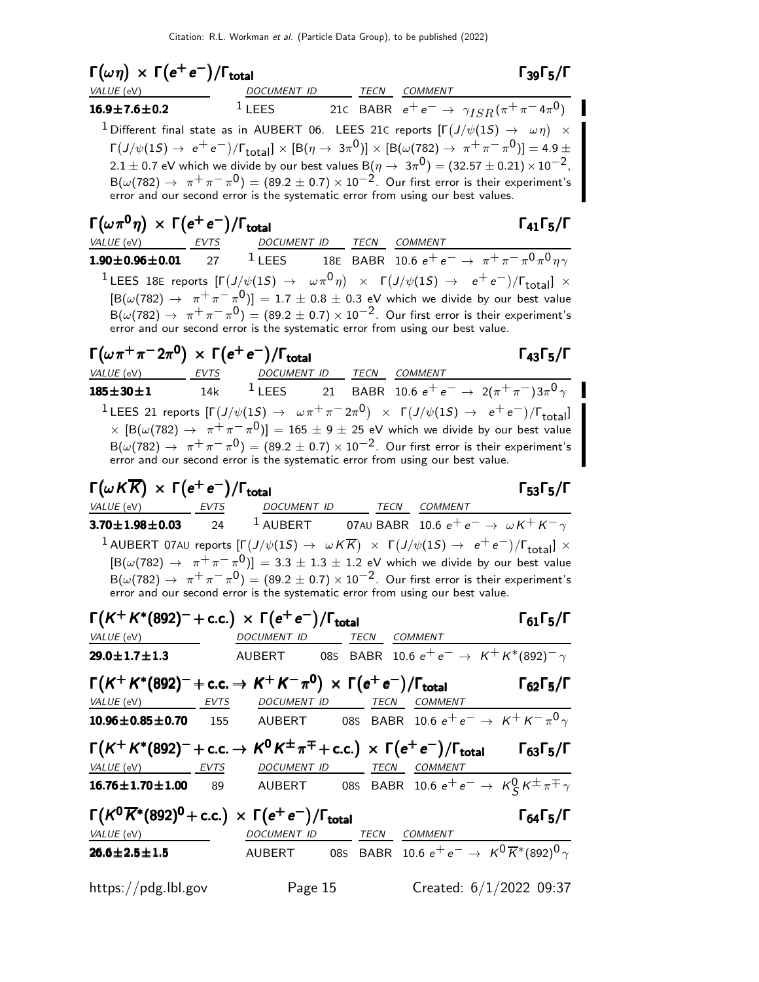| $\Gamma(\omega \eta) \times \Gamma(e^+e^-)/\Gamma_{\rm total}$<br><i>VALUE</i> (eV)                                                                                                                                                                                                                                                                                                                                                                                                                                                                                                                           | DOCUMENT ID TECN COMMENT                                                                |         | $\Gamma_{39}\Gamma_{5}/\Gamma$                                                 |
|---------------------------------------------------------------------------------------------------------------------------------------------------------------------------------------------------------------------------------------------------------------------------------------------------------------------------------------------------------------------------------------------------------------------------------------------------------------------------------------------------------------------------------------------------------------------------------------------------------------|-----------------------------------------------------------------------------------------|---------|--------------------------------------------------------------------------------|
| $16.9 \pm 7.6 \pm 0.2$                                                                                                                                                                                                                                                                                                                                                                                                                                                                                                                                                                                        |                                                                                         |         | <sup>1</sup> LEES 21C BABR $e^+e^- \rightarrow \gamma_{ISR}(\pi^+\pi^-4\pi^0)$ |
| $^1$ Different final state as in AUBERT 06. LEES 21C reports $[\Gamma(J/\psi(1S) \rightarrow \omega \eta)] \times \mathbb{Z}$<br>$\Gamma(J/\psi(15) \to e^+e^-)/\Gamma_{\text{total}}] \times [B(\eta \to 3\pi^0)] \times [B(\omega(782) \to \pi^+\pi^-\pi^0)] = 4.9 \pm$<br>2.1 $\pm$ 0.7 eV which we divide by our best values B( $\eta \to 3\pi^0$ ) = (32.57 $\pm$ 0.21) $\times$ 10 <sup>-2</sup> ,<br>${\sf B}(\omega(782)\to~\pi^+\pi^-\pi^0)=(89.2\pm0.7)\times10^{-2}.$ Our first error is their experiment's<br>error and our second error is the systematic error from using our best values.      |                                                                                         |         |                                                                                |
| $\Gamma(\omega\pi^{\mathbf{0}}\eta) \, \times \, \Gamma(e^+e^-)/\Gamma_{\mathbf{total}}$<br>VALUE (eV) EVTS DOCUMENT ID TECN COMMENT                                                                                                                                                                                                                                                                                                                                                                                                                                                                          |                                                                                         |         | $\Gamma_{41}\Gamma_{5}/\Gamma$                                                 |
| 1.90 $\pm$ 0.96 $\pm$ 0.01 27 <sup>1</sup> LEES 18E BABR 10.6 $e^+e^- \rightarrow \pi^+\pi^-\pi^0\pi^0\eta\gamma$<br><sup>1</sup> LEES 18E reports $[\Gamma(J/\psi(1S) \rightarrow \omega \pi^0 \eta) \times \Gamma(J/\psi(1S) \rightarrow e^+e^-)/\Gamma_{\text{total}}] \times$<br>$[{\sf B}(\omega(782) \rightarrow \pi^+\pi^-\pi^0)] = 1.7 \pm 0.8 \pm 0.3$ eV which we divide by our best value<br>$B(\omega(782) \rightarrow \pi^+\pi^-\pi^0) = (89.2 \pm 0.7) \times 10^{-2}$ . Our first error is their experiment's<br>error and our second error is the systematic error from using our best value. |                                                                                         |         |                                                                                |
| $\Gamma(\omega\pi^+\pi^-2\pi^0) \, \times \, \Gamma(e^+e^-)/\Gamma_{\rm total}$<br>$VALUE$ (eV)                                                                                                                                                                                                                                                                                                                                                                                                                                                                                                               | <u>EVTS DOCUMENT ID TECN COMMENT</u>                                                    |         | $\Gamma_{43}\Gamma_{5}/\Gamma$                                                 |
| $185 \pm 30 \pm 1$<br><sup>1</sup> LEES 21 reports $[\Gamma(J/\psi(1S) \to \omega \pi^+ \pi^- 2\pi^0) \times \Gamma(J/\psi(1S) \to e^+ e^-)/\Gamma_{\text{total}}]$<br>$\times$ $\lbrack \mathrm{B}(\omega(782) \rightarrow \ \pi^+\pi^-\pi^0) \rbrack = 165 \pm 9 \pm 25$ eV which we divide by our best value<br>$B(\omega(782) \rightarrow \pi^+\pi^-\pi^0) = (89.2 \pm 0.7) \times 10^{-2}$ . Our first error is their experiment's<br>error and our second error is the systematic error from using our best value.                                                                                      | 14k $^1$ LEES 21 BABR 10.6 $e^+ \, e^- \rightarrow \ 2 (\pi^+ \pi^-) 3 \pi^0 \, \gamma$ |         |                                                                                |
| $\Gamma(\omega K \overline{K}) \, \times \, \Gamma(e^+ \, e^-)/\Gamma_{\rm total}$<br>VALUE (eV) EVTS                                                                                                                                                                                                                                                                                                                                                                                                                                                                                                         | DOCUMENT ID ______ TECN COMMENT                                                         |         | $\Gamma_{53}\Gamma_{5}/\Gamma$                                                 |
| <b>3.70±1.98±0.03</b> 24 <sup>1</sup> AUBERT 07AU BABR 10.6 $e^+e^- \rightarrow \omega K^+ K^- \gamma$<br>$^1$ AUBERT 07AU reports $[\Gamma(J/\psi(1S) \to \ \omega \,K\overline{K}) \ \times \ \Gamma(J/\psi(1S) \to \ e^+ \,e^-)/\Gamma_{\rm total}] \ \times$<br>$[{\mathsf B}(\omega(782) \to \pi^+\pi^-\pi^0)] = 3.3 \pm 1.3 \pm 1.2$ eV which we divide by our best value<br>$B(\omega(782) \rightarrow \pi^+\pi^-\pi^0) = (89.2 \pm 0.7) \times 10^{-2}$ . Our first error is their experiment's<br>error and our second error is the systematic error from using our best value.                      |                                                                                         |         |                                                                                |
| $\Gamma(K^+K^*(892)^- + \text{c.c.}) \times \Gamma(e^+e^-)/\Gamma_{\text{total}}$<br>VALUE (eV) DOCUMENT ID TECN COMMENT                                                                                                                                                                                                                                                                                                                                                                                                                                                                                      |                                                                                         |         | $\Gamma_{61}\Gamma_{5}/\Gamma$                                                 |
| <b>29.0±1.7±1.3</b> AUBERT 08S BABR 10.6 $e^+e^- \rightarrow K^+K^*(892)^-\gamma$                                                                                                                                                                                                                                                                                                                                                                                                                                                                                                                             |                                                                                         |         |                                                                                |
| $\Gamma(K^+K^*(892)^- + \text{c.c.} \rightarrow K^+K^-\pi^0) \times \Gamma(e^+e^-)/\Gamma_{\text{total}}$                                                                                                                                                                                                                                                                                                                                                                                                                                                                                                     |                                                                                         |         | $\Gamma_{62}\Gamma_5/\Gamma$                                                   |
| $\frac{\text{VALU E (eV)}}{10.96 \pm 0.85 \pm 0.70} = \frac{\text{EVTS}}{155}$ $\frac{\text{DOCUMENT ID}}{\text{AUBERT}} = \frac{\text{TECN}}{085}$ $\frac{\text{COMMENT}}{\text{BABR}} = \frac{\text{COMMENT}}{10.6 \text{ e}^+ \text{ e}^-} \rightarrow \frac{\text{KHK}}{\text{K}} = \frac{\text{H}}{\text{A}} = \frac{\text{H}}{\text{A}} = \frac{\text{H}}{\text{A}} = \frac{\text{H}}{\text{A}} = \frac{\text{H}}{\text{A}} = \frac{\text{H}}{\text{$                                                                                                                                                   |                                                                                         |         |                                                                                |
| $\Gamma(K^+K^*(892)^- + \text{c.c.} \rightarrow K^0K^{\pm}\pi^{\mp} + \text{c.c.}) \times \Gamma(e^+e^-)/\Gamma_{\text{total}}$ $\Gamma_{63}\Gamma_5/\Gamma$<br>VALUE (eV) EVTS DOCUMENT ID TECN COMMENT<br>16.76±1.70±1.00 89 AUBERT 08S BABR 10.6 $e^+e^- \rightarrow K^0_S K^{\pm} \pi^{\mp} \gamma$                                                                                                                                                                                                                                                                                                       |                                                                                         |         |                                                                                |
|                                                                                                                                                                                                                                                                                                                                                                                                                                                                                                                                                                                                               |                                                                                         |         |                                                                                |
| $\Gamma(K^0\overline{K}^*(892)^0$ + c.c.) $\times \Gamma(e^+e^-)/\Gamma_{\rm total}$<br>$\frac{\text{VALU E (eV)}}{26.6 \pm 2.5 \pm 1.5}$ DOCUMENT ID TECN COMMENT<br>26.6±2.5±1.5 AUBERT 08S BABR 10.6 e <sup>+</sup> e <sup>-</sup> $\rightarrow$ K <sup>0</sup> K <sup>*</sup> (892) <sup>0</sup> $\gamma$                                                                                                                                                                                                                                                                                                 |                                                                                         |         | $\Gamma_{64}$ $\Gamma_{5}/\Gamma$                                              |
|                                                                                                                                                                                                                                                                                                                                                                                                                                                                                                                                                                                                               |                                                                                         |         |                                                                                |
| https://pdg.lbl.gov                                                                                                                                                                                                                                                                                                                                                                                                                                                                                                                                                                                           |                                                                                         | Page 15 | Created: $6/1/2022$ 09:37                                                      |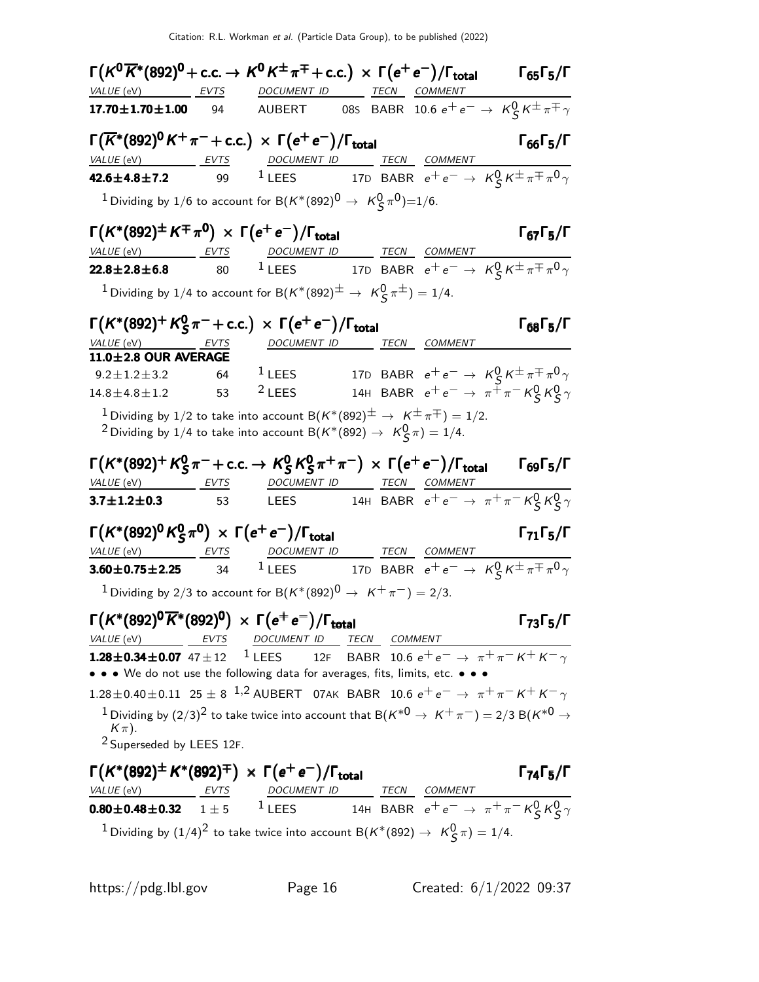| $\Gamma(K^0\overline{K}{}^*(892)^0$ + c.c. $\rightarrow K^0K^{\pm}\pi^{\mp}$ + c.c.) $\times \ \Gamma(e^+e^-)/\Gamma_{\rm total}$                                                                                                                                                                                                                          |    |                          |  | $\Gamma_{65}\Gamma_5/\Gamma$                                             |
|------------------------------------------------------------------------------------------------------------------------------------------------------------------------------------------------------------------------------------------------------------------------------------------------------------------------------------------------------------|----|--------------------------|--|--------------------------------------------------------------------------|
| VALUE (eV) ____________ EVTS _________ DOCUMENT ID _________ TECN ____ COMMENT                                                                                                                                                                                                                                                                             |    |                          |  |                                                                          |
| $17.70 \pm 1.70 \pm 1.00$                                                                                                                                                                                                                                                                                                                                  | 94 |                          |  | AUBERT 08s BABR 10.6 $e^+e^- \rightarrow \ K^0_S K^{\pm}\pi^{\mp}\gamma$ |
| $\Gamma(\overline{K}^*(892)^0 K^+\pi^-+c.c.) \times \Gamma(e^+e^-)/\Gamma_{\text{total}}$                                                                                                                                                                                                                                                                  |    |                          |  | Г <sub>66</sub> Г <sub>5</sub> /Г                                        |
| VALUE (eV) ____________ EVTS _____________DOCUMENT ID __________ TECN ____ COMMENT                                                                                                                                                                                                                                                                         |    |                          |  |                                                                          |
| <b>42.6±4.8±7.2</b> 99 <sup>1</sup> LEES 17D BABR $e^+e^- \to K_S^0 K^{\pm} \pi^{\mp} \pi^0 \gamma$                                                                                                                                                                                                                                                        |    |                          |  |                                                                          |
| <sup>1</sup> Dividing by 1/6 to account for B $(K^*(892)^0 \rightarrow K^0_S \pi^0) = 1/6$ .                                                                                                                                                                                                                                                               |    |                          |  |                                                                          |
| $\Gamma(K^*(892)^{\pm} K^{\mp} \pi^0) \times \Gamma(e^+ e^-)/\Gamma_{\text{total}}$                                                                                                                                                                                                                                                                        |    |                          |  | $\Gamma_{67}\Gamma_5/\Gamma$                                             |
| $\frac{\text{VALUE (eV)}}{22.8\pm2.8\pm6.8}$ $\frac{\text{EVTS}}{80}$ $\frac{DOCUMENT ID}{1 \text{LEES}}$ $\frac{\text{TECN}}{17D}$ $\frac{\text{CEN}}{\text{BABR}}$ $e^+e^- \rightarrow K_S^0 K^{\pm} \pi^{\mp} \pi^0 \gamma$                                                                                                                             |    |                          |  |                                                                          |
|                                                                                                                                                                                                                                                                                                                                                            |    |                          |  |                                                                          |
| <sup>1</sup> Dividing by 1/4 to account for B $(K^*(892)^{\pm} \rightarrow K^0_S \pi^{\pm}) = 1/4$ .                                                                                                                                                                                                                                                       |    |                          |  |                                                                          |
| $\Gamma(K^*(892)^+ K^0_S \pi^- + \text{c.c.}) \times \Gamma(e^+ e^-)/\Gamma_{\text{total}}$                                                                                                                                                                                                                                                                |    |                          |  | $\Gamma_{68}\Gamma_5/\Gamma$                                             |
| $VALUE$ (eV) EVTS                                                                                                                                                                                                                                                                                                                                          |    | DOCUMENT ID TECN COMMENT |  |                                                                          |
| 11.0±2.8 OUR AVERAGE<br>9.2 $\pm$ 1.2 $\pm$ 3.2 64 <sup>1</sup> LEES                                                                                                                                                                                                                                                                                       |    |                          |  | 17D BABR $e^+e^- \rightarrow K^0_S K^{\pm} \pi^{\mp} \pi^0 \gamma$       |
| $14.8 \pm 4.8 \pm 1.2$ 53                                                                                                                                                                                                                                                                                                                                  |    | $2$ LEES                 |  | 14H BABR $e^+e^- \rightarrow \pi^+\pi^- K^0_S K^0_S \gamma$              |
|                                                                                                                                                                                                                                                                                                                                                            |    |                          |  |                                                                          |
| $^1$ Dividing by 1/2 to take into account B $(\mathsf{K}^*(892)^\pm \to \ \mathsf{K}^\pm\pi^\mp)=1/2.$<br><sup>2</sup> Dividing by 1/4 to take into account B( $K^*(892) \rightarrow K^0_S \pi$ ) = 1/4.                                                                                                                                                   |    |                          |  |                                                                          |
| $\Gamma(K^*(892)^+ K^0_S \pi^- + \text{c.c.} \to K^0_S K^0_S \pi^+ \pi^-) \times \Gamma(e^+ e^-)/\Gamma_{\text{total}}$                                                                                                                                                                                                                                    |    |                          |  | $\Gamma_{69}\Gamma_5/\Gamma$                                             |
| VALUE (eV) EVTS DOCUMENT ID TECN COMMENT                                                                                                                                                                                                                                                                                                                   |    |                          |  |                                                                          |
| <b>3.7±1.2±0.3</b> 53 LEES 14H BABR $e^+e^- \to \pi^+\pi^- K^0_S K^0_S \gamma$                                                                                                                                                                                                                                                                             |    |                          |  |                                                                          |
| $\Gamma(K^*(892)^0 K_S^0 \pi^0) \times \Gamma(e^+ e^-)/\Gamma_{\text{total}}$                                                                                                                                                                                                                                                                              |    |                          |  | $\Gamma_{71}\Gamma_{5}/\Gamma$                                           |
| $I (K^{\bullet}(892)^{\bullet} K^{\bullet}_{S} \pi^{\bullet}) \times \Gamma(e^{+}e^{-})/\Gamma_{total}$<br>$VALUE (eV)$ EVTS DOCUMENT ID TECN COMMENT                                                                                                                                                                                                      |    |                          |  |                                                                          |
| <b>3.60±0.75±2.25</b> 34 <sup>1</sup> LEES 17D BABR $e^+e^- \to K_S^0 K^{\pm} \pi^{\mp} \pi^0 \gamma$                                                                                                                                                                                                                                                      |    |                          |  |                                                                          |
| <sup>1</sup> Dividing by 2/3 to account for B $(K^*(892)^0 \rightarrow K^+\pi^-) = 2/3$ .                                                                                                                                                                                                                                                                  |    |                          |  |                                                                          |
| $\Gamma(K^*(892)^0\overline{K}^*(892)^0) \times \Gamma(e^+e^-)/\Gamma_{\text{total}}$                                                                                                                                                                                                                                                                      |    |                          |  | Г <sub>73</sub> Г $_5$ /Г                                                |
| $\frac{\textit{VALUE (eV)}}{1.28 \pm 0.34 \pm 0.07} \frac{\textit{EVTS}}{47 \pm 12} \quad \frac{\textit{DOCMENT ID}}{1 \text{ LEES}} \quad \frac{\textit{TECN}}{12F} \quad \frac{\textit{COMMENT}}{BABR} \quad 10.6 \text{ e}^+ \text{ e}^- \rightarrow \pi^+ \pi^- \text{ K}^+ \text{ K}^- \gamma$                                                        |    |                          |  |                                                                          |
| • • • We do not use the following data for averages, fits, limits, etc. • • •                                                                                                                                                                                                                                                                              |    |                          |  |                                                                          |
| 1.28 ± 0.40 ± 0.11 25 ± 8 <sup>1,2</sup> AUBERT 07AK BABR 10.6 $e^+e^- \rightarrow \pi^+\pi^-K^+K^-\gamma$                                                                                                                                                                                                                                                 |    |                          |  |                                                                          |
| <sup>1</sup> Dividing by $(2/3)^2$ to take twice into account that B( $K^{*0} \rightarrow K^+ \pi^-$ ) = 2/3 B( $K^{*0} \rightarrow$<br>$K\pi$ ).                                                                                                                                                                                                          |    |                          |  |                                                                          |
| <sup>2</sup> Superseded by LEES 12F.                                                                                                                                                                                                                                                                                                                       |    |                          |  |                                                                          |
| $\Gamma(K^*(892)^{\pm} K^*(892)^{\mp}) \times \Gamma(e^+e^-)/\Gamma_{\text{total}}$                                                                                                                                                                                                                                                                        |    |                          |  | $\Gamma_{74}\Gamma_{5}/\Gamma$                                           |
| $\frac{\textit{VALUE (eV)}}{\textit{0.80} \pm \textit{0.48} \pm \textit{0.32}} \quad \frac{\textit{EVTS}}{1 \pm 5} \quad \frac{\textit{DOCUMENT ID}}{1 \text{LEES}} \quad \frac{\textit{TECN}}{14H} \quad \frac{\textit{CEN}}{\textit{BABR}} \quad \frac{\textit{COMMENT}}{e^+ e^-} \rightarrow \pi^+ \pi^- \, \textit{K}^0_S \, \textit{K}^0_S \, \gamma$ |    |                          |  |                                                                          |
| <sup>1</sup> Dividing by $(1/4)^2$ to take twice into account B( $K^*(892) \rightarrow K_S^0 \pi$ ) = 1/4.                                                                                                                                                                                                                                                 |    |                          |  |                                                                          |
|                                                                                                                                                                                                                                                                                                                                                            |    |                          |  |                                                                          |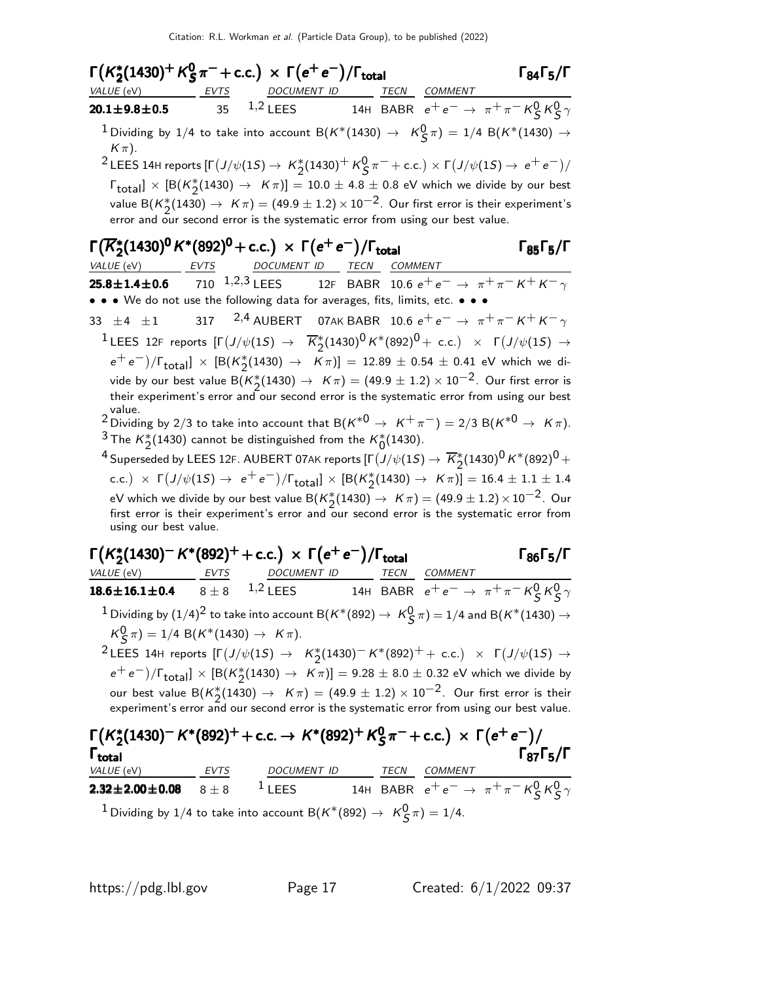$Γ(K_2^*)$  $\frac{1}{2}(1430)^+$  K $^0_S$  $\Gamma(K_2^*(1430)^+ K_S^0 \pi^- + \text{c.c.}) \times \Gamma(e^+ e^-) / \Gamma_{\text{total}}$  Γ<sub>84</sub>Γ<sub>5</sub>/Γ total 1 84<sup>1</sup> 5/1 VALUE (eV) EVTS DOCUMENT ID TECN COMMENT **20.1±9.8±0.5** 35 <sup>1,2</sup> LEES 14H BABR  $e^+e^- \to \pi^+\pi^- K^0_S K^0_S \gamma$  $1$  Dividing by 1/4 to take into account B $(\mathcal{K}^*(1430) \to \ \mathcal{K}^0_S \pi) = 1/4$  B $(\mathcal{K}^*(1430) \to \mathcal{K}^0_S \pi)$  $K(\pi)$ .  $^2$ LEES 14H reports [Γ $(J/\psi(1S) \to K^*_2(1430)^+ K^0_S \pi^- +$  c.c.)  $\times$  Γ $(J/\psi(1S) \to e^+e^-)/2$  $\lceil \cdot \frac{\mathsf{Id}}{\mathsf{Total}} \rceil \times \lceil \mathsf{B}(\mathsf{K}_2^*(1430) \rightarrow \mathsf{K}\pi) \rceil = 10.0 \pm 4.8 \pm 0.8 \text{ eV}$  which we divide by our best value B $(K_{2}^{*}(1430) \rightarrow K\pi) = (49.9 \pm 1.2) \times 10^{-2}$ . Our first error is their experiment's error and our second error is the systematic error from using our best value. Γ $(\overline{K}_2^*)$ Γ $(\overline{K}_2^*(1430)^0 K^*(892)^0$  + c.c.)  $\times$  Γ $(e^+e^-)/\Gamma_{\text{total}}$  Γ $_{85}$ Γ $_5$ /Γ VALUE (eV) EVTS DOCUMENT ID TECN COMMENT  $\textbf{25.8} \pm \textbf{1.4} \pm \textbf{0.6}$   $\qquad$   $\textbf{710}$   $\qquad, 1, 2, 3$  lees  $\qquad$  12f  $\text{BABR}$   $\qquad$  10.6  $e^+ \, e^- \rightarrow \ \pi^+ \, \pi^- \, \textit{K}^+ \, \textit{K}^- \, \gamma$ • • • We do not use the following data for averages, fits, limits, etc. • 33  $\pm$ 4  $\pm$ 1 317 <sup>2,4</sup> AUBERT 07AK BABR 10.6  $e^+e^- \rightarrow \pi^+\pi^- K^+ K^- \gamma$  $^1$ LEES 12F reports [Γ $(J/\psi(1S)$  →  $\overline{K}_2^*(1430)^0 K^*(892)^0 +$  c.c.) × Γ $(J/\psi(1S)$  →  $(e^+e^-)/\Gamma_{\text{total}}] \times [B(K_2^*(1430) \rightarrow K\pi)] = 12.89 \pm 0.54 \pm 0.41$  eV which we divide by our best value B $(\mathcal{K}_{2}^{*}(1430) \rightarrow K\pi)=(49.9\pm1.2)\times 10^{-2}$ . Our first error is their experiment's error and our second error is the systematic error from using our best value. 2 Dividing by 2/3 to take into account that B( $K^{*0} \to K^{+} \pi^{-}$ ) = 2/3 B( $K^{*0} \to K \pi$ ). <sup>3</sup> The  $\kappa_2^*(1430)$  cannot be distinguished from the  $\kappa_0^*(1430)$ .  $^4$  Superseded by LEES 12F. AUBERT 07AK reports  $[\Gamma(J/\psi(1S) \to \overline{K}_2^*(1430)^{\bar{0}}K^*(892)^{\bar{0}}+$ c.c.)  $\times$   $\Gamma(J/\psi(1S) \to e^+e^-)/\Gamma_{\text{total}}$ ]  $\times$   $\left[\text{B}(K_2^*(1430) \to K\pi)\right] = 16.4 \pm 1.1 \pm 1.4$ eV which we divide by our best value B $({K_2^*(1430)\rightarrow\ K\pi})=(49.9\pm1.2)\times10^{-2}$  . Our first error is their experiment's error and our second error is the systematic error from using our best value.  $\Gamma(K_2^*)$  $\Gamma(K_2^*(1430)^- K^*(892)^+ + c.c.) \times \Gamma(e^+e^-)/\Gamma_{\text{total}}$  Γ<sub>86</sub>Γ<sub>5</sub>/Γ  $\Gamma_{86}\Gamma_{5}/\Gamma$ VALUE (eV) EVTS DOCUMENT ID TECN COMMENT **18.6±16.1±0.4** 8 ± 8 <sup>1,2</sup> LEES 14H BABR  $e^+e^- \to \pi^+\pi^-$  K $^0_S$  K $^0_S \gamma$  $^1$  Dividing by  $(1/4)^2$  to take into account B $(\rm {\it K}^*(892) \rightarrow \rm {\it K}^0_S \, \pi)=1/4$  and B $(\rm {\it K}^*(1430) \rightarrow$  $K^0_S \pi$ ) = 1/4 B(K\*(1430)  $\to$  K $\pi$ ).  $^2$ LEES 14H reports [Γ $(J/\psi(1S)$  → K $^*_2$ (1430) $^-$ K\*(892) $^+$  + c.c.) × Γ $(J/\psi(1S)$  →  $(e^+ e^-)/\Gamma_{\text{total}}$ ] × [B(K<sup>\*</sup><sub>2</sub>(1430) → Kπ)] = 9.28 ± 8.0 ± 0.32 eV which we divide by our best value  $\mathsf{B}(K_2^*(1430)\to~K\pi)=(49.9\pm1.2)\times 10^{-2}.$  Our first error is their experiment's error and our second error is the systematic error from using our best value.

| $\Gamma(K_2^*(1430)^- K^*(892)^+ + \text{c.c.} \rightarrow K^*(892)^+ K_S^0 \pi^- + \text{c.c.}) \times \Gamma(e^+ e^-)$<br>$\mathsf{\Gamma}_{\mathsf{total}}$ |         |                    |  |             |                | $\Gamma_{87}$ $\Gamma_{5}/\Gamma$                           |  |  |
|----------------------------------------------------------------------------------------------------------------------------------------------------------------|---------|--------------------|--|-------------|----------------|-------------------------------------------------------------|--|--|
| VALUE (eV)                                                                                                                                                     | EVTS    | <b>DOCUMENT ID</b> |  | <b>TECN</b> | <b>COMMENT</b> |                                                             |  |  |
| $2.32 \pm 2.00 \pm 0.08$                                                                                                                                       | $8 + 8$ | $1$ LEES           |  |             |                | 14H BABR $e^+e^- \rightarrow \pi^+\pi^- K^0_S K^0_S \gamma$ |  |  |
| <sup>1</sup> Dividing by 1/4 to take into account B( $K^*(892) \rightarrow K^0_S \pi$ ) = 1/4.                                                                 |         |                    |  |             |                |                                                             |  |  |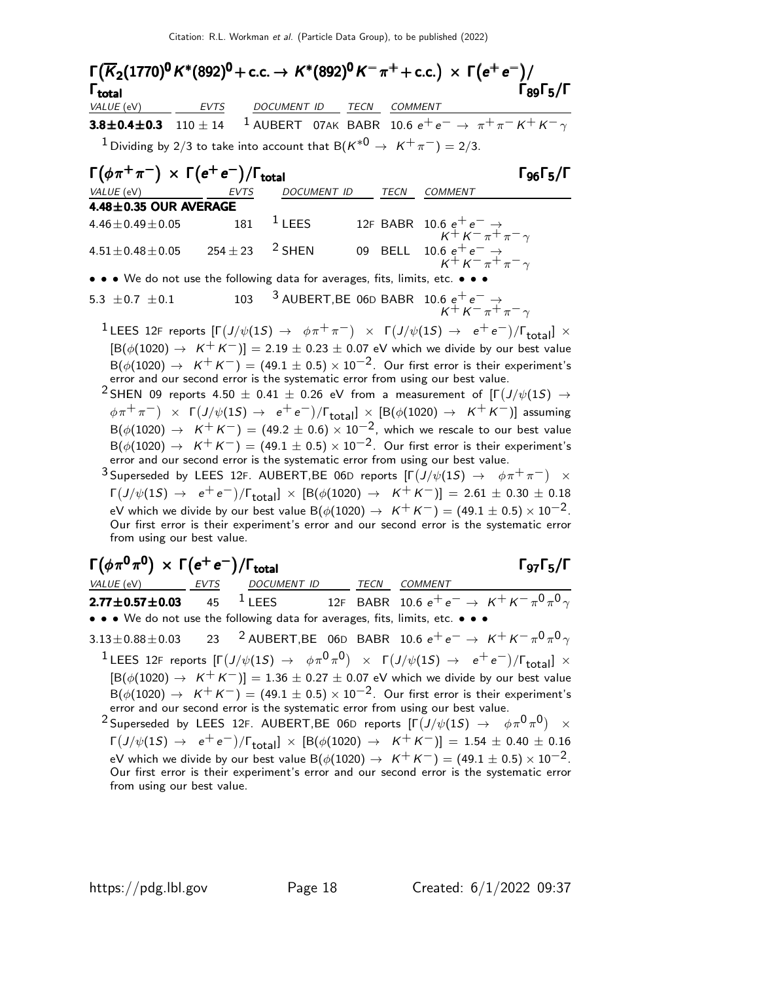Г $(\overline{K}_2$ (1770)<sup>0</sup> K\*(892)<sup>0</sup> + c.c. → K\*(892)<sup>0</sup> K<sup>--</sup>  $\pi^+$  + c.c.) × Г $({\rm e^+ \, e^-})/$ Г<sub>89</sub>Г<sub>5</sub> Γ $_{\rm total}$  Γ $_{\rm 89}$ Γ $_{\rm 5/}$ Γ Γ $_{\rm total}$  Γ $_{\rm 89}$ Γ $_{\rm 5/}$ Γ total 895VALUE (eV) EVTS DOCUMENT ID TECN COMMENT **3.8±0.4±0.3** 110 ± 14 <sup>1</sup> AUBERT 07AK BABR 10.6  $e^+e^- \rightarrow \pi^+\pi^-K^+K^-\gamma$ <sup>1</sup> Dividing by 2/3 to take into account that B( $K^{*0} \rightarrow K^{+}\pi^{-}$ ) = 2/3.  $\Gamma(\phi \pi^+ \pi^-) \times \Gamma(e^+ e^-)/\Gamma_{\text{total}}$  Γg<sub>6</sub>Γ<sub>5</sub>/Γ VALUE (eV) **EVTS** DOCUMENT ID TECN COMMENT  $4.48 \pm 0.35$  OUR AVERAGE  $4.46\pm0.49\pm0.05$  181  $^1$  LEES 12F BABR 10.6  $\mathrm{e^+e^-} \rightarrow$  $K^+ K^- \pi^+ \pi^- \gamma$ 

 $4.51\pm0.48\pm0.05$   $254\pm23$   $^2$  SHEN 09 BELL 10.6  $e^+$   $e^-\rightarrow$  $K^+ K^- \pi^+ \pi^- \gamma$ • • • We do not use the following data for averages, fits, limits, etc. • •

5.3  $\pm$ 0.7  $\pm$ 0.1 103  $^3$  AUBERT,BE 06D BABR 10.6  $e^+$   $e^ \rightarrow$  $K^+ K^- \pi^+ \pi^- \gamma$ 

 $1$ LEES 12F reports  $[Γ(J/\psi(1S) → φπ+π-) × Γ(J/\psi(1S) → e+e^-)/Γ_{total}] ×$  $[B(\phi(1020) \rightarrow K^+ K^-)] = 2.19 \pm 0.23 \pm 0.07$  eV which we divide by our best value  $B(\phi(1020) \rightarrow K^+K^-) = (49.1 \pm 0.5) \times 10^{-2}$ . Our first error is their experiment's error and our second error is the systematic error from using our best value.

 $^2$ SHEN 09 reports 4.50  $\pm$  0.41  $\pm$  0.26 eV from a measurement of [Γ $(J/\psi(1S)$   $\rightarrow$  $(\phi \pi^+ \pi^-)$   $\times$   $\Gamma\big( J/\psi(1S)$   $\to$   $\rm e^+ \, e^- )/\Gamma_{\small\textrm{total}} ]$   $\times$   $[{\sf B}(\phi(1020)$   $\to$   $\rm \ ~K^+ \, K^- )]$  assuming  $B(\phi(1020) \to K^+K^-) = (49.2 \pm 0.6) \times 10^{-2}$ , which we rescale to our best value  $B(\phi(1020) \rightarrow K^+K^-) = (49.1 \pm 0.5) \times 10^{-2}$ . Our first error is their experiment's error and our second error is the systematic error from using our best value.

 $^3$ Superseded by LEES 12F. AUBERT,BE 06D reports  $[\Gamma(J/\psi(1S) \rightarrow \phi \pi^+ \pi^-)$   $\times$  $\Gamma(J/\psi(1S) \to e^+e^-)/\Gamma_{\rm total}$ ] × [B( $\phi(1020) \to K^+K^-$ )] = 2.61 ± 0.30 ± 0.18 eV which we divide by our best value B( $\phi$ (1020)  $\rightarrow$  K<sup>+</sup>K<sup>-</sup>) = (49.1 ± 0.5) × 10<sup>-2</sup>. Our first error is their experiment's error and our second error is the systematic error from using our best value.

$$
\Gamma(\phi\pi^0\pi^0) \times \Gamma(e^+e^-)/\Gamma_{\text{total}}
$$

ΓατΓς/Γ

VALUE (eV) EVTS DOCUMENT ID TECN COMMENT  ${\bf 2.77 \pm 0.57 \pm 0.03}$  45  $^1$  lees  $12$ f babr 10.6  $e^+ \, e^- \rightarrow \ K^+ \, K^- \, \pi^0 \, \pi^0 \, \gamma$ • • • We do not use the following data for averages, fits, limits, etc. • • •

 $3.13\pm0.88\pm0.03$   $23$   $^2$  AUBERT,BE 06D BABR 10.6  $e^+ \, e^- \rightarrow \ K^+ \, K^- \, \pi^0 \pi^0 \, \gamma$  $1$  LEES 12F reports  $[Γ(J/\psi(1S) → φπ<sup>0</sup>π<sup>0</sup>) × Γ(J/\psi(1S) → e<sup>+</sup>e<sup>-</sup>)/Γ<sub>total</sub>] ×$  $[B(\phi(1020) \rightarrow K^+K^-)] = 1.36 \pm 0.27 \pm 0.07$  eV which we divide by our best value  $\mathsf{B}(\phi(1020)\to~\mathsf{K}^{+}\mathsf{K}^{-})=(49.1\pm0.5)\times10^{-2}.$  Our first error is their experiment's error and our second error is the systematic error from using our best value.

 $^2$ Superseded by LEES 12F. AUBERT,BE 06D reports  $[\Gamma(J/\psi(1S) \ \to \ \ \phi\pi^0\pi^0) \ \ \times]$  $\Gamma(J/\psi(1S) \to e^+e^-)/\Gamma_{\rm total}$ ] × [B( $\phi(1020) \to K^+K^-$ ]] = 1.54 ± 0.40 ± 0.16 eV which we divide by our best value B( $\phi(1020) \rightarrow K^+ K^-$ ) = (49.1 ± 0.5) × 10<sup>-2</sup>. Our first error is their experiment's error and our second error is the systematic error from using our best value.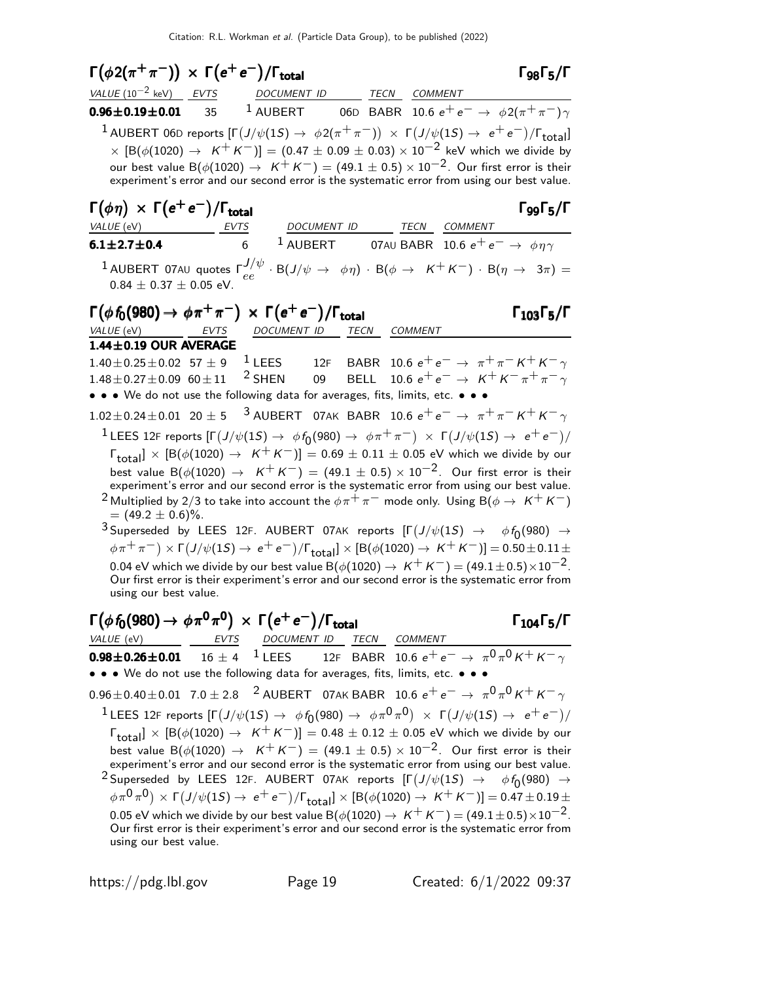| $\Gamma(\phi 2(\pi^+\pi^-)) \times \Gamma(e^+e^-)/\Gamma_{\rm total}$                                                                                                                                                                                                                                                                                                                                                                                                                                                                                                                                                                                                                                                                                                                                                                                                                                                                                                                                                                                                                                                                                                                                                                                    | $\Gamma_{98}\Gamma_{5}/\Gamma$                                                                               |
|----------------------------------------------------------------------------------------------------------------------------------------------------------------------------------------------------------------------------------------------------------------------------------------------------------------------------------------------------------------------------------------------------------------------------------------------------------------------------------------------------------------------------------------------------------------------------------------------------------------------------------------------------------------------------------------------------------------------------------------------------------------------------------------------------------------------------------------------------------------------------------------------------------------------------------------------------------------------------------------------------------------------------------------------------------------------------------------------------------------------------------------------------------------------------------------------------------------------------------------------------------|--------------------------------------------------------------------------------------------------------------|
| $VALUE (10^{-2} \text{ keV})$ EVTS<br>DOCUMENT ID<br>TECN COMMENT                                                                                                                                                                                                                                                                                                                                                                                                                                                                                                                                                                                                                                                                                                                                                                                                                                                                                                                                                                                                                                                                                                                                                                                        |                                                                                                              |
| $1$ AUBERT<br>$0.96 \pm 0.19 \pm 0.01$<br>35                                                                                                                                                                                                                                                                                                                                                                                                                                                                                                                                                                                                                                                                                                                                                                                                                                                                                                                                                                                                                                                                                                                                                                                                             | 06D BABR 10.6 $e^+e^- \rightarrow \phi 2(\pi^+\pi^-)\gamma$                                                  |
| $^{-1}$ AUBERT 06D reports $[\Gamma(J/\psi(1S) \to \phi 2(\pi^+\pi^-)) \times \Gamma(J/\psi(1S) \to e^+e^-)/\Gamma_{\rm total}]$<br>$\times$ $[{\sf B}(\phi(1020) \to K^+K^-)] = (0.47 \pm 0.09 \pm 0.03) \times 10^{-2}$ keV which we divide by<br>our best value B( $\phi(1020) \rightarrow K^+K^-$ ) = (49.1 $\pm$ 0.5) $\times$ 10 <sup>-2</sup> . Our first error is their<br>experiment's error and our second error is the systematic error from using our best value.                                                                                                                                                                                                                                                                                                                                                                                                                                                                                                                                                                                                                                                                                                                                                                            |                                                                                                              |
| $\Gamma(\phi \eta) \times \Gamma(e^+e^-)/\Gamma_{\text{total}}$<br>DOCUMENT ID<br>VALUE (eV)<br>EVTS                                                                                                                                                                                                                                                                                                                                                                                                                                                                                                                                                                                                                                                                                                                                                                                                                                                                                                                                                                                                                                                                                                                                                     | $\Gamma$ 99 $\Gamma_5/\Gamma$<br>TECN<br>COMMENT                                                             |
| $1$ AUBERT<br>6<br>$6.1 \pm 2.7 \pm 0.4$                                                                                                                                                                                                                                                                                                                                                                                                                                                                                                                                                                                                                                                                                                                                                                                                                                                                                                                                                                                                                                                                                                                                                                                                                 | 07AU BABR $\,$ 10.6 $e^+ \, e^- \rightarrow \, \phi n \gamma$                                                |
| $^1$ AUBERT 07AU quotes $\Gamma^{J/\psi}_{ee} \cdot B(J/\psi\,\to\,\,\phi\eta) \,\cdot\, B(\phi\,\to\,\,\,K^+K^-) \,\cdot\, B(\eta\,\to\,\,3\pi) =$<br>$0.84 \pm 0.37 \pm 0.05$ eV.                                                                                                                                                                                                                                                                                                                                                                                                                                                                                                                                                                                                                                                                                                                                                                                                                                                                                                                                                                                                                                                                      |                                                                                                              |
| $\Gamma(\phi f_0(980) \to \phi \pi^+ \pi^-) \times \Gamma(e^+ e^-)/\Gamma_{\text{total}}$<br>$VALUE$ (eV) EVTS<br>DOCUMENT ID<br>TECN                                                                                                                                                                                                                                                                                                                                                                                                                                                                                                                                                                                                                                                                                                                                                                                                                                                                                                                                                                                                                                                                                                                    | $\Gamma_{103}\Gamma_5/\Gamma$<br>COMMENT                                                                     |
| 1.44±0.19 OUR AVERAGE                                                                                                                                                                                                                                                                                                                                                                                                                                                                                                                                                                                                                                                                                                                                                                                                                                                                                                                                                                                                                                                                                                                                                                                                                                    |                                                                                                              |
| $1$ LEES<br>$1.40 \pm 0.25 \pm 0.02$ 57 $\pm$ 9<br>12F<br>$2$ SHEN<br>09<br><b>BELL</b><br>$1.48 \pm 0.27 \pm 0.09$ 60 $\pm$ 11<br>• • • We do not use the following data for averages, fits, limits, etc. • • •                                                                                                                                                                                                                                                                                                                                                                                                                                                                                                                                                                                                                                                                                                                                                                                                                                                                                                                                                                                                                                         | BABR 10.6 $e^+e^- \rightarrow \pi^+\pi^- K^+ K^- \gamma$<br>10.6 $e^+e^- \rightarrow K^+K^-\pi^+\pi^-\gamma$ |
| $1.02 \pm 0.24 \pm 0.01$ 20 $\pm$ 5 <sup>3</sup> AUBERT 07AK BABR 10.6 $e^+e^- \rightarrow \pi^+\pi^-K^+K^-\gamma$                                                                                                                                                                                                                                                                                                                                                                                                                                                                                                                                                                                                                                                                                                                                                                                                                                                                                                                                                                                                                                                                                                                                       |                                                                                                              |
| <sup>1</sup> LEES 12F reports $[\Gamma(J/\psi(1S) \to \phi f_0(980) \to \phi \pi^+ \pi^-) \times \Gamma(J/\psi(1S) \to e^+ e^-)/$<br>$\lceil \frac{\text{total}}{\text{total}} \rceil \times \lceil B(\phi(1020) \rightarrow K^+K^-) \rceil = 0.69 \pm 0.11 \pm 0.05 \text{ eV}$ which we divide by our<br>best value B( $\phi$ (1020) $\rightarrow$ K <sup>+</sup> K <sup>-</sup> ) = (49.1 $\pm$ 0.5) × 10 <sup>-2</sup> . Our first error is their<br>experiment's error and our second error is the systematic error from using our best value.<br><sup>2</sup> Multiplied by 2/3 to take into account the $\phi\pi^+\pi^-$ mode only. Using B( $\phi\to~$ K <sup>+</sup> K <sup>-</sup> )<br>$= (49.2 \pm 0.6)\%$ .<br>$^3$ Superseded by LEES 12F. AUBERT 07AK reports $[\Gamma(J/\psi(1S)$ $\rightarrow$ $\phi\, f_0(980)$ $\rightarrow$<br>$\phi \pi^+ \pi^-$ ) $\times \Gamma(J/\psi(1S) \to e^+ e^-)/\Gamma_{\text{total}}$ ] $\times [B(\phi(1020) \to K^+ K^-)] = 0.50 \pm 0.11 \pm 0.00$<br>0.04 eV which we divide by our best value B( $\phi(1020) \rightarrow K^+ K^-$ ) = (49.1 $\pm$ 0.5) $\times 10^{-2}$ .<br>Our first error is their experiment's error and our second error is the systematic error from<br>using our best value. |                                                                                                              |
| $\Gamma(\phi\, f_0(980) \to \phi\pi^0\pi^0) \, \times \, \Gamma(e^+e^-)/\Gamma_{\rm total}$<br>VALUE (eV) EVTS DOCUMENT ID TECN COMMENT                                                                                                                                                                                                                                                                                                                                                                                                                                                                                                                                                                                                                                                                                                                                                                                                                                                                                                                                                                                                                                                                                                                  | $\Gamma_{104}\Gamma_{5}/\Gamma$                                                                              |
| 16 ± 4 <sup>1</sup> LEES 12F BABR 10.6 $e^+e^- \rightarrow \pi^0 \pi^0 K^+ K^- \gamma$<br>$0.98 \pm 0.26 \pm 0.01$                                                                                                                                                                                                                                                                                                                                                                                                                                                                                                                                                                                                                                                                                                                                                                                                                                                                                                                                                                                                                                                                                                                                       |                                                                                                              |
| • • • We do not use the following data for averages, fits, limits, etc. • • •                                                                                                                                                                                                                                                                                                                                                                                                                                                                                                                                                                                                                                                                                                                                                                                                                                                                                                                                                                                                                                                                                                                                                                            |                                                                                                              |
| $0.96 \pm 0.40 \pm 0.01$ 7.0 $\pm$ 2.8 <sup>2</sup> AUBERT 07AK BABR 10.6 $e^+e^- \rightarrow \pi^0 \pi^0 K^+ K^- \gamma$<br><sup>1</sup> LEES 12F reports $[\Gamma(J/\psi(1S) \to \phi f_0(980) \to \phi \pi^0 \pi^0) \times \Gamma(J/\psi(1S) \to e^+e^-)/$<br>$\lceil \frac{\text{total}}{\text{total}} \rceil \times \lceil B(\phi(1020) \rightarrow K^+K^-) \rceil = 0.48 \pm 0.12 \pm 0.05 \text{ eV}$ which we divide by our<br>best value B $(\phi(1020) \rightarrow K^+K^-) = (49.1 \pm 0.5) \times 10^{-2}$ . Our first error is their<br>experiment's error and our second error is the systematic error from using our best value.<br>$^2$ Superseded by LEES 12F. AUBERT 07AK reports $[\Gamma(J/\psi(1S) \rightarrow \phi f_0(980) \rightarrow$<br>$(\phi \pi^0 \pi^0) \times \Gamma(J/\psi(1S) \to e^+e^-)/\Gamma_{\text{total}}] \times [B(\phi(1020) \to K^+K^-)] = 0.47 \pm 0.19 \pm 0.12$<br>0.05 eV which we divide by our best value B( $\phi(1020) \rightarrow K^+K^-)=(49.1\pm0.5)\times10^{-2}$ .<br>Our first error is their experiment's error and our second error is the systematic error from<br>using our best value.                                                                                                      |                                                                                                              |
|                                                                                                                                                                                                                                                                                                                                                                                                                                                                                                                                                                                                                                                                                                                                                                                                                                                                                                                                                                                                                                                                                                                                                                                                                                                          |                                                                                                              |

https://pdg.lbl.gov Page 19 Created: 6/1/2022 09:37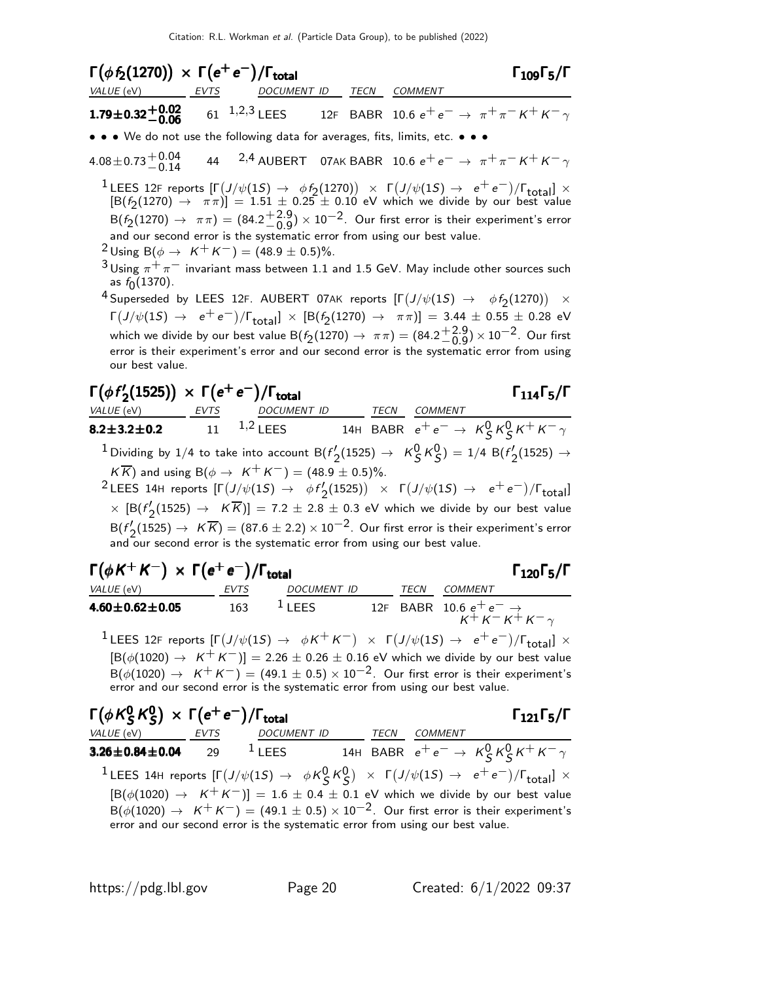| $\Gamma(\phi f_2(1270)) \times \Gamma(e^+e^-)/\Gamma_{\text{total}}$          |                          |  | $\Gamma_{109}\Gamma_5/\Gamma$                                                                               |
|-------------------------------------------------------------------------------|--------------------------|--|-------------------------------------------------------------------------------------------------------------|
| VALUE (eV) EVTS                                                               | DOCUMENT ID TECN COMMENT |  |                                                                                                             |
|                                                                               |                          |  | <b>1.79±0.32+0.02</b> 61 <sup>1,2,3</sup> LEES 12F BABR 10.6 $e^+e^- \rightarrow \pi^+\pi^- K^+ K^- \gamma$ |
| • • • We do not use the following data for averages, fits, limits, etc. • • • |                          |  |                                                                                                             |

 $4.08\pm0.73\frac{+0.04}{-0.14}$  $-44$  <sup>2,4</sup> AUBERT 07AK BABR 10.6  $e^+e^-$  →  $\pi^+\pi^-$  K<sup>+</sup> K<sup>-</sup> γ

<sup>1</sup>LEES 12F reports  $[\Gamma(J/\psi(15) \rightarrow \phi f_2(1270)) \times \Gamma(J/\psi(15) \rightarrow e^+e^-)/\Gamma_{\text{total}}] \times$  $\left[ B(f_2(1270) \rightarrow \pi \pi) \right] = 1.51 \pm 0.25 \pm 0.10$  eV which we divide by our best value  $\hbox{B}(f_2(1270)\to\pi\pi)=(84.2 {+ 2.9 \atop -0.9}$  ${}^{+2.9}_{-0.9}$ )  $\times$  10 $^{-2}$ . Our first error is their experiment's error and our second error is the systematic error from using our best value.

 $2 \text{ Using } B(\phi \to K^+ K^-) = (48.9 \pm 0.5)\%$ .

 $3$ Using  $\pi^+\pi^-$  invariant mass between 1.1 and 1.5 GeV. May include other sources such as  $f_0(1370)$ .

 $^4$ Superseded by LEES 12F. AUBERT 07AK reports  $[\Gamma\big(J/\psi(1S)$   $\rightarrow$   $\phi f_2(1270)\big)$   $\times$  $\Gamma(J/\psi(1S) \to e^+e^-)/\Gamma_{\text{total}}] \times [B(f_2(1270) \to \pi\pi)] = 3.44 \pm 0.55 \pm 0.28 \text{ eV}$ which we divide by our best value B $(f_2(1270) \rightarrow \pi \pi) = (84.2^{+2.9}_{-0.9})$  $\left( \begin{matrix} +2.9 \\ -0.9 \end{matrix} \right)$   $\times$   $10^{-2}$ . Our first error is their experiment's error and our second error is the systematic error from using our best value.

#### $\Gamma(\phi f')$  $\Gamma(\phi f_2'(1525)) \times \Gamma(e^+e^-)/\Gamma_{\text{total}}$  Γ<sub>114</sub>Γ<sub>5</sub>/Γ

### total 1145

VALUE (eV) EVTS DOCUMENT ID TECN COMMENT **8.2±3.2±0.2** 11 <sup>1,2</sup> LEES 14H BABR  $e^+e^- \to K_S^0 K_S^0 K^+ K^- \gamma$  $^1$  Dividing by 1/4 to take into account B(f'.  $\chi_2'(1525) \to K_S^0 K_S^0 = 1/4 \text{ B}(f_2')$  $2^{(1525)}$   $\rightarrow$  $K \overline{K}$ ) and using B( $\phi \rightarrow K^+ K^-$ ) = (48.9 ± 0.5)%.

 $^2$ LEES 14H reports  $[\Gamma(J/\psi(1S) \rightarrow \phi f/2]$  $\Gamma_2(1525)$ ) ×  $\Gamma(J/\psi(1S) \rightarrow e^+e^-)/\Gamma_{\text{total}}$  $\times$  [B( $f'$  $\mathcal{Z}_2(1525) \rightarrow$   $\overline{K}K)]= 7.2 \pm 2.8 \pm 0.3$  eV which we divide by our best value  $\mathsf{B}(f_\mathsf{2}'(1525) \to \overline{\mathsf{K}} \overline{\mathsf{K}}) = (87.6 \pm 2.2) \times 10^{-2}.$  Our first error is their experiment's error  $2(1223)$   $\rightarrow$   $\land \land$ )  $=$  (07.0  $\pm$  2.2)  $\land$  10  $\rightarrow$  0 011 inst error is their example our second error is the systematic error from using our best value.

| $\Gamma(\phi K^+ K^-) \times \Gamma(e^+ e^-)/\Gamma_{\text{total}}$ |      |                    |      | $\Gamma_{120}\Gamma_5/\Gamma$                                                                                                                     |
|---------------------------------------------------------------------|------|--------------------|------|---------------------------------------------------------------------------------------------------------------------------------------------------|
| <i>VALUE</i> (eV)                                                   | EVTS | <i>DOCUMENT ID</i> | TECN | COMMENT                                                                                                                                           |
| $4.60 \pm 0.62 \pm 0.05$                                            | 163  | $1$ LEES           |      | 12F BABR 10.6 $e^+e^- \rightarrow$<br>$K^+K^-K^+K^-$                                                                                              |
|                                                                     |      |                    |      | 11 EES 125 reports $\Gamma(1/\psi(1S) \rightarrow \psi + K^{-}) \rightarrow \Gamma(1/\psi(1S) \rightarrow \psi + \epsilon^{-})/\Gamma = 1 \times$ |

 $^1$ LEES 12F reports  $[Γ(J/\psi(1S) → δK^+K^-) × Γ(J/\psi(1S) → e^+e^-)/Γ_{total}] ×$  $[B(\phi(1020) \rightarrow K^+ K^-)] = 2.26 \pm 0.26 \pm 0.16$  eV which we divide by our best value  $B(\phi(1020) \rightarrow K^{+}K^{-}) = (49.1 \pm 0.5) \times 10^{-2}$ . Our first error is their experiment's error and our second error is the systematic error from using our best value.

| $\Gamma(\phi K_S^0 K_S^0) \times \Gamma(e^+e^-)/\Gamma_{\text{total}}$ |             |                                                                               |             |                | $\Gamma_{121}\Gamma_5/\Gamma$                                                                                                                                                                                                                                                                                                                                                |
|------------------------------------------------------------------------|-------------|-------------------------------------------------------------------------------|-------------|----------------|------------------------------------------------------------------------------------------------------------------------------------------------------------------------------------------------------------------------------------------------------------------------------------------------------------------------------------------------------------------------------|
| VALUE (eV)                                                             | <b>EVTS</b> | <b>DOCUMENT ID</b>                                                            | <b>TECN</b> | <b>COMMENT</b> |                                                                                                                                                                                                                                                                                                                                                                              |
| $3.26 \pm 0.84 \pm 0.04$ 29                                            |             | $1$ LEES                                                                      |             |                | 14H BABR $e^+e^- \rightarrow K_S^0 K_S^0 K^+ K^- \gamma$                                                                                                                                                                                                                                                                                                                     |
|                                                                        |             | error and our second error is the systematic error from using our best value. |             |                | <sup>1</sup> LEES 14H reports $[\Gamma(J/\psi(1S) \rightarrow \phi K_S^0 K_S^0) \times \Gamma(J/\psi(1S) \rightarrow e^+e^-)/\Gamma_{\text{total}}] \times$<br>$[B(\phi(1020) \rightarrow K^+K^-)] = 1.6 \pm 0.4 \pm 0.1$ eV which we divide by our best value<br>$B(\phi(1020) \rightarrow K^+K^-) = (49.1 \pm 0.5) \times 10^{-2}$ . Our first error is their experiment's |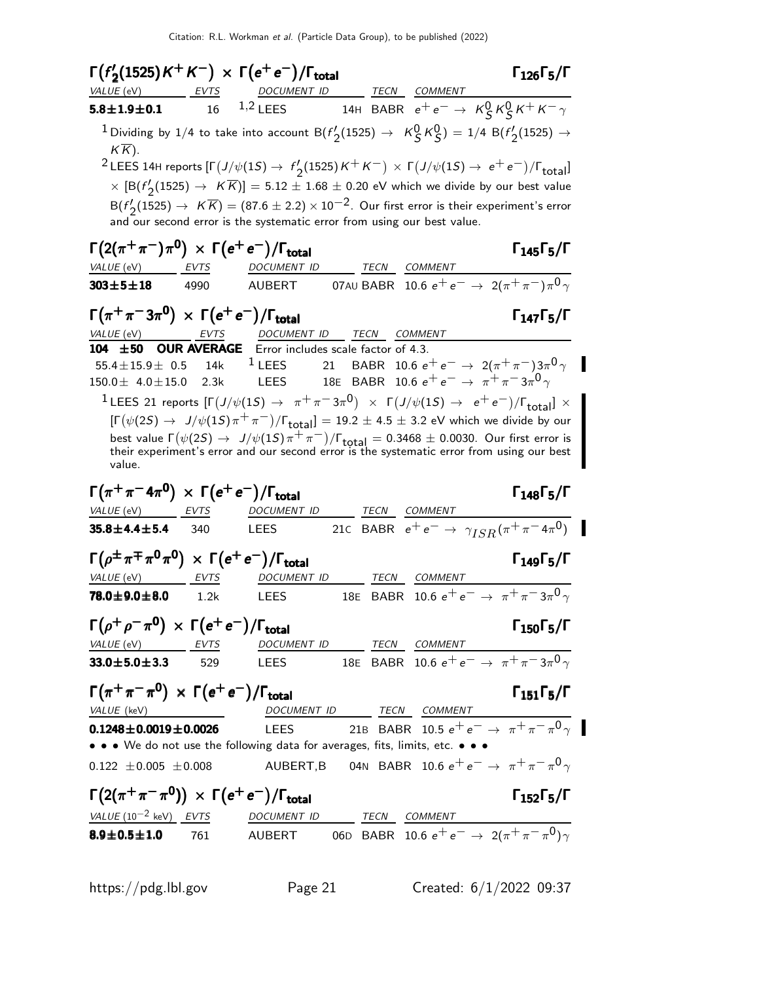| $\Gamma(f'_2(1525)K^+K^-) \times \Gamma(e^+e^-)/\Gamma_{\text{total}}$<br>VALUE (eV)                      | EVTS        | <u>DOCUMENT ID</u>                                                                                                                  | TECN COMMENT                                              |                | $\Gamma_{126}\Gamma_5/\Gamma$                                                                                                                                                                                                                                                           |
|-----------------------------------------------------------------------------------------------------------|-------------|-------------------------------------------------------------------------------------------------------------------------------------|-----------------------------------------------------------|----------------|-----------------------------------------------------------------------------------------------------------------------------------------------------------------------------------------------------------------------------------------------------------------------------------------|
| $5.8 \pm 1.9 \pm 0.1$                                                                                     | 16          | 1,2 LEES 14H BABR $e^+e^- \rightarrow K_S^0 K_S^0 K^+ K^- \gamma$                                                                   |                                                           |                |                                                                                                                                                                                                                                                                                         |
| $K\overline{K}$ ).                                                                                        |             | $^1$ Dividing by 1/4 to take into account B( $f_2'(1525)\to$ $\overline{\cal{K}}^0_S\overline{\cal{K}}^0_S)=1/4$ B( $f_2'(1525)\to$ |                                                           |                |                                                                                                                                                                                                                                                                                         |
|                                                                                                           |             |                                                                                                                                     |                                                           |                | <sup>2</sup> LEES 14H reports $[\Gamma(J/\psi(1S) \to f\prime_2(1525)K^+K^-) \times \Gamma(J/\psi(1S) \to e^+e^-)/\Gamma_{\rm total}]$<br>$\times$ $[\mathsf{B}(f'_{\mathsf{2}}(1525) \to~\mathcal{K} \overline{\mathcal{K}})]=5.12\pm1.68\pm0.20$ eV which we divide by our best value |
|                                                                                                           |             | and our second error is the systematic error from using our best value.                                                             |                                                           |                | $B(f'_2(1525) \rightarrow K \overline{K}) = (87.6 \pm 2.2) \times 10^{-2}$ . Our first error is their experiment's error                                                                                                                                                                |
| $\Gamma(2(\pi^+\pi^-)\pi^0) \, \times \, \Gamma(e^+e^-)/\Gamma_{\rm total}$<br>$VALUE$ (eV) EVTS          |             | DOCUMENT ID TECN                                                                                                                    |                                                           | <b>COMMENT</b> | $\Gamma_{145}\Gamma_{5}/\Gamma$                                                                                                                                                                                                                                                         |
| $303\!\pm\! 5\!\pm\! 18$                                                                                  | 4990        | AUBERT                                                                                                                              |                                                           |                | 07AU BABR 10.6 $e^+e^- \rightarrow 2(\pi^+\pi^-)\pi^0\gamma$                                                                                                                                                                                                                            |
| $\Gamma(\pi^+\pi^-3\pi^0) \times \Gamma(e^+e^-)/\Gamma_{\rm total}$                                       |             |                                                                                                                                     |                                                           |                | $\Gamma_{147}\Gamma_{5}/\Gamma$                                                                                                                                                                                                                                                         |
| <i>VALUE</i> (eV)<br>104 ±50 OUR AVERAGE Error includes scale factor of 4.3.                              | <b>EVTS</b> | DOCUMENT ID TECN COMMENT                                                                                                            |                                                           |                |                                                                                                                                                                                                                                                                                         |
| 55.4 $\pm$ 15.9 $\pm$ 0.5 14k<br>$150.0 \pm 4.0 \pm 15.0$ 2.3k                                            |             | $1$ LEES<br>LEES                                                                                                                    | 18E BABR 10.6 $e^+e^- \rightarrow \pi^+\pi^-3\pi^0\gamma$ |                | 21 BABR 10.6 $e^+e^- \rightarrow 2(\pi^+\pi^-)3\pi^0\gamma$                                                                                                                                                                                                                             |
|                                                                                                           |             |                                                                                                                                     |                                                           |                | <sup>1</sup> LEES 21 reports $[\Gamma(J/\psi(1S) \to \pi^+\pi^-3\pi^0) \times \Gamma(J/\psi(1S) \to e^+e^-)/\Gamma_{\text{total}}] \times$<br>$[\Gamma(\psi(2S) \rightarrow J/\psi(1S)\pi^{+}\pi^{-})/\Gamma_{\text{total}}] = 19.2 \pm 4.5 \pm 3.2$ eV which we divide by our          |
| value.                                                                                                    |             |                                                                                                                                     |                                                           |                | best value $\Gamma(\psi(2S) \to J/\psi(1S)\pi^+\pi^-)/\Gamma_{\text{total}} = 0.3468 \pm 0.0030$ . Our first error is their experiment's error and our second error is the systematic error from using our best                                                                         |
| $\Gamma(\pi^+\pi^-4\pi^0) \times \Gamma(e^+e^-)/\Gamma_{\text{total}}$                                    |             |                                                                                                                                     |                                                           |                | $\Gamma_{148}\Gamma_{5}/\Gamma$                                                                                                                                                                                                                                                         |
| VALUE (eV) EVTS                                                                                           |             | DOCUMENT ID                                                                                                                         |                                                           | TECN COMMENT   |                                                                                                                                                                                                                                                                                         |
| $35.8 \pm 4.4 \pm 5.4$ 340                                                                                |             | <b>LEES</b>                                                                                                                         |                                                           |                | 21c BABR $e^+e^- \to \gamma_{ISR}(\pi^+\pi^-4\pi^0)$                                                                                                                                                                                                                                    |
| $\Gamma(\rho^{\pm}\pi^{\mp}\pi^{\mathbf{0}}\pi^{\mathbf{0}}) \times \Gamma(e^+e^-)/\Gamma_{\text{total}}$ |             |                                                                                                                                     |                                                           |                | $\Gamma_{149}\Gamma_{5}/\Gamma$                                                                                                                                                                                                                                                         |
| VALUE (eV)                                                                                                | EVTS        | <b>DOCUMENT ID</b>                                                                                                                  | TECN                                                      | COMMENT        |                                                                                                                                                                                                                                                                                         |
| $78.0 \!\pm\! 9.0 \!\pm\! 8.0$                                                                            | 1.2k        | <b>LEES</b>                                                                                                                         |                                                           |                | 18E BABR 10.6 $e^+e^- \rightarrow \pi^+\pi^-3\pi^0\gamma$                                                                                                                                                                                                                               |
| $\Gamma(\rho^+\rho^-\pi^0) \times \Gamma(e^+e^-)/\Gamma_{\rm total}$                                      |             |                                                                                                                                     | DOCUMENT ID TECN COMMENT                                  |                | $\Gamma_{150}\Gamma_5/\Gamma$                                                                                                                                                                                                                                                           |
| VALUE (eV) EVTS<br>$33.0 \pm 5.0 \pm 3.3$                                                                 | 529         |                                                                                                                                     |                                                           |                | LEES 18E BABR 10.6 $e^+e^- \rightarrow \pi^+\pi^-3\pi^0\gamma$                                                                                                                                                                                                                          |
|                                                                                                           |             |                                                                                                                                     |                                                           |                |                                                                                                                                                                                                                                                                                         |
| $\Gamma(\pi^+\pi^-\pi^0) \times \Gamma(e^+e^-)/\Gamma_{\text{total}}$<br>VALUE (keV)                      |             |                                                                                                                                     | DOCUMENT ID TECN COMMENT                                  |                | $\Gamma_{151}\Gamma_5/\Gamma$                                                                                                                                                                                                                                                           |
| $0.1248 \pm 0.0019 \pm 0.0026$                                                                            |             |                                                                                                                                     |                                                           |                | LEES 21B BABR 10.5 $e^+e^- \rightarrow \pi^+\overline{\pi^-\pi^0\gamma}$                                                                                                                                                                                                                |
| • • • We do not use the following data for averages, fits, limits, etc. • • •                             |             |                                                                                                                                     |                                                           |                |                                                                                                                                                                                                                                                                                         |
| $0.122 \pm 0.005 \pm 0.008$                                                                               |             | AUBERT,B 04N BABR 10.6 $e^+ \, e^- \rightarrow \, \pi^+ \pi^- \pi^0 \gamma$                                                         |                                                           |                |                                                                                                                                                                                                                                                                                         |
| $\Gamma(2(\pi^+\pi^-\pi^0)) \times \Gamma(e^+e^-)/\Gamma_{\text{total}}$                                  |             |                                                                                                                                     |                                                           |                | $\Gamma_{152}\Gamma_5/\Gamma$                                                                                                                                                                                                                                                           |
| $VALUE (10^{-2} keV) EVTS$ DOCUMENT ID TECN COMMENT                                                       |             |                                                                                                                                     |                                                           |                | AUBERT 06D BABR 10.6 $e^+e^- \rightarrow 2(\pi^+\pi^-\pi^0)\gamma$                                                                                                                                                                                                                      |
| $8.9 \pm 0.5 \pm 1.0$ 761                                                                                 |             |                                                                                                                                     |                                                           |                |                                                                                                                                                                                                                                                                                         |

https://pdg.lbl.gov Page 21 Created: 6/1/2022 09:37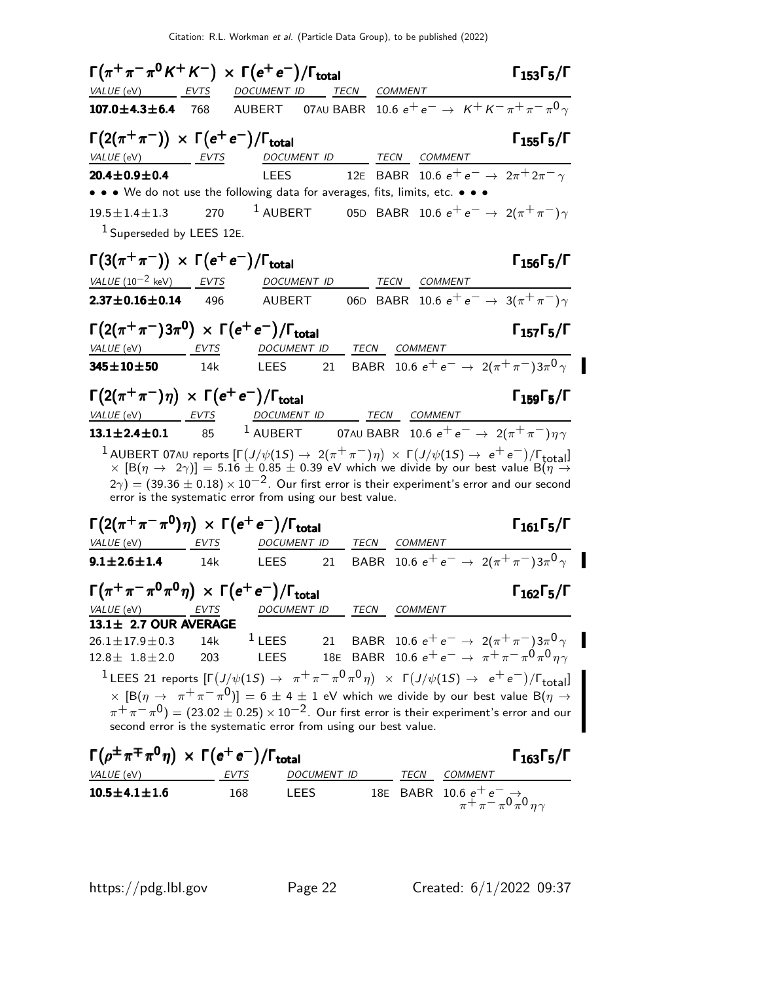|                                                                                          |     | $\Gamma(\pi^+\pi^-\pi^0 K^+ K^-)\times \Gamma(e^+e^-)/\Gamma_{\rm total}$     |    |                                                                                                                                                                                                                                                                                                                                                                              | $\Gamma_{153}\Gamma_5/\Gamma$   |
|------------------------------------------------------------------------------------------|-----|-------------------------------------------------------------------------------|----|------------------------------------------------------------------------------------------------------------------------------------------------------------------------------------------------------------------------------------------------------------------------------------------------------------------------------------------------------------------------------|---------------------------------|
|                                                                                          |     | VALUE (eV) EVTS DOCUMENT ID TECN COMMENT                                      |    |                                                                                                                                                                                                                                                                                                                                                                              |                                 |
|                                                                                          |     |                                                                               |    | <b>107.0±4.3±6.4</b> 768 AUBERT 07AU BABR 10.6 $e^+e^- \to K^+K^-\pi^+\pi^-\pi^0\gamma$                                                                                                                                                                                                                                                                                      |                                 |
| $\Gamma(2(\pi^+\pi^-)) \times \Gamma(e^+e^-)/\Gamma_{\text{total}}$                      |     |                                                                               |    |                                                                                                                                                                                                                                                                                                                                                                              | $\Gamma_{155}\Gamma_{5}/\Gamma$ |
| VALUE (eV) EVTS                                                                          |     |                                                                               |    | DOCUMENT ID TECN COMMENT                                                                                                                                                                                                                                                                                                                                                     |                                 |
| $20.4 \pm 0.9 \pm 0.4$                                                                   |     | <b>LEES</b>                                                                   |    | 12E BABR 10.6 $e^+e^- \to 2\pi^+2\pi^- \gamma$                                                                                                                                                                                                                                                                                                                               |                                 |
|                                                                                          |     | • • • We do not use the following data for averages, fits, limits, etc. • • • |    |                                                                                                                                                                                                                                                                                                                                                                              |                                 |
| $19.5 \pm 1.4 \pm 1.3$                                                                   |     |                                                                               |    | 270 <sup>1</sup> AUBERT 05D BABR 10.6 $e^+e^- \to 2(\pi^+\pi^-)\gamma$                                                                                                                                                                                                                                                                                                       |                                 |
| $1$ Superseded by LEES 12E.                                                              |     |                                                                               |    |                                                                                                                                                                                                                                                                                                                                                                              |                                 |
| $\Gamma(3(\pi^+\pi^-)) \times \Gamma(e^+e^-)/\Gamma_{\text{total}}$                      |     |                                                                               |    |                                                                                                                                                                                                                                                                                                                                                                              | $\Gamma_{156}\Gamma_5/\Gamma$   |
| $VALU E (10^{-2} \text{ keV})$ EVTS                                                      |     |                                                                               |    | DOCUMENT ID TECN COMMENT                                                                                                                                                                                                                                                                                                                                                     |                                 |
| $2.37 \pm 0.16 \pm 0.14$ 496                                                             |     | <b>AUBERT</b>                                                                 |    | 06D BABR 10.6 $e^+e^- \rightarrow 3(\pi^+\pi^-)\gamma$                                                                                                                                                                                                                                                                                                                       |                                 |
|                                                                                          |     |                                                                               |    |                                                                                                                                                                                                                                                                                                                                                                              |                                 |
| $\Gamma(2(\pi^+\pi^-)3\pi^0) \times \Gamma(e^+e^-)/\Gamma_{\text{total}}$                |     |                                                                               |    |                                                                                                                                                                                                                                                                                                                                                                              | $\Gamma_{157}\Gamma_5/\Gamma$   |
| VALUE (eV) EVTS                                                                          |     |                                                                               |    | DOCUMENT ID TECN COMMENT                                                                                                                                                                                                                                                                                                                                                     |                                 |
| $345 \pm 10 \pm 50$                                                                      | 14k |                                                                               |    | LEES 21 BABR 10.6 $e^+e^- \to 2(\pi^+\pi^-)3\pi^0\gamma$                                                                                                                                                                                                                                                                                                                     |                                 |
| $\Gamma(2(\pi^+\pi^-)\eta) \times \Gamma(e^+e^-)/\Gamma_{\text{total}}$                  |     |                                                                               |    |                                                                                                                                                                                                                                                                                                                                                                              | $\Gamma_{159}\Gamma_5/\Gamma$   |
| VALUE (eV) EVTS                                                                          |     |                                                                               |    | DOCUMENT ID TECN COMMENT                                                                                                                                                                                                                                                                                                                                                     |                                 |
| $13.1 \pm 2.4 \pm 0.1$ 85                                                                |     |                                                                               |    | <sup>1</sup> AUBERT 07AU BABR 10.6 $e^+e^- \rightarrow 2(\pi^+\pi^-)\eta\gamma$                                                                                                                                                                                                                                                                                              |                                 |
|                                                                                          |     | error is the systematic error from using our best value.                      |    | <sup>1</sup> AUBERT 07AU reports $[\Gamma(J/\psi(1S) \to 2(\pi^+\pi^-)\eta) \times \Gamma(J/\psi(1S) \to e^+e^-)/\Gamma_{\text{total}}]$<br>× $[\text{B}(\eta \to 2\gamma)] = 5.16 \pm 0.85 \pm 0.39$ eV which we divide by our best value $\text{B}(\eta \to$<br>$(2\gamma) = (39.36 \pm 0.18) \times 10^{-2}$ . Our first error is their experiment's error and our second |                                 |
| $\Gamma(2(\pi^+\pi^-\pi^0)\eta) \times \Gamma(e^+e^-)/\Gamma_{\text{total}}$             |     |                                                                               |    |                                                                                                                                                                                                                                                                                                                                                                              | $\Gamma_{161}\Gamma_5/\Gamma$   |
|                                                                                          |     |                                                                               |    |                                                                                                                                                                                                                                                                                                                                                                              |                                 |
| $9.1 \pm 2.6 \pm 1.4$ 14k                                                                |     |                                                                               |    | LEES 21 BABR 10.6 $e^+e^- \rightarrow 2(\pi^+\pi^-)3\pi^0\gamma$                                                                                                                                                                                                                                                                                                             |                                 |
| $\Gamma(\pi^+\pi^-\pi^0\pi^0\eta) \times \Gamma(e^+e^-)/\Gamma_{\text{total}}$           |     |                                                                               |    |                                                                                                                                                                                                                                                                                                                                                                              | $\Gamma_{162}\Gamma_5/\Gamma$   |
|                                                                                          |     | VALUE (eV) EVTS DOCUMENT ID TECN COMMENT                                      |    |                                                                                                                                                                                                                                                                                                                                                                              |                                 |
| 13.1± 2.7 OUR AVERAGE                                                                    |     |                                                                               |    |                                                                                                                                                                                                                                                                                                                                                                              |                                 |
| $26.1 \pm 17.9 \pm 0.3$                                                                  | 14k | $1$ LEES                                                                      | 21 | BABR 10.6 $e^+e^- \rightarrow 2(\pi^+\pi^-)3\pi^0\gamma$                                                                                                                                                                                                                                                                                                                     |                                 |
| $12.8 \pm 1.8 \pm 2.0$                                                                   | 203 | LEES                                                                          |    | 18E BABR 10.6 $e^+e^- \rightarrow \pi^+\pi^-\pi^0\pi^0\eta\gamma$                                                                                                                                                                                                                                                                                                            |                                 |
|                                                                                          |     |                                                                               |    | <sup>1</sup> LEES 21 reports $[\Gamma(J/\psi(1S) \to \pi^+\pi^-\pi^0\pi^0\eta) \times \Gamma(J/\psi(1S) \to e^+e^-)/\Gamma_{\text{total}}]$                                                                                                                                                                                                                                  |                                 |
|                                                                                          |     | second error is the systematic error from using our best value.               |    | $\times$ $[\mathrm{B}(\eta\to\pi^+\pi^-\pi^0)] = 6\pm 4\pm 1$ eV which we divide by our best value $\mathrm{B}(\eta\to\pi^+\pi^-$<br>$\pi^+\pi^-\pi^0$ ) = (23.02 $\pm$ 0.25) × 10 <sup>-2</sup> . Our first error is their experiment's error and our                                                                                                                       |                                 |
| $\Gamma(\rho^{\pm}\pi^{\mp}\pi^{0}\eta) \times \Gamma(e^{+}e^{-})/\Gamma_{\text{total}}$ |     |                                                                               |    |                                                                                                                                                                                                                                                                                                                                                                              | $\Gamma_{163}\Gamma_5/\Gamma$   |
| VALUE (eV)                                                                               |     | DOCUMENT ID<br>EVTS                                                           |    | <b>COMMENT</b><br>TECN                                                                                                                                                                                                                                                                                                                                                       |                                 |

**10.5±4.1±1.6** 168 LEES 18E BABR 10.6  $e^+e^- \rightarrow$ 

 $\tilde{\pi} + \pi - \pi^0 \pi^0 \eta \gamma$ 

 $\blacksquare$ 

 $\blacksquare$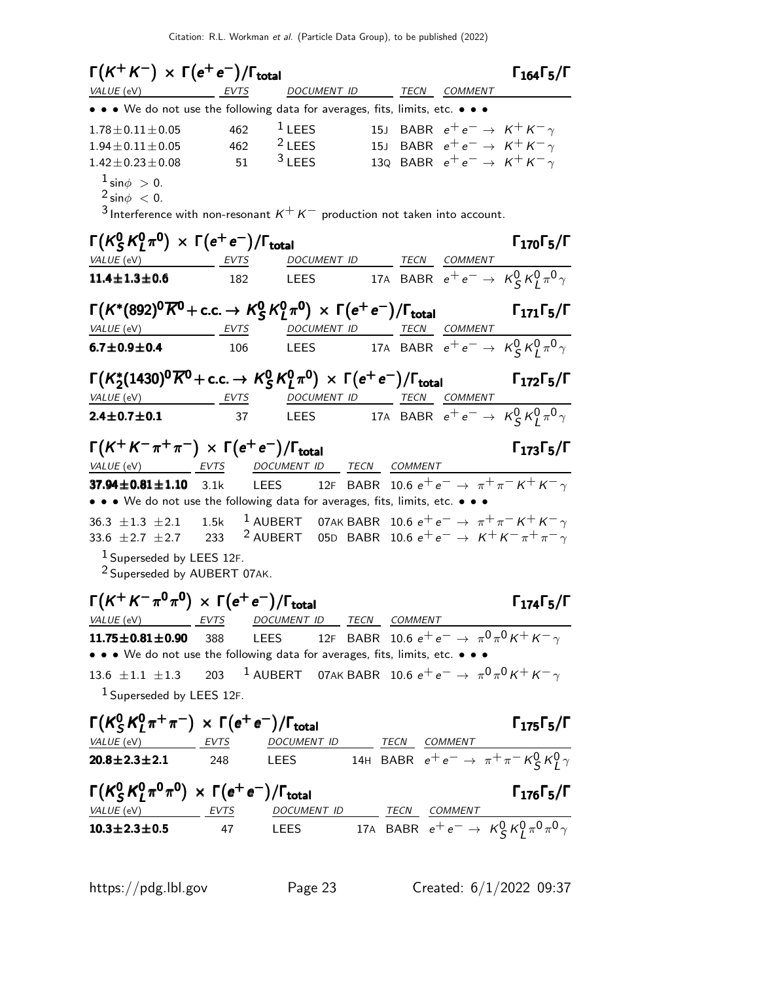| $\Gamma(K^+K^-) \times \Gamma(e^+e^-)/\Gamma_{\rm total}$                                                                                    |                                      |                                                                          |  |                                             | $\Gamma_{164}\Gamma_5/\Gamma$   |
|----------------------------------------------------------------------------------------------------------------------------------------------|--------------------------------------|--------------------------------------------------------------------------|--|---------------------------------------------|---------------------------------|
| VALUE (eV)                                                                                                                                   | EVTS                                 | DOCUMENT ID TECN COMMENT                                                 |  |                                             |                                 |
| • • • We do not use the following data for averages, fits, limits, etc. • • •                                                                |                                      |                                                                          |  |                                             |                                 |
| $1.78 \pm 0.11 \pm 0.05$                                                                                                                     | 462                                  | $1$ LEES                                                                 |  | 15J BABR $e^+e^- \rightarrow K^+K^- \gamma$ |                                 |
| $1.94 \pm 0.11 \pm 0.05$                                                                                                                     | 462                                  | <sup>2</sup> LEES                                                        |  | 15J BABR $e^+e^- \rightarrow K^+K^- \gamma$ |                                 |
| $1.42 \pm 0.23 \pm 0.08$                                                                                                                     | 51                                   | $3$ LEES                                                                 |  | 130 BABR $e^+e^- \rightarrow K^+K^- \gamma$ |                                 |
| $1 \sin \phi > 0$ .<br>$2 \sin \phi < 0$ .<br>3 Interference with non-resonant $K^+ K^-$ production not taken into account.                  |                                      |                                                                          |  |                                             |                                 |
| $\Gamma(K_S^0 K_I^0 \pi^0) \times \Gamma(e^+ e^-)/\Gamma_{\rm total}$                                                                        |                                      |                                                                          |  |                                             | $\Gamma_{170}\Gamma_{5}/\Gamma$ |
| VALUE (eV) EVTS                                                                                                                              |                                      | DOCUMENT ID TECN COMMENT                                                 |  |                                             |                                 |
| $11.4 \pm 1.3 \pm 0.6$ 182                                                                                                                   |                                      | LEES 17A BABR $e^+e^- \rightarrow K_S^0 K_I^0 \pi^0 \gamma$              |  |                                             |                                 |
| $\Gamma(K^*(892)^0\overline{K^0}+{\rm c.c.}\rightarrow K_S^0\overline{K_I^0\pi^0})\,\times\,\Gamma(e^+e^-)/\Gamma_{\rm total}$<br>VALUE (eV) | <u>EVTS DOCUMENT ID TECN COMMENT</u> |                                                                          |  |                                             | $\Gamma_{171}\Gamma_{5}/\Gamma$ |
| $6.7 \pm 0.9 \pm 0.4$                                                                                                                        | 106                                  | LEES 17A BABR $e^+e^- \rightarrow K_S^0 K_I^0 \pi^0 \gamma$              |  |                                             |                                 |
|                                                                                                                                              |                                      |                                                                          |  |                                             |                                 |
| $\Gamma(K_2^*(1430)^0\overline{K}^0$ + c.c. $\rightarrow$ $K_5^0$ $K_1^0$ $\pi^0$ ) $\times$ $\Gamma(e^+e^-)/\Gamma_{\text{total}}$          |                                      |                                                                          |  |                                             | $\Gamma_{172}\Gamma_{5}/\Gamma$ |
| VALUE (eV) EVTS DOCUMENT ID TECN COMMENT<br>$2.4 \pm 0.7 \pm 0.1$                                                                            | 37                                   | LEES 17A BABR $e^+e^- \rightarrow K_S^0 K_I^0 \pi^0 \gamma$              |  |                                             |                                 |
|                                                                                                                                              |                                      |                                                                          |  |                                             |                                 |
| $\Gamma(K^+K^-\pi^+\pi^-) \times \Gamma(e^+e^-)/\Gamma_{\text{total}}$                                                                       |                                      |                                                                          |  |                                             | $\Gamma_{173}\Gamma_{5}/\Gamma$ |
| VALUE (eV) EVTS DOCUMENT ID TECN COMMENT                                                                                                     |                                      |                                                                          |  |                                             |                                 |
| 37.94 $\pm$ 0.81 $\pm$ 1.10 3.1k<br>• • • We do not use the following data for averages, fits, limits, etc. • • •                            |                                      | LEES 12F BABR 10.6 $e^+e^- \rightarrow \pi^+\pi^-K^+K^-\gamma$           |  |                                             |                                 |
| 36.3 $\pm$ 1.3 $\pm$ 2.1 1.5k $^{-1}$ AUBERT 07AK BABR 10.6 $e^+e^- \rightarrow \pi^+\pi^-$ K $^+$ K $^ \gamma$                              |                                      |                                                                          |  |                                             |                                 |
| 33.6 ±2.7 ±2.7 233 <sup>2</sup> AUBERT 05D BABR 10.6 $e^+e^- \rightarrow K^+K^-\pi^+\pi^-\gamma$                                             |                                      |                                                                          |  |                                             |                                 |
| <sup>1</sup> Superseded by LEES 12F.<br><sup>2</sup> Superseded by AUBERT 07AK.                                                              |                                      |                                                                          |  |                                             |                                 |
| $\Gamma(K^+K^-\pi^0\pi^0) \, \times \, \Gamma(e^+e^-)/\Gamma_{\rm total}$                                                                    |                                      |                                                                          |  |                                             | $\Gamma_{174}\Gamma_{5}/\Gamma$ |
| VALUE (eV) EVTS                                                                                                                              |                                      |                                                                          |  |                                             |                                 |
| $11.75 \pm 0.81 \pm 0.90$ 388                                                                                                                |                                      | LEES 12F BABR 10.6 $e^+e^- \rightarrow \pi^0\pi^0\kappa^+\kappa^-\gamma$ |  |                                             |                                 |
| • • • We do not use the following data for averages, fits, limits, etc. • • •                                                                |                                      |                                                                          |  |                                             |                                 |
| 13.6 ± 1.1 ± 1.3 203 <sup>1</sup> AUBERT 07AK BABR 10.6 $e^+e^- \rightarrow \pi^0\pi^0 K^+ K^- \gamma$                                       |                                      |                                                                          |  |                                             |                                 |
| $1$ Superseded by LEES 12F.                                                                                                                  |                                      |                                                                          |  |                                             |                                 |
| $\Gamma(K_S^0 K_I^0 \pi^+ \pi^-) \times \Gamma(e^+ e^-)/\Gamma_{\text{total}}$                                                               |                                      |                                                                          |  |                                             | $\Gamma_{175}\Gamma_{5}/\Gamma$ |
| VALUE (eV) EVTS DOCUMENT ID TECN COMMENT<br>20.8±2.3±2.1 248 LEES 14H BABR $e^+e^- \rightarrow \pi^+\pi^-K^0_S K^0_V$                        |                                      |                                                                          |  |                                             |                                 |
|                                                                                                                                              |                                      |                                                                          |  |                                             |                                 |
| $\Gamma(K_S^0 K_I^0 \pi^0 \pi^0) \times \Gamma(e^+ e^-)/\Gamma_{\text{total}}$                                                               |                                      |                                                                          |  |                                             | $\Gamma_{176}\Gamma_{5}/\Gamma$ |
|                                                                                                                                              |                                      |                                                                          |  |                                             |                                 |
| $\frac{\text{VALU E (eV)}}{10.3 \pm 2.3 \pm 0.5}$ FOR BABR $e^+e^- \rightarrow K^0_S K^0_I \pi^0 \pi^0 \gamma$                               |                                      |                                                                          |  |                                             |                                 |
|                                                                                                                                              |                                      |                                                                          |  |                                             |                                 |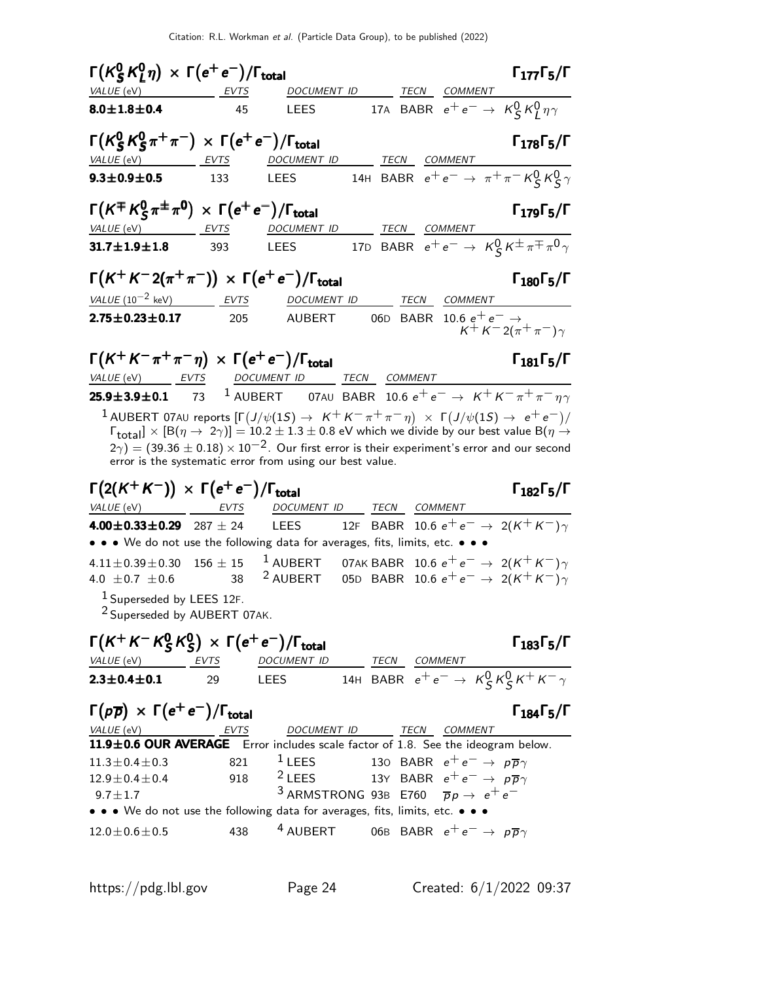| $\Gamma(K_S^0 K_I^0 \eta) \times \Gamma(e^+ e^-)/\Gamma_{\text{total}}$                         |             |                                                          |                                                                                                                                                                                                                                                                                                                                                                                             | $\Gamma_{177}\Gamma_{5}/\Gamma$                    |
|-------------------------------------------------------------------------------------------------|-------------|----------------------------------------------------------|---------------------------------------------------------------------------------------------------------------------------------------------------------------------------------------------------------------------------------------------------------------------------------------------------------------------------------------------------------------------------------------------|----------------------------------------------------|
| VALUE (eV)                                                                                      | EVTS        |                                                          | DOCUMENT ID TECN COMMENT                                                                                                                                                                                                                                                                                                                                                                    |                                                    |
| $8.0 \pm 1.8 \pm 0.4$                                                                           | 45          | <b>LEES</b>                                              | 17A BABR $e^+e^- \rightarrow K_S^0 K_I^0 \eta \gamma$                                                                                                                                                                                                                                                                                                                                       |                                                    |
| $\Gamma(K_S^0 K_S^0 \pi^+\pi^-) \times \Gamma(e^+e^-)/\Gamma_{\text{total}}$                    |             |                                                          |                                                                                                                                                                                                                                                                                                                                                                                             | $\Gamma_{178}\Gamma_{5}/\Gamma$                    |
| VALUE (eV)                                                                                      | <b>EVTS</b> | DOCUMENT ID                                              | TECN<br>COMMENT                                                                                                                                                                                                                                                                                                                                                                             |                                                    |
| $9.3 \pm 0.9 \pm 0.5$                                                                           | 133         | <b>LEES</b>                                              | 14H BABR $e^+e^- \rightarrow \pi^+\pi^- K^0_S K^0_S \gamma$                                                                                                                                                                                                                                                                                                                                 |                                                    |
| $\Gamma(K^{\mp} K^0_S \pi^{\pm} \pi^{\prime}) \times \Gamma(e^+ e^-)/\Gamma_{\rm total}$        |             |                                                          |                                                                                                                                                                                                                                                                                                                                                                                             | $\Gamma_{179}\Gamma_{5}/\Gamma$                    |
| VALUE (eV) EVTS                                                                                 |             | <b>DOCUMENT ID</b>                                       | TECN COMMENT<br>17D BABR $e^+e^- \rightarrow K_S^0 K^{\pm} \pi^{\mp} \pi^0 \gamma$                                                                                                                                                                                                                                                                                                          |                                                    |
| $31.7 \pm 1.9 \pm 1.8$                                                                          | 393         | <b>LEES</b>                                              |                                                                                                                                                                                                                                                                                                                                                                                             |                                                    |
| $\Gamma(K^+K^-2(\pi^+\pi^-))\,\times\,\Gamma(e^+e^-)/\Gamma_{\rm total}$                        |             |                                                          |                                                                                                                                                                                                                                                                                                                                                                                             | $\Gamma_{180}\Gamma_5/\Gamma$                      |
| $VALUE (10^{-2} \text{ keV})$ EVTS                                                              |             | DOCUMENT ID                                              | TECN COMMENT                                                                                                                                                                                                                                                                                                                                                                                |                                                    |
| $2.75 \pm 0.23 \pm 0.17$                                                                        | 205         | <b>AUBERT</b>                                            | 06D BABR 10.6 $e^+e^- \rightarrow$                                                                                                                                                                                                                                                                                                                                                          | $K^{+} K^{-} 2(\pi^{+} \pi^{-}) \gamma$            |
| $\Gamma(K^+K^-\pi^+\pi^-\eta) \times \Gamma(e^+e^-)/\Gamma_{\text{total}}$<br>$VALUE$ (eV) EVTS |             | DOCUMENT ID TECN COMMENT                                 |                                                                                                                                                                                                                                                                                                                                                                                             | $\Gamma_{181}\Gamma_5/\Gamma$                      |
| $25.9 \pm 3.9 \pm 0.1$ 73                                                                       |             |                                                          | <sup>1</sup> AUBERT 07AU BABR 10.6 $e^+e^- \rightarrow K^+K^-\pi^+\pi^-\eta\gamma$                                                                                                                                                                                                                                                                                                          |                                                    |
| $\Gamma(2(K^+K^-)) \times \Gamma(e^+e^-)/\Gamma_{\rm total}$<br>VALUE (eV) EVTS                 |             | error is the systematic error from using our best value. | 1 AUBERT 07AU reports $[\Gamma(J/\psi(1S) \to K^+ K^- \pi^+ \pi^- \eta) \times \Gamma(J/\psi(1S) \to e^+ e^-)/\Gamma_{\text{total}}] \times [B(\eta \to 2\gamma)] = 10.2 \pm 1.3 \pm 0.8$ eV which we divide by our best value $B(\eta \to 0.25)$<br>$(2\gamma) = (39.36 \pm 0.18) \times 10^{-2}$ . Our first error is their experiment's error and our second<br>DOCUMENT ID TECN COMMENT | $\Gamma_{182}\Gamma_5/\Gamma$                      |
|                                                                                                 |             | <b>LEES</b>                                              | 12F BABR 10.6 $e^+e^- \to 2(K^+K^-)\gamma$                                                                                                                                                                                                                                                                                                                                                  |                                                    |
| 4.00 $\pm$ 0.33 $\pm$ 0.29 287 $\pm$ 24                                                         |             |                                                          | • • • We do not use the following data for averages, fits, limits, etc. • • •                                                                                                                                                                                                                                                                                                               |                                                    |
| $4.11 \pm 0.39 \pm 0.30$ 156 $\pm$ 15<br>4.0 $\pm$ 0.7 $\pm$ 0.6                                | 38          | <sup>2</sup> AUBERT                                      | <sup>1</sup> AUBERT 07AK BABR 10.6 $e^+e^- \rightarrow 2(K^+K^-)\gamma$                                                                                                                                                                                                                                                                                                                     |                                                    |
| <sup>1</sup> Superseded by LEES 12F.                                                            |             |                                                          |                                                                                                                                                                                                                                                                                                                                                                                             |                                                    |
| <sup>2</sup> Superseded by AUBERT 07AK.                                                         |             |                                                          |                                                                                                                                                                                                                                                                                                                                                                                             | 05D BABR 10.6 $e^+e^- \rightarrow 2(K^+K^-)\gamma$ |
| $\Gamma(K^+K^-K^0_SK^0_S) \times \Gamma(e^+e^-)/\Gamma_{\text{total}}$                          |             |                                                          |                                                                                                                                                                                                                                                                                                                                                                                             | $\Gamma_{183}\Gamma_5/\Gamma$                      |
| VALUE (eV) EVTS                                                                                 |             |                                                          |                                                                                                                                                                                                                                                                                                                                                                                             |                                                    |
| $2.3 \pm 0.4 \pm 0.1$                                                                           | 29          |                                                          | $\frac{DOCUMENT ID}{14H BABR}$ $\frac{TCN}{e^+e^-}$ $\rightarrow$ $K_S^0 K_S^0 K^+ K^- \gamma$                                                                                                                                                                                                                                                                                              |                                                    |
| $\Gamma(p\overline{p}) \times \Gamma(e^+e^-)/\Gamma_{\text{total}}$                             |             |                                                          |                                                                                                                                                                                                                                                                                                                                                                                             | $\Gamma_{184}\Gamma_{5}/\Gamma$                    |
| VALUE (eV) EVTS                                                                                 |             |                                                          | DOCUMENT ID TECN COMMENT<br>11.9±0.6 OUR AVERAGE Error includes scale factor of 1.8. See the ideogram below.                                                                                                                                                                                                                                                                                |                                                    |
| $11.3 \pm 0.4 \pm 0.3$                                                                          | 821         | $1$ LEES                                                 | 130 BABR $e^+e^- \rightarrow p\bar{p}\gamma$                                                                                                                                                                                                                                                                                                                                                |                                                    |
| $12.9 \pm 0.4 \pm 0.4$                                                                          | 918         | $2$ LEES                                                 | 13Y BABR $e^+e^- \rightarrow p\overline{p}\gamma$                                                                                                                                                                                                                                                                                                                                           |                                                    |
| $9.7 \pm 1.7$                                                                                   |             |                                                          | <sup>3</sup> ARMSTRONG 93B E760 $\overline{p}p \rightarrow e^+e^-$                                                                                                                                                                                                                                                                                                                          |                                                    |
|                                                                                                 |             |                                                          | • • • We do not use the following data for averages, fits, limits, etc. • • •                                                                                                                                                                                                                                                                                                               |                                                    |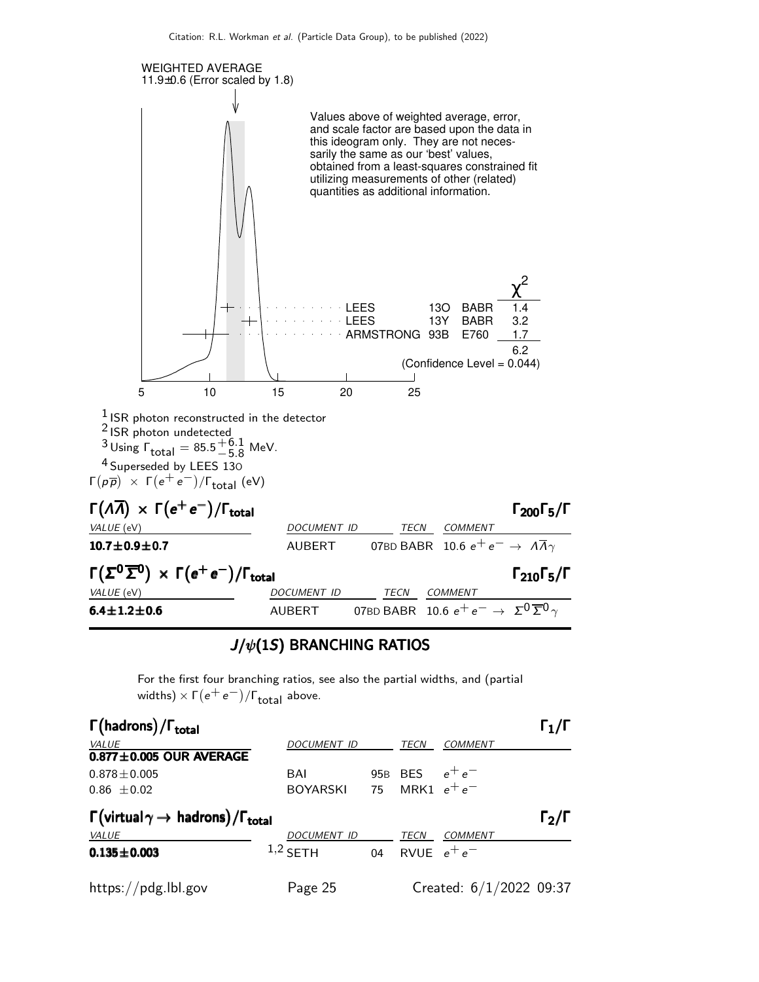

#### $J/\psi(1S)$  BRANCHING RATIOS

For the first four branching ratios, see also the partial widths, and (partial widths)  $\times$   $\Gamma(e^+e^-)/\Gamma_{\rm total}$  above.

| $\Gamma$ (hadrons)/ $\Gamma_{total}$                                            |                    |    |                  |                           | $\Gamma_1/\Gamma$ |  |
|---------------------------------------------------------------------------------|--------------------|----|------------------|---------------------------|-------------------|--|
| <b>VALUE</b>                                                                    | <b>DOCUMENT ID</b> |    | <b>TECN</b>      | <b>COMMENT</b>            |                   |  |
| $0.877 \pm 0.005$ OUR AVERAGE                                                   |                    |    |                  |                           |                   |  |
| $0.878 \pm 0.005$                                                               | BAI                |    | 95B BES $e^+e^-$ |                           |                   |  |
| $0.86 \pm 0.02$                                                                 | BOYARSKI           |    |                  | 75 MRK1 $e^+e^-$          |                   |  |
| $\Gamma(\text{virtual}\gamma \rightarrow \text{hadrons})/\Gamma_{\text{total}}$ |                    |    |                  |                           |                   |  |
| VALUE                                                                           | DOCUMENT ID        |    | TECN             | COMMENT                   |                   |  |
| $0.135 \pm 0.003$                                                               | $1,2$ SETH         | 04 |                  | RVUE $e^+e^-$             |                   |  |
| https://pdg.lbl.gov                                                             | Page 25            |    |                  | Created: $6/1/2022$ 09:37 |                   |  |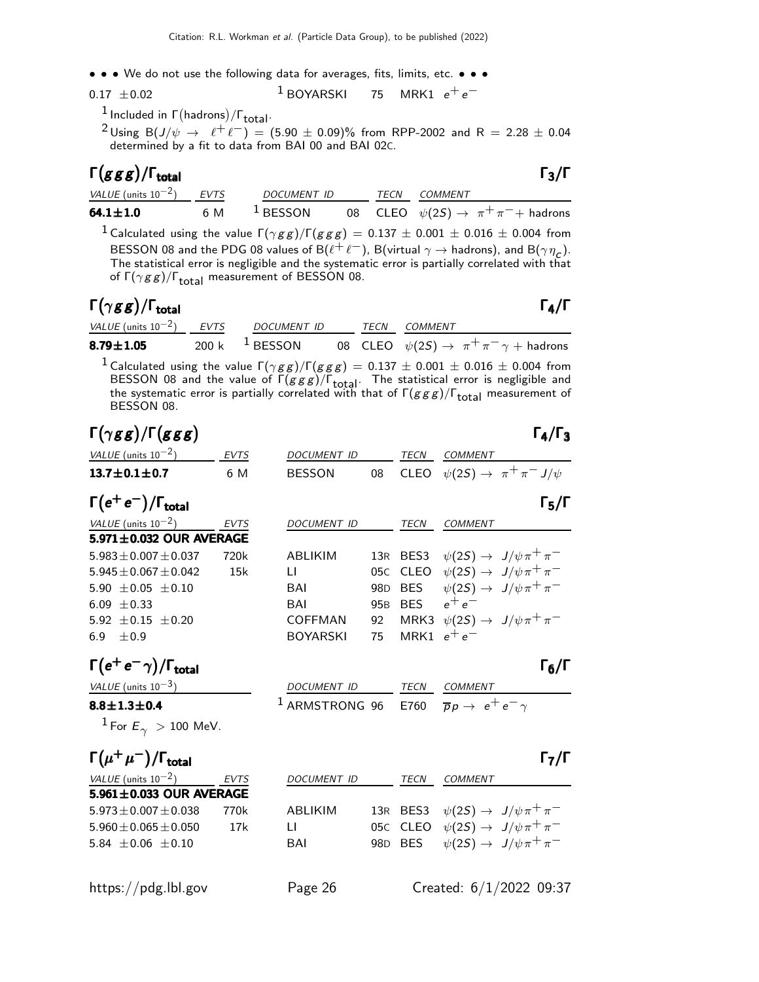• • • We do not use the following data for averages, fits, limits, etc. • • •

0.17 
$$
\pm
$$
 0.02 <sup>1</sup> BOYARSKI 75 MRK1  $e^+e^-$ 

 $\frac{1}{\sqrt{1}}$  Included in  $\Gamma(\text{hadrons})/\Gamma_{\text{total}}$ .

<sup>2</sup>Using B(J/ $\psi \rightarrow e^+e^-$ ) = (5.90 ± 0.09)% from RPP-2002 and R = 2.28 ± 0.04 determined by a fit to data from BAI 00 and BAI 02C.

| $\Gamma(ggg)/\Gamma_{\rm total}$ |     |                     |      | $\Gamma_3/\Gamma$                                 |
|----------------------------------|-----|---------------------|------|---------------------------------------------------|
| VALUE (units $10^{-2}$ ) EVTS    |     | DOCUMENT ID         | TECN | COMMENT                                           |
| $64.1 \pm 1.0$                   | 6 M | <sup>1</sup> BESSON |      | 08 CLEO $\psi(2S) \rightarrow \pi^+\pi^-$ hadrons |

<sup>1</sup> Calculated using the value  $\Gamma(\gamma gg)/\Gamma(g gg) = 0.137 \pm 0.001 \pm 0.016 \pm 0.004$  from BESSON 08 and the PDG 08 values of B $(\ell^+ \ell^-)$ , B(virtual  $\gamma \to$  hadrons), and B $(\gamma \eta_c)$ . The statistical error is negligible and the systematic error is partially correlated with that of  $\Gamma(\gamma gg)/\Gamma_{\text{total}}$  measurement of BESSON 08.

#### Γ $(\gamma$ g g)/Γ<sub>total</sub> Γ<sub>4</sub>/Γ /Γ $\Gamma$ total Γ $_4$ /Γ

| VALUE (units $10^{-2}$ ) EVTS | DOCUMENT ID          | TECN | <i>COMMENT</i>                                                                                                                                                                                                                     |
|-------------------------------|----------------------|------|------------------------------------------------------------------------------------------------------------------------------------------------------------------------------------------------------------------------------------|
| $8.79 \pm 1.05$               | 200 k $^{-1}$ BESSON |      | 08 CLEO $\psi(2S) \rightarrow \pi^+ \pi^- \gamma + \text{hadrons}$                                                                                                                                                                 |
|                               |                      |      | <sup>1</sup> Calculated using the value $\Gamma(\gamma gg)/\Gamma(ggg) = 0.137 \pm 0.001 \pm 0.016 \pm 0.004$ from<br>RESSON 08 and the value of $\Gamma(\sigma\sigma\sigma)$ ( $\Gamma$ . The statistical error is negligible and |

BESSON 08 and the value of  $\Gamma(ggg)/\Gamma_{\text{total}}$ . The statistical error is negligible and the systematic error is partially correlated with that of  $\Gamma(g \, g \, g)/\Gamma_{\rm total}$  measurement of BESSON 08.

| $\Gamma(\gamma gg)/\Gamma(ggg)$           |             |                    |                 |                  | $\Gamma_4/\Gamma_3$                                                     |
|-------------------------------------------|-------------|--------------------|-----------------|------------------|-------------------------------------------------------------------------|
| VALUE (units $10^{-2}$ )                  | <b>EVTS</b> | DOCUMENT ID        |                 | TECN             | COMMENT                                                                 |
| $13.7 \pm 0.1 \pm 0.7$                    | 6 M         | <b>BESSON</b>      | 08              |                  | CLEO $\psi(2S) \rightarrow \pi^+ \pi^- J/\psi$                          |
| $\Gamma(e^+e^-)/\Gamma_{\rm total}$       |             |                    |                 |                  | $\Gamma_5/\Gamma$                                                       |
| VALUE (units $10^{-2}$ )                  | EVTS        | <b>DOCUMENT ID</b> |                 | TECN             | <b>COMMENT</b>                                                          |
| 5.971±0.032 OUR AVERAGE                   |             |                    |                 |                  |                                                                         |
| $5.983 + 0.007 + 0.037$                   | 720k        | <b>ABLIKIM</b>     | 13R             |                  | BES3 $\psi(2S) \rightarrow J/\psi \pi^+ \pi^-$                          |
| $5.945 \pm 0.067 \pm 0.042$               | 15k         | $\mathbf{L}$       | 05C             |                  | CLEO $\psi(2S) \rightarrow J/\psi \pi^+ \pi^-$                          |
| 5.90 $\pm$ 0.05 $\pm$ 0.10                |             | <b>BAI</b>         |                 |                  | 98D BES $\psi(2S) \rightarrow J/\psi \pi^+ \pi^-$                       |
| 6.09 $\pm$ 0.33                           |             | <b>BAI</b>         |                 | 95B BES $e^+e^-$ |                                                                         |
| 5.92 $\pm$ 0.15 $\pm$ 0.20                |             | <b>COFFMAN</b>     | 92              |                  | MRK3 $\psi(2S) \rightarrow J/\psi \pi^+ \pi^-$                          |
| 6.9 $\pm 0.9$                             |             | <b>BOYARSKI</b>    | 75              |                  | MRK1 $e^+e^-$                                                           |
| $\Gamma(e^+e^-\gamma)/\Gamma_{\rm total}$ |             |                    |                 |                  | $\Gamma_6/\Gamma$                                                       |
| $VALUE$ (units $10^{-3}$ )                |             | DOCUMENT ID        |                 |                  | TECN COMMENT                                                            |
| $8.8 \pm 1.3 \pm 0.4$                     |             |                    |                 |                  | <sup>1</sup> ARMSTRONG 96 E760 $\overline{p}p \rightarrow e^+e^-\gamma$ |
| <sup>1</sup> For $E_{\gamma} > 100$ MeV.  |             |                    |                 |                  |                                                                         |
| $\Gamma(\mu^+\mu^-)/\Gamma_{\rm total}$   |             |                    |                 |                  | $\Gamma_7/\Gamma$                                                       |
| VALUE (units $10^{-2}$ )                  | EVTS        | <b>DOCUMENT ID</b> |                 | TECN             | <b>COMMENT</b>                                                          |
| $5.961 \pm 0.033$ OUR AVERAGE             |             |                    |                 |                  |                                                                         |
| $5.973 \pm 0.007 \pm 0.038$               | 770k        | <b>ABLIKIM</b>     |                 |                  | 13R BES3 $\psi(2S) \rightarrow J/\psi \pi^+ \pi^-$                      |
| $5.960 \pm 0.065 \pm 0.050$               | 17k         | LI                 | 05C             | CLEO             | $\psi(2S) \rightarrow J/\psi \pi^+ \pi^-$                               |
| 5.84 $\pm$ 0.06 $\pm$ 0.10                |             | BAI                | 98 <sub>D</sub> | <b>BES</b>       | $\psi(2S) \rightarrow J/\psi \pi^+ \pi^-$                               |
|                                           |             |                    |                 |                  |                                                                         |
|                                           |             |                    |                 |                  |                                                                         |

https://pdg.lbl.gov Page 26 Created: 6/1/2022 09:37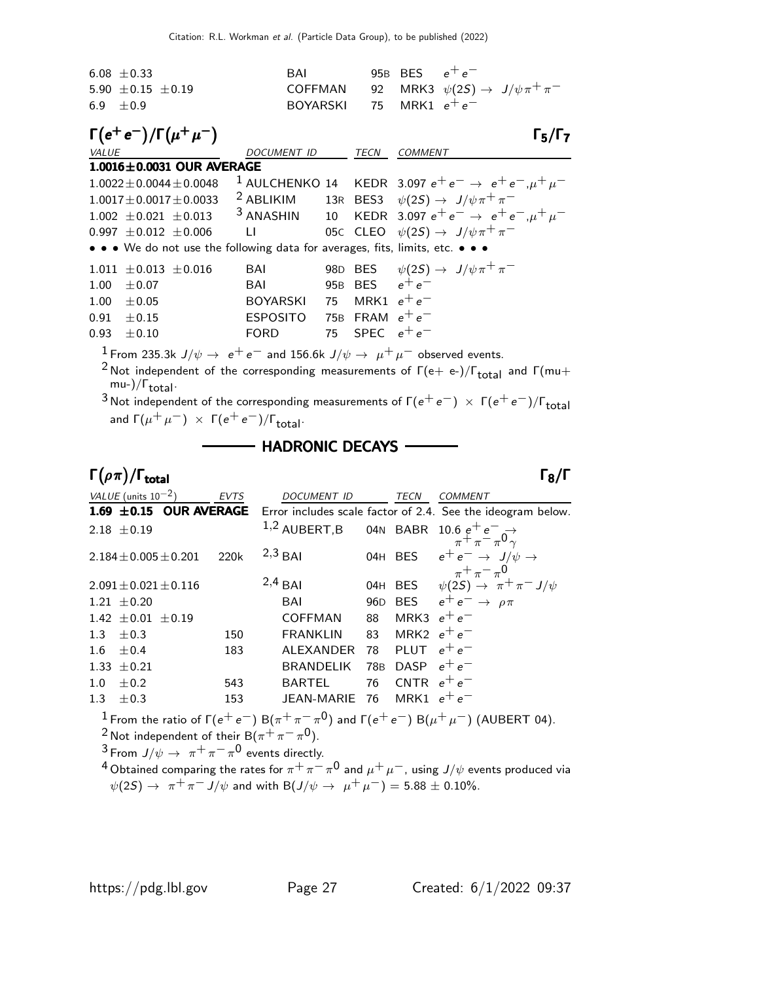| $6.08 \pm 0.33$          | <b>BAI</b>                                                | 95B BES $e^+e^-$ |  |
|--------------------------|-----------------------------------------------------------|------------------|--|
| $5.90 \pm 0.15 \pm 0.19$ | COFFMAN 92 MRK3 $\psi(2S) \rightarrow J/\psi \pi^+ \pi^-$ |                  |  |
| 6.9 $\pm 0.9$            | BOYARSKI 75 MRK1 $e^+e^-$                                 |                  |  |

|       | $\Gamma(e^+e^-)/\Gamma(\mu^+\mu^-)$                                           |                           |                   | $\Gamma_5/\Gamma_7$                                                           |
|-------|-------------------------------------------------------------------------------|---------------------------|-------------------|-------------------------------------------------------------------------------|
| VALUE |                                                                               | <b>DOCUMENT ID</b>        | TECN              | <b>COMMENT</b>                                                                |
|       | $1.0016 \pm 0.0031$ OUR AVERAGE                                               |                           |                   |                                                                               |
|       | $1.0022 \pm 0.0044 \pm 0.0048$                                                |                           |                   | <sup>1</sup> AULCHENKO 14 KEDR 3.097 $e^+e^- \rightarrow e^+e^-, \mu^+\mu^-$  |
|       | $1.0017 \pm 0.0017 \pm 0.0033$                                                | <sup>2</sup> ABLIKIM      |                   | 13R BES3 $\psi(2S) \rightarrow J/\psi \pi^+ \pi^-$                            |
|       | $1.002 + 0.021 + 0.013$                                                       |                           |                   | <sup>3</sup> ANASHIN 10 KEDR 3.097 $e^+e^- \rightarrow e^+e^-$ , $\mu^+\mu^-$ |
|       | $0.997 \pm 0.012 \pm 0.006$ LI                                                |                           |                   | 05C CLEO $\psi(2S) \rightarrow J/\psi \pi^+ \pi^-$                            |
|       | • • • We do not use the following data for averages, fits, limits, etc. • • • |                           |                   |                                                                               |
|       | $1.011 \pm 0.013 \pm 0.016$                                                   | <b>BAI</b>                |                   | 98D BES $\psi(2S) \rightarrow J/\psi \pi^+ \pi^-$                             |
| 1.00  | $\pm 0.07$                                                                    | BAI                       | 95B BES $e^+e^-$  |                                                                               |
| 1.00  | $\pm 0.05$                                                                    | BOYARSKI 75 MRK1 $e^+e^-$ |                   |                                                                               |
| 0.91  | $+0.15$                                                                       | <b>ESPOSITO</b>           | 75B FRAM $e^+e^-$ |                                                                               |
| 0.93  | $\pm 0.10$                                                                    | FORD                      | 75 SPEC $e^+e^-$  |                                                                               |
|       | $1 - \cos \theta + \theta$                                                    |                           |                   |                                                                               |

<sup>1</sup> From 235.3k  $J/\psi \rightarrow e^+e^-$  and 156.6k  $J/\psi \rightarrow \mu^+\mu^-$  observed events.

<sup>2</sup> Not independent of the corresponding measurements of  $\Gamma$ (e+ e-)/ $\Gamma$ <sub>total</sub> and  $\Gamma$ (mu+ mu-)/ $\Gamma_{total}$ .

3 Not independent of the corresponding measurements of  $\Gamma(e^+e^-) \times \Gamma(e^+e^-)/\Gamma_{\text{total}}$ and  $\Gamma(\mu^+ \mu^-) \times \Gamma(e^+ e^-)/\Gamma_{\text{total}}$ .

### **HADRONIC DECAYS -**

#### Γ $(\rho \pi)/\Gamma$ <sub>total</sub> Γ<sub>8</sub>/Γ  $\Gamma_{\rm total}$  Γενικά προσπατικά προσπατικά προσπατικά προσπατικά προσπατικά προσπατικά προσπατικά προσπα

 $VALU E$  (units 10<sup>-2</sup>) EVTS DOCUMENT ID TECN COMMENT 1.69  $\pm$  0.15 OUR AVERAGE Error includes scale factor of 2.4. See the ideogram below. 2.18 ±0.19  $1,2$  AUBERT,B 04N BABR 10.6  $e^+e^-$  →  $\frac{3}{\pi} + \frac{3}{\pi} - \frac{3}{\pi}$ 0  $\gamma$  $2.184\pm0.005\pm0.201$  220k  $^{2,3}$  BAI 04H BES  $e^{+}$   $e^{-}$   $\rightarrow$   $\,$  J $/\psi$   $\rightarrow$  $\pi^+ \pi^- \pi^0$  $2.091 \pm 0.021 \pm 0.116$  2,4 BAI 04H BES  $\psi(2S) \rightarrow \pi^+ \pi^- J/\psi$ 1.21  $\pm$ 0.20 BAI 96D BES  $e^+e^- \rightarrow \rho \pi$  $1.42 \pm 0.01 \pm 0.19$  COFFMAN 88 MRK3  $e^+e^-$ 1.3 ±0.3 150 FRANKLIN 83 MRK2  $e^+e^ 1.6 \pm 0.4$  183 ALEXANDER 78 PLUT  $e^+e^ 1.33 \pm 0.21$  BRANDELIK 78B DASP  $e^+e^ 1.0 \pm 0.2$  543 BARTEL 76 CNTR  $e^+e^-$ 1.3  $\pm$  0.3 153 JEAN-MARIE 76 MRK1  $e^+e^-$ 

 $^1$  From the ratio of Γ( $e^+e^-$ ) B( $\pi^+\pi^-\pi^0$ ) and Γ( $e^+e^-$ ) B( $\mu^+\mu^-$ ) (AUBERT 04).  $^2$ Not independent of their B $(\pi^+\,\pi^-\,\pi^0).$ 

 $^3$  From  $\,/\psi\rightarrow\,\,\pi^+\,\pi^-\,\pi^0\,$  events directly.

 $^4$ Obtained comparing the rates for  $\pi^+\pi^-\pi^0$  and  $\mu^+\mu^-$ , using  $J/\psi$  events produced via  $\psi(2S) \to \pi^+ \pi^- J/\psi$  and with B $(J/\psi \to \mu^+ \mu^-) = 5.88 \pm 0.10\%$ .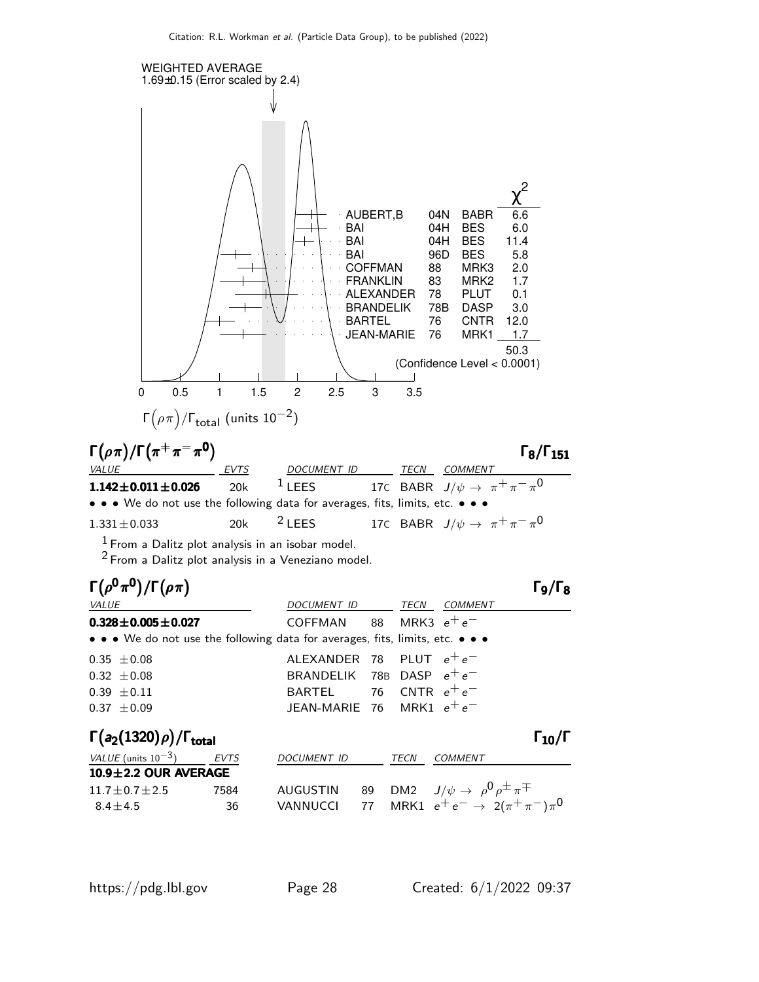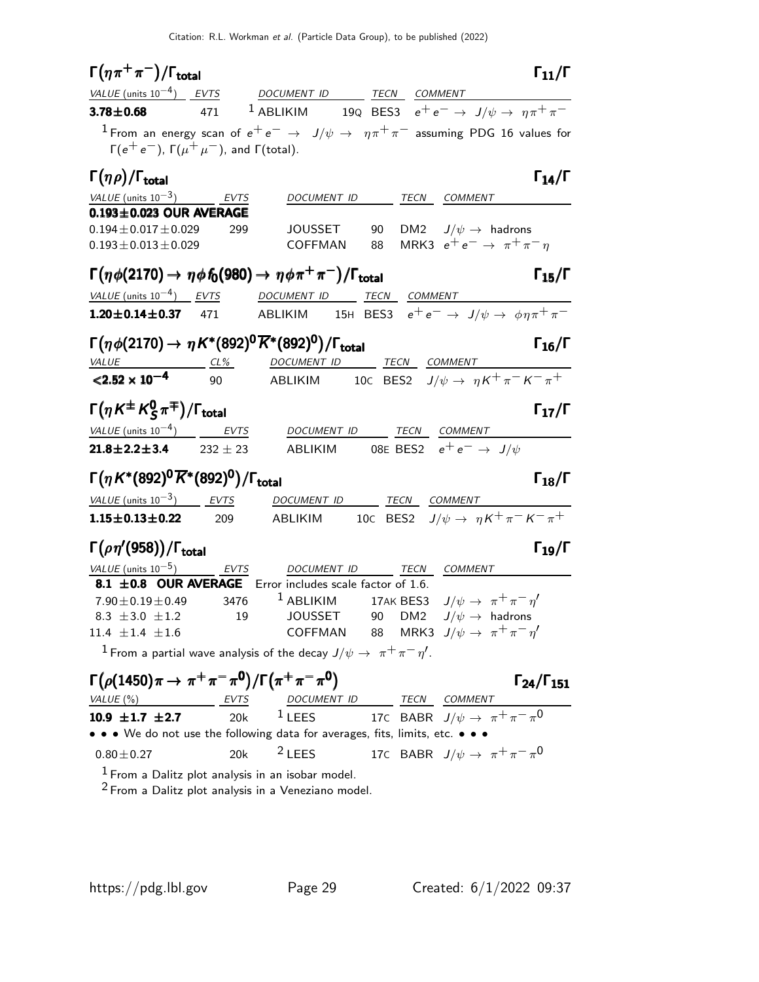| $\Gamma(\eta\pi^+\pi^-)/\Gamma_{\rm total}$                                                                                                                | $\Gamma_{11}/\Gamma$       |
|------------------------------------------------------------------------------------------------------------------------------------------------------------|----------------------------|
| DOCUMENT ID TECN COMMENT<br>VALUE (units $10^{-4}$ ) EVTS                                                                                                  |                            |
| <sup>1</sup> ABLIKIM 19Q BES3 $e^+e^- \rightarrow J/\psi \rightarrow \eta \pi^+ \pi^-$<br>$3.78 \pm 0.68$<br>471                                           |                            |
| $^1$ From an energy scan of $e^+e^-\rightarrow\ J/\psi\rightarrow\ \eta\pi^+\pi^-$ assuming PDG 16 values for                                              |                            |
| $\Gamma(e^+e^-)$ , $\Gamma(\mu^+\mu^-)$ , and $\Gamma(\text{total})$ .                                                                                     |                            |
| $\Gamma(\eta \rho)/\Gamma_{\rm total}$                                                                                                                     | $\Gamma_{14}/\Gamma$       |
| VALUE (units $10^{-3}$ ) EVTS<br>DOCUMENT ID TECN COMMENT                                                                                                  |                            |
| $0.193 \pm 0.023$ OUR AVERAGE<br>$0.194 \pm 0.017 \pm 0.029$                                                                                               |                            |
| DM2 $J/\psi \rightarrow$ hadrons<br>299<br>JOUSSET<br>90<br>MRK3 $e^+e^- \rightarrow \pi^+\pi^-\eta$<br>$0.193 \pm 0.013 \pm 0.029$<br>COFFMAN<br>88       |                            |
|                                                                                                                                                            |                            |
| $\Gamma(\eta \phi(2170) \to \eta \phi f_0(980) \to \eta \phi \pi^+ \pi^-)/\Gamma_{\text{total}}$                                                           | $\Gamma_{15}/\Gamma$       |
| VALUE (units $10^{-4}$ ) EVTS<br>DOCUMENT ID TECN COMMENT                                                                                                  |                            |
| ABLIKIM 15H BES3 $e^+e^- \rightarrow J/\psi \rightarrow \phi \eta \pi^+ \pi^-$<br>$1.20 \pm 0.14 \pm 0.37$ 471                                             |                            |
| $\Gamma(\eta \phi(2170) \to \eta K^{*}(892)^{0} \overline{K}^{*}(892)^{0})/\Gamma_{\text{total}}$                                                          | $\Gamma_{16}/\Gamma$       |
| DOCUMENT ID TECN COMMENT<br>$VALUE$ $CL\%$                                                                                                                 |                            |
| ABLIKIM 10C BES2 $J/\psi \rightarrow \eta K^+ \pi^- K^- \pi^+$<br>$< 2.52 \times 10^{-4}$<br>90                                                            |                            |
|                                                                                                                                                            |                            |
| $\Gamma(\eta K^{\pm} K_S^0 \pi^{\mp})/\Gamma_{\text{total}}$                                                                                               | $\Gamma_{17}/\Gamma$       |
| DOCUMENT ID TECN COMMENT                                                                                                                                   |                            |
| ABLIKIM 08E BES2 $e^+e^- \rightarrow J/\psi$<br>$21.8 \pm 2.2 \pm 3.4$ 232 $\pm$ 23                                                                        |                            |
| $\Gamma(\eta K^{*}(892)^{0}\overline{K}^{*}(892)^{0})/\Gamma_{\text{total}}$                                                                               | $\Gamma_{18}/\Gamma$       |
| VALUE (units $10^{-3}$ ) EVTS<br>DOCUMENT ID TECN COMMENT                                                                                                  |                            |
| ABLIKIM 10C BES2 $J/\psi \rightarrow \eta K^+ \pi^- K^- \pi^+$<br>$1.15 \pm 0.13 \pm 0.22$<br>209                                                          |                            |
| $\Gamma(\rho\eta'(958))/\Gamma_{\rm total}$                                                                                                                | $\Gamma_{19}/\Gamma$       |
| $VALUE$ (units $10^{-5}$ ) EVTS<br>DOCUMENT ID TECN COMMENT                                                                                                |                            |
| 8.1 ±0.8 OUR AVERAGE Error includes scale factor of 1.6.                                                                                                   |                            |
| 17AK BES3 $J/\psi \rightarrow \pi^+\pi^-\eta^{\prime}$<br>$7.90 \pm 0.19 \pm 0.49$ 3476<br>$1$ ABLIKIM                                                     |                            |
| JOUSSET 90 DM2 $J/\psi \rightarrow$ hadrons<br>$8.3 \pm 3.0 \pm 1.2$ 19<br>COFFMAN 88 MRK3 $J/\psi \rightarrow \pi^+\pi^-\eta'$<br>$11.4 \pm 1.4 \pm 1.6$  |                            |
| <sup>1</sup> From a partial wave analysis of the decay $J/\psi \rightarrow \pi^+\pi^-\eta'$ .                                                              |                            |
|                                                                                                                                                            |                            |
| $\Gamma(\rho(1450)\pi \to \pi^+\pi^-\pi^0)/\Gamma(\pi^+\pi^-\pi^0)$                                                                                        | $\Gamma_{24}/\Gamma_{151}$ |
| $VALUE(%)$ EVTS<br>$\frac{DOCUMENT ID}{LEES} \quad \frac{TECN}{17C} \quad \frac{COMMENT}{BABR} \quad \frac{COMMENT}{J/\psi \rightarrow \pi^+ \pi^- \pi^0}$ |                            |
| 20k<br>10.9 $\pm$ 1.7 $\pm$ 2.7<br>• • • We do not use the following data for averages, fits, limits, etc. • • •                                           |                            |
|                                                                                                                                                            |                            |

 $^{\rm 1}$  From a Dalitz plot analysis in an isobar model.  $2$  From a Dalitz plot analysis in a Veneziano model.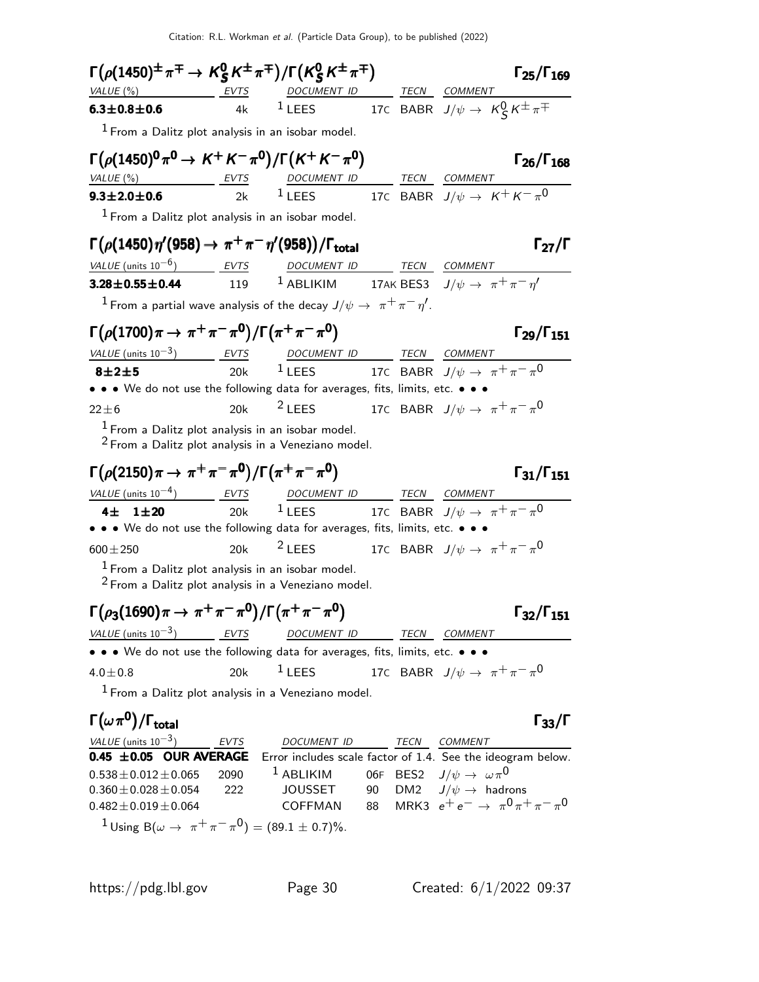Citation: R.L. Workman et al. (Particle Data Group), to be published (2022)

| $\Gamma(\rho(1450)^{\pm}\pi^{\mp}\rightarrow K_S^0K^{\pm}\pi^{\mp})/\Gamma(K_S^0K^{\pm}\pi^{\mp})$                                                                                                    |     |                                                                                                                        |  |                                                 | $\Gamma_{25}/\Gamma_{169}$                   |
|-------------------------------------------------------------------------------------------------------------------------------------------------------------------------------------------------------|-----|------------------------------------------------------------------------------------------------------------------------|--|-------------------------------------------------|----------------------------------------------|
| VALUE (%)                                                                                                                                                                                             |     |                                                                                                                        |  |                                                 |                                              |
| $6.3 \pm 0.8 \pm 0.6$                                                                                                                                                                                 |     | <b>EVTS</b> DOCUMENT ID TECN COMMENT<br><b>10.6 COMMENT</b> 17C BABR $J/\psi \rightarrow K\frac{0}{5}K^{\pm}\pi^{\mp}$ |  |                                                 |                                              |
| $1$ From a Dalitz plot analysis in an isobar model.                                                                                                                                                   |     |                                                                                                                        |  |                                                 |                                              |
| $\Gamma(\rho(1450)^{0}\pi^{0} \to K^{+}K^{-}\pi^{0})/\Gamma(K^{+}K^{-}\pi^{0})$                                                                                                                       |     |                                                                                                                        |  |                                                 | $\Gamma_{26}/\Gamma_{168}$                   |
| $\frac{\text{VALUE} (\%)}{\text{9.3} \pm \text{2.0} \pm \text{0.6}}$ EVTS DOCUMENT ID TECN COMMENT<br>$\frac{\text{EVIS}}{2k}$ 1 LEES 17C BABR $J/\psi \rightarrow K^+ K^- \pi^0$                     |     |                                                                                                                        |  |                                                 |                                              |
|                                                                                                                                                                                                       |     |                                                                                                                        |  |                                                 |                                              |
| $1$ From a Dalitz plot analysis in an isobar model.                                                                                                                                                   |     |                                                                                                                        |  |                                                 |                                              |
| $\Gamma(\rho(1450)\eta'(958)\to\pi^+\pi^-\eta'(958))/\Gamma_{\rm total}$                                                                                                                              |     |                                                                                                                        |  |                                                 | $\Gamma_{27}/\Gamma$                         |
| $\frac{VALUE \text{ (units 10}^{-6})}{3.28 \pm 0.55 \pm 0.44}$ $\frac{EVTS}{119}$ $\frac{DOCUMENT ID}{1.40 \pm 0.74}$ $\frac{TECN}{17AK BES3}$ $\frac{COMMENT}{J/\psi \rightarrow \pi^+ \pi^- \eta'}$ |     |                                                                                                                        |  |                                                 |                                              |
|                                                                                                                                                                                                       |     |                                                                                                                        |  |                                                 |                                              |
| $1$ From a partial wave analysis of the decay $J/\psi\rightarrow~\pi^+\pi^-\eta^{\prime}.$                                                                                                            |     |                                                                                                                        |  |                                                 |                                              |
| $\Gamma(\rho(1700)\pi \to \pi^+\pi^-\pi^0)/\Gamma(\pi^+\pi^-\pi^0)$                                                                                                                                   |     |                                                                                                                        |  |                                                 | $\Gamma_{29}/\Gamma_{151}$                   |
| $VALUE$ (units 10 <sup>-3</sup> ) EVTS DOCUMENT ID TECN COMMENT                                                                                                                                       |     |                                                                                                                        |  |                                                 |                                              |
| $8\pm2\pm5$                                                                                                                                                                                           |     | 20k $1$ LEES 17C BABR $J/\psi \rightarrow \pi^+ \pi^- \pi^0$                                                           |  |                                                 |                                              |
| • • • We do not use the following data for averages, fits, limits, etc. • • •                                                                                                                         |     |                                                                                                                        |  |                                                 |                                              |
| $22 \pm 6$                                                                                                                                                                                            | 20k | <sup>2</sup> LEES 17C BABR $J/\psi \to \pi^+ \pi^- \pi^0$                                                              |  |                                                 |                                              |
| $1$ From a Dalitz plot analysis in an isobar model.                                                                                                                                                   |     |                                                                                                                        |  |                                                 |                                              |
| $2$ From a Dalitz plot analysis in a Veneziano model.                                                                                                                                                 |     |                                                                                                                        |  |                                                 |                                              |
| $\Gamma(\rho(2150)\pi \to \pi^+\pi^-\pi^0)/\Gamma(\pi^+\pi^-\pi^0)$                                                                                                                                   |     |                                                                                                                        |  |                                                 | $\Gamma_{31}/\Gamma_{151}$                   |
| $VALUE$ (units $10^{-4}$ ) EVTS DOCUMENT ID TECN COMMENT                                                                                                                                              |     |                                                                                                                        |  |                                                 |                                              |
| $4\pm$ 1 $\pm$ 20                                                                                                                                                                                     |     | 20k <sup>1</sup> LEES 17C BABR $J/\psi \rightarrow \pi^+ \pi^- \pi^0$                                                  |  |                                                 |                                              |
| • • • We do not use the following data for averages, fits, limits, etc. • • •                                                                                                                         |     |                                                                                                                        |  |                                                 |                                              |
| $600 \pm 250$                                                                                                                                                                                         | 20k | $2$ LEES                                                                                                               |  | 17C BABR $J/\psi \rightarrow \pi^+ \pi^- \pi^0$ |                                              |
| $1$ From a Dalitz plot analysis in an isobar model.<br>$2$ From a Dalitz plot analysis in a Veneziano model.                                                                                          |     |                                                                                                                        |  |                                                 |                                              |
| $\Gamma(\rho_3(1690)\pi \to \pi^+\pi^-\pi^0)/\Gamma(\pi^+\pi^-\pi^0)$                                                                                                                                 |     |                                                                                                                        |  |                                                 | $\Gamma_{32}/\Gamma_{151}$                   |
| $VALUE$ (units $10^{-3}$ ) EVTS DOCUMENT ID TECN COMMENT                                                                                                                                              |     |                                                                                                                        |  |                                                 |                                              |
| • • • We do not use the following data for averages, fits, limits, etc. • • •                                                                                                                         |     |                                                                                                                        |  |                                                 |                                              |
| $4.0 \pm 0.8$                                                                                                                                                                                         | 20k | $^1$ LEES 17C BABR $J/\psi \rightarrow \pi^+\pi^-\pi^0$                                                                |  |                                                 |                                              |
| $1$ From a Dalitz plot analysis in a Veneziano model.                                                                                                                                                 |     |                                                                                                                        |  |                                                 |                                              |
| $\Gamma(\omega\pi^0)/\Gamma_{\rm total}$                                                                                                                                                              |     |                                                                                                                        |  |                                                 | $\Gamma_{33}/\Gamma$                         |
| VALUE $(\text{units } 10^{-3})$ EVTS                                                                                                                                                                  |     | DOCUMENT ID TECN COMMENT                                                                                               |  |                                                 |                                              |
| 0.45 $\pm$ 0.05 OUR AVERAGE                                                                                                                                                                           |     | Error includes scale factor of 1.4. See the ideogram below.                                                            |  |                                                 |                                              |
| $0.538 \pm 0.012 \pm 0.065$ 2090                                                                                                                                                                      |     | $1$ ABLIKIM                                                                                                            |  | 06F BES2 $J/\psi \rightarrow \omega \pi^0$      |                                              |
| $0.360 \pm 0.028 \pm 0.054$                                                                                                                                                                           | 222 | JOUSSET                                                                                                                |  | 90 DM2 $J/\psi \rightarrow$ hadrons             | 88 MRK3 $e^+e^- \to \pi^0 \pi^+ \pi^- \pi^0$ |
| $0.482 \pm 0.019 \pm 0.064$                                                                                                                                                                           |     | COFFMAN                                                                                                                |  |                                                 |                                              |
| <sup>1</sup> Using B( $\omega \to \pi^+ \pi^- \pi^0$ ) = (89.1 $\pm$ 0.7)%.                                                                                                                           |     |                                                                                                                        |  |                                                 |                                              |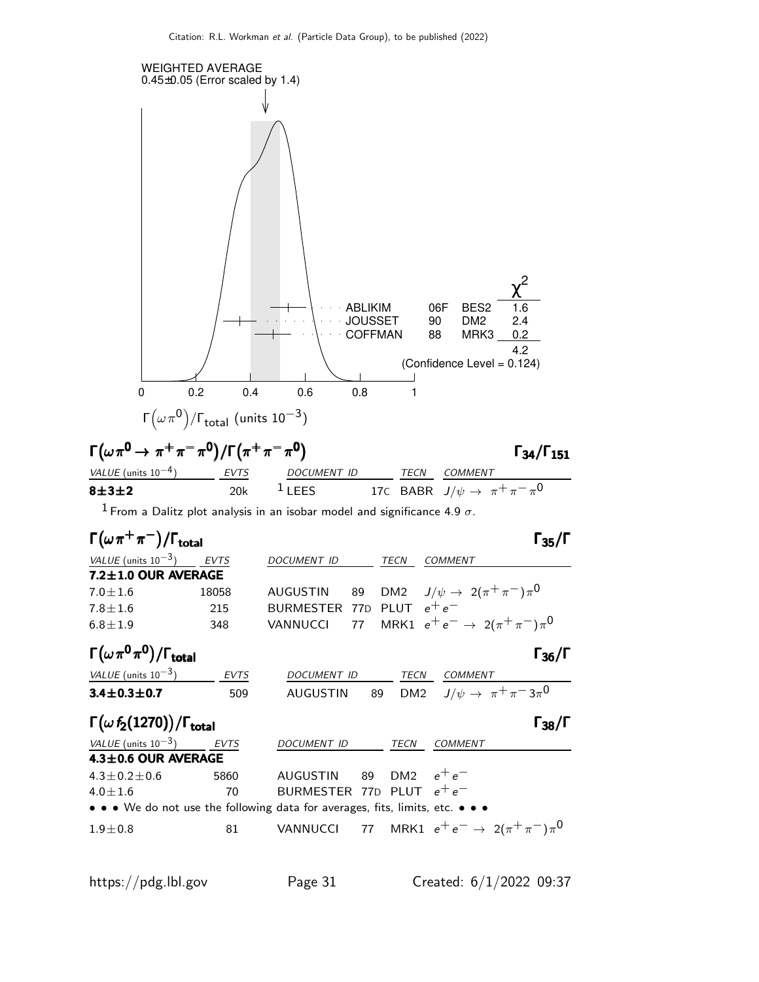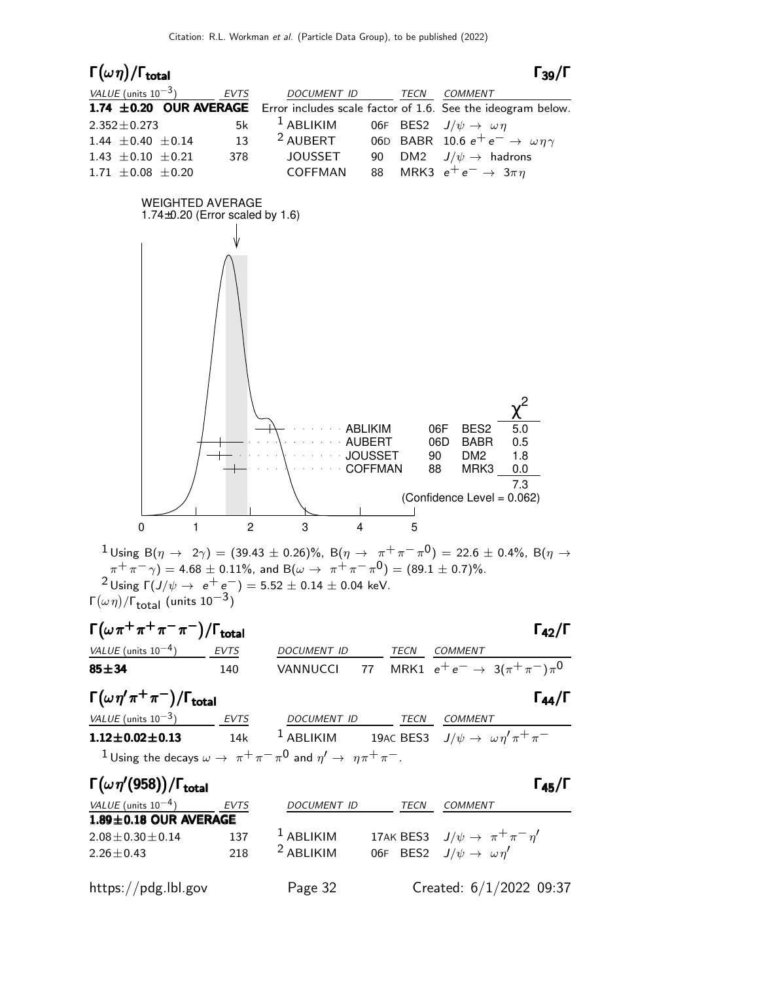

 $2 \text{ Using } \Gamma(J/\psi \to e^+ e^-) = 5.52 \pm 0.14 \pm 0.04 \text{ keV}.$ Γ $(\omega \eta)/\Gamma_{\text{total}}$  (units 10<sup>-3</sup>)

## $\Gamma(\omega \pi^+ \pi^+ \pi^- \pi^-)/\Gamma_{\text{total}}$  Γ<sub>42</sub>/Γ VALUE (units  $10^{-4}$ ) EVTS DOCUMENT ID TECN COMMENT **85** $\pm$ **34** 140 VANNUCCI 77 MRK1  $e^+e^- \rightarrow 3(\pi^+\pi^-)\pi^0$  $\Gamma(\omega \, \eta' \, \pi^+ \, \pi^-)/\Gamma_{\rm total}$  Γ<sub>44</sub>/Γ VALUE (units  $10^{-3}$ ) EVTS DOCUMENT ID TECN COMMENT **1.12±0.02±0.13** 14k <sup>1</sup> ABLIKIM 19AC BES3  $J/\psi \to \omega \eta' \pi^+ \pi^ 1$  Using the decays  $\omega \rightarrow \pi^+ \pi^- \pi^0$  and  $\eta' \rightarrow \eta \pi^+ \pi^-$ .

| $\Gamma(\omega\eta'(958))/\Gamma_{\rm total}$ |             |                    |      | $\Gamma_{45}/\Gamma$                                   |
|-----------------------------------------------|-------------|--------------------|------|--------------------------------------------------------|
| VALUE (units $10^{-4}$ )                      | <b>EVTS</b> | <b>DOCUMENT ID</b> | TECN | COMMENT                                                |
| $1.89 \pm 0.18$ OUR AVERAGE                   |             |                    |      |                                                        |
| $2.08 \pm 0.30 \pm 0.14$                      | 137         | $1$ ABLIKIM        |      | 17AK BES3 $J/\psi \rightarrow \pi^+\pi^-\eta^{\prime}$ |
| $2.26 \pm 0.43$                               | 218         | $2$ ABLIKIM        |      | 06F BES2 $J/\psi \rightarrow \omega \eta'$             |
| https://pdg.lbl.gov                           |             | Page 32            |      | Created: $6/1/2022$ 09:37                              |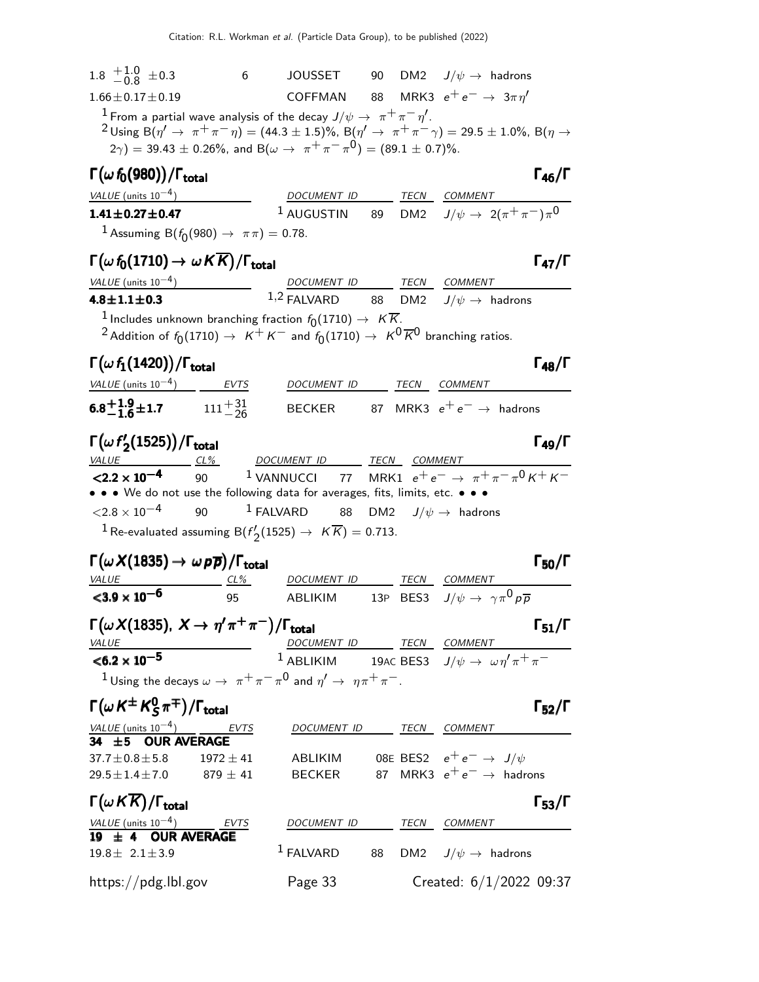| 1.8 $\frac{+1.0}{-0.8}$ ±0.3                                                                                                                                                  |    | 6 JOUSSET 90 DM2 $J/\psi \rightarrow$ hadrons                                                |  |                                                                                                                    |                      |
|-------------------------------------------------------------------------------------------------------------------------------------------------------------------------------|----|----------------------------------------------------------------------------------------------|--|--------------------------------------------------------------------------------------------------------------------|----------------------|
| $1.66 \pm 0.17 \pm 0.19$                                                                                                                                                      |    |                                                                                              |  | COFFMAN 88 MRK3 $e^+e^- \rightarrow 3\pi \eta'$                                                                    |                      |
| <sup>1</sup> From a partial wave analysis of the decay $J/\psi\rightarrow\pi^{+}\pi^{-}\eta^{\prime}$ .                                                                       |    |                                                                                              |  |                                                                                                                    |                      |
| $2 \text{ Using B}(\eta' \to \pi^+ \pi^- \eta) = (44.3 \pm 1.5)\%$ , B $(\eta' \to \pi^+ \pi^- \gamma) = 29.5 \pm 1.0\%$ , B $(\eta \to \pi^+ \pi^- \eta)$                    |    |                                                                                              |  |                                                                                                                    |                      |
|                                                                                                                                                                               |    | $(2\gamma) = 39.43 \pm 0.26\%$ , and B $(\omega \to \pi^+ \pi^- \pi^0) = (89.1 \pm 0.7)\%$ . |  |                                                                                                                    |                      |
| $\Gamma(\omega\,f_0(980))/\Gamma_{\rm total}$                                                                                                                                 |    |                                                                                              |  |                                                                                                                    | $\Gamma_{46}/\Gamma$ |
| VALUE (units 10 <sup>-4</sup> ) DOCUMENT ID TECN COMMENT<br>1.41±0.27±0.47 1 AUGUSTIN 89 DM2 $J/\psi \rightarrow 2(\pi^+\pi^-)\pi^0$                                          |    |                                                                                              |  |                                                                                                                    |                      |
|                                                                                                                                                                               |    |                                                                                              |  |                                                                                                                    |                      |
| <sup>1</sup> Assuming B( $f_0(980) \to \pi \pi$ ) = 0.78.                                                                                                                     |    |                                                                                              |  |                                                                                                                    |                      |
| $\Gamma(\omega f_0(1710) \to \omega K \overline{K})/\Gamma_{\rm total}$                                                                                                       |    |                                                                                              |  |                                                                                                                    | $\Gamma_{47}/\Gamma$ |
|                                                                                                                                                                               |    |                                                                                              |  |                                                                                                                    |                      |
| $\frac{VALUE \text{ (units 10}^{-4})}{4.8 \pm 1.1 \pm 0.3}$ $\frac{DOCUMENT \text{ ID}}{1.2 \text{ FALVARD}}$ $\frac{TECN}{BM2}$ $\frac{COMMENT}{J/\psi \rightarrow}$ hadrons |    |                                                                                              |  |                                                                                                                    |                      |
| $^{-1}$ Includes unknown branching fraction $f_0(1710) \rightarrow K \overline{K}$ .                                                                                          |    |                                                                                              |  |                                                                                                                    |                      |
| <sup>2</sup> Addition of $f_0(1710) \to K^+K^-$ and $f_0(1710) \to K^0\overline{K}^0$ branching ratios.                                                                       |    |                                                                                              |  |                                                                                                                    |                      |
| $\Gamma(\omega f_1(1420))/\Gamma_{\rm total}$                                                                                                                                 |    |                                                                                              |  |                                                                                                                    | $\Gamma_{48}/\Gamma$ |
| VALUE (units $10^{-4}$ ) EVTS                                                                                                                                                 |    | DOCUMENT ID TECN COMMENT                                                                     |  |                                                                                                                    |                      |
| 6.8 <sup>+</sup> 1.9 <sup>+</sup> 1.7 $111^{+31}_{-26}$                                                                                                                       |    |                                                                                              |  | BECKER 87 MRK3 $e^+e^- \rightarrow$ hadrons                                                                        |                      |
| $\Gamma(\omega f_2'(1525))/\Gamma_{\rm total}$                                                                                                                                |    |                                                                                              |  |                                                                                                                    | $\Gamma_{49}/\Gamma$ |
| VALUE<br>$CL\%$                                                                                                                                                               |    | DOCUMENT ID TECN COMMENT                                                                     |  |                                                                                                                    |                      |
| $\sqrt{2.2 \times 10^{-4}}$ 90 <sup>1</sup> VANNUCCI 77 MRK1 $e^+e^- \rightarrow \pi^+ \pi^- \pi^0 K^+ K^-$                                                                   |    |                                                                                              |  |                                                                                                                    |                      |
| • • • We do not use the following data for averages, fits, limits, etc. • • •<br>$\langle 2.8 \times 10^{-4} \rangle$ 90                                                      |    | $^1$ FALVARD $\qquad$ 88 $\qquad$ DM2 $\qquad$ J/ $\psi$ $\rightarrow$ $\qquad$ hadrons      |  |                                                                                                                    |                      |
|                                                                                                                                                                               |    |                                                                                              |  |                                                                                                                    |                      |
| <sup>1</sup> Re-evaluated assuming B( $f'_{2}(1525) \rightarrow K\overline{K}$ ) = 0.713.                                                                                     |    |                                                                                              |  |                                                                                                                    |                      |
| $\Gamma(\omega X(1835) \to \omega \, \rho \overline{\rho})/\Gamma_{\rm total}$                                                                                                |    |                                                                                              |  |                                                                                                                    | $\Gamma_{50}/\Gamma$ |
| VALUE<br>$CL\%$                                                                                                                                                               |    | DOCUMENT ID TECN COMMENT                                                                     |  |                                                                                                                    |                      |
| $3.9 \times 10^{-6}$                                                                                                                                                          | 95 | ABLIKIM                                                                                      |  | 13P BES3 $J/\psi \rightarrow \gamma \pi^0 p \overline{p}$                                                          |                      |
| Г $(\omega X(1835), X \to \eta' \pi^+ \pi^-)/\Gamma_{\rm total}$                                                                                                              |    |                                                                                              |  |                                                                                                                    | $\Gamma_{51}/\Gamma$ |
| <b>VALUE</b>                                                                                                                                                                  |    |                                                                                              |  |                                                                                                                    |                      |
| $<$ 6.2 $\times$ 10 <sup>-5</sup>                                                                                                                                             |    |                                                                                              |  | $\frac{DOCUMENT ID}{1 ABLIKIM} \frac{TECN}{19AC BES3} \frac{COMMENT}{J/\psi \rightarrow \omega \eta' \pi^+ \pi^-}$ |                      |
| <sup>1</sup> Using the decays $\omega \to \pi^+ \pi^- \pi^0$ and $\eta' \to \eta \pi^+ \pi^-$ .                                                                               |    |                                                                                              |  |                                                                                                                    |                      |
| $\Gamma(\omega\,{\sf K}^\pm\,{\sf K}^{\sf 0}_{\sf S}\pi^\mp)/\Gamma_{\sf total}$                                                                                              |    |                                                                                              |  |                                                                                                                    | $\Gamma_{52}/\Gamma$ |
| VALUE (units $10^{-4}$ ) EVTS<br><b>34 ±5 OUR AVERAGE</b>                                                                                                                     |    | DOCUMENT ID TECN COMMENT                                                                     |  |                                                                                                                    |                      |
|                                                                                                                                                                               |    |                                                                                              |  |                                                                                                                    |                      |
| $37.7 \pm 0.8 \pm 5.8$ 1972 $\pm 41$                                                                                                                                          |    |                                                                                              |  | ABLIKIM 08E BES2 $e^+e^- \rightarrow J/\psi$                                                                       |                      |
| $29.5 \pm 1.4 \pm 7.0$ 879 $\pm$ 41                                                                                                                                           |    |                                                                                              |  | BECKER 87 MRK3 $e^+e^- \rightarrow$ hadrons                                                                        |                      |
| $\Gamma(\omega\,K\overline{K})/\Gamma_{\rm total}$                                                                                                                            |    |                                                                                              |  |                                                                                                                    | $\Gamma_{53}/\Gamma$ |
| $\frac{VALUE \text{ (units 10}^{-4})}{19 \pm 4 \text{ OUR AVERAGE}}$                                                                                                          |    | DOCUMENT ID TECN COMMENT                                                                     |  |                                                                                                                    |                      |
|                                                                                                                                                                               |    |                                                                                              |  |                                                                                                                    |                      |
| $19.8 \pm 2.1 \pm 3.9$                                                                                                                                                        |    | $1$ FALVARD                                                                                  |  | 88 DM2 $J/\psi \rightarrow$ hadrons                                                                                |                      |
| https://pdg.lbl.gov                                                                                                                                                           |    | Page 33                                                                                      |  | Created: $6/1/2022$ 09:37                                                                                          |                      |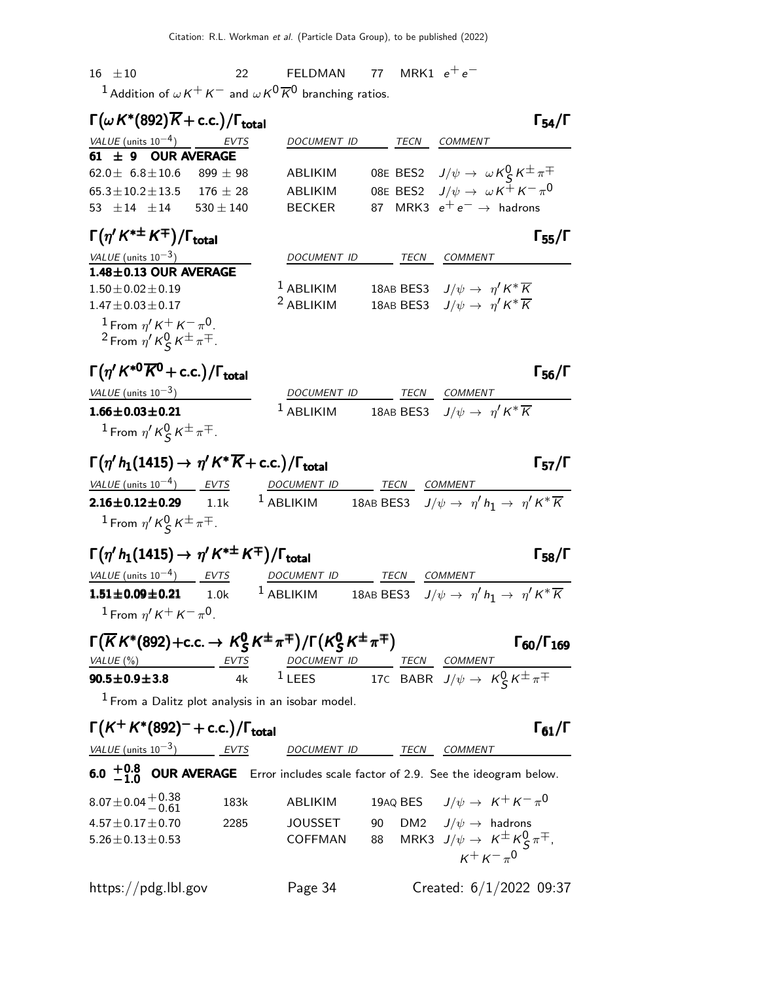$16 \pm 10$  22 FELDMAN 77 MRK1  $e^+e^-$ <sup>1</sup> Addition of  $\omega K^+ K^-$  and  $\omega K^0 \overline{K}{}^0$  branching ratios.

| $\Gamma(\omega K^*(892)\overline{K}+c.c.)/\Gamma_{\text{total}}$ |            |                    |      | $\Gamma_{54}/\Gamma$                                       |
|------------------------------------------------------------------|------------|--------------------|------|------------------------------------------------------------|
| VALUE (units $10^{-4}$ ) EVTS                                    |            | <b>DOCUMENT ID</b> | TECN | COMMENT                                                    |
| $61 \pm 9$ OUR AVERAGE                                           |            |                    |      |                                                            |
| $62.0 \pm 6.8 \pm 10.6$ 899 $\pm$ 98                             |            | ABLIKIM            |      | 08E BES2 $J/\psi \to \omega K_S^0 K^{\pm} \pi^{\mp}$       |
| $65.3 \pm 10.2 \pm 13.5$                                         | $176 + 28$ | ABLIKIM            |      | 08E BES2 $J/\psi \rightarrow \omega K^{\pm} K^{-} \pi^{0}$ |
| $53 + 14 + 14$ $530 + 140$                                       |            | <b>BECKER</b>      |      | 87 MRK3 $e^+e^- \rightarrow$ hadrons                       |
|                                                                  |            |                    |      |                                                            |

| $\Gamma(\eta' K^{*\pm} K^{\mp})/\Gamma_{\rm total}$ |                    |      | $\Gamma_{55}/\Gamma$                                  |  |
|-----------------------------------------------------|--------------------|------|-------------------------------------------------------|--|
| VALUE (units $10^{-3}$ )                            | <b>DOCUMENT ID</b> | TECN | COMMENT                                               |  |
| $1.48 \pm 0.13$ OUR AVERAGE                         |                    |      |                                                       |  |
| $1.50 + 0.02 + 0.19$                                | $1$ ABLIKIM        |      | 18AB BES3 $J/\psi \rightarrow \eta' K^* \overline{K}$ |  |
| $1.47 \pm 0.03 \pm 0.17$                            | $2$ ABLIKIM        |      | 18AB BES3 $J/\psi \rightarrow \eta' K^* \overline{K}$ |  |
| <sup>1</sup> From $\eta' K^+ K^- \pi^0$ .           |                    |      |                                                       |  |

<sup>2</sup> From  $\eta'$  K $^0_S$  K $^{\pm}$   $\pi^{\mp}$ .

# $\Gamma(\eta' K^{*0} \overline{K}^0 + \text{c.c.}) / \Gamma_{\text{total}}$ Γ  $\frac{1}{100}$

| VALUE (units $10^{-3}$ ) | <i>DOCUMENT ID</i> | TECN COMMENT                                                  |
|--------------------------|--------------------|---------------------------------------------------------------|
| $1.66 \pm 0.03 \pm 0.21$ | $1$ ABLIKIM        | 18AB BES3 $J/\psi \rightarrow \eta^{\prime} K^* \overline{K}$ |
| $1 \cdot \cap \bot$      |                    |                                                               |

<sup>1</sup> From  $\eta'$  K $^0_S$  K $^{\pm}$   $\pi^{\mp}$ .

# $\Gamma(\eta' h_1(1415) \to \eta' K^* \overline{K} + \text{c.c.}) / \Gamma_{\text{total}}$  Γ<sub>57</sub>/Γ

| VALUE (units $10^{-4}$ ) EVTS                                                                              | <i>DOCUMENT ID</i> | TECN | <i>COMMENT</i>                                                              |
|------------------------------------------------------------------------------------------------------------|--------------------|------|-----------------------------------------------------------------------------|
| $2.16 \pm 0.12 \pm 0.29$ 1.1k                                                                              | $^1$ ABLIKIM       |      | 18AB BES3 $J/\psi \rightarrow \eta' h_1 \rightarrow \eta' K^* \overline{K}$ |
| <sup>1</sup> From $\eta'$ K <sup>Q</sup> K <sup><math>\pm</math></sup> $\pi$ <sup><math>\pm</math></sup> . |                    |      |                                                                             |

# $\Gamma(\eta' h_1(1415) \to \eta' K^{*\pm} K^{\mp}) / \Gamma_{\text{total}}$  Γ<sub>58</sub>/Γ

| <i>VALUE</i> (units $10^{-4}$ )                   | EVTS | DOCUMENT ID | TECN | <i>COMMENT</i>                                                              |
|---------------------------------------------------|------|-------------|------|-----------------------------------------------------------------------------|
| $1.51 \pm 0.09 \pm 0.21$                          | 1.0k | $1$ ABLIKIM |      | 18AB BES3 $J/\psi \rightarrow \eta' h_1 \rightarrow \eta' K^* \overline{K}$ |
| $^{-1}$ From $\eta^{\prime}$ K $^+$ K $^ \pi^0$ . |      |             |      |                                                                             |

| $\Gamma(\overline{K}K^*(892)+c.c. \rightarrow K_S^0K^{\pm}\pi^{\mp})/\Gamma(K_S^0K^{\pm}\pi^{\mp})$ |      |             |  |      |                                                       |
|-----------------------------------------------------------------------------------------------------|------|-------------|--|------|-------------------------------------------------------|
| VALUE (%)<br>EVTS                                                                                   |      | DOCUMENT ID |  | TECN | <i>COMMENT</i>                                        |
| $90.5 \pm 0.9 \pm 3.8$                                                                              | 4k l | $1$ LEES    |  |      | 17C BABR $J/\psi \rightarrow K_S^0 K^{\pm} \pi^{\mp}$ |

 $<sup>1</sup>$  From a Dalitz plot analysis in an isobar model.</sup>

$$
\Gamma(K^+K^*(892)^- + \text{c.c.})/\Gamma_{\text{total}}
$$

|  |  | $(K^+ K^*(892)^- + c.c.)/1$ total |  |
|--|--|-----------------------------------|--|
|  |  |                                   |  |

VALUE (units 10<sup>-3</sup>) EVTS DOCUMENT ID TECN COMMENT

 $\Gamma_{61}/\Gamma$ 

6.0  $^{+0.8}_{-1.0}$ **6.0**  $+0.8$  OUR AVERAGE Error includes scale factor of 2.9. See the ideogram below.

| $8.07 \pm 0.04 \begin{array}{c} +0.38 \\ -0.61 \end{array}$ | 183k | ABLIKIM        | 19AQ BES $J/\psi \rightarrow K^+ K^- \pi^0$            |
|-------------------------------------------------------------|------|----------------|--------------------------------------------------------|
| $4.57 \pm 0.17 \pm 0.70$                                    | 2285 | <b>JOUSSET</b> | 90 DM2 $J/\psi \rightarrow$ hadrons                    |
| $5.26 \pm 0.13 \pm 0.53$                                    |      | COFFMAN        | 88 MRK3 $J/\psi \rightarrow K^{\pm} K^0_S \pi^{\mp}$ , |
|                                                             |      |                | $K^+ K^- \pi^0$                                        |
| https://pdg.lbl.gov                                         |      | Page 34        | Created: 6/1/2022 09:37                                |

 $\Gamma_{57}/\Gamma$ 

 $\Gamma_{58}/\Gamma$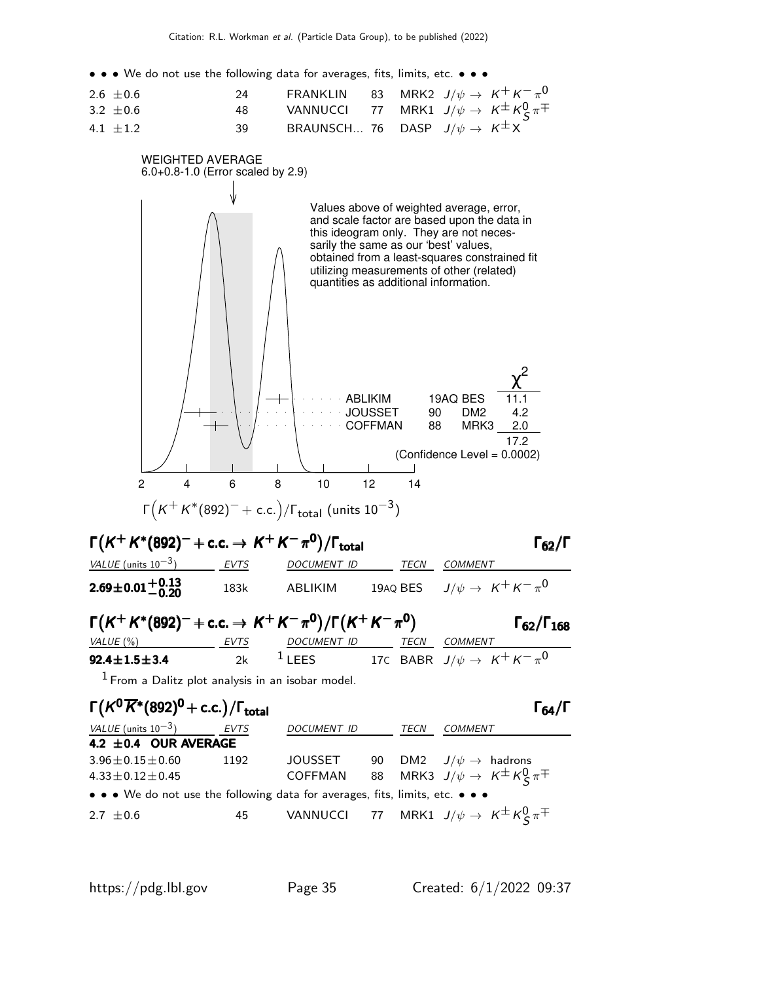• • • We do not use the following data for averages, fits, limits, etc. • • •

| $2.6 \pm 0.6$ | 24   | FRANKLIN 83 MRK2 $J/\psi \rightarrow K^+ K^- \pi^0$           |  |  |
|---------------|------|---------------------------------------------------------------|--|--|
| 3.2 $\pm$ 0.6 | 48.  | VANNUCCI 77 MRK1 $J/\psi \rightarrow K^{\pm} K^0_S \pi^{\mp}$ |  |  |
| 4.1 $\pm 1.2$ | -39- | BRAUNSCH 76 DASP $J/\psi \rightarrow K^{\pm}X$                |  |  |



| VALUE (units $10^{-3}$ )                                                      | EVTS | DOCUMENT ID | TECN | <b>COMMENT</b>                                                |
|-------------------------------------------------------------------------------|------|-------------|------|---------------------------------------------------------------|
| 4.2 ± 0.4 OUR AVERAGE                                                         |      |             |      |                                                               |
| $3.96 \pm 0.15 \pm 0.60$                                                      | 1192 | JOUSSET     |      | 90 DM2 $J/\psi \rightarrow$ hadrons                           |
| $4.33 \pm 0.12 \pm 0.45$                                                      |      |             |      | COFFMAN 88 MRK3 $J/\psi \rightarrow K^{\pm} K^0_S \pi^{\mp}$  |
| • • • We do not use the following data for averages, fits, limits, etc. • • • |      |             |      |                                                               |
| 2.7 $\pm$ 0.6                                                                 | 45   |             |      | VANNUCCI 77 MRK1 $J/\psi \rightarrow K^{\pm} K^0_S \pi^{\mp}$ |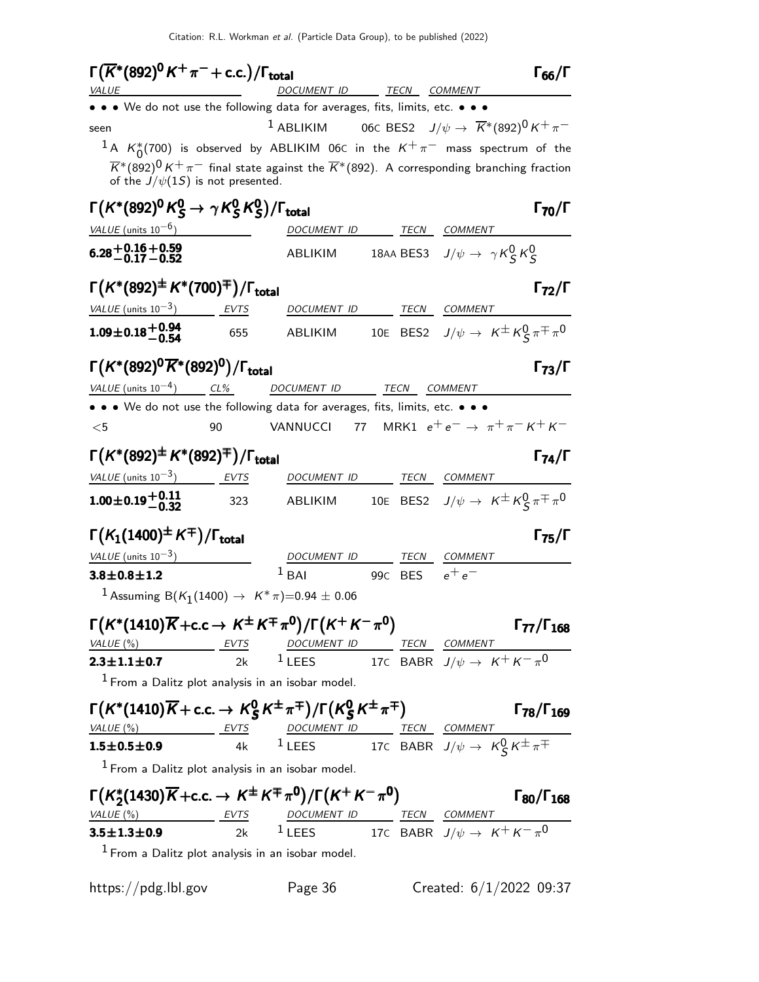| $\Gamma(\overline{K}^*(892)^{\mathbf{0}}K^+\pi^-+{\rm c.c.})/\Gamma_{\rm total}$                                                                                         |     |                                                                                                                     |         |                                                             | $\Gamma_{66}/\Gamma$       |
|--------------------------------------------------------------------------------------------------------------------------------------------------------------------------|-----|---------------------------------------------------------------------------------------------------------------------|---------|-------------------------------------------------------------|----------------------------|
| <i>VALUE</i><br>• • We do not use the following data for averages, fits, limits, etc. • • •                                                                              |     | DOCUMENT ID TECN COMMENT                                                                                            |         |                                                             |                            |
| seen                                                                                                                                                                     |     | <sup>1</sup> ABLIKIM 06C BES2 $J/\psi \rightarrow \overline{K}^*(892)^0 K^+\pi^-$                                   |         |                                                             |                            |
| $^1$ A $K_0^*(700)$ is observed by ABLIKIM 06C in the $K^+\pi^-$ mass spectrum of the                                                                                    |     |                                                                                                                     |         |                                                             |                            |
| of the $J/\psi(1S)$ is not presented.                                                                                                                                    |     | $\overline{K}^*(892)^0 K^+\pi^-$ final state against the $\overline{K}^*(892)$ . A corresponding branching fraction |         |                                                             |                            |
| $\Gamma(K^*(892)^0 K^0_S \to \gamma K^0_S K^0_S)/\Gamma_{\rm total}$                                                                                                     |     |                                                                                                                     |         |                                                             | $\Gamma_{70}/\Gamma$       |
| VALUE (units $10^{-6}$ )                                                                                                                                                 |     | <i>DOCUMENT ID</i>                                                                                                  |         | TECN COMMENT                                                |                            |
| $6.28 + 0.16 + 0.59$<br>-0.17 - 0.52                                                                                                                                     |     | ABLIKIM                                                                                                             |         | 18AA BES3 $J/\psi \rightarrow \gamma K_S^0 K_S^0$           |                            |
| $\Gamma(K^*(892)^{\pm} K^*(700)^{\mp})/\Gamma_{\rm total}$                                                                                                               |     |                                                                                                                     |         |                                                             | $\Gamma_{72}/\Gamma$       |
| VALUE (units $10^{-3}$ ) EVTS                                                                                                                                            |     | DOCUMENT ID TECN COMMENT                                                                                            |         |                                                             |                            |
| $1.09 \pm 0.18 \pm 0.94$                                                                                                                                                 | 655 | ABLIKIM 10E BES2 $J/\psi \rightarrow K^{\pm} K^0_S \pi^{\mp} \pi^0$                                                 |         |                                                             |                            |
| $\Gamma(K^*(892)^0\overline{K}{}^*(892)^0)/\Gamma_{\rm total}$                                                                                                           |     |                                                                                                                     |         |                                                             | $\Gamma_{73}/\Gamma$       |
| VALUE (units $10^{-4}$ ) CL%                                                                                                                                             |     | DOCUMENT ID                                                                                                         |         | TECN COMMENT                                                |                            |
| • • We do not use the following data for averages, fits, limits, etc. • • •                                                                                              |     |                                                                                                                     |         |                                                             |                            |
| $<$ 5                                                                                                                                                                    | 90  | VANNUCCI                                                                                                            |         | 77 MRK1 $e^+e^- \rightarrow \pi^+\pi^-K^+K^-$               |                            |
| $\Gamma(K^*(892)^{\pm} K^*(892)^{\mp})/\Gamma_{\text{total}}$                                                                                                            |     |                                                                                                                     |         |                                                             | $\Gamma_{74}/\Gamma$       |
| $VALUE$ (units $10^{-3}$ ) EVTS                                                                                                                                          |     | DOCUMENT ID                                                                                                         |         | TECN COMMENT                                                |                            |
| $1.00\pm0.19\frac{+0.11}{-0.32}$                                                                                                                                         | 323 | ABLIKIM                                                                                                             |         | 10E BES2 $J/\psi \rightarrow K^{\pm} K^0_S \pi^{\mp} \pi^0$ |                            |
| $\Gamma(K_1(1400)^{\pm}\,K^{\mp})/\Gamma_{\rm total}$                                                                                                                    |     |                                                                                                                     |         |                                                             | $\Gamma_{75}/\Gamma$       |
| VALUE (units $10^{-3}$ )                                                                                                                                                 |     | DOCUMENT ID                                                                                                         | TECN    | <b>COMMENT</b>                                              |                            |
| $3.8 \pm 0.8 \pm 1.2$                                                                                                                                                    |     | $1$ RAI                                                                                                             | 99C BES | $e^+e^-$                                                    |                            |
| <sup>1</sup> Assuming B(K <sub>1</sub> (1400) $\rightarrow$ K <sup>*</sup> $\pi$ )=0.94 ± 0.06                                                                           |     |                                                                                                                     |         |                                                             |                            |
| $\Gamma(K^*(1410)\overline{K}+c.c\to K^{\pm}K^{\mp}\pi^{\mathbf{0}})/\Gamma(K^+K^-\pi^{\mathbf{0}})$                                                                     |     |                                                                                                                     |         |                                                             | $\Gamma$ 77/ $\Gamma$ 168  |
| $\frac{\text{VALU E } (\%)}{2.3 \pm 1.1 \pm 0.7}$ EVTS DOCUMENT ID TECN COMMENT<br>2.3±1.1±0.7 2k 1 LEES 17C BABR $J/\psi \rightarrow K^+ K^- \pi^0$                     |     |                                                                                                                     |         |                                                             |                            |
|                                                                                                                                                                          |     |                                                                                                                     |         |                                                             |                            |
| $1$ From a Dalitz plot analysis in an isobar model.                                                                                                                      |     |                                                                                                                     |         |                                                             |                            |
| $\Gamma(K^*(1410)\overline{K}+\text{c.c.}\rightarrow K_S^0K^{\pm}\pi^{\mp})/\Gamma(K_S^0K^{\pm}\pi^{\mp})$                                                               |     |                                                                                                                     |         |                                                             | $\Gamma$ 78/ $\Gamma$ 169  |
|                                                                                                                                                                          |     |                                                                                                                     |         |                                                             |                            |
| $\frac{\text{VALU E (%)}}{1.5 \pm 0.5 \pm 0.9}$ EVTS DOCUMENT ID TECN COMMENT<br>1.5±0.5±0.9 4k 1 LEES 17C BABR $J/\psi \rightarrow K_S^0 K^{\pm} \pi^{\mp}$             |     |                                                                                                                     |         |                                                             |                            |
| $1$ From a Dalitz plot analysis in an isobar model.                                                                                                                      |     |                                                                                                                     |         |                                                             |                            |
| $\Gamma(K_2^*(1430)\overline{K}+c.c. \rightarrow K^{\pm}K^{\mp}\pi^0)/\Gamma(K^+K^-\pi^0)$                                                                               |     |                                                                                                                     |         |                                                             | $\Gamma_{80}/\Gamma_{168}$ |
| $\frac{VALUE(\%)}{3.5 \pm 1.3 \pm 0.9}$ EVTS $\frac{DOCUMENT ID}{2k}$ TECN COMMENT<br>$\frac{TECN}{2k}$ COMMENT $\frac{1}{2}$ TC BABR $J/\psi \rightarrow K^+ K^- \pi^0$ |     |                                                                                                                     |         |                                                             |                            |
|                                                                                                                                                                          |     |                                                                                                                     |         |                                                             |                            |
| $1$ From a Dalitz plot analysis in an isobar model.                                                                                                                      |     |                                                                                                                     |         |                                                             |                            |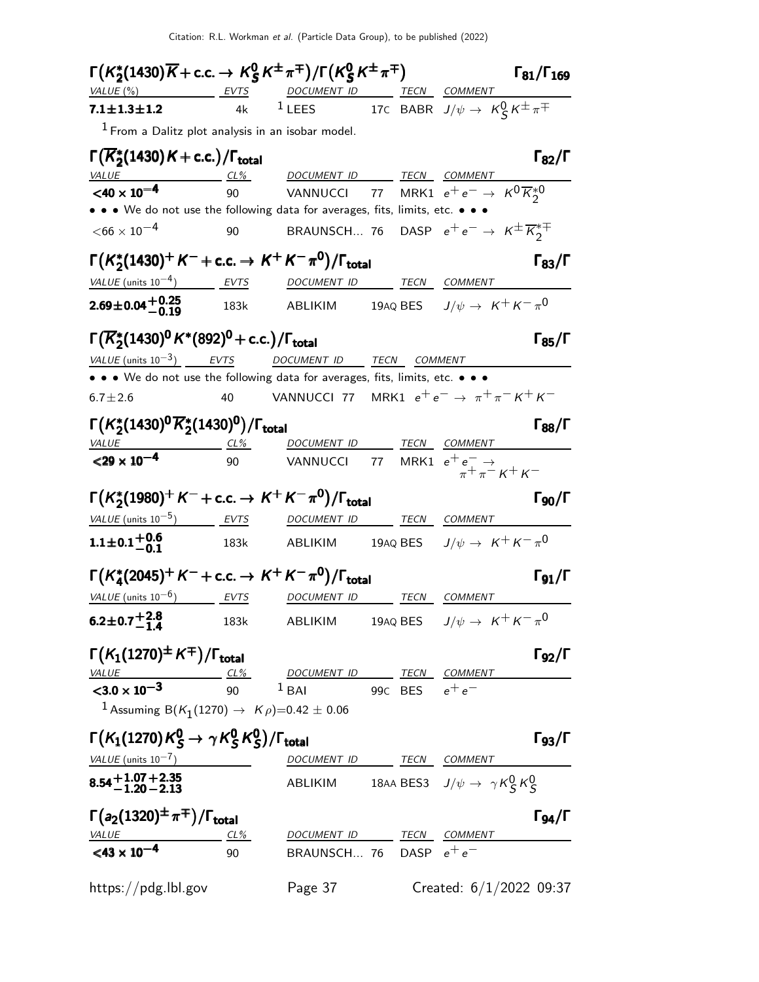Citation: R.L. Workman et al. (Particle Data Group), to be published (2022)

| $\Gamma(K_2^*(1430)\overline{K}+\text{c.c.}\rightarrow K_S^0K^{\pm}\pi^{\mp})/\Gamma(K_S^0K^{\pm}\pi^{\mp})$ |              |                                                                                                     |      |                                             | $\Gamma_{81}/\Gamma_{169}$ |
|--------------------------------------------------------------------------------------------------------------|--------------|-----------------------------------------------------------------------------------------------------|------|---------------------------------------------|----------------------------|
| VALUE (%) EVTS DOCUMENT ID TECN COMMENT                                                                      |              |                                                                                                     |      |                                             |                            |
| $7.1 \pm 1.3 \pm 1.2$                                                                                        | 4k           | <sup>1</sup> LEES 17C BABR $J/\psi \to K_S^0 K^{\pm} \pi^{\mp}$                                     |      |                                             |                            |
| $1$ From a Dalitz plot analysis in an isobar model.                                                          |              |                                                                                                     |      |                                             |                            |
| $\Gamma(\overline{K}_2^*(1430)K + c.c.)/\Gamma_{\text{total}}$                                               |              |                                                                                                     |      |                                             | $\Gamma_{82}/\Gamma$       |
| <i>VALUE</i>                                                                                                 | $CL\%$       | DOCUMENT ID TECN COMMENT                                                                            |      |                                             |                            |
| $<$ 40 $\times$ 10 <sup>-4</sup>                                                                             | 90           | VANNUCCI 77 MRK1 $e^+e^- \rightarrow K^0 \overline{K}_2^* 0$                                        |      |                                             |                            |
| • • • We do not use the following data for averages, fits, limits, etc. • • •                                |              |                                                                                                     |      |                                             |                            |
| $<$ 66 $\times$ 10 $^{-4}$                                                                                   | 90           | BRAUNSCH 76 DASP $e^+e^- \rightarrow \ K^{\pm}\overline{K}_2^{\ast\mp}$                             |      |                                             |                            |
| $\Gamma(K_2^*(1430)^+ K^- + \text{c.c.} \to K^+ K^- \pi^0)/\Gamma_{\text{total}}$                            |              |                                                                                                     |      |                                             | $\Gamma_{83}/\Gamma$       |
| VALUE (units $10^{-4}$ ) EVTS                                                                                |              | DOCUMENT ID                                                                                         | TECN | COMMENT                                     |                            |
| $2.69 \pm 0.04 \pm 0.25$                                                                                     | 183k         | <b>ABLIKIM</b>                                                                                      |      | 19AQ BES $J/\psi \rightarrow K^+ K^- \pi^0$ |                            |
| $\Gamma(\overline{K}_2^*(1430)^0 K^*(892)^0 + c.c.)/\Gamma_{\text{total}}$                                   |              |                                                                                                     |      |                                             | $\Gamma_{85}/\Gamma$       |
| VALUE (units $10^{-3}$ ) EVTS                                                                                |              | DOCUMENT ID TECN COMMENT                                                                            |      |                                             |                            |
| • • • We do not use the following data for averages, fits, limits, etc. • • •                                |              |                                                                                                     |      |                                             |                            |
| $6.7 \pm 2.6$                                                                                                | 40           | VANNUCCI 77 MRK1 $e^+e^- \rightarrow \pi^+\pi^-K^+K^-$                                              |      |                                             |                            |
|                                                                                                              |              |                                                                                                     |      |                                             |                            |
| $\Gamma(K_2^*(1430)^0\overline{K}_2^*(1430)^0)/\Gamma_{\text{total}}$                                        |              |                                                                                                     |      |                                             | $\Gamma_{88}/\Gamma$       |
| $\frac{VALUE}{29 \times 10^{-4}}$ $\frac{CL\%}{90}$                                                          |              | DOCUMENT ID TECN COMMENT                                                                            |      |                                             |                            |
|                                                                                                              |              | VANNUCCI 77 MRK1 $e^+e^- \rightarrow$<br>$\pi^+ \pi^- K^+ K^-$                                      |      |                                             |                            |
| $\Gamma(K_2^*(1980)^+ K^- + \text{c.c.} \to K^+ K^- \pi^0)/\Gamma_{\text{total}}$                            |              |                                                                                                     |      |                                             | $\Gamma_{90}/\Gamma$       |
| <u>VALUE</u> (units $10^{-5}$ ) EVTS                                                                         |              | DOCUMENT ID                                                                                         | TECN | <b>COMMENT</b>                              |                            |
| $1.1\pm0.1^{+0.6}_{-0.1}$                                                                                    | 183k         | ABLIKIM 19AQ BES $J/\psi\rightarrow\ K^+\ K^-\ \pi^0$                                               |      |                                             |                            |
|                                                                                                              |              |                                                                                                     |      |                                             |                            |
| $\Gamma(K_4^*(2045)^+ K^- + \text{c.c.} \to K^+ K^- \pi^0)/\Gamma_{\text{total}}$                            |              |                                                                                                     |      |                                             | $\Gamma_{91}/\Gamma$       |
| $VALUE$ (units $10^{-6}$ ) EVTS                                                                              |              | DOCUMENT ID TECN COMMENT                                                                            |      |                                             |                            |
| $6.2 \pm 0.7 + 2.8$                                                                                          | 183k         | ABLIKIM                                                                                             |      | 19AQ BES $J/\psi \rightarrow K^+ K^- \pi^0$ |                            |
| $\Gamma(K_1(1270)^{\pm}K^{\mp})/\Gamma_{\text{total}}$                                                       |              |                                                                                                     |      |                                             | $\Gamma_{92}/\Gamma$       |
| $\frac{VALUE}{23.0 \times 10^{-3}}$ $\frac{CL\%}{90}$                                                        |              | $\begin{array}{cc}\n & \text{DOCUMENT ID} \\ 1 \text{ BAI} & 99C \text{ BES} & e^+e^-\n\end{array}$ |      |                                             |                            |
|                                                                                                              |              |                                                                                                     |      |                                             |                            |
| <sup>1</sup> Assuming B(K <sub>1</sub> (1270) $\rightarrow$ K $\rho$ )=0.42 ± 0.06                           |              |                                                                                                     |      |                                             |                            |
| $\Gamma(K_1(1270)K^0_S \to \gamma K^0_S K^0_S)/\Gamma_{\rm total}$                                           |              |                                                                                                     |      |                                             | $\Gamma_{93}/\Gamma$       |
| VALUE $(\text{units } 10^{-7})$                                                                              |              | DOCUMENT ID TECN COMMENT                                                                            |      |                                             |                            |
| $8.54 + 1.07 + 2.35$<br>-1.20 - 2.13                                                                         |              | ABLIKIM 18AA BES3 $J/\psi \rightarrow \gamma K_S^0 K_S^0$                                           |      |                                             |                            |
|                                                                                                              |              |                                                                                                     |      |                                             |                            |
|                                                                                                              |              |                                                                                                     |      |                                             |                            |
| $\Gamma(a_2(1320)^{\pm}\pi^{\mp})/\Gamma_{\text{total}}$                                                     |              |                                                                                                     |      |                                             | $\Gamma_{94}/\Gamma$       |
| $\frac{VALUE}{<}$ <43 × 10 <sup>-4</sup>                                                                     | $CL\%$<br>90 | DOCUMENT ID TECN COMMENT<br>BRAUNSCH 76 DASP $e^+e^-$                                               |      |                                             |                            |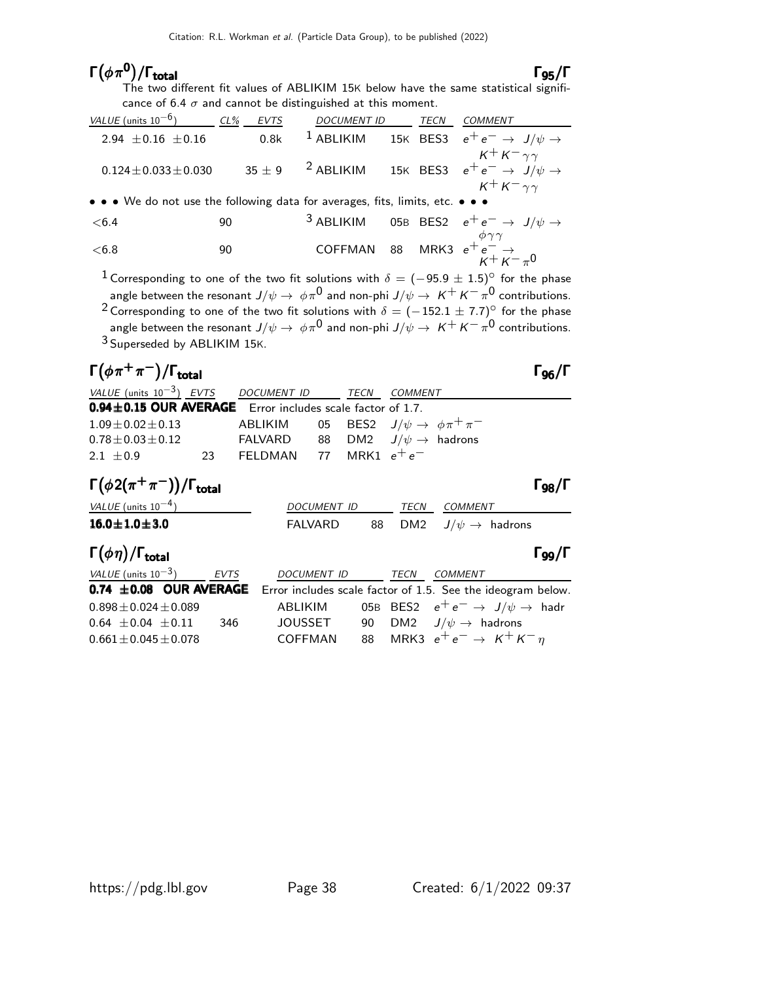### Γ $(\phi \pi^0)$

Γ $(\phi \, \pi^{\bm{0}})/\Gamma_{\bm{total}}$  Γg<sub>5</sub>/Γ The two different fit values of ABLIKIM 15K below have the same statistical significance of 6.4  $\sigma$  and cannot be distinguished at this moment.

| VALUE (units $10^{-6}$ )                                                      | $CL\%$ | <b>EVTS</b> | <b>DOCUMENT ID</b> | TECN | <b>COMMENT</b>                                                                                  |
|-------------------------------------------------------------------------------|--------|-------------|--------------------|------|-------------------------------------------------------------------------------------------------|
| 2.94 $\pm$ 0.16 $\pm$ 0.16                                                    |        | 0.8k        | $1$ ABLIKIM        |      | 15K BES3 $e^+e^- \rightarrow J/\psi \rightarrow$                                                |
| $0.124 \pm 0.033 \pm 0.030$                                                   |        |             |                    |      | 35 ± 9 $^2$ ABLIKIM 15K BES3 $e^+e^- \rightarrow J/\psi \rightarrow$<br>$K^+ K^- \gamma \gamma$ |
| • • • We do not use the following data for averages, fits, limits, etc. • • • |        |             |                    |      |                                                                                                 |
| < 6.4                                                                         | 90     |             |                    |      | <sup>3</sup> ABLIKIM 05B BES2 $e^+e^- \rightarrow J/\psi \rightarrow$                           |
| < 6.8                                                                         | 90     |             |                    |      | COFFMAN 88 MRK3 $e^+e^- \rightarrow$<br>$K^+K^- \pi^0$                                          |
|                                                                               |        |             |                    |      |                                                                                                 |

<sup>1</sup> Corresponding to one of the two fit solutions with  $\delta = (-95.9 \pm 1.5)^{\circ}$  for the phase angle between the resonant  $J/\psi\to\ \phi\pi^0$  and non-phi  $J/\psi\to\ K^+\ K^-\pi^0$  contributions.  $^2$  Corresponding to one of the two fit solutions with  $\delta=(-152.1\pm 7.7)^{\circ}$  for the phase angle between the resonant  $J/\psi\to\ \phi\pi^0$  and non-phi  $J/\psi\to\ K^+\ K^-\pi^0$  contributions. 3 Superseded by ABLIKIM 15K.

## $\Gamma(\phi \pi^+ \pi^-)/\Gamma_{\rm total}$

| VALUE (units $10^{-3}$ ) EVTS DOCUMENT ID                         |                                                                         |                |                    | TECN             | <b>COMMENT</b> |                                                             |  |                      |
|-------------------------------------------------------------------|-------------------------------------------------------------------------|----------------|--------------------|------------------|----------------|-------------------------------------------------------------|--|----------------------|
| <b>0.94 ±0.15 OUR AVERAGE</b> Error includes scale factor of 1.7. |                                                                         |                |                    |                  |                |                                                             |  |                      |
| $1.09 \pm 0.02 \pm 0.13$                                          |                                                                         | ABLIKIM        |                    |                  |                | 05 BES2 $J/\psi \rightarrow \phi \pi^+ \pi^-$               |  |                      |
| $0.78 \pm 0.03 \pm 0.12$                                          |                                                                         | <b>FALVARD</b> |                    |                  |                | 88 DM2 $J/\psi \rightarrow$ hadrons                         |  |                      |
| 2.1 $\pm 0.9$<br>23                                               |                                                                         | FELDMAN        | 77                 | MRK1 $e^+e^-$    |                |                                                             |  |                      |
|                                                                   | $\Gamma(\phi 2(\pi^+\pi^-))/\Gamma_{\rm total}$<br>$\Gamma_{98}/\Gamma$ |                |                    |                  |                |                                                             |  |                      |
| VALUE (units $10^{-4}$ )                                          |                                                                         |                |                    | DOCUMENT ID TECN |                | COMMENT                                                     |  |                      |
| $16.0 \pm 1.0 \pm 3.0$                                            |                                                                         |                | FALVARD            | 88               | DM2            | $J/\psi \rightarrow$ hadrons                                |  |                      |
| $\Gamma(\phi \eta)/\Gamma_{\rm total}$                            |                                                                         |                |                    |                  |                |                                                             |  | $\Gamma_{99}/\Gamma$ |
| VALUE (units $10^{-3}$ ) EVTS                                     |                                                                         |                | <b>DOCUMENT ID</b> |                  | TECN           | <b>COMMENT</b>                                              |  |                      |
| $0.74 \pm 0.08$ OUR AVERAGE                                       |                                                                         |                |                    |                  |                | Error includes scale factor of 1.5. See the ideogram below. |  |                      |
| $0.898 \pm 0.024 \pm 0.089$                                       |                                                                         | ABLIKIM        |                    |                  |                | 05B BES2 $e^+e^- \rightarrow J/\psi \rightarrow$ hadr       |  |                      |
| $0.64 \pm 0.04 \pm 0.11$                                          | 346                                                                     |                | JOUSSET            | 90               |                | DM2 $J/\psi \rightarrow$ hadrons                            |  |                      |
| $0.661 \pm 0.045 \pm 0.078$                                       |                                                                         | <b>COFFMAN</b> |                    | 88               |                | MRK3 $e^+e^- \rightarrow K^+K^- \eta$                       |  |                      |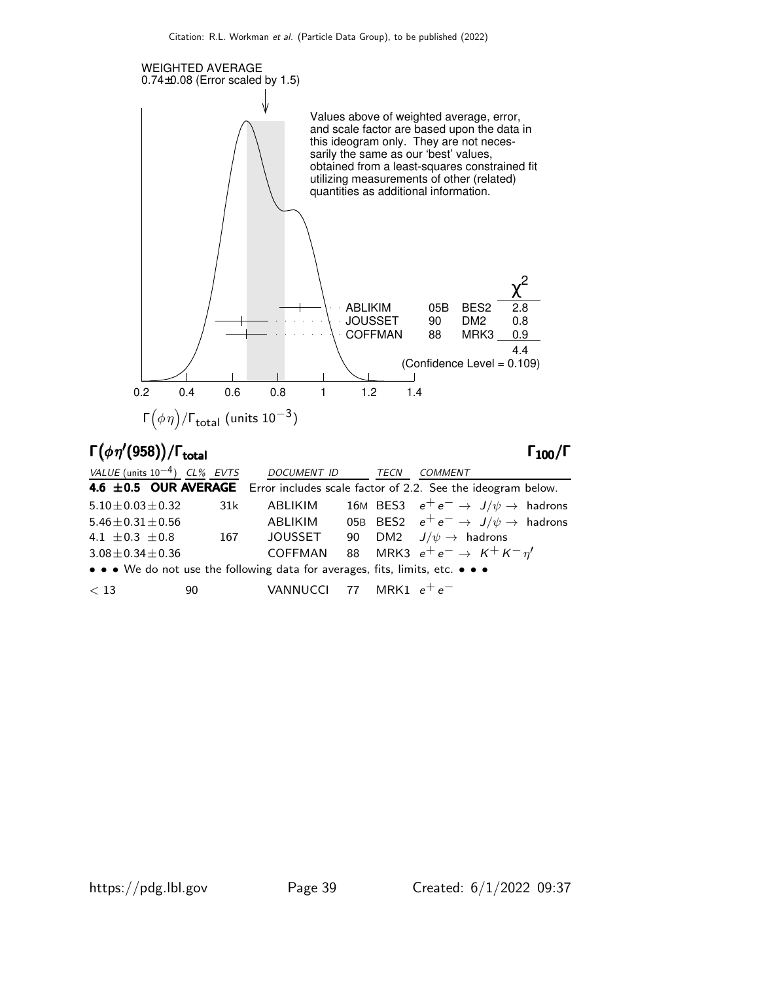

### $\Gamma_{100}/\Gamma$

| VALUE (units $10^{-4}$ ) CL% EVTS                                             |     | DOCUMENT ID TECN          |  | <i>COMMENT</i>                                                                        |
|-------------------------------------------------------------------------------|-----|---------------------------|--|---------------------------------------------------------------------------------------|
|                                                                               |     |                           |  | 4.6 $\pm$ 0.5 OUR AVERAGE Error includes scale factor of 2.2. See the ideogram below. |
| $5.10 \pm 0.03 \pm 0.32$                                                      | 31k | ABLIKIM                   |  | 16M BES3 $e^+e^- \rightarrow J/\psi \rightarrow$ hadrons                              |
| $5.46 \pm 0.31 \pm 0.56$                                                      |     | ABLIKIM                   |  | 05B BES2 $e^+e^- \rightarrow J/\psi \rightarrow$ hadrons                              |
| 4.1 $\pm$ 0.3 $\pm$ 0.8                                                       | 167 | JOUSSET                   |  | 90 DM2 $J/\psi \rightarrow$ hadrons                                                   |
| $3.08 \pm 0.34 \pm 0.36$                                                      |     | COFFMAN                   |  | 88 MRK3 $e^+e^- \rightarrow K^+K^-\eta'$                                              |
| • • • We do not use the following data for averages, fits, limits, etc. • • • |     |                           |  |                                                                                       |
| < 13<br>90                                                                    |     | VANNUCCI 77 MRK1 $e^+e^-$ |  |                                                                                       |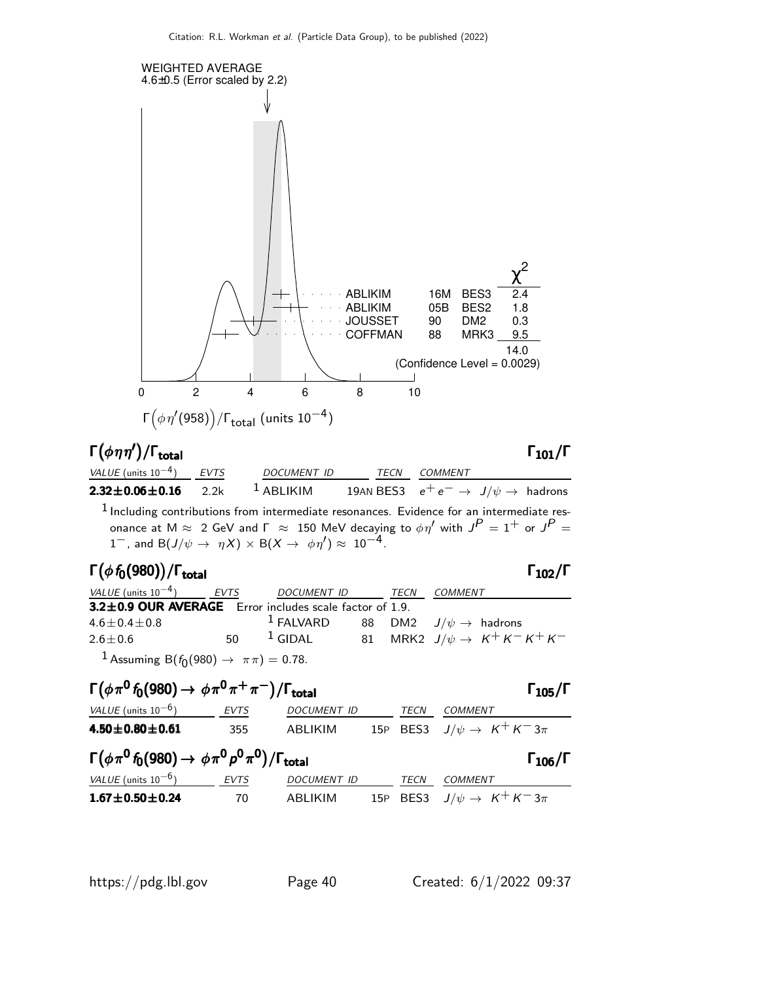

## Γ $(\phi \eta \eta')$ /Γ<sub>total</sub> Γ<sub>101</sub>/Γ

### total and  $1\,101/$   $\blacksquare$

| VALUE (units $10^{-4}$ ) EVTS | DOCUMENT ID TECN                                                                                                  | COMMENT                                                   |  |
|-------------------------------|-------------------------------------------------------------------------------------------------------------------|-----------------------------------------------------------|--|
| $2.32 \pm 0.06 \pm 0.16$ 2.2k | $^1$ ABLIKIM                                                                                                      | 19AN BES3 $e^+e^- \rightarrow J/\psi \rightarrow$ hadrons |  |
|                               | $1$ Including contributions from intermediate resonances. Evidence for an intermediate res-                       |                                                           |  |
|                               | onance at M $\approx$ 2 GeV and $\Gamma$ $\approx$ 150 MeV decaying to $\phi \eta'$ with $J^P = 1^+$ or $J^P = 1$ |                                                           |  |
|                               | 1 <sup>-</sup> , and B( $J/\psi \rightarrow \eta X$ ) × B( $X \rightarrow \phi \eta'$ ) ≈ 10 <sup>-4</sup> .      |                                                           |  |
|                               |                                                                                                                   |                                                           |  |

### Γ $(\phi f_0(980))$ /Γ<sub>total</sub> Γ<sub>102</sub>/Γ

### $\Gamma_{102}/\Gamma$

| VALUE (units $10^{-4}$ ) EVTS                             | DOCUMENT ID TECN |  | COMMENT                                                             |
|-----------------------------------------------------------|------------------|--|---------------------------------------------------------------------|
| 3.2±0.9 OUR AVERAGE Error includes scale factor of 1.9.   |                  |  |                                                                     |
| $4.6 \pm 0.4 \pm 0.8$                                     |                  |  | <sup>1</sup> FALVARD 88 DM2 $J/\psi \rightarrow$ hadrons            |
| $2.6 \pm 0.6$                                             |                  |  | 50 $\frac{1}{2}$ GIDAL 81 MRK2 $J/\psi \rightarrow K^+ K^- K^+ K^-$ |
| <sup>1</sup> Assuming B( $f_0(980) \to \pi \pi$ ) = 0.78. |                  |  |                                                                     |

### $\Gamma(\phi \pi^0 f_0(980) \to \phi \pi^0 \pi^+ \pi^-)/\Gamma_{\text{total}}$  Γ<sub>105</sub>/Γ  $VALUE$  (units 10<sup>-6</sup>) EVTS DOCUMENT ID TECN COMMENT **4.50±0.80±0.61** 355 ABLIKIM 15P BES3  $J/\psi \to K^+ K^- 3\pi$  $\Gamma(\phi \pi^0 f_0(980) \to \phi \pi^0 \rho^0 \pi^0)/\Gamma_{\text{total}}$  Γ<sub>106</sub>/Γ VALUE (units 10<sup>-6</sup>) EVTS DOCUMENT ID TECN COMMENT **1.67±0.50±0.24** 70 ABLIKIM 15P BES3  $J/\psi \to K^+ K^- 3\pi$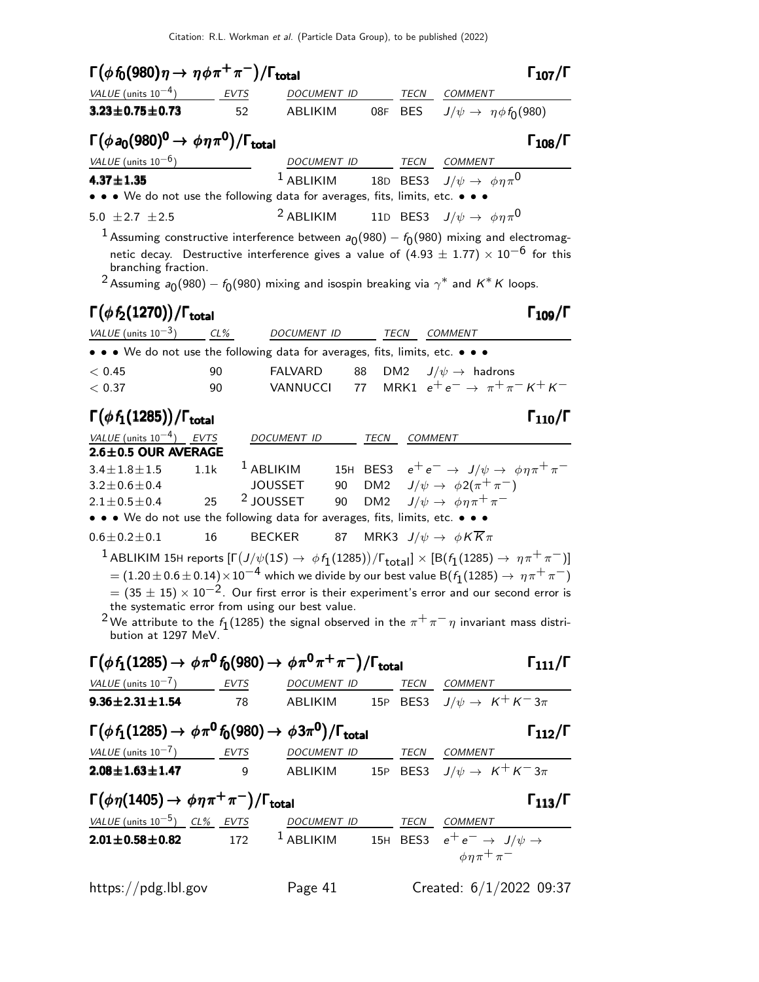| $\Gamma(\phi f_0(980)\eta \to \eta \phi \pi^+ \pi^-)/\Gamma_{\rm total}$<br>$\Gamma_{107}/\Gamma$                                                                                                               |  |
|-----------------------------------------------------------------------------------------------------------------------------------------------------------------------------------------------------------------|--|
| VALUE (units $10^{-4}$ )<br>DOCUMENT ID<br>TECN<br>EVTS<br>COMMENT                                                                                                                                              |  |
| $3.23 \pm 0.75 \pm 0.73$<br>$J/\psi \rightarrow \eta \phi f_0(980)$<br>ABLIKIM<br>08F<br>BES<br>52                                                                                                              |  |
| $\Gamma(\phi a_0(980)^0 \to \phi \eta \pi^0)/\Gamma_{\text{total}}$<br>$\Gamma_{108}/\Gamma$                                                                                                                    |  |
| VALUE (units $10^{-6}$ )<br>DOCUMENT ID TECN COMMENT                                                                                                                                                            |  |
| <sup>1</sup> ABLIKIM 18D BES3 $J/\psi \rightarrow \phi \eta \pi^0$<br>$4.37 \pm 1.35$                                                                                                                           |  |
| • • • We do not use the following data for averages, fits, limits, etc. • • •                                                                                                                                   |  |
| $2$ ABLIKIM<br>11D BES3 $J/\psi \rightarrow \phi \eta \pi^0$<br>5.0 $\pm 2.7$ $\pm 2.5$                                                                                                                         |  |
| $^1$ Assuming constructive interference between $a_0(980) - f_0(980)$ mixing and electromag-                                                                                                                    |  |
| netic decay. Destructive interference gives a value of $(4.93 \pm 1.77) \times 10^{-6}$ for this                                                                                                                |  |
| branching fraction.                                                                                                                                                                                             |  |
| <sup>2</sup> Assuming $a_0(980) - f_0(980)$ mixing and isospin breaking via $\gamma^*$ and K <sup>*</sup> K loops.                                                                                              |  |
| $\Gamma(\phi f_2(1270))/\Gamma_{\text{total}}$<br>$\Gamma_{109}/\Gamma$                                                                                                                                         |  |
| VALUE (units $10^{-3}$ ) CL%<br>DOCUMENT ID<br>TECN<br><i>COMMENT</i>                                                                                                                                           |  |
| • • • We do not use the following data for averages, fits, limits, etc. • • •                                                                                                                                   |  |
| <b>FALVARD</b><br>DM2 $J/\psi \rightarrow$ hadrons<br>< 0.45<br>90<br>88                                                                                                                                        |  |
| MRK1 $e^+e^- \rightarrow \pi^+\pi^-K^+K^-$<br>VANNUCCI<br>77<br>< 0.37<br>90                                                                                                                                    |  |
| $\Gamma(\phi f_1(1285))/\Gamma_{\text{total}}$<br>$\Gamma_{110}/\Gamma$                                                                                                                                         |  |
|                                                                                                                                                                                                                 |  |
| VALUE (units $10^{-4}$ ) EVTS<br>DOCUMENT ID<br>TECN<br><b>COMMENT</b><br>$2.6 \pm 0.5$ OUR AVERAGE                                                                                                             |  |
| <sup>1</sup> ABLIKIM<br>15H BES3 $e^+e^- \rightarrow J/\psi \rightarrow \phi \eta \pi^+ \pi^-$<br>$3.4 \pm 1.8 \pm 1.5$<br>1.1k                                                                                 |  |
| $J/\psi \rightarrow \phi 2(\pi^+\pi^-)$<br>DM <sub>2</sub><br><b>JOUSSET</b><br>90<br>$3.2 \pm 0.6 \pm 0.4$                                                                                                     |  |
| <sup>2</sup> JOUSSET<br>$J/\psi \rightarrow \phi \eta \pi^+ \pi^-$<br>25<br>90<br>DM <sub>2</sub><br>$2.1 \pm 0.5 \pm 0.4$                                                                                      |  |
| • • • We do not use the following data for averages, fits, limits, etc. • • •                                                                                                                                   |  |
| MRK3 $J/\psi \rightarrow \phi K \overline{K} \pi$<br>$0.6 \pm 0.2 \pm 0.1$<br>16<br><b>BECKER</b><br>87                                                                                                         |  |
| <sup>1</sup> ABLIKIM 15H reports $[\Gamma(J/\psi(1S) \to \phi f_1(1285))/\Gamma_{total}] \times [B(f_1(1285) \to \eta \pi^+ \pi^-)]$                                                                            |  |
| $\alpha = (1.20 \pm 0.6 \pm 0.14) \times 10^{-4}$ which we divide by our best value B $(f_1(1285) \rightarrow~\eta \pi^+ \pi^-)$                                                                                |  |
| $=$ (35 $\pm$ 15) $\times$ 10 <sup>-2</sup> . Our first error is their experiment's error and our second error is                                                                                               |  |
| the systematic error from using our best value.                                                                                                                                                                 |  |
| <sup>2</sup> We attribute to the $f_1(1285)$ the signal observed in the $\pi^+\pi^-\eta$ invariant mass distri-                                                                                                 |  |
| bution at 1297 MeV.                                                                                                                                                                                             |  |
| $\Gamma(\phi f_1(1285) \to \phi \pi^0 f_0(980) \to \phi \pi^0 \pi^+ \pi^-)/\Gamma_{\text{total}}$<br>$\Gamma_{111}/\Gamma$                                                                                      |  |
| $VALUE (units 10-7)$ EVTS DOCUMENT ID TECN COMMENT                                                                                                                                                              |  |
| <b>9.36±2.31±1.54</b> 78 ABLIKIM 15P BES3 $J/\psi \to K^+ K^- 3\pi$                                                                                                                                             |  |
| $\Gamma(\phi f_1(1285) \rightarrow \phi \pi^0 f_0(980) \rightarrow \phi 3\pi^0)/\Gamma_{\text{total}}$<br>$\Gamma_{112}/\Gamma$                                                                                 |  |
|                                                                                                                                                                                                                 |  |
| $\frac{VALUE \text{ (units 10}^{-7})}{2.08 \pm 1.63 \pm 1.47}$ $\frac{EVTS}{9}$ $\frac{DOCUMENT \text{ } ID}{ABLIKIM}$ $\frac{TECN}{15P}$ $\frac{COMMENT}{BES3}$ $J/\psi \rightarrow K^+ K^- 3\pi$              |  |
|                                                                                                                                                                                                                 |  |
| $\Gamma(\phi \eta(1405) \to \phi \eta \pi^+ \pi^-)/\Gamma_{\text{total}}$<br>$\Gamma_{113}/\Gamma$                                                                                                              |  |
| $\frac{VALUE \text{ (units 10}^{-5})}{2.01 \pm 0.58 \pm 0.82}$ $\frac{CL\%}{172}$ $\frac{EVTS}{1}$ $\frac{DOCUMENT}{ABLIKIM}$ $\frac{TECN}{15H}$ $\frac{CDMMENT}{BES3}$ $e^+e^- \rightarrow J/\psi \rightarrow$ |  |
| $\phi \eta \pi^+ \pi^-$                                                                                                                                                                                         |  |
| Created: 6/1/2022 09:37<br>Page 41<br>https://pdg.lbl.gov                                                                                                                                                       |  |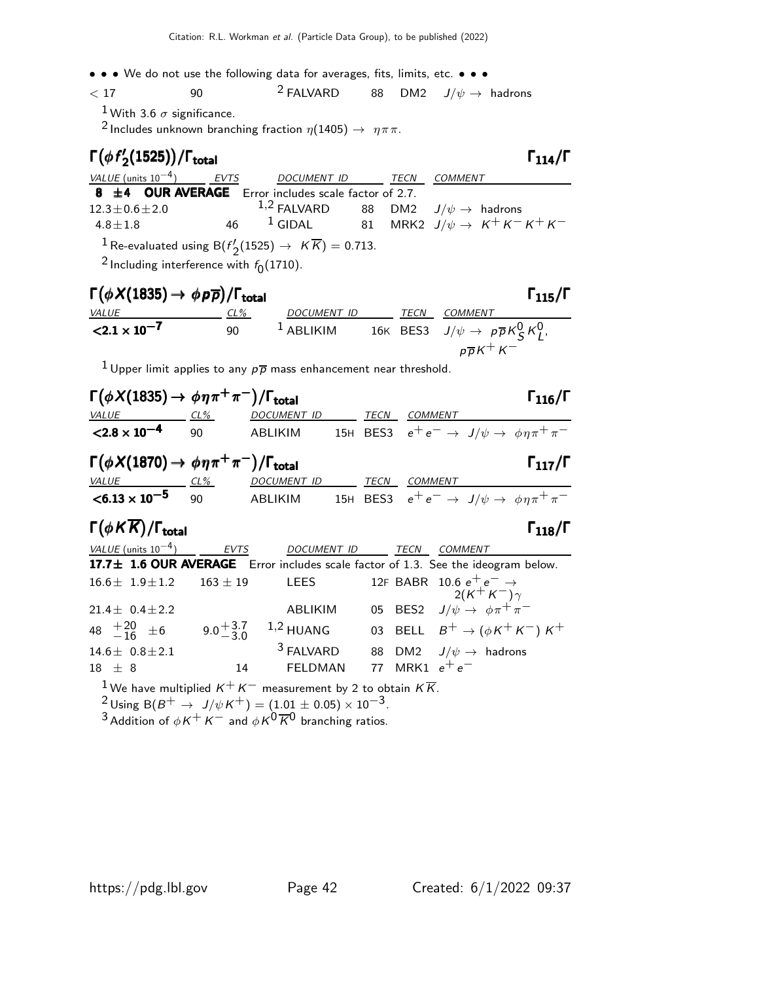• • • We do not use the following data for averages, fits, limits, etc. • • •

$$
\begin{array}{cccc}\n & 17 & 90 & 2 FALVARD & 88 & DM2 & J/\psi \rightarrow \text{ hadrons} \\
 & 1 & 1 & 1\n\end{array}
$$

<sup>1</sup> With 3.6  $\sigma$  significance.

<sup>2</sup> Includes unknown branching fraction  $\eta(1405) \rightarrow \eta \pi \pi$ .

| $\Gamma(\phi f_2'(1525)) / \Gamma_{\text{total}}$                                      |                  |  | $\Gamma_{114}/\Gamma$                                      |
|----------------------------------------------------------------------------------------|------------------|--|------------------------------------------------------------|
| VALUE (units $10^{-4}$ ) EVTS                                                          | DOCUMENT ID TECN |  | COMMENT                                                    |
| 8 $\pm$ 4 OUR AVERAGE Error includes scale factor of 2.7.                              |                  |  |                                                            |
| $12.3 \pm 0.6 \pm 2.0$                                                                 |                  |  | 1,2 FALVARD 88 DM2 $J/\psi \rightarrow$ hadrons            |
| $4.8 \pm 1.8$                                                                          |                  |  | 46 <sup>1</sup> GIDAL 81 MRK2 $J/\psi \to K^+ K^- K^+ K^-$ |
| <sup>1</sup> Re-evaluated using B( $f'_{2}(1525) \rightarrow K\overline{K}$ ) = 0.713. |                  |  |                                                            |
|                                                                                        |                  |  |                                                            |

 $^2$ Including interference with  $f_0(1710)$ .

| $\Gamma(\phi X(1835) \rightarrow \phi p \overline{p})/\Gamma_{\text{total}}$<br>$\Gamma_{115}/\Gamma$ |     |             |  |             |                                                          |  |  |  |
|-------------------------------------------------------------------------------------------------------|-----|-------------|--|-------------|----------------------------------------------------------|--|--|--|
| <b>VALUE</b>                                                                                          | CL% | DOCUMENT ID |  | <b>TECN</b> | COMMENT                                                  |  |  |  |
| $< 2.1 \times 10^{-7}$                                                                                | 90  | $1$ ABLIKIM |  |             | 16K BES3 $J/\psi \rightarrow p\overline{p}K_S^0 K_I^0$ , |  |  |  |
|                                                                                                       |     |             |  |             | $p\overline{p}K^+K^-$                                    |  |  |  |

<sup>1</sup> Upper limit applies to any  $p\overline{p}$  mass enhancement near threshold.

| $\Gamma(\phi X(1835) \to \phi \eta \pi^+ \pi^-)/\Gamma_{\text{total}}$         |              |                    |      |                | $\Gamma_{116}/\Gamma$                                                             |
|--------------------------------------------------------------------------------|--------------|--------------------|------|----------------|-----------------------------------------------------------------------------------|
| VALUE                                                                          | $CL\%$       | DOCUMENT ID        | TECN | <b>COMMENT</b> |                                                                                   |
| $< 2.8 \times 10^{-4}$                                                         | 90           | <b>ABLIKIM</b>     |      |                | 15H BES3 $e^+e^- \rightarrow J/\psi \rightarrow \phi \eta \pi^+ \pi^-$            |
| $\Gamma(\phi X(1870) \rightarrow \phi \eta \pi^+ \pi^-)/\Gamma_{\text{total}}$ |              |                    |      |                | $\Gamma_{117}/\Gamma$                                                             |
| VALUE<br>$CL\%$                                                                |              | DOCUMENT ID        | TECN | <b>COMMENT</b> |                                                                                   |
| $< 6.13 \times 10^{-5}$                                                        | 90           | ABLIKIM            |      |                | 15H BES3 $e^+e^- \rightarrow J/\psi \rightarrow \phi \eta \pi^+ \pi^-$            |
|                                                                                |              |                    |      |                |                                                                                   |
| $\Gamma(\phi K \overline{K})/\Gamma_{\text{total}}$                            |              |                    |      |                | $\Gamma_{118}/\Gamma$                                                             |
| VALUE (units $10^{-4}$ )                                                       | <b>EVTS</b>  | <b>DOCUMENT ID</b> |      | <b>TECN</b>    | COMMENT                                                                           |
|                                                                                |              |                    |      |                | 17.7± 1.6 OUR AVERAGE Error includes scale factor of 1.3. See the ideogram below. |
| $16.6 \pm 1.9 \pm 1.2$                                                         | $163 \pm 19$ | <b>LEES</b>        |      |                | 12F BABR 10.6 $e^+e^- \rightarrow$<br>$2(K^+K^-)\gamma$                           |
| $21.4 \pm 0.4 \pm 2.2$                                                         |              | ABLIKIM            |      |                | 05 BES2 $J/\psi \rightarrow \phi \pi^+ \pi^-$                                     |

 $14.6 \pm 0.8 \pm 2.1$ <sup>3</sup> FALVARD 88 DM2  $J/\psi \rightarrow$  hadrons  $18 \pm 8$  14 FELDMAN 77 MRK1  $e^+e^-$ 

 $^1$ We have multiplied  $\mathsf{K}^+\mathsf{K}^-$  measurement by 2 to obtain  $\mathsf{K}\overline{\mathsf{K}}.$ 

$$
^{2}_{\sim}
$$
 Using B( $B^{+}$   $\rightarrow$   $J/\psi K^{+}$ ) = (1.01  $\pm$  0.05)  $\times$  10<sup>-3</sup>.

3 Addition of  $\phi K^+ K^-$  and  $\phi K^0 \overline{K}^0$  branching ratios.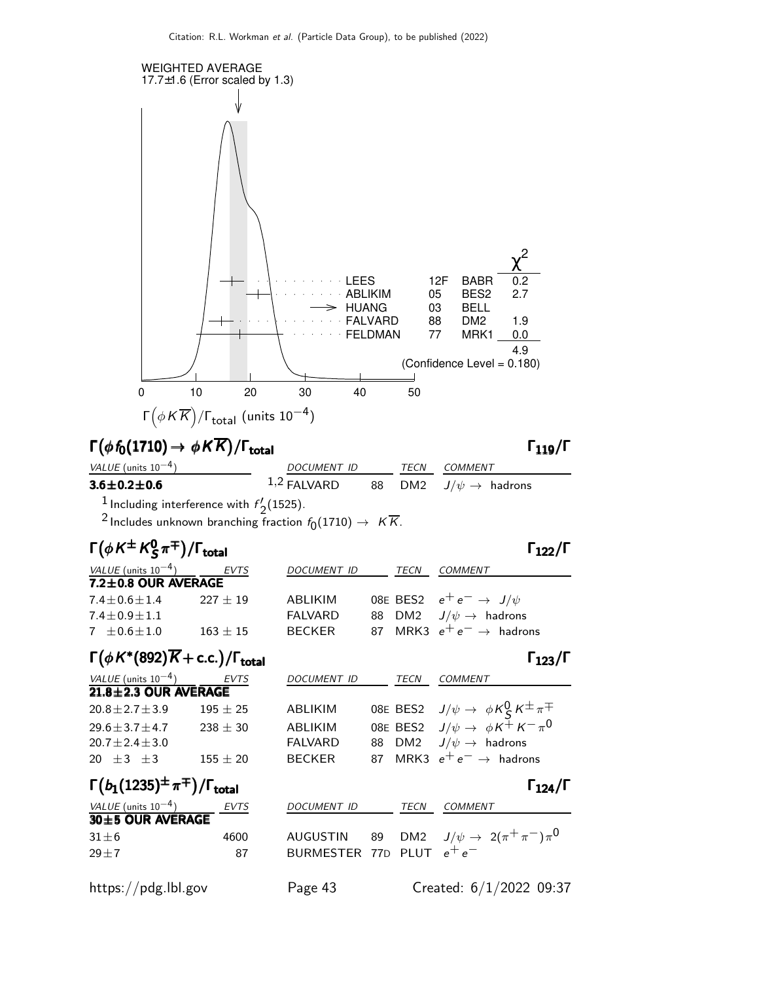

# $\Gamma(\phi f_0(1710) \to \phi K \overline{K}) / \Gamma_{\text{total}}$  Γ<sub>119</sub>/Γ

### $\Gamma_{119}/\Gamma$

| VALUE (units $10^{-4}$ )                                  | DOCUMENT ID   |  | <i>TECN COMMENT</i>                 |
|-----------------------------------------------------------|---------------|--|-------------------------------------|
| $3.6\!\pm\!0.2\!\pm\!0.6$                                 | $1,2$ FALVARD |  | 88 DM2 $J/\psi \rightarrow$ hadrons |
| <sup>1</sup> Including interference with $f'_{2}(1525)$ . |               |  |                                     |

 $'_{2}$ (1525). <sup>2</sup> Includes unknown branching fraction  $f_0(1710) \rightarrow K \overline{K}$ .

| $\Gamma(\phi K^{\pm} K^0_S \pi^{\mp})/\Gamma_{\text{total}}$ |              |                    |      | $\Gamma_{122}/\Gamma$                |
|--------------------------------------------------------------|--------------|--------------------|------|--------------------------------------|
| <i>VALUE</i> (units $10^{-4}$ )                              | EVTS         | <b>DOCUMENT ID</b> | TECN | <b>COMMENT</b>                       |
| $7.2 \pm 0.8$ OUR AVERAGE                                    |              |                    |      |                                      |
| $7.4$ $\pm$ 0.6 $\pm$ 1.4                                    | $227 + 19$   | ABLIKIM            |      | 08E BES2 $e^+e^- \rightarrow J/\psi$ |
| $7.4 \pm 0.9 \pm 1.1$                                        |              | <b>FALVARD</b>     |      | 88 DM2 $J/\psi \rightarrow$ hadrons  |
| $7 \pm 0.6 \pm 1.0$                                          | $163 \pm 15$ | <b>BECKER</b>      |      | 87 MRK3 $e^+e^- \rightarrow$ hadrons |
|                                                              |              |                    |      |                                      |

### $\Gamma(\phi K^*(892)\overline{K} + \text{c.c.}) / \Gamma_{\text{total}}$ Γ  $\Gamma_{123}/\Gamma$

| <i>VALUE</i> (units $10^{-4}$ ) | EVTS       | <b>DOCUMENT ID</b> | TECN | <b>COMMENT</b>                                             |
|---------------------------------|------------|--------------------|------|------------------------------------------------------------|
| $21.8 \pm 2.3$ OUR AVERAGE      |            |                    |      |                                                            |
| $20.8 \pm 2.7 \pm 3.9$          | $195 + 25$ | ABLIKIM            |      | 08E BES2 $J/\psi \rightarrow \phi K_S^0 K^{\pm} \pi^{\mp}$ |
| $29.6 \pm 3.7 \pm 4.7$          | $238 + 30$ | ABLIKIM            |      | 08E BES2 $J/\psi \rightarrow \phi K^{\pm} K^- \pi^0$       |
| $20.7 \pm 2.4 \pm 3.0$          |            | <b>FALVARD</b>     |      | 88 DM2 $J/\psi \rightarrow$ hadrons                        |
| 20 $\pm 3$ $\pm 3$              | $155 + 20$ | BECKER             |      | 87 MRK3 $e^+e^- \rightarrow$ hadrons                       |

### Γ $(b_1(1235)^\pm \pi^\mp)/\Gamma_{\rm total}$  Γ<sub>124</sub>/Γ /Γ $_{\rm total}$ Γ $_{124}/$ Γ

| <i>VALUE</i> (units $10^{-4}$ )<br>30±5 OUR AVERAGE | <b>EVTS</b> | DOCUMENT ID                 | TECN | <i>COMMENT</i>                                  |
|-----------------------------------------------------|-------------|-----------------------------|------|-------------------------------------------------|
| $31\pm 6$<br>$29 + 7$                               | 4600<br>87  | BURMESTER 77D PLUT $e^+e^-$ |      | AUGUSTIN 89 DM2 $J/\psi \to 2(\pi^+\pi^-)\pi^0$ |

https://pdg.lbl.gov Page 43 Created: 6/1/2022 09:37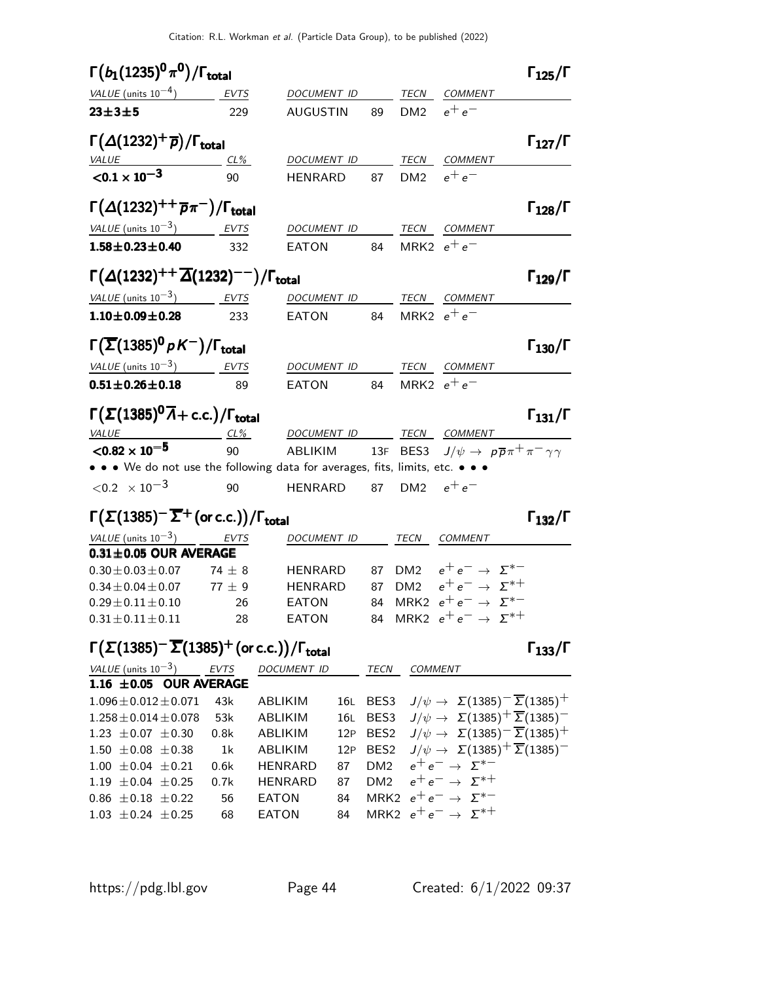| $\Gamma(b_1(1235)^0 \pi^0)/\Gamma_{\rm total}$                                                                      |     |                                                                                |                 | $\Gamma_{125}/\Gamma$ |
|---------------------------------------------------------------------------------------------------------------------|-----|--------------------------------------------------------------------------------|-----------------|-----------------------|
| $VALUE$ (units $10^{-4}$ ) EVTS                                                                                     |     | DOCUMENT ID TECN COMMENT                                                       |                 |                       |
| $23 + 3 + 5$                                                                                                        | 229 | AUGUSTIN                                                                       | 89 DM2 $e^+e^-$ |                       |
| $\Gamma(\Delta(1232)^+\overline{p})/\Gamma_{\text{total}}$                                                          |     |                                                                                |                 | $\Gamma_{127}/\Gamma$ |
| $VALUE CL%$                                                                                                         |     | DOCUMENT ID TECN COMMENT                                                       |                 |                       |
| $\sqrt{0.1 \times 10^{-3}}$                                                                                         | 90  | HENRARD 87 DM2 $e^+e^-$                                                        |                 |                       |
| $\Gamma(\Delta(1232)^{++} \overline{p}\pi^-)/\Gamma_{\rm total}$                                                    |     |                                                                                |                 | $\Gamma_{128}/\Gamma$ |
| VALUE (units $10^{-3}$ ) EVTS                                                                                       |     | DOCUMENT ID TECN COMMENT                                                       |                 |                       |
| $1.58 \pm 0.23 \pm 0.40$                                                                                            | 332 | EATON 84 MRK2 $e^+e^-$                                                         |                 |                       |
| $\Gamma(\Delta(1232)^{++} \overline{\Delta}(1232)^{--})/\Gamma_{\rm total}$                                         |     |                                                                                |                 | $\Gamma_{129}/\Gamma$ |
| VALUE (units $10^{-3}$ ) EVTS                                                                                       |     | DOCUMENT ID TECN COMMENT                                                       |                 |                       |
| $1.10 \pm 0.09 \pm 0.28$ 233                                                                                        |     | $\begin{array}{ccc} \textsf{EATION} \end{array}$ 84 MRK2 $e^+e^-$              |                 |                       |
| $\Gamma(\overline{\Sigma}(1385)^{0} pK^{-})/\Gamma_{\text{total}}$                                                  |     |                                                                                |                 | $\Gamma_{130}/\Gamma$ |
| VALUE (units $10^{-3}$ ) EVTS                                                                                       |     | DOCUMENT ID TECN COMMENT                                                       |                 |                       |
| $0.51 \pm 0.26 \pm 0.18$                                                                                            | 89  | EATON 84 MRK2 $e^+e^-$                                                         |                 |                       |
| $\Gamma(\Sigma(1385)^{0}\overline{\Lambda}+c.c.)/\Gamma_{\rm total}$                                                |     |                                                                                |                 | $\Gamma_{131}/\Gamma$ |
| VALUE CL%                                                                                                           |     | DOCUMENT ID TECN COMMENT                                                       |                 |                       |
| $<$ 0.82 $\times$ 10 <sup>-5</sup><br>• • • We do not use the following data for averages, fits, limits, etc. • • • | 90  | ABLIKIM 13F BES3 $J/\psi \rightarrow p \overline{p} \pi^+ \pi^- \gamma \gamma$ |                 |                       |
| $\langle 0.2 \times 10^{-3}$                                                                                        | 90  | HENRARD                                                                        | 87 DM2 $e^+e^-$ |                       |
| $\Gamma(\Sigma(1385)^{-}\overline{\Sigma}^{+}$ (or c.c.))/ $\Gamma_{\rm total}$                                     |     |                                                                                |                 | $\Gamma_{132}/\Gamma$ |

### VALUE (units  $10^{-3}$ ) EVTS DOCUMENT ID TECN COMMENT  $0.31\pm0.05$  OUR AVERAGE  $0.30±0.03±0.07$  74 ± 8 HENRARD 87 DM2  $e^+e^-$  → Σ<sup>\*-</sup>  $0.34 \pm 0.04 \pm 0.07$  77  $\pm$  9 HENRARD 87 DM2  $e^+e^- \rightarrow \Sigma^{*+}$  $0.29 \pm 0.11 \pm 0.10$  26 EATON 84 MRK2  $e^+ e^- \rightarrow \Sigma^{*-}$  $0.31±0.11±0.11$  28 EATON 84 MRK2  $e^+e^-$  → Σ<sup>\*+</sup>

## Γ $(\Sigma(1385)^{-}\overline{\Sigma}(1385)^{+}$  (or c.c.))/Γ<sub>total</sub> Γ<sub>133</sub>/Γ

|                          | VALUE (units $10^{-3}$ ) EVTS |      | <b>DOCUMENT ID</b> |    | TECN | <b>COMMENT</b>                                                             |
|--------------------------|-------------------------------|------|--------------------|----|------|----------------------------------------------------------------------------|
|                          | 1.16 $\pm$ 0.05 OUR AVERAGE   |      |                    |    |      |                                                                            |
|                          | $1.096 \pm 0.012 \pm 0.071$   | 43k  | ABLIKIM            |    |      | 16L BES3 $J/\psi \rightarrow \Sigma(1385)^{-} \overline{\Sigma}(1385)^{+}$ |
|                          | $1.258 \pm 0.014 \pm 0.078$   |      | 53k ABLIKIM        |    |      | 16L BES3 $J/\psi \rightarrow \Sigma(1385)^{+} \overline{\Sigma}(1385)^{-}$ |
|                          | $1.23 \pm 0.07 \pm 0.30$      | 0.8k | ABLIKIM            |    |      | 12P BES2 $J/\psi \rightarrow \Sigma(1385)^{-} \overline{\Sigma}(1385)^{+}$ |
|                          | $1.50 \pm 0.08 \pm 0.38$ 1k   |      | <b>ABLIKIM</b>     |    |      | 12P BES2 $J/\psi \rightarrow \Sigma(1385)^{+} \overline{\Sigma}(1385)^{-}$ |
| $1.00 \pm 0.04 \pm 0.21$ |                               | 0.6k | <b>HENRARD</b>     | 87 |      | DM2 $e^+e^- \rightarrow \Sigma^{*-}$                                       |
| $1.19 \pm 0.04 \pm 0.25$ |                               | 0.7k | HENRARD            | 87 |      | DM2 $e^+e^- \rightarrow \Sigma^{*+}$                                       |
|                          | $0.86 \pm 0.18 \pm 0.22$      | 56   | EATON              | 84 |      | MRK2 $e^+e^- \rightarrow \Sigma^{*-}$                                      |
|                          | $1.03 \pm 0.24 \pm 0.25$      | 68   | EATON              | 84 |      | MRK2 $e^+e^- \rightarrow \Sigma^{*+}$                                      |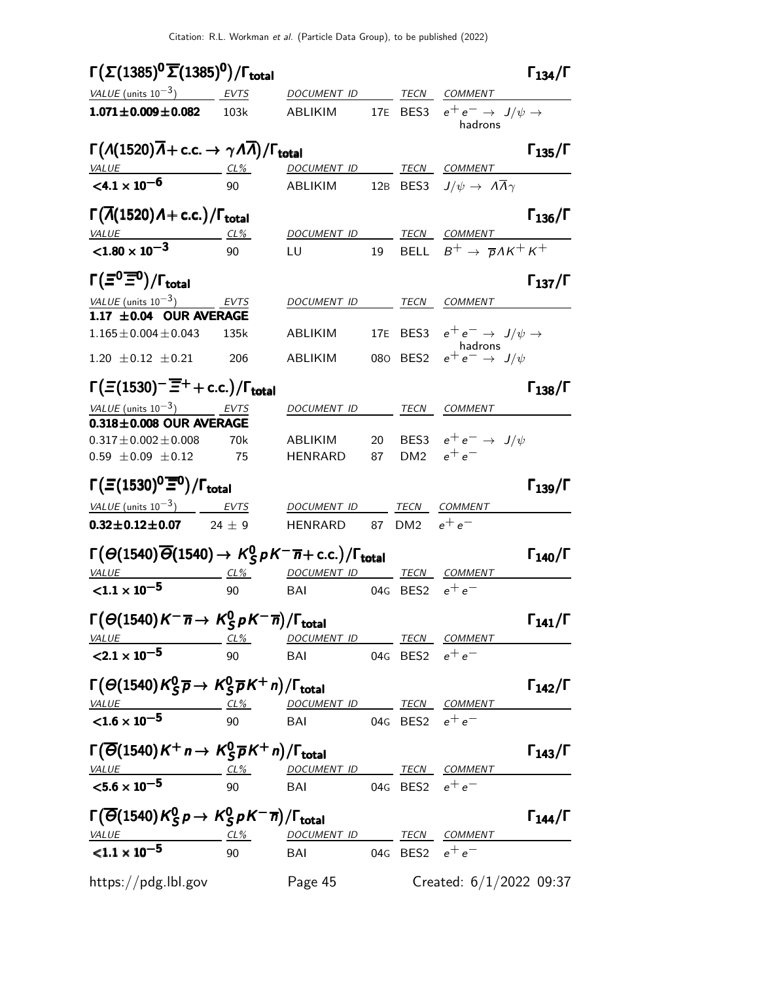| $\Gamma(\Sigma(1385)^{\mathbf{0}}\overline{\Sigma}(1385)^{\mathbf{0}})/\Gamma_{\text{total}}$                                                         |          |                                     |    |          |                                                     | $\Gamma_{134}/\Gamma$ |
|-------------------------------------------------------------------------------------------------------------------------------------------------------|----------|-------------------------------------|----|----------|-----------------------------------------------------|-----------------------|
| VALUE (units $10^{-3}$ ) EVTS                                                                                                                         |          | DOCUMENT ID                         |    | TECN     | COMMENT                                             |                       |
| $1.071 \pm 0.009 \pm 0.082$                                                                                                                           | 103k     | ABLIKIM                             |    | 17E BES3 | $e^+e^- \rightarrow J/\psi \rightarrow$<br>hadrons  |                       |
| $\Gamma(A(1520)\overline{A} + \text{c.c.} \rightarrow \gamma A \overline{A})/\Gamma_{\text{total}}$                                                   |          |                                     |    |          |                                                     | $\Gamma_{135}/\Gamma$ |
| VALUE                                                                                                                                                 | $CL\%$   | DOCUMENT ID                         |    |          | <b>TECN COMMENT</b>                                 |                       |
| $<$ 4.1 $\times$ 10 <sup>-6</sup>                                                                                                                     | 90       | ABLIKIM                             |    |          | 12B BES3 $J/\psi \rightarrow A\overline{A}\gamma$   |                       |
| $\Gamma(\overline{\Lambda}(1520)\Lambda + \text{c.c.})/\Gamma_{\text{total}}$                                                                         |          |                                     |    |          |                                                     | $\Gamma_{136}/\Gamma$ |
| VALUE<br><u>VALUE</u><br><1.80 $\times$ 10 <sup>-3</sup>                                                                                              | CL%      | DOCUMENT ID TECN COMMENT            |    |          |                                                     |                       |
|                                                                                                                                                       | 90       | LU                                  | 19 |          | BELL $B^+ \rightarrow \overline{p} \Lambda K^+ K^+$ |                       |
| $\Gamma(\Xi^0 \overline{\Xi}{}^0)/\Gamma_{\text{total}}$                                                                                              |          |                                     |    |          |                                                     | $\Gamma_{137}/\Gamma$ |
| VALUE (units $10^{-3}$ )                                                                                                                              | EVTS     | <i>DOCUMENT ID</i>                  |    | TECN     | <b>COMMENT</b>                                      |                       |
| 1.17 $\pm$ 0.04 OUR AVERAGE                                                                                                                           |          |                                     |    |          |                                                     |                       |
| $1.165 \pm 0.004 \pm 0.043$                                                                                                                           | 135k     | ABLIKIM                             |    |          | 17E BES3 $e^+e^- \rightarrow J/\psi \rightarrow$    |                       |
| $1.20 \pm 0.12 \pm 0.21$                                                                                                                              | 206      | ABLIKIM                             |    |          | hadrons<br>080 BES2 $e^+e^- \rightarrow J/\psi$     |                       |
| $\Gamma(\Xi(1530)^\frown \overline{\Xi}^+ + \text{c.c.})/\Gamma_{\text{total}}$                                                                       |          |                                     |    |          |                                                     | $\Gamma_{138}/\Gamma$ |
| VALUE (units $10^{-3}$ ) EVTS                                                                                                                         |          | DOCUMENT ID                         |    |          | <i>TECN COMMENT</i>                                 |                       |
| $0.318\pm0.008$ OUR AVERAGE                                                                                                                           |          |                                     |    |          |                                                     |                       |
| $0.317 \pm 0.002 \pm 0.008$                                                                                                                           | 70k      | ABLIKIM                             | 20 |          | BES3 $e^+e^- \rightarrow J/\psi$                    |                       |
| $0.59 \pm 0.09 \pm 0.12$                                                                                                                              | 75       | <b>HENRARD</b>                      | 87 |          | DM2 $e^+e^-$                                        |                       |
| $\Gamma(\Xi(1530)^0\overline{\Xi}{}^0)/\Gamma_{\rm total}$                                                                                            |          |                                     |    |          |                                                     | $\Gamma_{139}/\Gamma$ |
| VALUE (units $10^{-3}$ )                                                                                                                              | EVTS     | DOCUMENT ID                         |    | TECN     | <b>COMMENT</b>                                      |                       |
| $0.32 \pm 0.12 \pm 0.07$                                                                                                                              | $24 + 9$ | <b>HENRARD</b>                      |    | 87 DM2   | $e^+e^-$                                            |                       |
| $\Gamma(\Theta(1540)\overline{\Theta}(1540) \rightarrow K_S^0 pK^-\overline{n} + \text{c.c.})/\Gamma_{\text{total}}$                                  |          |                                     |    |          |                                                     | $\Gamma_{140}/\Gamma$ |
| VALUE                                                                                                                                                 | $CL\%$   | DOCUMENT ID TECN COMMENT            |    |          |                                                     |                       |
| ${<}1.1 \times 10^{-5}$                                                                                                                               | 90       | BAI                                 |    | 04G BES2 | $e^+e^-$                                            |                       |
| $\Gamma(\Theta(1540)K^{-}\overline{n} \rightarrow K_S^0 pK^{-}\overline{n})/\Gamma_{\text{total}}$                                                    |          |                                     |    |          |                                                     | $\Gamma_{141}/\Gamma$ |
| VALUE                                                                                                                                                 |          | <u>CL% DOCUMENT ID TECN COMMENT</u> |    |          |                                                     |                       |
| $\langle 2.1 \times 10^{-5}$                                                                                                                          | 90       | BAI 04G BES2 $e^+e^-$               |    |          |                                                     |                       |
| $\Gamma(\Theta(1540)K_S^0\overline{p}\rightarrow K_S^0\overline{p}K^+n)/\Gamma_{\text{total}}$                                                        |          |                                     |    |          |                                                     | $\Gamma_{142}/\Gamma$ |
| $\frac{VALUE}{1.6 \times 10^{-5}}$ $\frac{CL\%}{90}$ $\frac{DOCUMENT ID}{BA1}$ $\frac{TECN}{DES2}$ $e^+e^-$                                           |          |                                     |    |          |                                                     |                       |
|                                                                                                                                                       |          |                                     |    |          |                                                     |                       |
| $\Gamma(\overline{\Theta}(1540)K^+n\to K_S^0\overline{p}K^+n)/\Gamma_{\text{total}}$                                                                  |          |                                     |    |          |                                                     | $\Gamma_{143}/\Gamma$ |
| $\frac{VALUE}{5.6 \times 10^{-5}}$ $\frac{CL\%}{90}$ DOCUMENT ID TECN COMMENT<br>$\frac{CE0 \times 10^{-5}}{10^{-5}}$ $\frac{5.6 \times 10^{-5}}{20}$ |          | 04G BES2 $e^+e^-$                   |    |          |                                                     |                       |
|                                                                                                                                                       |          |                                     |    |          |                                                     |                       |
| $\Gamma(\overline{\Theta}(1540)K_S^0p\to K_S^0pK^-\overline{n})/\Gamma_{\rm total}$                                                                   |          |                                     |    |          |                                                     | $\Gamma_{144}/\Gamma$ |
| $\frac{VALUE}{1.1 \times 10^{-5}}$ $\frac{CL\%}{90}$ $\frac{DOCUMENT ID}{BAI}$ $\frac{TECN}{0.06}$ $\frac{COMMENT}{BES2}$ $e^+e^-$                    |          |                                     |    |          |                                                     |                       |
|                                                                                                                                                       |          |                                     |    |          |                                                     |                       |
| https://pdg.lbl.gov Page 45                                                                                                                           |          |                                     |    |          | Created: $6/1/2022$ 09:37                           |                       |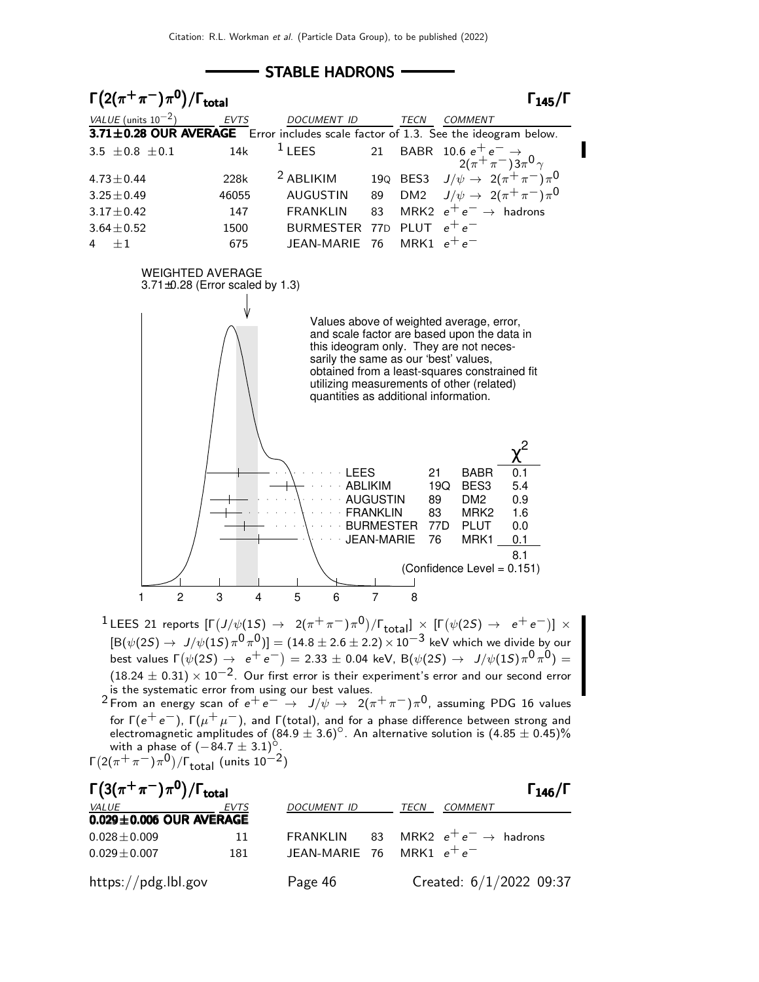- STABLE HADRONS -



best values  $\Gamma(\psi(2S) \rightarrow e^+e^-)=2.33 \pm 0.04$  keV,  ${\cal B}(\psi(2S) \rightarrow J/\psi(1S) \pi^0 \pi^0)=0$  $(18.24 \pm 0.31) \times 10^{-2}$ . Our first error is their experiment's error and our second error is the systematic error from using our best values.

 $2$  From an energy scan of  $e^+e^- \rightarrow J/\psi \rightarrow 2(\pi^+\pi^-)\pi^0$ , assuming PDG 16 values for Γ $(e^+ \, e^-)$ , Γ $(\mu^+ \, \mu^-)$ , and Γ $($ total), and for a phase difference between strong and electromagnetic amplitudes of  $(84.9 \pm 3.6)^{\circ}$ . An alternative solution is  $(4.85 \pm 0.45)\%$ with a phase of  $(-84.7 \pm 3.1)^\circ$ . Γ $\left( 2(\pi^+\pi^-)\pi^0 \right)$ /Γ<sub>total</sub> (units 10<sup>-2</sup>)

 $\Gamma(3(\pi^+\pi^-)\pi^0)/\Gamma_{\rm total}$  Γ<sub>146</sub>/Γ ⟩ )  $\pi^0$ ) / Γ<sub>total</sub>Γ VALUE  $EVTS$  DOCUMENT ID TECN COMMENT  $0.029\pm0.006$  OUR AVERAGE  $0.028\pm0.009$  11 FRANKLIN 83 MRK2  $e^+e^- \rightarrow$  hadrons  $0.029 \pm 0.007$  181 JEAN-MARIE 76 MRK1  $e^+ e^$ https://pdg.lbl.gov Page 46 Created: 6/1/2022 09:37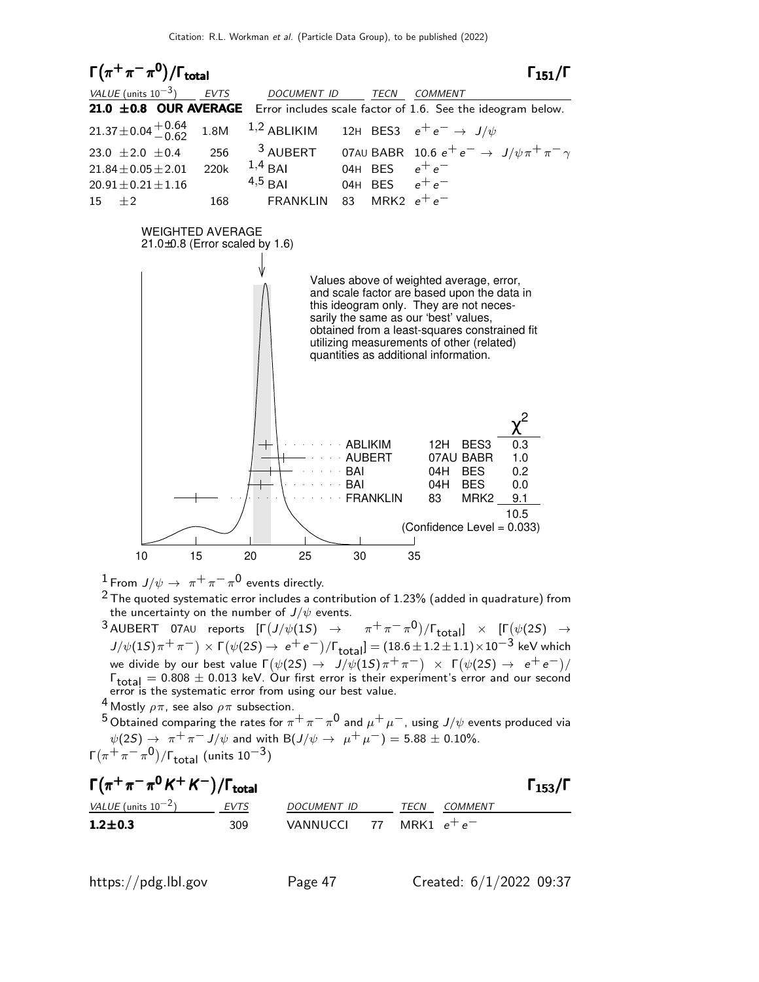

 $^1$  From  $\,/\psi\rightarrow\,\,\pi^+\,\pi^-\,\pi^0\,$  events directly.

 $2$  The quoted systematic error includes a contribution of 1.23% (added in quadrature) from the uncertainty on the number of  $J/\psi$  events.

 $^3$ AUBERT 07AU reports  $[\Gamma(J/\psi(1S) \rightarrow \pi^+\pi^-\pi^0)/\Gamma_{\rm total}]\times [\Gamma(\psi(2S) \rightarrow \pi^+\pi^-\pi^0)]$  $J/\psi(1S)\pi^+\pi^-)\times \textsf{F}\big(\psi(2S)\rightarrow\textup{ e}^+\textup{ e}^-\big)/\textsf{F}_{\textup{total}}] = (18.6\pm 1.2\pm 1.1)\times 10^{-3}\;\textup{keV}$  which we divide by our best value  $\Gamma(\psi(2S) \to J/\psi(1S) \pi^+ \pi^-)~\times~\Gamma(\psi(2S) \to~e^+ \, e^-)/\pi$  $\Gamma_{\text{total}} = 0.808 \pm 0.013$  keV. Our first error is their experiment's error and our second error is the systematic error from using our best value.

<sup>4</sup> Mostly  $\rho \pi$ , see also  $\rho \pi$  subsection.

 $^5$ Obtained comparing the rates for  $\pi^+\pi^-\pi^0$  and  $\mu^+\mu^-$ , using  $J/\psi$  events produced via  $\psi(2S) \rightarrow \pi^+ \pi^- J/\psi$  and with B $(J/\psi \rightarrow \mu^+ \mu^-) = 5.88 \pm 0.10\%.$ Γ $(\pi^{+}\pi^{-}\pi^{0})$ /Γ $_{\rm total}$  (units 10 $^{-3})$ 

| $\Gamma(\pi^+\pi^-\pi^0\,K^+\,K^-)/\Gamma_{\rm total}$ |             |                           |  |      |         |  |  |  |
|--------------------------------------------------------|-------------|---------------------------|--|------|---------|--|--|--|
| <i>VALUE</i> (units $10^{-2}$ )                        | <b>EVTS</b> | DOCUMENT ID               |  | TECN | COMMENT |  |  |  |
| $1.2 \pm 0.3$                                          | 309.        | VANNUCCI 77 MRK1 $e^+e^-$ |  |      |         |  |  |  |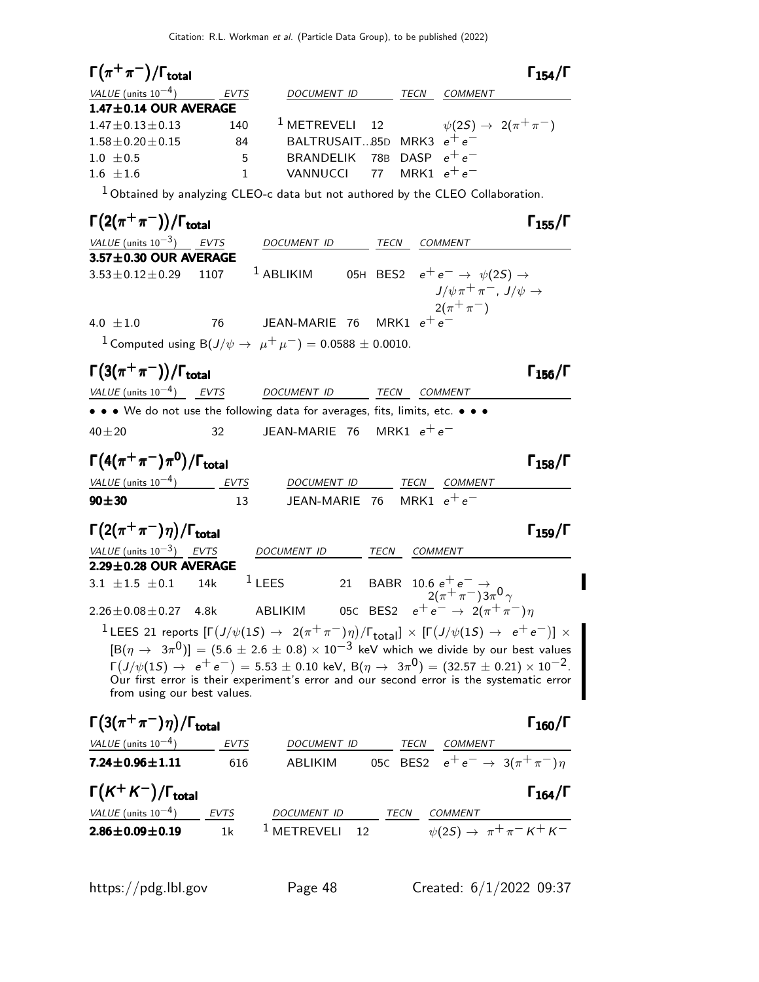| $\Gamma(\pi^+\pi^-)/\Gamma_{\rm total}$                                                                                                                                  |                |                                 |                                                                             | $\Gamma_{154}/\Gamma$                                                                                                                                                                                                                                                                                                                      |
|--------------------------------------------------------------------------------------------------------------------------------------------------------------------------|----------------|---------------------------------|-----------------------------------------------------------------------------|--------------------------------------------------------------------------------------------------------------------------------------------------------------------------------------------------------------------------------------------------------------------------------------------------------------------------------------------|
| VALUE (units $10^{-4}$ )                                                                                                                                                 | <b>EVTS</b>    | DOCUMENT ID                     | TECN<br><b>COMMENT</b>                                                      |                                                                                                                                                                                                                                                                                                                                            |
| 1.47±0.14 OUR AVERAGE                                                                                                                                                    |                |                                 |                                                                             |                                                                                                                                                                                                                                                                                                                                            |
| $1.47 \pm 0.13 \pm 0.13$                                                                                                                                                 | 140            | <sup>1</sup> METREVELI          | 12                                                                          | $\psi(2S) \rightarrow 2(\pi^+\pi^-)$                                                                                                                                                                                                                                                                                                       |
| $1.58 \pm 0.20 \pm 0.15$<br>$1.0 \pm 0.5$                                                                                                                                | 84<br>5        | <b>BRANDELIK</b>                | BALTRUSAIT85D MRK3 $e^+e^-$<br>78B DASP $e^+e^-$                            |                                                                                                                                                                                                                                                                                                                                            |
| $1.6 \pm 1.6$                                                                                                                                                            | $\mathbf{1}$   | VANNUCCI                        | MRK1 $e^+e^-$<br>77                                                         |                                                                                                                                                                                                                                                                                                                                            |
| $1$ Obtained by analyzing CLEO-c data but not authored by the CLEO Collaboration.                                                                                        |                |                                 |                                                                             |                                                                                                                                                                                                                                                                                                                                            |
| $\Gamma(2(\pi^+\pi^-))/\Gamma_{\rm total}$                                                                                                                               |                |                                 |                                                                             | $\Gamma_{155}/\Gamma$                                                                                                                                                                                                                                                                                                                      |
| VALUE $(\text{units } 10^{-3})$ EVTS                                                                                                                                     |                | DOCUMENT ID                     | COMMENT<br>TECN                                                             |                                                                                                                                                                                                                                                                                                                                            |
| 3.57±0.30 OUR AVERAGE                                                                                                                                                    |                |                                 |                                                                             |                                                                                                                                                                                                                                                                                                                                            |
| $3.53 \pm 0.12 \pm 0.29$                                                                                                                                                 | 1107           | $1$ ABLIKIM                     | 05H BES2 $e^+e^- \rightarrow \psi(2S) \rightarrow$<br>$2(\pi^+\pi^-)$       | $J/\psi \pi^+ \pi^-$ , $J/\psi \rightarrow$                                                                                                                                                                                                                                                                                                |
| 4.0 $\pm 1.0$                                                                                                                                                            | 76             | JEAN-MARIE 76 MRK1 $e^+ \, e^-$ |                                                                             |                                                                                                                                                                                                                                                                                                                                            |
| <sup>1</sup> Computed using B( $J/\psi \to \mu^+ \mu^-$ ) = 0.0588 ± 0.0010.                                                                                             |                |                                 |                                                                             |                                                                                                                                                                                                                                                                                                                                            |
| $\Gamma(3(\pi^+\pi^-))/\Gamma_{\rm total}$                                                                                                                               |                |                                 |                                                                             | $\Gamma_{156}/\Gamma$                                                                                                                                                                                                                                                                                                                      |
| VALUE (units $10^{-4}$ ) EVTS                                                                                                                                            |                | DOCUMENT ID TECN                | COMMENT                                                                     |                                                                                                                                                                                                                                                                                                                                            |
| • • • We do not use the following data for averages, fits, limits, etc. • • •                                                                                            |                |                                 |                                                                             |                                                                                                                                                                                                                                                                                                                                            |
| $40 + 20$                                                                                                                                                                | 32             | JEAN-MARIE 76 MRK1 $e^+e^-$     |                                                                             |                                                                                                                                                                                                                                                                                                                                            |
| $\Gamma\left(4(\pi^+\pi^-)\pi^0\right)/\Gamma_{\rm total}$                                                                                                               |                |                                 |                                                                             | $\Gamma_{158}/\Gamma$                                                                                                                                                                                                                                                                                                                      |
| VALUE $(\text{units } 10^{-4})$ EVTS                                                                                                                                     |                | DOCUMENT ID                     | TECN COMMENT                                                                |                                                                                                                                                                                                                                                                                                                                            |
| $90 \pm 30$                                                                                                                                                              | 13             | JEAN-MARIE 76                   | MRK1 $e^+e^-$                                                               |                                                                                                                                                                                                                                                                                                                                            |
| $\Gamma\left(2(\pi^+\pi^-)\eta\right)/\Gamma_{\rm total}$                                                                                                                |                |                                 |                                                                             | $\Gamma_{159}/\Gamma$                                                                                                                                                                                                                                                                                                                      |
| VALUE (units $10^{-3}$ ) EVTS                                                                                                                                            |                | DOCUMENT ID                     | <b>TECN</b><br>COMMENT                                                      |                                                                                                                                                                                                                                                                                                                                            |
| 2.29±0.28 OUR AVERAGE                                                                                                                                                    |                |                                 |                                                                             |                                                                                                                                                                                                                                                                                                                                            |
| 3.1 $\pm 1.5$ $\pm 0.1$<br>14k                                                                                                                                           | $1$ LEES       | 21                              | <b>BABR</b><br>10.6 $e^+e^ \rightarrow$<br>2( $\pi^+\pi^-$ )3 $\pi^0\gamma$ |                                                                                                                                                                                                                                                                                                                                            |
| $2.26 \pm 0.08 \pm 0.27$<br>4.8k                                                                                                                                         | <b>ABLIKIM</b> | 05C BES2                        |                                                                             | $e^+e^- \to 2(\pi^+\pi^-)\eta$                                                                                                                                                                                                                                                                                                             |
| <sup>1</sup> LEES 21 reports $[\Gamma(J/\psi(1S) \to 2(\pi^+\pi^-)\eta)/\Gamma_{\rm total}]\times [\Gamma(J/\psi(1S) \to e^+e^-)] \times$<br>from using our best values. |                |                                 |                                                                             | $[\mathsf{B}(\eta \to 3\pi^0)] = (5.6 \pm 2.6 \pm 0.8) \times 10^{-3}$ keV which we divide by our best values<br>$\Gamma(J/\psi(1S) \rightarrow e^+e^-) = 5.53 \pm 0.10$ keV, $B(\eta \rightarrow 3\pi^0) = (32.57 \pm 0.21) \times 10^{-2}$ .<br>Our first error is their experiment's error and our second error is the systematic error |
| $\Gamma(3(\pi^+\pi^-)\eta)/\Gamma_{\rm total}$                                                                                                                           |                |                                 |                                                                             | $\Gamma_{160}/\Gamma$                                                                                                                                                                                                                                                                                                                      |
| <i>VALUE</i> (units $10^{-4}$ )                                                                                                                                          | EVTS           |                                 |                                                                             |                                                                                                                                                                                                                                                                                                                                            |
| $7.24 \pm 0.96 \pm 1.11$                                                                                                                                                 | 616            |                                 |                                                                             | DOCUMENT ID TECN COMMENT<br>ABLIKIM 05C BES2 $e^+e^- \rightarrow 3(\pi^+\pi^-)\eta$                                                                                                                                                                                                                                                        |
| $\Gamma(K^+K^-)/\Gamma_{\text{total}}$                                                                                                                                   |                |                                 |                                                                             | $\Gamma_{164}/\Gamma$                                                                                                                                                                                                                                                                                                                      |
| VALUE (units $10^{-4}$ )                                                                                                                                                 | <b>EVTS</b>    | DOCUMENT ID                     | TECN<br><b>COMMENT</b>                                                      |                                                                                                                                                                                                                                                                                                                                            |
| $2.86 \pm 0.09 \pm 0.19$                                                                                                                                                 | 1 <sub>k</sub> | <sup>1</sup> METREVELI<br>12    |                                                                             | $\sqrt{\psi(2S)} \rightarrow \pi^+ \pi^- K^+ K^-$                                                                                                                                                                                                                                                                                          |

https://pdg.lbl.gov Page 48 Created: 6/1/2022 09:37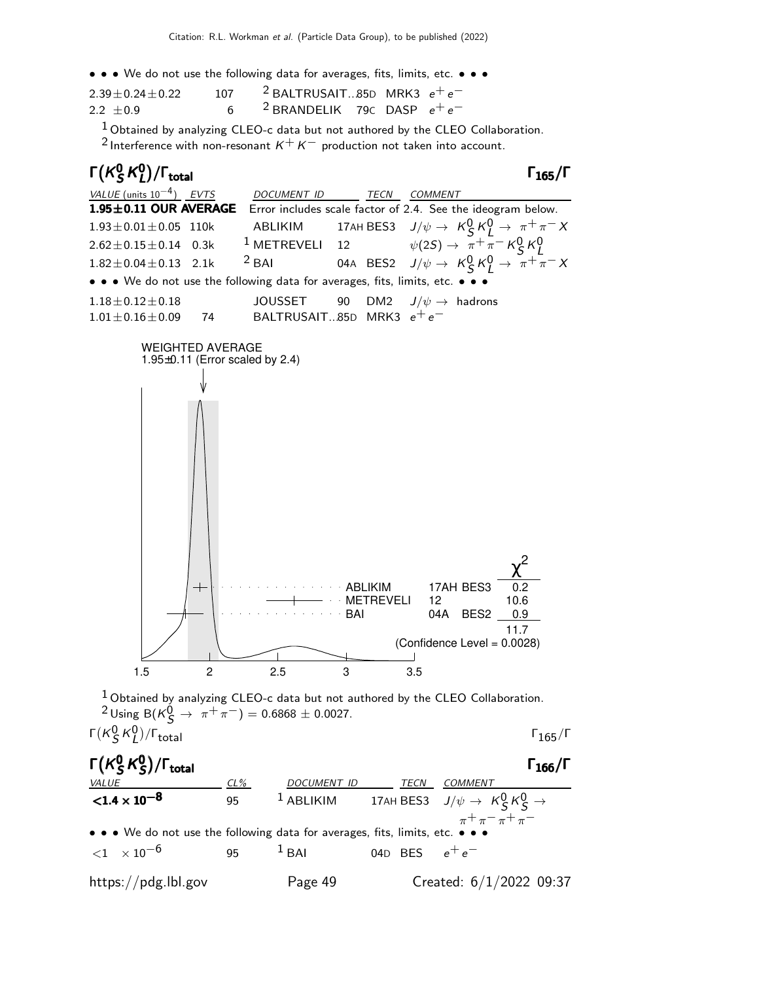• • • We do not use the following data for averages, fits, limits, etc. • • •

| $2.39 + 0.24 + 0.22$ | 107 | <sup>2</sup> BALTRUSAIT85D MRK3 $e^+e^-$ |  |
|----------------------|-----|------------------------------------------|--|
| $2.2 + 0.9$          |     | <sup>2</sup> BRANDELIK 79C DASP $e^+e^-$ |  |

 $1$  Obtained by analyzing CLEO-c data but not authored by the CLEO Collaboration.

<sup>2</sup> Interference with non-resonant  $K^+ K^-$  production not taken into account.



|    | <b>ABLIKIM</b>                               |           |     |     | 17AH BES3        | 0.2                         |
|----|----------------------------------------------|-----------|-----|-----|------------------|-----------------------------|
|    |                                              | METREVELL |     | 12  |                  | 10.6                        |
|    | <b><i>Contract Contract Contract BAI</i></b> |           |     | 04A | BES <sub>2</sub> | 0.9                         |
|    |                                              |           |     |     |                  | 11 7                        |
|    |                                              |           |     |     |                  | (Confidence Level = 0.0028) |
|    |                                              |           |     |     |                  |                             |
| 15 | 25                                           |           | 3.5 |     |                  |                             |
|    |                                              |           |     |     |                  |                             |

 $^1$ Obtained by analyzing CLEO-c data but not authored by the CLEO Collaboration.  $^{2}$  Using B( $K_{\mathcal{S}}^{0} \rightarrow \pi^{+} \pi^{-}$ ) = 0.6868 ± 0.0027.  $\Gamma(\kappa_S^0 \kappa_L^0)$  $\sqrt{\Gamma_{\rm total}}$  Γ<sub>165</sub>/Γ

 $\mathsf{\Gamma}(\mathsf{K}^0_\mathsf{S})$  $^0_S$ K $^0_S$ Γ( $\kappa_S^0$   $\kappa_S^0$ )/Γ<sub>total</sub> Γ<sub>166</sub>/Γ /Γ<sub>total</sub> Γ<sub>166</sub>/Γ CL% DOCUMENT ID TECN COMMENT  ${<}1.4\times10^{-8}$ 95  $1$  ABLIKIM 17AH BES3  $J/\psi \rightarrow K_S^0 K_S^0 \rightarrow$  $\pi^+\pi^-$ • • • We do not use the following data for averages, fits, limits, etc.  $<$ 1  $\times$  10<sup>-6</sup> 95 <sup>1</sup> BAI 04D BES  $e^+e^$ https://pdg.lbl.gov Page 49 Created: 6/1/2022 09:37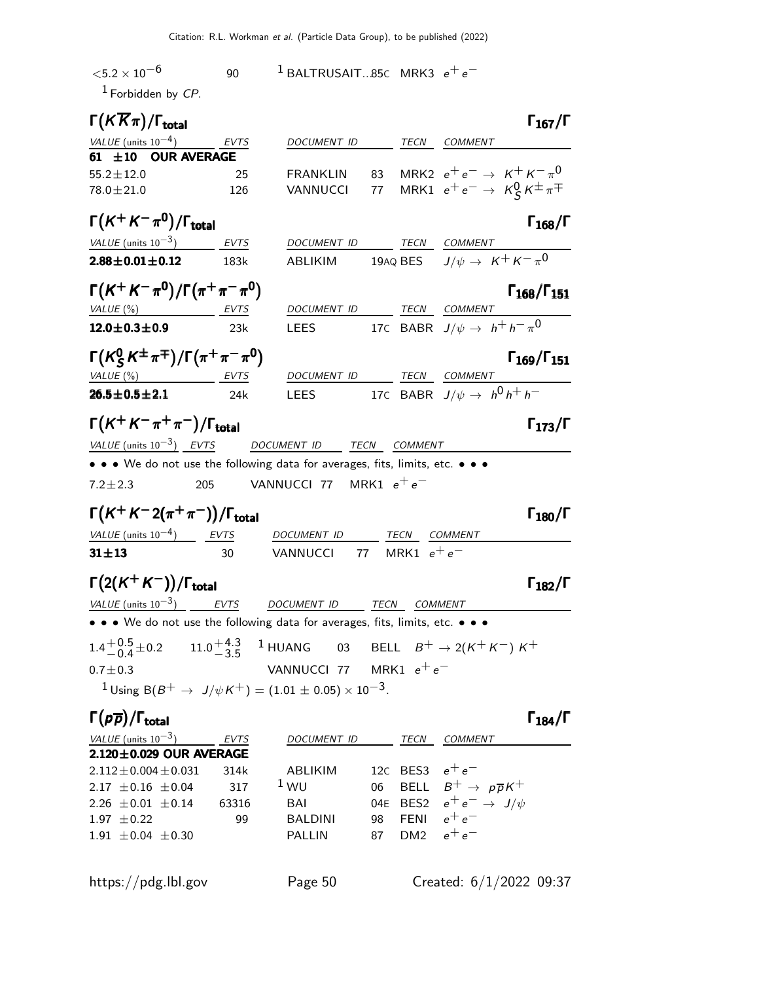| ${<}5.2\times10^{-6}$                                             | 90                 | $1$ BALTRUSAIT85C MRK3 $e^+e^-$                                               |                  |                                                      |
|-------------------------------------------------------------------|--------------------|-------------------------------------------------------------------------------|------------------|------------------------------------------------------|
| $1$ Forbidden by CP.                                              |                    |                                                                               |                  |                                                      |
| $\Gamma(K\overline{K}\pi)/\Gamma_{\rm total}$                     |                    |                                                                               |                  | $\Gamma_{167}/\Gamma$                                |
| VALUE (units $10^{-4}$ )                                          | <b>EVTS</b>        | DOCUMENT ID                                                                   |                  | TECN COMMENT                                         |
| $61 \pm 10$                                                       | <b>OUR AVERAGE</b> |                                                                               |                  |                                                      |
| $55.2 \pm 12.0$                                                   | 25                 | 83<br><b>FRANKLIN</b>                                                         |                  | MRK2 $e^+e^- \rightarrow K^+K^-\pi^0$                |
| $78.0 \pm 21.0$                                                   | 126                | VANNUCCI                                                                      |                  | 77 MRK1 $e^+e^- \rightarrow K_S^0 K^{\pm} \pi^{\mp}$ |
| $\Gamma(K^+K^-\pi^0)/\Gamma_{\rm total}$                          |                    |                                                                               |                  | $\Gamma_{168}/\Gamma$                                |
| VALUE (units $10^{-3}$ ) EVTS                                     |                    | DOCUMENT ID                                                                   |                  | TECN COMMENT                                         |
| $2.88 \pm 0.01 \pm 0.12$ 183k                                     |                    | ABLIKIM                                                                       |                  | 19AQ BES $J/\psi \rightarrow K^+ K^- \pi^0$          |
| $\Gamma(K^+ K^- \pi^0)/\Gamma(\pi^+ \pi^- \pi^0)$                 |                    |                                                                               |                  | $\Gamma_{168}/\Gamma_{151}$                          |
| VALUE (%)                                                         | EVTS               | DOCUMENT ID TECN COMMENT                                                      |                  |                                                      |
| $12.0 \pm 0.3 \pm 0.9$                                            | 23k                | <b>LEES</b>                                                                   |                  | 17C BABR $J/\psi \rightarrow h^+h^-\pi^0$            |
| $\Gamma(K_{\rm S}^0 K^{\pm} \pi^{\mp})/\Gamma(\pi^+ \pi^- \pi^0)$ |                    |                                                                               |                  | $\Gamma_{169}/\Gamma_{151}$                          |
| $VALUE(%)$ EVTS                                                   |                    | DOCUMENT ID                                                                   |                  | TECN COMMENT                                         |
| $26.5 \pm 0.5 \pm 2.1$                                            | 24k                | <b>LEES</b>                                                                   |                  | 17C BABR $J/\psi \rightarrow h^0 h^+ h^-$            |
| $\Gamma(K^+K^-\pi^+\pi^-)/\Gamma_{\rm total}$                     |                    |                                                                               |                  | $\Gamma_{173}/\Gamma$                                |
|                                                                   |                    | $VALU E$ (units $10^{-3}$ ) EVTS DOCUMENT ID TECN COMMENT                     |                  |                                                      |
|                                                                   |                    | • • • We do not use the following data for averages, fits, limits, etc. • • • |                  |                                                      |
| $7.2 \pm 2.3$                                                     | 205                | VANNUCCI 77 $\,$ MRK1 $\,e^+ \,e^-$                                           |                  |                                                      |
| $\Gamma(K^+ K^- 2(\pi^+ \pi^-))/\Gamma_{\rm total}$               |                    |                                                                               |                  | $\Gamma_{180}/\Gamma$                                |
| VALUE (units $10^{-4}$ ) EVTS                                     |                    | <b>DOCUMENT ID</b>                                                            | TECN COMMENT     |                                                      |
| $31 + 13$                                                         | 30                 | VANNUCCI                                                                      | 77 MRK1 $e^+e^-$ |                                                      |

 $\Gamma(2(K^+K^-))/\Gamma_{\text{total}}$  Γ<sub>182</sub>/Γ

| VALUE (units $10^{-3}$ ) EVTS                                                                                                | DOCUMENT ID TECN COMMENT  |  |                                                                                                                                           |
|------------------------------------------------------------------------------------------------------------------------------|---------------------------|--|-------------------------------------------------------------------------------------------------------------------------------------------|
| • • • We do not use the following data for averages, fits, limits, etc. • • •                                                |                           |  |                                                                                                                                           |
|                                                                                                                              |                           |  | $1.4^{+0.5}_{-0.4}$ $\pm$ 0.2 11.0 $^{+4.3}_{-3.5}$ 1 HUANG 03 BELL $B^{+}$ $\rightarrow$ 2(K <sup>+</sup> K <sup>-</sup> )K <sup>+</sup> |
| $0.7 \pm 0.3$                                                                                                                | VANNUCCI 77 MRK1 $e^+e^-$ |  |                                                                                                                                           |
| <sup>1</sup> Using B(B <sup>+</sup> $\rightarrow$ J/ $\psi$ K <sup>+</sup> ) = (1.01 $\pm$ 0.05) $\times$ 10 <sup>-3</sup> . |                           |  |                                                                                                                                           |

### Γ $(\rho \overline{\rho})/\Gamma_{\text{total}}$  Γ $_{184}/\Gamma$

| VALUE (units $10^{-3}$ )      | <b>EVTS</b> | <b>DOCUMENT ID</b> |    | TECN              | <i>COMMENT</i>                             |
|-------------------------------|-------------|--------------------|----|-------------------|--------------------------------------------|
| $2.120 \pm 0.029$ OUR AVERAGE |             |                    |    |                   |                                            |
| $2.112 \pm 0.004 \pm 0.031$   | 314k        | ABLIKIM            |    | 120 BFS3 $e^+e^-$ |                                            |
| $2.17 + 0.16 + 0.04$          | 317         | $1_{\text{WU}}$    |    |                   | 06 BELL $B^+ \rightarrow p\overline{p}K^+$ |
| 2.26 $\pm$ 0.01 $\pm$ 0.14    | 63316       | BAI                |    |                   | 04E BES2 $e^+e^- \rightarrow J/\psi$       |
| $1.97 + 0.22$                 | 99          | <b>BALDINI</b>     | 98 | FFNI              | $e^+e^-$                                   |
| $1.91 \pm 0.04 \pm 0.30$      |             | <b>PALLIN</b>      | 87 | DM2 $e^+e^-$      |                                            |
|                               |             |                    |    |                   |                                            |

 $\Gamma_{182}/\Gamma$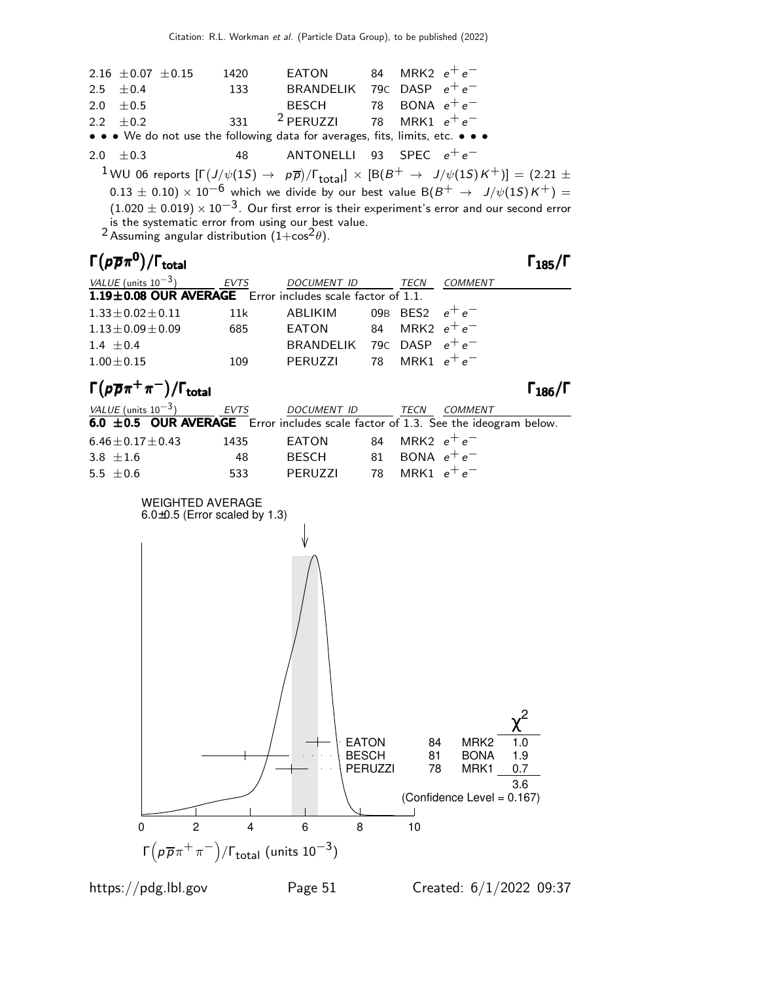| 2.16 $\pm$ 0.07 $\pm$ 0.15<br>2.5<br>±0.4                     |  |                                                              | 1420<br>133 | EATON<br>BRANDELIK                                                                                                                                                                                                                                                                                                                                                                                                                                                                                                               | 84 | MRK2 $e^+e^-$<br>79c DASP $e^+e^-$ |                |                       |
|---------------------------------------------------------------|--|--------------------------------------------------------------|-------------|----------------------------------------------------------------------------------------------------------------------------------------------------------------------------------------------------------------------------------------------------------------------------------------------------------------------------------------------------------------------------------------------------------------------------------------------------------------------------------------------------------------------------------|----|------------------------------------|----------------|-----------------------|
| ±0.5<br>2.0                                                   |  |                                                              |             | <b>BESCH</b>                                                                                                                                                                                                                                                                                                                                                                                                                                                                                                                     |    | 78 BONA $e^+e^-$                   |                |                       |
| $\pm 0.2$<br>2.2                                              |  |                                                              | 331         | <sup>2</sup> PERUZZI                                                                                                                                                                                                                                                                                                                                                                                                                                                                                                             | 78 |                                    | MRK1 $e^+e^-$  |                       |
|                                                               |  |                                                              |             | • We do not use the following data for averages, fits, limits, etc. • <                                                                                                                                                                                                                                                                                                                                                                                                                                                          |    |                                    |                |                       |
| ±0.3<br>2.0                                                   |  |                                                              | 48          | <b>ANTONELLI</b>                                                                                                                                                                                                                                                                                                                                                                                                                                                                                                                 | 93 |                                    | SPEC $e^+e^-$  |                       |
|                                                               |  |                                                              |             | $^1$ WU 06 reports $[\Gamma(J/\psi(1S) \to~\rho\overline{\rho})/\Gamma_{\rm total}]\,\times\,[\rm B(\it B^+ \to~\it J/\psi(1S)\it K^+)] = (2.21\pm0.02)$<br>$(0.13 \pm 0.10) \times 10^{-6}$ which we divide by our best value B(B <sup>+</sup> $\rightarrow$ J/ $\psi$ (1S)K <sup>+</sup> ) =<br>$(1.020 \pm 0.019) \times 10^{-3}$ . Our first error is their experiment's error and our second error<br>is the systematic error from using our best value.<br><sup>2</sup> Assuming angular distribution $(1+\cos^2\theta)$ . |    |                                    |                |                       |
| $\Gamma(p\overline{p}\pi^{\mathbf{0}})/\Gamma_{\text{total}}$ |  |                                                              |             |                                                                                                                                                                                                                                                                                                                                                                                                                                                                                                                                  |    |                                    |                | $\Gamma_{185}/\Gamma$ |
| VALUE (units $10^{-3}$ )                                      |  |                                                              | <b>EVTS</b> | <b>DOCUMENT ID</b>                                                                                                                                                                                                                                                                                                                                                                                                                                                                                                               |    | TECN                               | COMMENT        |                       |
|                                                               |  |                                                              |             | 1.19±0.08 OUR AVERAGE Error includes scale factor of 1.1.                                                                                                                                                                                                                                                                                                                                                                                                                                                                        |    |                                    |                |                       |
| $1.33 \pm 0.02 \pm 0.11$                                      |  |                                                              | 11k         | <b>ABLIKIM</b>                                                                                                                                                                                                                                                                                                                                                                                                                                                                                                                   |    | 09B BES2                           | $e^+e^-$       |                       |
| $1.13 \pm 0.09 \pm 0.09$                                      |  |                                                              | 685         | <b>EATON</b>                                                                                                                                                                                                                                                                                                                                                                                                                                                                                                                     | 84 | MRK2 $e^+e^-$                      |                |                       |
| 1.4 $\pm 0.4$                                                 |  |                                                              |             | BRANDELIK                                                                                                                                                                                                                                                                                                                                                                                                                                                                                                                        |    | 79c DASP $e^+e^-$                  |                |                       |
| $1.00 \pm 0.15$                                               |  |                                                              | 109         | PERUZZI                                                                                                                                                                                                                                                                                                                                                                                                                                                                                                                          | 78 |                                    | MRK1 $e^+e^-$  |                       |
| $\Gamma(p\overline{p}\pi^+\pi^-)/\Gamma_{\rm total}$          |  |                                                              |             |                                                                                                                                                                                                                                                                                                                                                                                                                                                                                                                                  |    |                                    |                | $\Gamma_{186}/\Gamma$ |
| VALUE (units $10^{-3}$ )                                      |  |                                                              | EVTS        | DOCUMENT ID                                                                                                                                                                                                                                                                                                                                                                                                                                                                                                                      |    | TECN                               | <b>COMMENT</b> |                       |
| $6.0 \pm 0.5$ OUR AVERAGE                                     |  |                                                              |             | Error includes scale factor of 1.3. See the ideogram below.                                                                                                                                                                                                                                                                                                                                                                                                                                                                      |    |                                    |                |                       |
| $6.46 \pm 0.17 \pm 0.43$                                      |  |                                                              | 1435        | <b>EATON</b>                                                                                                                                                                                                                                                                                                                                                                                                                                                                                                                     | 84 |                                    | MRK2 $e^+e^-$  |                       |
| 3.8 $\pm 1.6$                                                 |  |                                                              | 48          | <b>BESCH</b>                                                                                                                                                                                                                                                                                                                                                                                                                                                                                                                     | 81 | BONA $e^+e^-$                      |                |                       |
| 5.5 $\pm$ 0.6                                                 |  |                                                              | 533         | PERUZZI                                                                                                                                                                                                                                                                                                                                                                                                                                                                                                                          | 78 |                                    | MRK1 $e^+e^-$  |                       |
|                                                               |  | <b>WEIGHTED AVERAGE</b><br>$6.0\pm0.5$ (Error scaled by 1.3) |             |                                                                                                                                                                                                                                                                                                                                                                                                                                                                                                                                  |    |                                    |                |                       |
|                                                               |  |                                                              |             |                                                                                                                                                                                                                                                                                                                                                                                                                                                                                                                                  |    |                                    |                |                       |
|                                                               |  |                                                              |             |                                                                                                                                                                                                                                                                                                                                                                                                                                                                                                                                  |    |                                    |                |                       |
|                                                               |  |                                                              |             |                                                                                                                                                                                                                                                                                                                                                                                                                                                                                                                                  |    |                                    |                | $\chi^2$              |
|                                                               |  |                                                              |             |                                                                                                                                                                                                                                                                                                                                                                                                                                                                                                                                  |    |                                    |                |                       |

0 2 4 6 8 10

Γ $\left(p\,\overline{\rho}\,\pi^+\,\pi^-\right)$ /Γ<sub>total</sub> (units 10 $^{-3})$ 

3.6

PERUZZI 78 MRK1 0.7 BESCH 81 BONA 1.9 EATON 84 MRK2 1.0

 $\overline{\phantom{a}}$ 

(Confidence Level = 0.167)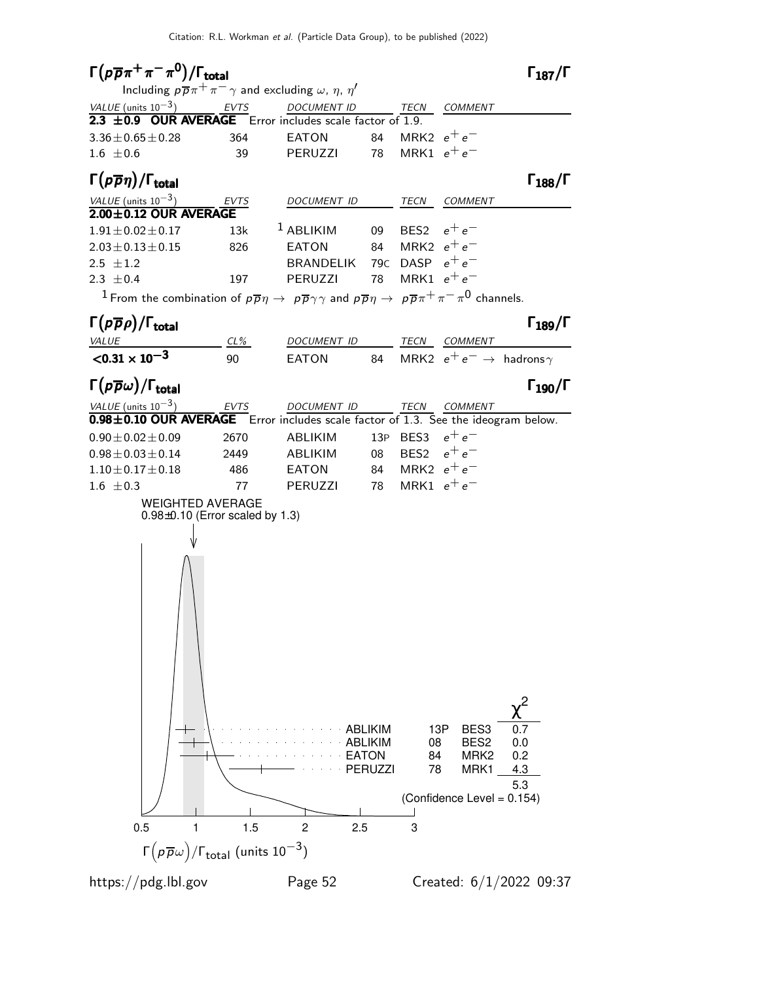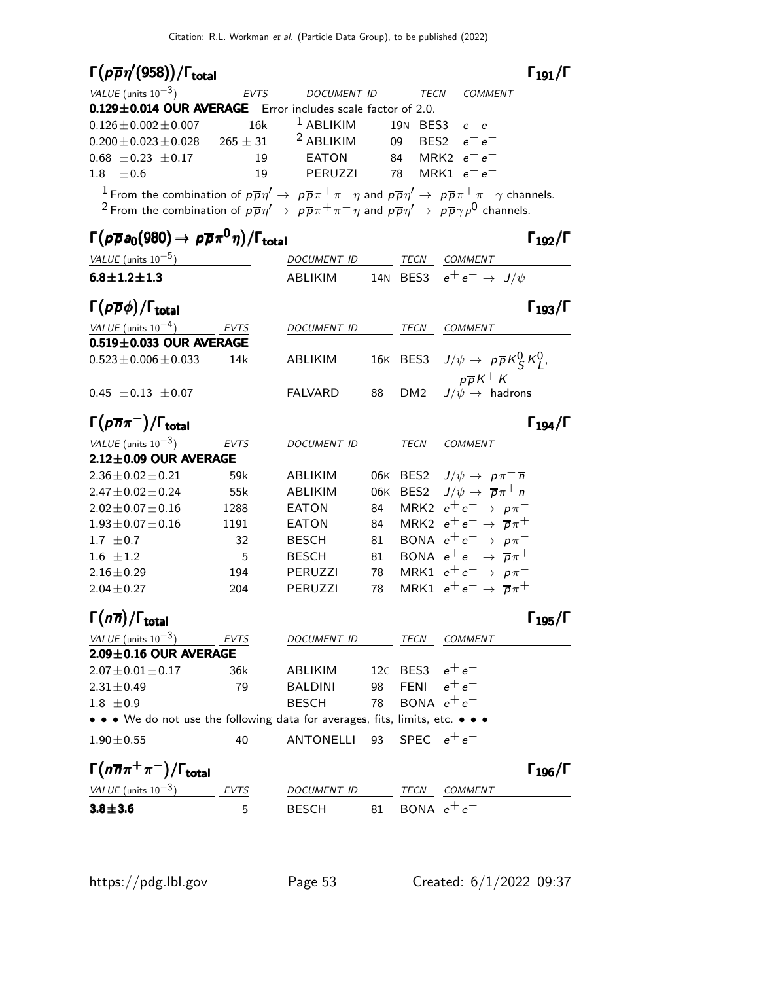# Γ $(p\overline{p}\eta'(958))/\Gamma_{\text{total}}$  Γ<sub>191</sub>/Γ

| VALUE (units $10^{-3}$ ) EVTS                                                                                                                                                                                                                                                                                                |     | DOCUMENT ID                            | <b>TECN</b> | <i>COMMENT</i> |
|------------------------------------------------------------------------------------------------------------------------------------------------------------------------------------------------------------------------------------------------------------------------------------------------------------------------------|-----|----------------------------------------|-------------|----------------|
| 0.129±0.014 OUR AVERAGE Error includes scale factor of 2.0.                                                                                                                                                                                                                                                                  |     |                                        |             |                |
| $0.126 \pm 0.002 \pm 0.007$                                                                                                                                                                                                                                                                                                  | 16k | <sup>1</sup> ABLIKIM 19N BES3 $e^+e^-$ |             |                |
| $0.200 \pm 0.023 \pm 0.028$ $265 \pm 31$ $2$ ABLIKIM  09  BES2 $e^+e^-$                                                                                                                                                                                                                                                      |     |                                        |             |                |
| $0.68 \pm 0.23 \pm 0.17$                                                                                                                                                                                                                                                                                                     | 19  | EATON 84 MRK2 $e^+e^-$                 |             |                |
| $1.8 + 0.6$                                                                                                                                                                                                                                                                                                                  | 19  | PERUZZI 78 MRK1 $e^+e^-$               |             |                |
| <sup>1</sup> From the combination of $p\overline{p}\eta' \to p\overline{p}\pi^+\pi^-\eta$ and $p\overline{p}\eta' \to p\overline{p}\pi^+\pi^-\gamma$ channels.<br><sup>2</sup> From the combination of $p\overline{p}\eta' \to p\overline{p}\pi^+\pi^-\eta$ and $p\overline{p}\eta' \to p\overline{p}\gamma\rho^0$ channels. |     |                                        |             |                |

### Γ  $\rho \overline{\rho}$ a $_0$ (980)  $\rightarrow \, \rho \overline{\rho} \pi^0 \eta$  $\bm{^0\eta})$

 $\Gamma_{191}/\Gamma$ 

| $\Gamma_{192}/\Gamma$                                       |                   |     |                |                   | $\Gamma(p\overline{p}a_0(980)\to p\overline{p}\pi^0\eta)/\Gamma_{\rm total}$  |
|-------------------------------------------------------------|-------------------|-----|----------------|-------------------|-------------------------------------------------------------------------------|
| TECN COMMENT                                                |                   |     | DOCUMENT ID    |                   | VALUE (units $10^{-5}$ )                                                      |
| 14N BES3 $e^+e^- \rightarrow J/\psi$                        |                   |     | ABLIKIM        |                   | $6.8 \pm 1.2 \pm 1.3$                                                         |
| $\Gamma_{193}/\Gamma$                                       |                   |     |                |                   | $\Gamma(p\overline{p}\phi)/\Gamma_{\rm total}$                                |
| <b>COMMENT</b>                                              | TECN              |     | DOCUMENT ID    | EVTS              | VALUE (units $10^{-4}$ )                                                      |
|                                                             |                   |     |                |                   | $0.519 \pm 0.033$ OUR AVERAGE                                                 |
| 16K BES3 $J/\psi \rightarrow p\overline{p}K_S^0 K_L^0$ ,    |                   |     | ABLIKIM        | 14k               | $0.523 \pm 0.006 \pm 0.033$                                                   |
| $p\,\overline{p}\,K^+\,K^-$<br>$J/\psi \rightarrow$ hadrons | DM <sub>2</sub>   | 88  | <b>FALVARD</b> |                   | $0.45 \pm 0.13 \pm 0.07$                                                      |
| $\Gamma_{194}/\Gamma$                                       |                   |     |                |                   | $\Gamma(\rho \overline{n} \pi^{-})/\Gamma_{\rm total}$                        |
| COMMENT                                                     | TECN              |     | DOCUMENT ID    | $\frac{EVTS}{EV}$ | VALUE (units $10^{-3}$ )                                                      |
|                                                             |                   |     |                |                   | 2.12±0.09 OUR AVERAGE                                                         |
| 06K BES2 $J/\psi \rightarrow p \pi^- \overline{n}$          |                   |     | ABLIKIM        | 59k               | $2.36 \pm 0.02 \pm 0.21$                                                      |
| BES2 $J/\psi \rightarrow \overline{p}\pi^{+}n$              |                   | 06K | ABLIKIM        | 55 <sub>k</sub>   | $2.47 \pm 0.02 \pm 0.24$                                                      |
| MRK2 $e^+e^- \rightarrow p\pi^-$                            |                   | 84  | EATON          | 1288              | $2.02 \pm 0.07 \pm 0.16$                                                      |
| MRK2 $e^+e^- \rightarrow \overline{p}\pi^+$                 |                   | 84  | EATON          | 1191              | $1.93 \pm 0.07 \pm 0.16$                                                      |
| BONA $e^+e^- \rightarrow p\pi^-$                            |                   | 81  | <b>BESCH</b>   | 32                | 1.7 $\pm$ 0.7                                                                 |
| BONA $e^+e^- \rightarrow \overline{p}\pi^+$                 |                   | 81  | <b>BESCH</b>   | 5                 | $1.6 \pm 1.2$                                                                 |
| MRK1 $e^+e^- \rightarrow p\pi^-$                            |                   | 78  | PERUZZI        | 194               | $2.16 \pm 0.29$                                                               |
| MRK1 $e^+e^- \rightarrow \overline{p}\pi^+$                 |                   | 78  | <b>PERUZZI</b> | 204               | $2.04 \pm 0.27$                                                               |
| $\Gamma_{195}/\Gamma$                                       |                   |     |                |                   | $\Gamma(n\overline{n})/\Gamma_{\rm total}$                                    |
| <b>COMMENT</b>                                              | TECN              |     | DOCUMENT ID    | <b>EVTS</b>       | VALUE (units $10^{-3}$ )                                                      |
|                                                             |                   |     |                |                   | $2.09 \pm 0.16$ OUR AVERAGE                                                   |
|                                                             | 12c BES3 $e^+e^-$ |     | ABLIKIM        | 36k               | $2.07 \pm 0.01 \pm 0.17$                                                      |
|                                                             | FENI $e^+e^-$     | 98  | <b>BALDINI</b> | 79                | $2.31 \pm 0.49$                                                               |
|                                                             | BONA $e^+e^-$     | 78  | <b>BESCH</b>   |                   | $1.8 \pm 0.9$                                                                 |
|                                                             |                   |     |                |                   | • • • We do not use the following data for averages, fits, limits, etc. • • • |
|                                                             | SPEC $e^+e^-$     | 93  | ANTONELLI      | 40                | $1.90 \pm 0.55$                                                               |
| $\Gamma_{196}/\Gamma$                                       |                   |     |                |                   | $\Gamma(n\overline{n}\pi^+\pi^-)/\Gamma_{\rm total}$                          |
| TECN COMMENT                                                |                   |     | DOCUMENT ID    | EVTS              | VALUE (units $10^{-3}$ )                                                      |
|                                                             | BONA $e^+e^-$     | 81  | <b>BESCH</b>   | 5                 | $3.8 + 3.6$                                                                   |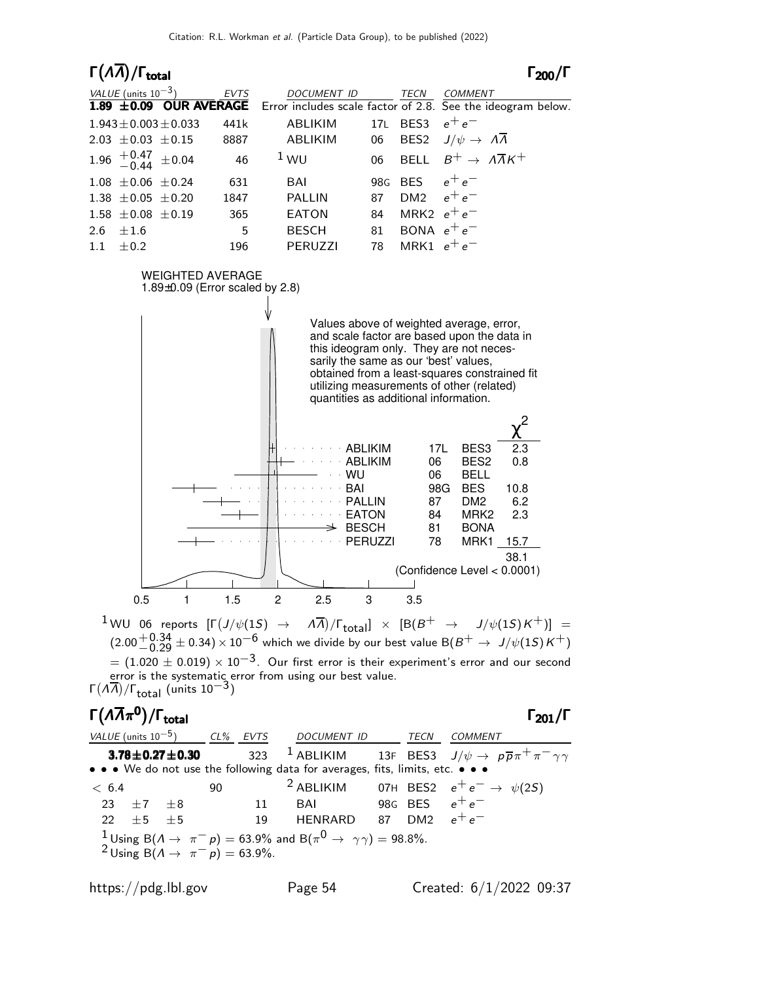### Γ $(A\overline{A})/\Gamma_{\text{total}}$  Γ $_{200}/\Gamma$  $\Gamma_{200}/\Gamma$  $VALUE$  (units 10<sup>-3</sup>) EVTS DOCUMENT ID TECN COMMENT **1.89**  $\pm$ **0.09 OUR AVERAGE** Error includes scale factor of 2.8. See the ideogram below.  $1.943 \pm 0.003 \pm 0.033$  441k ABLIKIM 17L BES3  $e^+e^-$ 2.03  $\pm$ 0.03  $\pm$ 0.15 8887 ABLIKIM 06 BES2  $J/\psi \rightarrow A\overline{\Lambda}$  $1.96$   $+0.47$ <br> $-0.44$  $\pm 0.04$  46 <sup>1</sup> WU 06 BELL  $B^+ \rightarrow A\overline{A}K^+$  $1.08 \pm 0.06 \pm 0.24$  631 BAI 98G BES  $e^+e^-$ 1.38  $\pm$  0.05  $\pm$  0.20 1847 PALLIN 87 DM2  $e^+e^ 1.58 \pm 0.08 \pm 0.19$  365 EATON 84 MRK2  $e^+e^ 2.6 \pm 1.6$  5 BESCH 81 BONA  $e^+e^ 1.1 \pm 0.2$  196 PERUZZI 78 MRK1  $e^+e^-$ WEIGHTED AVERAGE 1.89±0.09 (Error scaled by 2.8) Values above of weighted average, error, and scale factor are based upon the data in this ideogram only. They are not necessarily the same as our 'best' values, obtained from a least-squares constrained fit utilizing measurements of other (related) quantities as additional information. PERUZZI 78 MRK1 15.7 BESCH 81 BONA EATON 84 MRK2 2.3 PALLIN 87 DM2 6.2 BAI 98G BES 10.8 WU 06 BELL ABLIKIM 06 BES2 0.8 ABLIKIM 17L BES3 2.3 χ 2 38.1 (Confidence Level < 0.0001) 0.5 1 1.5 2 2.5 3 3.5

 $^{\displaystyle 1}$ WU 06 reports  $[\Gamma(\mathit{J}/\psi(1S)$   $\rightarrow$   $\,\,$   $\,\,$   $\,\,$   $\,\,$   $\,\,$   $\,\,$   $\,\,$   $\,\,$   $\,\,$  $)/\Gamma_{\text{total}}$ ]  $\times$  [B(B<sup>+</sup>  $\rightarrow$  J/ $\psi$ (1S)K<sup>+</sup>)] =  $(2.00 + 0.34 \pm 0.34) \times 10^{-6}$  which we divide by our best value B $(B^+ \rightarrow J/\psi(1S)K^+)$  $= (1.020 \pm 0.019) \times 10^{-3}$ . Our first error is their experiment's error and our second error is the systematic error from using our best value. Γ $(A\overline{A})/\Gamma_{total}$  (units 10<sup>-3</sup>)

## Γ $(A\overline{A}\pi^0)/\Gamma_{\text{total}}$  Γ $_{201}/\Gamma$

 $\Gamma_{201}/\Gamma$ 

VALUE (units 10<sup>-5</sup>) CL% EVTS DOCUMENT ID TECN COMMENT **3.78±0.27±0.30** 323 <sup>1</sup> ABLIKIM 13F BES3  $J/\psi \to p\overline{p}\pi$ • • • We do not use the following data for averages, fits, limits, etc.  $< 6.4$  90  $=$   $^2$  ABLIKIM 07H BES2  $e^+e^- \rightarrow \psi(2S)$  $23 \pm 7 \pm 8$  11 BAI 98G BES  $e^+$  $22 \pm 5 \pm 5$  19 HENRARD 87 DM2  $e^+e^ 1$  Using B( $\Lambda \rightarrow \pi^- p$ ) = 63.9% and B( $\pi^0 \rightarrow \gamma \gamma)$  = 98.8%. <sup>2</sup> Using B( $\Lambda \rightarrow \pi^- p$ ) = 63.9%.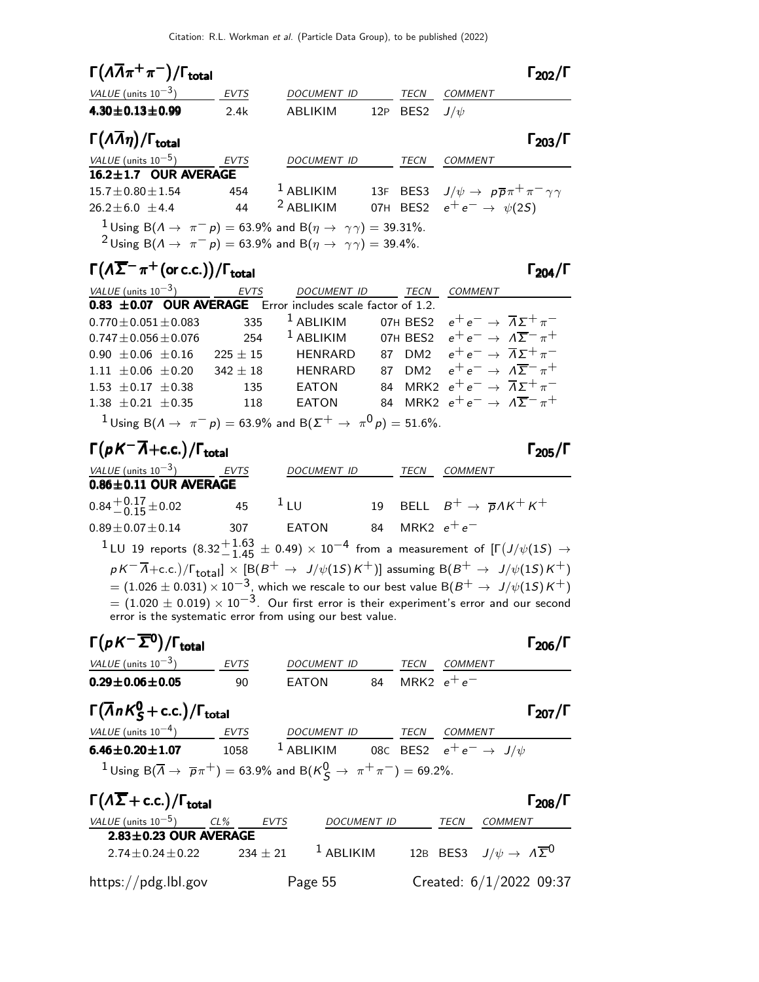| $\Gamma(\Lambda \overline{\Lambda} \pi^+ \pi^-)/\Gamma_{\text{total}}$                                                                                                                                                                |             |                      |                   | $\Gamma_{202}/\Gamma$                                                 |
|---------------------------------------------------------------------------------------------------------------------------------------------------------------------------------------------------------------------------------------|-------------|----------------------|-------------------|-----------------------------------------------------------------------|
| VALUE (units $10^{-3}$ )                                                                                                                                                                                                              | <b>EVTS</b> | <b>DOCUMENT ID</b>   | TECN              | <b>COMMENT</b>                                                        |
| $4.30 \pm 0.13 \pm 0.99$                                                                                                                                                                                                              | 2.4k        | ABLIKIM              | 12P BES2 $J/\psi$ |                                                                       |
| $\Gamma(\Lambda \overline{\Lambda} \eta)/\Gamma_{\rm total}$                                                                                                                                                                          |             |                      |                   | $\Gamma_{203}/\Gamma$                                                 |
| VALUE (units $10^{-5}$ )                                                                                                                                                                                                              | <b>EVTS</b> | <b>DOCUMENT ID</b>   | <b>TECN</b>       | <b>COMMENT</b>                                                        |
| 16.2±1.7 OUR AVERAGE                                                                                                                                                                                                                  |             |                      |                   |                                                                       |
| $15.7 + 0.80 + 1.54$                                                                                                                                                                                                                  | 454         | $1$ ABLIKIM          |                   | 13F BES3 $J/\psi \rightarrow p\overline{p}\pi^{+}\pi^{-}\gamma\gamma$ |
| $26.2 + 6.0 + 4.4$                                                                                                                                                                                                                    | 44          | <sup>2</sup> ABLIKIM |                   | 07H BES2 $e^+e^- \rightarrow \psi(2S)$                                |
| <sup>1</sup> Using B( $\Lambda \rightarrow \pi^- p$ ) = 63.9% and B( $\eta \rightarrow \gamma \gamma$ ) = 39.31%.<br><sup>2</sup> Using B( $\Lambda \rightarrow \pi^- p$ ) = 63.9% and B( $\eta \rightarrow \gamma \gamma$ ) = 39.4%. |             |                      |                   |                                                                       |

### $\Gamma(\Lambda\overline{\Sigma}^-\pi^+(\text{or c.c.}))/\Gamma_{\text{total}}$  Γ<sub>204</sub>/Γ

| VALUE (units $10^{-3}$ ) EVTS                                                                                      |           | DOCUMENT ID TECN |  | COMMENT                                                                  |
|--------------------------------------------------------------------------------------------------------------------|-----------|------------------|--|--------------------------------------------------------------------------|
| $0.83 \pm 0.07$ OUR AVERAGE Error includes scale factor of 1.2.                                                    |           |                  |  |                                                                          |
| $0.770 \pm 0.051 \pm 0.083$ 335 <sup>1</sup> ABLIKIM 07H BES2 $e^+e^- \rightarrow \overline{\Lambda}\Sigma^+\pi^-$ |           |                  |  |                                                                          |
| $0.747 \pm 0.056 \pm 0.076$                                                                                        |           |                  |  | 254 $^1$ ABLIKIM 07H BES2 $e^+e^- \rightarrow A\overline{\Sigma}^-\pi^+$ |
| 0.90 $\pm$ 0.06 $\pm$ 0.16 225 $\pm$ 15 HENRARD                                                                    |           |                  |  | 87 DM2 $e^+e^- \rightarrow \overline{\Lambda}\Sigma^+\pi^-$              |
| $1.11 \pm 0.06 \pm 0.20$ 342 $\pm$ 18 HENRARD                                                                      |           |                  |  | 87 DM2 $e^+e^- \rightarrow \Lambda \overline{\Sigma}^- \pi^+$            |
| 1.53 $\pm$ 0.17 $\pm$ 0.38                                                                                         | 135 EATON |                  |  | 84 MRK2 $e^+e^- \rightarrow \overline{\Lambda}\Sigma^+\pi^-$             |
| 1.38 $\pm$ 0.21 $\pm$ 0.35                                                                                         | 118       | FATON            |  | 84 MRK2 $e^+e^- \rightarrow \Lambda \overline{\Sigma}^- \pi^+$           |
| <sup>1</sup> Using B( $A \to \pi^- p$ ) = 63.9% and B( $\Sigma^+ \to \pi^0 p$ ) = 51.6%.                           |           |                  |  |                                                                          |

# $\Gamma(pK^-\overline{A}+c.c.)/\Gamma_{\text{total}}$  Γ<sub>205</sub>/Γ

| <i>VALUE</i> (units $10^{-3}$ ) | EVTS | <b>DOCUMENT ID</b> | TECN             | COMMENT                                                |
|---------------------------------|------|--------------------|------------------|--------------------------------------------------------|
| $0.86 \pm 0.11$ OUR AVERAGE     |      |                    |                  |                                                        |
| $0.84 + 0.17 \pm 0.02$          | 45   | $\perp$ LU         |                  | 19 BELL $B^+ \rightarrow \overline{p} \Lambda K^+ K^+$ |
| $0.89 \pm 0.07 \pm 0.14$        | 307  | EATON              | 84 MRK2 $e^+e^-$ |                                                        |
| $1 \dots 1$ $(22 + 163 + 212)$  |      |                    |                  | $\mathbf{r} = (r_1, r_2, \ldots, r_n)$                 |

 $^1$ LU 19 reports  $(8.32^{+\displaystyle{1.63}_{-\displaystyle{1.45}}}\pm$  0.49)  $\times$   $10^{-4}$  from a measurement of [Γ $(J/\psi(1S)$   $\rightarrow$  $p$   $K^-\overline\Lambda+{\rm c.c.})/\Gamma_{\rm total}]\times [{\rm B}(B^+\to\ J/\psi(1S) \,K^+)]$  assuming  ${\rm B}(B^+\to\ J/\psi(1S) \,K^+)$  $=(1.026\pm 0.031)\times 10^{-3}$ , which we rescale to our best value B $(B^+\to\ J/\psi(1S) \, K^+)$  $= (1.020 \pm 0.019) \times 10^{-3}$ . Our first error is their experiment's error and our second error is the systematic error from using our best value.

### Γ $(pK^-\overline{\Sigma}^0)/\Gamma_{\text{total}}$ total206 VALUE (units  $10^{-3}$ ) EVTS DOCUMENT ID TECN COMMENT  $0.29 \pm 0.06 \pm 0.05$  90 EATON 84 MRK2  $e^+ e^-$

# $\Gamma(\overline{\Lambda}nK_S^0 + \text{c.c.})/\Gamma_{\text{total}}$  Γ<sub>207</sub>/Γ

| $1$ (/lnn $\zeta$ + C.C.)/I total                                                                             |      |                                                           |      |                | 1207/1 |
|---------------------------------------------------------------------------------------------------------------|------|-----------------------------------------------------------|------|----------------|--------|
| <i>VALUE</i> (units $10^{-4}$ )                                                                               | EVTS | DOCUMENT ID                                               | TECN | <i>COMMENT</i> |        |
| $6.46 \pm 0.20 \pm 1.07$                                                                                      | 1058 | <sup>1</sup> ABLIKIM 08C BES2 $e^+e^- \rightarrow J/\psi$ |      |                |        |
| <sup>1</sup> Using B( $\overline{A} \to \overline{p}\pi^+$ ) = 63.9% and B( $K_S^0 \to \pi^+\pi^-$ ) = 69.2%. |      |                                                           |      |                |        |

| $\Gamma(\Lambda \overline{\Sigma} + \text{c.c.})/\Gamma_{\text{total}}$ |             |                    |      | $\Gamma_{208}/\Gamma$                                     |
|-------------------------------------------------------------------------|-------------|--------------------|------|-----------------------------------------------------------|
| VALUE (units $10^{-5}$ )                                                | CL%<br>EVTS | <b>DOCUMENT ID</b> | TECN | COMMENT                                                   |
| $2.83 \pm 0.23$ OUR AVERAGE                                             |             |                    |      |                                                           |
| $2.74 + 0.24 + 0.22$                                                    | $234 + 21$  | $1$ ABLIKIM        |      | 12B BES3 $J/\psi \rightarrow \Lambda \overline{\Sigma}^0$ |
| $\frac{h}{\text{https://pdg.lbl.gov}}$                                  |             | Page 55            |      | Created: 6/1/2022 09:37                                   |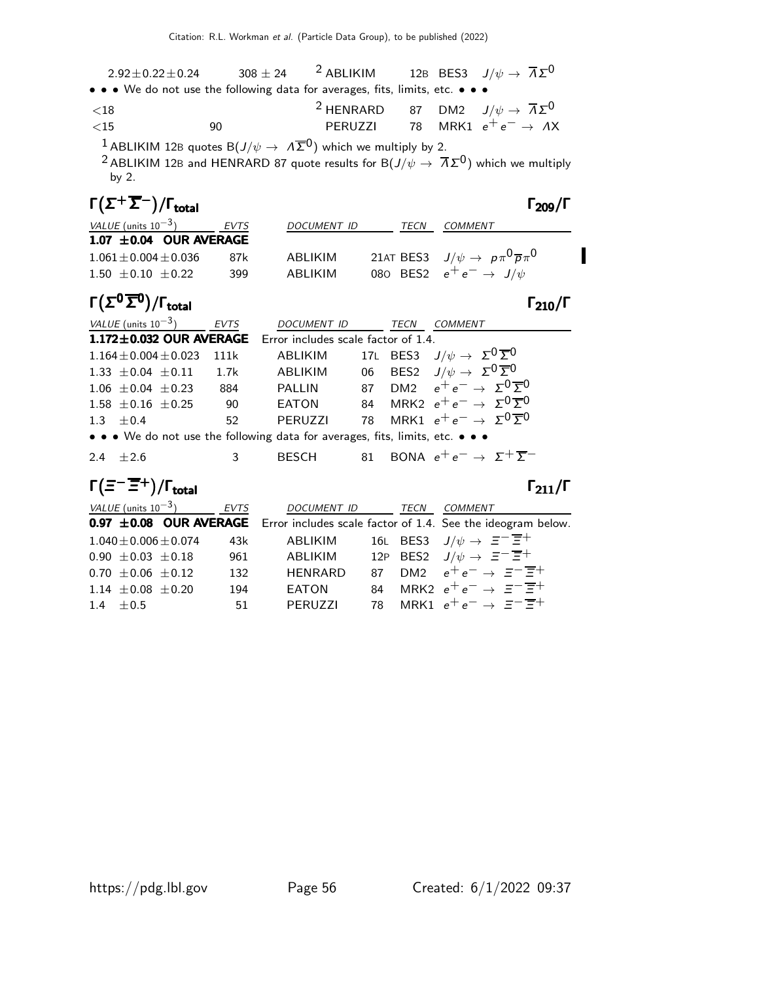| $2.92 \pm 0.22 \pm 0.24$                                                                                              | $308 \pm 24$ | <sup>2</sup> ABLIKIM |  | 12B BES3 $J/\psi \rightarrow \overline{\Lambda} \Sigma^0$ |  |
|-----------------------------------------------------------------------------------------------------------------------|--------------|----------------------|--|-----------------------------------------------------------|--|
| $\bullet \bullet \bullet$ We do not use the following data for averages, fits, limits, etc. $\bullet \bullet \bullet$ |              |                      |  |                                                           |  |

| ${<}18$ |    | <sup>2</sup> HENRARD 87 DM2 $J/\psi \rightarrow \overline{\Lambda} \Sigma^0$ |  |                                                |
|---------|----|------------------------------------------------------------------------------|--|------------------------------------------------|
| ${<}15$ | 90 |                                                                              |  | <b>PERUZZI</b> 78 MRK1 $e^+e^- \rightarrow AX$ |

 $^1$  ABLIKIM 12B quotes B $(J/\psi\rightarrow~\varLambda\overline{\Sigma}^0)$  which we multiply by 2.

 $^2$ ABLIKIM 12B and HENRARD 87 quote results for B $(J/\psi\rightarrow\ \overline{\Lambda}\,\Sigma^0)$  which we multiply by 2.

| $\Gamma(\Sigma^+\overline{\Sigma}^-)/\Gamma_{\rm total}$ |      |                    |      | $\Gamma_{209}/\Gamma$                                     |
|----------------------------------------------------------|------|--------------------|------|-----------------------------------------------------------|
| <i>VALUE</i> (units $10^{-3}$ )                          | EVTS | <b>DOCUMENT ID</b> | TECN | COMMENT                                                   |
| $1.07 \pm 0.04$ OUR AVERAGE                              |      |                    |      |                                                           |
| $1.061 \pm 0.004 \pm 0.036$                              | 87k  | ABLIKIM            |      | 21AT BES3 $J/\psi \rightarrow p \pi^0 \overline{p} \pi^0$ |
| $1.50 \pm 0.10 \pm 0.22$                                 | 399  | ABI IKIM           |      | 080 BES2 $e^+e^- \rightarrow J/\psi$                      |

# Γ $(\Sigma^0 \overline{\Sigma}^0)/\Gamma_{\text{total}}$

| total | $\Gamma_{210}/\Gamma$ |
|-------|-----------------------|
|       |                       |

| VALUE (units $10^{-3}$ )                                                      | <b>EVTS</b> | DOCUMENT ID    |  | TECN | COMMENT                                                         |  |
|-------------------------------------------------------------------------------|-------------|----------------|--|------|-----------------------------------------------------------------|--|
| 1.172±0.032 OUR AVERAGE Error includes scale factor of 1.4.                   |             |                |  |      |                                                                 |  |
| $1.164 \pm 0.004 \pm 0.023$                                                   | 111k        | ABLIKIM        |  |      | 17L BES3 $J/\psi \to \Sigma^0 \overline{\Sigma}{}^0$            |  |
| 1.33 $\pm$ 0.04 $\pm$ 0.11 1.7k                                               |             | ABLIKIM        |  |      | 06 BES2 $J/\psi \rightarrow \Sigma^{0} \overline{\Sigma}^{0}$   |  |
| $1.06 \pm 0.04 \pm 0.23$                                                      | 884         |                |  |      | PALLIN 87 DM2 $e^+e^- \rightarrow \Sigma^0 \overline{\Sigma}^0$ |  |
| $1.58 \pm 0.16 \pm 0.25$                                                      | 90          | <b>EATON</b>   |  |      | 84 MRK2 $e^+e^- \rightarrow \Sigma^0 \overline{\Sigma}^0$       |  |
| 1.3 $\pm 0.4$                                                                 | 52          | <b>PERUZZI</b> |  |      | 78 MRK1 $e^+e^- \rightarrow \Sigma^0 \overline{\Sigma}^0$       |  |
| • • • We do not use the following data for averages, fits, limits, etc. • • • |             |                |  |      |                                                                 |  |
| $2.4 + 2.6$                                                                   | 3           | <b>BESCH</b>   |  |      | 81 BONA $e^+e^- \rightarrow \Sigma^+ \overline{\Sigma}^-$       |  |

### $\Gamma(\Xi^-\overline{\Xi}^+)$ /Γ<sub>total</sub>Γ

|--|--|

| <i>VALUE</i> (units $10^{-3}$ ) | <b>EVTS</b> | DOCUMENT ID TECN |  | <b>COMMENT</b>                                                                     |
|---------------------------------|-------------|------------------|--|------------------------------------------------------------------------------------|
|                                 |             |                  |  | 0.97 ±0.08 OUR AVERAGE Error includes scale factor of 1.4. See the ideogram below. |
| $1.040 \pm 0.006 \pm 0.074$     | 43k         | ABLIKIM          |  | 16L BES3 $J/\psi \rightarrow \Xi^- \overline{\Xi^+}$                               |
| $0.90 \pm 0.03 \pm 0.18$        | 961         | ABLIKIM          |  | 12P BES2 $J/\psi \rightarrow \Xi^- \overline{\Xi}^+$                               |
| $0.70 \pm 0.06 \pm 0.12$        | 132         | <b>HENRARD</b>   |  | 87 DM2 $e^+e^- \rightarrow \Xi^- \overline{\Xi}^+$                                 |
| $1.14 \pm 0.08 \pm 0.20$        | 194         | EATON            |  | 84 MRK2 $e^+e^- \rightarrow \Xi^{-}\overline{\Xi}^{+}$                             |
| $1.4 + 0.5$                     | 51          | PFRUZZI          |  | 78 MRK1 $e^+e^- \rightarrow \Xi^{-}\overline{\Xi}^{+}$                             |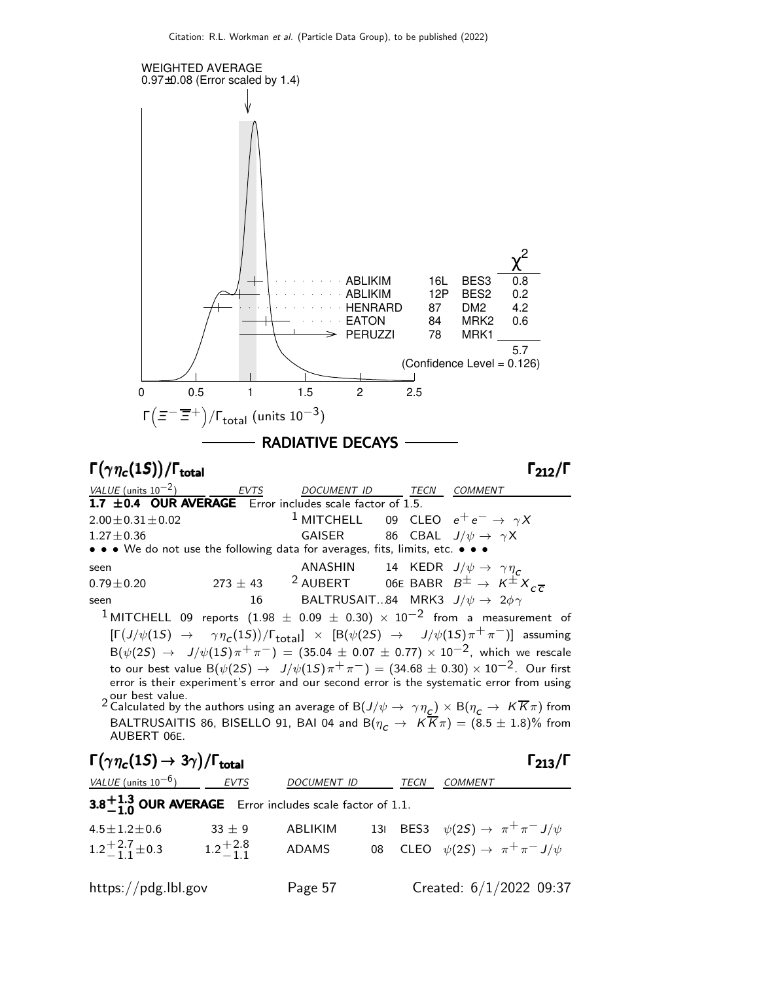

$$
2022\ 09.3
$$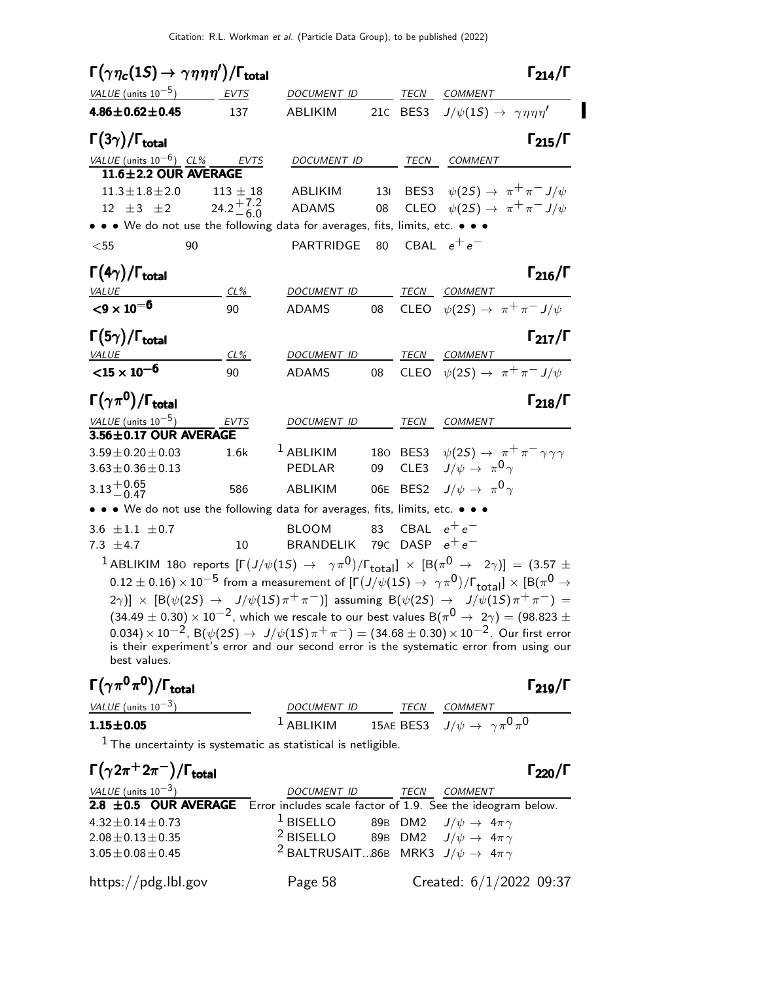$\blacksquare$ 

| $\Gamma(\gamma\eta_c(1S) \to \gamma\eta\eta\eta')/\Gamma_{\rm total}$                  |                                                                 |                                          |     |      | $\Gamma_{214}/\Gamma$                                                                                                                                                                                        |
|----------------------------------------------------------------------------------------|-----------------------------------------------------------------|------------------------------------------|-----|------|--------------------------------------------------------------------------------------------------------------------------------------------------------------------------------------------------------------|
| VALUE (units $10^{-5}$ )                                                               | <b>EVTS</b>                                                     | DOCUMENT ID                              |     | TECN | COMMENT                                                                                                                                                                                                      |
| $4.86 \pm 0.62 \pm 0.45$                                                               | 137                                                             | ABLIKIM                                  |     |      | 21c BES3 $J/\psi(1S) \rightarrow \gamma \eta \eta \eta'$                                                                                                                                                     |
| $\Gamma(3\gamma)/\Gamma_{\rm total}$                                                   |                                                                 |                                          |     |      | $\Gamma_{215}/\Gamma$                                                                                                                                                                                        |
| VALUE (units $10^{-6}$ ) CL% EVTS                                                      |                                                                 | DOCUMENT ID                              |     | TECN | COMMENT                                                                                                                                                                                                      |
| 11.6±2.2 OUR AVERAGE                                                                   |                                                                 |                                          |     |      |                                                                                                                                                                                                              |
| $11.3 \pm 1.8 \pm 2.0$                                                                 | $113 \pm 18$                                                    | ABLIKIM                                  | 13I |      | BES3 $\psi(2S) \rightarrow \pi^+\pi^- J/\psi$                                                                                                                                                                |
| 12 $\pm 3$ $\pm 2$ 24.2 <sup><math>+7.2</math></sup> 24.2 <sup><math>+7.2</math></sup> |                                                                 | <b>ADAMS</b>                             | 08  |      | CLEO $\psi(2S) \rightarrow \pi^+ \pi^- J/\psi$                                                                                                                                                               |
| • • • We do not use the following data for averages, fits, limits, etc. • • •          |                                                                 |                                          |     |      |                                                                                                                                                                                                              |
| $<$ 55                                                                                 | 90                                                              | PARTRIDGE                                | 80  |      | CBAL $e^+e^-$                                                                                                                                                                                                |
| $\Gamma(4\gamma)/\Gamma_{\rm total}$                                                   |                                                                 |                                          |     |      | $\Gamma_{216}/\Gamma$                                                                                                                                                                                        |
| <u>VALUE</u>                                                                           | $CL\%$                                                          | <b>DOCUMENT ID</b>                       |     |      | TECN COMMENT                                                                                                                                                                                                 |
| $<$ 9 $\times$ 10 <sup>-6</sup>                                                        | 90                                                              | ADAMS                                    | 08  |      | CLEO $\psi(2S) \rightarrow \pi^+ \pi^- J/\psi$                                                                                                                                                               |
| $\Gamma(5\gamma)/\Gamma_{\rm total}$                                                   |                                                                 |                                          |     |      | $\Gamma_{217}/\Gamma$                                                                                                                                                                                        |
|                                                                                        | CL%                                                             | DOCUMENT ID                              |     |      | TECN COMMENT                                                                                                                                                                                                 |
| $\frac{\text{VALUE}}{\text{15} \times 10^{-6}}$                                        | 90                                                              | <b>ADAMS</b>                             | 08  |      | CLEO $\psi(2S) \rightarrow \pi^+ \pi^- J/\psi$                                                                                                                                                               |
| $\Gamma(\gamma\pi^0)/\Gamma_{\rm total}$                                               |                                                                 |                                          |     |      | $\Gamma_{218}/\Gamma$                                                                                                                                                                                        |
| VALUE (units $10^{-5}$ )                                                               | EVTS                                                            | DOCUMENT ID                              |     | TECN | COMMENT                                                                                                                                                                                                      |
| 3.56±0.17 OUR AVERAGE                                                                  |                                                                 |                                          |     |      |                                                                                                                                                                                                              |
| $3.59 \pm 0.20 \pm 0.03$                                                               | 1.6k                                                            | <sup>1</sup> ABLIKIM                     |     |      | 180 BES3 $\psi(2S) \rightarrow \pi^+ \pi^- \gamma \gamma \gamma$                                                                                                                                             |
| $3.63 \pm 0.36 \pm 0.13$                                                               |                                                                 | PEDLAR                                   | 09  |      | CLE3 $J/\psi \rightarrow \pi^0 \gamma$                                                                                                                                                                       |
| $3.13 + 0.65$<br>-0.47                                                                 | 586                                                             | ABLIKIM                                  |     |      | 06E BES2 $J/\psi \rightarrow \pi^0 \gamma$                                                                                                                                                                   |
| • • • We do not use the following data for averages, fits, limits, etc. • • •          |                                                                 |                                          |     |      |                                                                                                                                                                                                              |
| 3.6 $\pm 1.1$ $\pm 0.7$                                                                |                                                                 | <b>BLOOM</b>                             | 83  |      | CBAL $e^+e^-$                                                                                                                                                                                                |
| 7.3 $\pm$ 4.7                                                                          | 10                                                              | BRANDELIK 79 $\rm{c}$ DASP $\rm{e^+e^-}$ |     |      |                                                                                                                                                                                                              |
|                                                                                        |                                                                 |                                          |     |      | $^1$ ABLIKIM 180 reports $[\Gamma(J/\psi(1S) \to \gamma \pi^0)/\Gamma_{\rm total}] \times [B(\pi^0 \to 2\gamma)] = (3.57 \pm 1)$                                                                             |
|                                                                                        |                                                                 |                                          |     |      | $(0.12\pm0.16)\times10^{-5}$ from a measurement of $[\Gamma(J/\psi(1S)\to~\gamma\pi^0)/\Gamma_{\rm total}]\times[B(\pi^0\to0)$                                                                               |
|                                                                                        |                                                                 |                                          |     |      | $(2\gamma)]$ $\times$ $[{\sf B}(\psi(2S) \to J/\psi(1S)\pi^+\pi^-)]$ assuming ${\sf B}(\psi(2S) \to J/\psi(1S)\pi^+\pi^-) = 0$                                                                               |
|                                                                                        |                                                                 |                                          |     |      | $(34.49 \pm 0.30) \times 10^{-2}$ , which we rescale to our best values B $(\pi^0 \rightarrow 2\gamma) = (98.823 \pm 0.00)$                                                                                  |
|                                                                                        |                                                                 |                                          |     |      | $(0.034)\times 10^{-2}$ , B $(\psi(2S)\to\ J/\psi(1S)\pi^+\pi^-)=(34.68\pm 0.30)\times 10^{-2}$ . Our first error<br>is their experiment's error and our second error is the systematic error from using our |
| best values.                                                                           |                                                                 |                                          |     |      |                                                                                                                                                                                                              |
| $\Gamma(\gamma\pi^0\pi^0)/\Gamma_{\rm total}$                                          |                                                                 |                                          |     |      | $\Gamma_{219}/\Gamma$                                                                                                                                                                                        |
| VALUE (units $10^{-3}$ )                                                               |                                                                 | DOCUMENT ID                              |     |      | TECN COMMENT                                                                                                                                                                                                 |
| $1.15 \pm 0.05$                                                                        |                                                                 | $1$ ABLIKIM                              |     |      | 15AE BES3 $\hspace{.1cm} J/\psi \, \rightarrow \hspace{.1cm} \gamma \, \pi^0 \, \pi^0$                                                                                                                       |
|                                                                                        | $1$ The uncertainty is systematic as statistical is netligible. |                                          |     |      |                                                                                                                                                                                                              |
|                                                                                        |                                                                 |                                          |     |      |                                                                                                                                                                                                              |

| $\Gamma(\gamma 2\pi^+ 2\pi^-)/\Gamma_{\rm total}$                                     |                                                                  |      |                         | $\Gamma_{220}/\Gamma$ |
|---------------------------------------------------------------------------------------|------------------------------------------------------------------|------|-------------------------|-----------------------|
| VALUE (units $10^{-3}$ )                                                              | <i>DOCUMENT ID</i>                                               | TECN | COMMENT                 |                       |
| 2.8 $\pm$ 0.5 OUR AVERAGE Error includes scale factor of 1.9. See the ideogram below. |                                                                  |      |                         |                       |
| $4.32 \pm 0.14 \pm 0.73$                                                              | <sup>1</sup> BISELLO 89B DM2 $J/\psi \rightarrow 4\pi \gamma$    |      |                         |                       |
| $2.08 \pm 0.13 \pm 0.35$                                                              | <sup>2</sup> BISELLO 89B DM2 $J/\psi \rightarrow 4\pi \gamma$    |      |                         |                       |
| $3.05 \pm 0.08 \pm 0.45$                                                              | <sup>2</sup> BALTRUSAIT86B MRK3 $J/\psi \rightarrow 4\pi \gamma$ |      |                         |                       |
| https://pdg.lbl.gov                                                                   | Page 58                                                          |      | Created: 6/1/2022 09:37 |                       |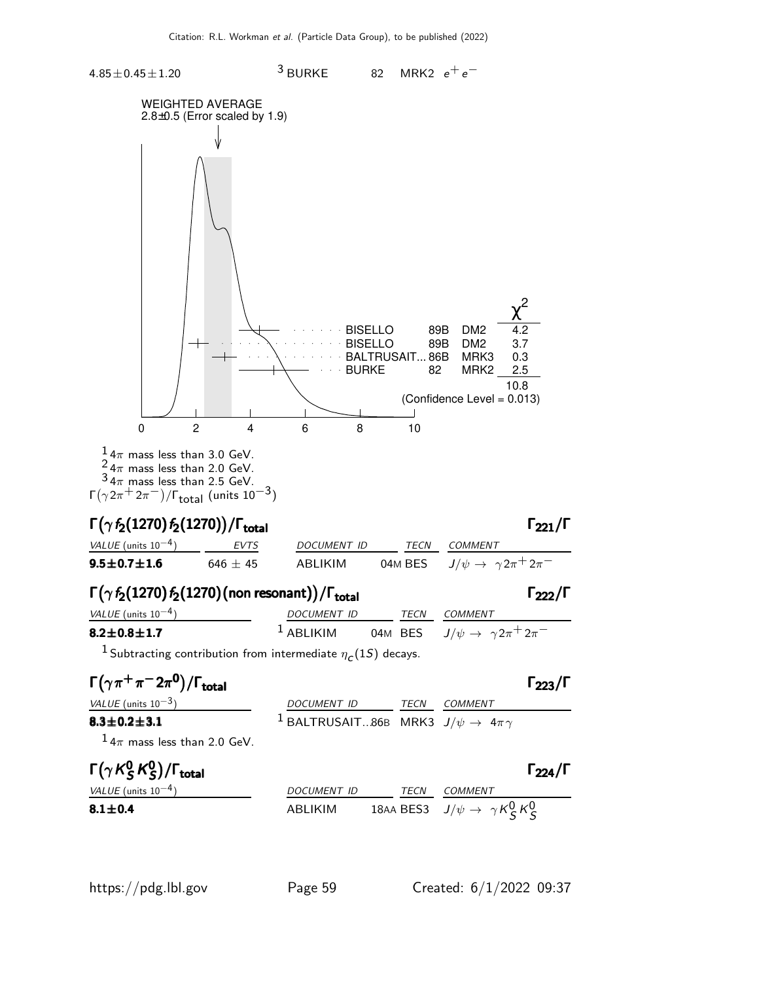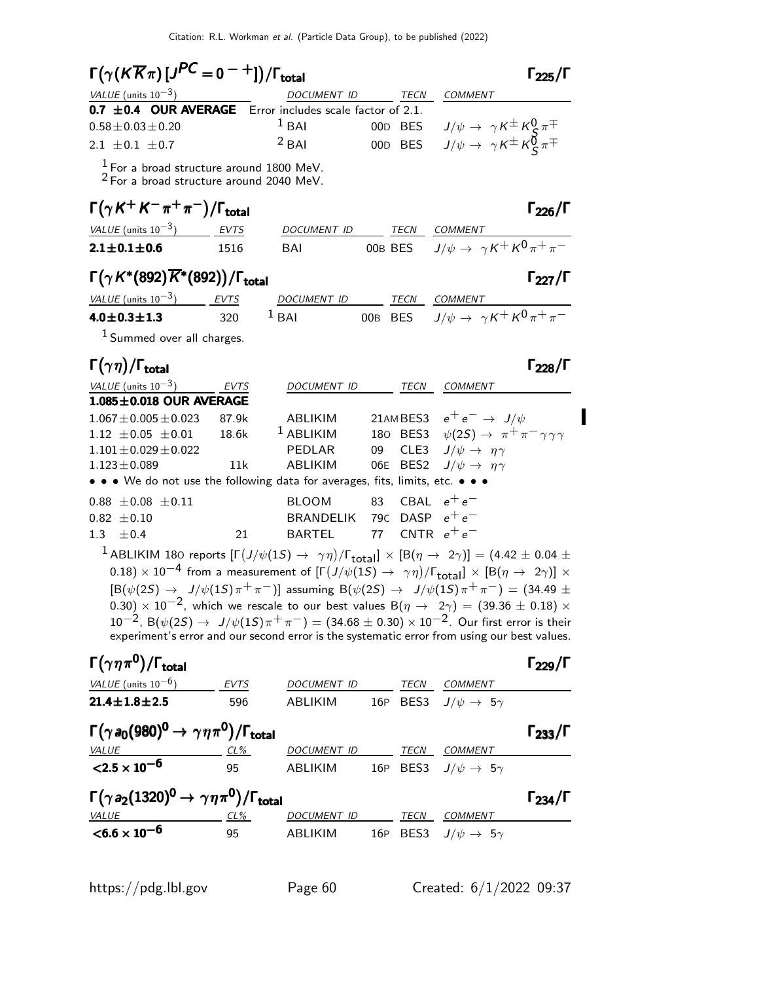| $\Gamma(\gamma(K\overline{K}\pi)[J^{PC}=0^{-+}])/\Gamma_{\rm total}$                                                                                                                                                                                                                                                                                                                                                                                                                                                                                                                                                                                                                                                                                                                          |              |                                     |     |         |                                                                           | $\Gamma_{225}/\Gamma$ |
|-----------------------------------------------------------------------------------------------------------------------------------------------------------------------------------------------------------------------------------------------------------------------------------------------------------------------------------------------------------------------------------------------------------------------------------------------------------------------------------------------------------------------------------------------------------------------------------------------------------------------------------------------------------------------------------------------------------------------------------------------------------------------------------------------|--------------|-------------------------------------|-----|---------|---------------------------------------------------------------------------|-----------------------|
| VALUE (units $10^{-3}$ )                                                                                                                                                                                                                                                                                                                                                                                                                                                                                                                                                                                                                                                                                                                                                                      |              | DOCUMENT ID                         |     |         | TECN COMMENT                                                              |                       |
| 0.7 $\pm$ 0.4 OUR AVERAGE Error includes scale factor of 2.1.                                                                                                                                                                                                                                                                                                                                                                                                                                                                                                                                                                                                                                                                                                                                 |              | $1$ BAI                             |     |         |                                                                           |                       |
| $0.58 \pm 0.03 \pm 0.20$                                                                                                                                                                                                                                                                                                                                                                                                                                                                                                                                                                                                                                                                                                                                                                      |              |                                     |     | 00D BES | $J/\psi\rightarrow\ \gamma\,K^{\pm}\,K^0_{\cal S}\,\pi^{\mp}$             |                       |
| 2.1 $\pm$ 0.1 $\pm$ 0.7                                                                                                                                                                                                                                                                                                                                                                                                                                                                                                                                                                                                                                                                                                                                                                       |              | $2$ BAI                             |     |         | 00D BES $J/\psi \rightarrow \gamma K^{\pm} K_{\rm c}^{\vec{0}} \pi^{\mp}$ |                       |
| $\frac{1}{2}$ For a broad structure around 1800 MeV.<br>$2$ For a broad structure around 2040 MeV.                                                                                                                                                                                                                                                                                                                                                                                                                                                                                                                                                                                                                                                                                            |              |                                     |     |         |                                                                           |                       |
| $\Gamma(\gamma K^+ K^- \pi^+ \pi^-)/\Gamma_{\rm total}$                                                                                                                                                                                                                                                                                                                                                                                                                                                                                                                                                                                                                                                                                                                                       |              |                                     |     |         |                                                                           | $\Gamma_{226}/\Gamma$ |
| <u>VALUE</u> (units $10^{-3}$ ) EVTS                                                                                                                                                                                                                                                                                                                                                                                                                                                                                                                                                                                                                                                                                                                                                          |              | DOCUMENT ID TECN COMMENT            |     |         |                                                                           |                       |
| $2.1 \pm 0.1 \pm 0.6$                                                                                                                                                                                                                                                                                                                                                                                                                                                                                                                                                                                                                                                                                                                                                                         | 1516         | BAI                                 |     |         | OOB BES $J/\psi \rightarrow \gamma K^+ K^0 \overline{\pi^+ \pi^-}$        |                       |
| $\Gamma(\gamma K^*(892)\overline{K}^*(892))/\Gamma_{\text{total}}$                                                                                                                                                                                                                                                                                                                                                                                                                                                                                                                                                                                                                                                                                                                            |              |                                     |     |         |                                                                           | $\Gamma_{227}/\Gamma$ |
| <u>VALUE</u> (units $10^{-3}$ ) EVTS                                                                                                                                                                                                                                                                                                                                                                                                                                                                                                                                                                                                                                                                                                                                                          |              | DOCUMENT ID TECN COMMENT            |     |         |                                                                           |                       |
| $4.0 \pm 0.3 \pm 1.3$                                                                                                                                                                                                                                                                                                                                                                                                                                                                                                                                                                                                                                                                                                                                                                         | 320          | $1$ BAI                             |     |         | OOB BES $J/\psi \rightarrow \gamma K^+ K^0 \pi^+ \pi^-$                   |                       |
| $1$ Summed over all charges.                                                                                                                                                                                                                                                                                                                                                                                                                                                                                                                                                                                                                                                                                                                                                                  |              |                                     |     |         |                                                                           |                       |
| $\Gamma(\gamma\eta)/\Gamma_{\rm total}$                                                                                                                                                                                                                                                                                                                                                                                                                                                                                                                                                                                                                                                                                                                                                       |              |                                     |     |         |                                                                           | $\Gamma_{228}/\Gamma$ |
| VALUE $(\text{units } 10^{-3})$                                                                                                                                                                                                                                                                                                                                                                                                                                                                                                                                                                                                                                                                                                                                                               | EVTS         | DOCUMENT ID                         |     |         | TECN COMMENT                                                              |                       |
| 1.085±0.018 OUR AVERAGE                                                                                                                                                                                                                                                                                                                                                                                                                                                                                                                                                                                                                                                                                                                                                                       |              |                                     |     |         |                                                                           |                       |
| $1.067 \pm 0.005 \pm 0.023$                                                                                                                                                                                                                                                                                                                                                                                                                                                                                                                                                                                                                                                                                                                                                                   | 87.9k        | ABLIKIM                             |     |         | 21AMBES3 $e^+e^- \rightarrow J/\psi$                                      |                       |
| $1.12 \pm 0.05 \pm 0.01$                                                                                                                                                                                                                                                                                                                                                                                                                                                                                                                                                                                                                                                                                                                                                                      | 18.6k        | $1$ ABLIKIM                         |     |         | 180 BES3 $\psi(2S) \rightarrow \pi^+ \pi^- \gamma \gamma \gamma$          |                       |
| $1.101 \pm 0.029 \pm 0.022$                                                                                                                                                                                                                                                                                                                                                                                                                                                                                                                                                                                                                                                                                                                                                                   |              | PEDLAR                              | 09  |         | CLE3 $J/\psi \rightarrow \eta \gamma$                                     |                       |
| $1.123 \pm 0.089$<br>• • • We do not use the following data for averages, fits, limits, etc. • • •                                                                                                                                                                                                                                                                                                                                                                                                                                                                                                                                                                                                                                                                                            | 11k          | ABLIKIM                             | 06E |         | BES2 $J/\psi \rightarrow \eta \gamma$                                     |                       |
|                                                                                                                                                                                                                                                                                                                                                                                                                                                                                                                                                                                                                                                                                                                                                                                               |              |                                     |     |         |                                                                           |                       |
| $0.88 \pm 0.08 \pm 0.11$                                                                                                                                                                                                                                                                                                                                                                                                                                                                                                                                                                                                                                                                                                                                                                      |              | <b>BLOOM</b>                        |     |         | 83 CBAL $e^+e^-$                                                          |                       |
| $0.82 \pm 0.10$                                                                                                                                                                                                                                                                                                                                                                                                                                                                                                                                                                                                                                                                                                                                                                               |              | BRANDELIK 79C DASP $e^+e^-$         |     |         |                                                                           |                       |
| 1.3<br>± 0.4                                                                                                                                                                                                                                                                                                                                                                                                                                                                                                                                                                                                                                                                                                                                                                                  | 21           | <b>BARTEL</b>                       | 77  |         | CNTR $e^+e^-$                                                             |                       |
| <sup>1</sup> ABLIKIM 180 reports $[\Gamma(J/\psi(1S) \to \gamma\eta)/\Gamma_{\rm total}]\times [B(\eta \to 2\gamma)] = (4.42 \pm 0.04 \pm 1)$<br>0.18) $\times$ 10 $^{-4}$ from a measurement of $[\Gamma(J/\psi(1S) \to \gamma\eta)/\Gamma_{\rm total}]\times [\mathrm{B}(\eta \to 2\gamma)] \times$<br>$[B(\psi(2S) \to J/\psi(1S)\pi^+\pi^-)]$ assuming $B(\psi(2S) \to J/\psi(1S)\pi^+\pi^-) = (34.49 \pm$<br>0.30) $\times$ 10 <sup>-2</sup> , which we rescale to our best values B( $\eta$ $\rightarrow$ 2 $\gamma)$ = (39.36 $\pm$ 0.18) $\times$<br>$10^{-2}$ , B( $\psi(25) \rightarrow J/\psi(15) \pi^{+} \pi^{-}$ ) = (34.68 ± 0.30) × 10 <sup>-2</sup> . Our first error is their<br>experiment's error and our second error is the systematic error from using our best values. |              |                                     |     |         |                                                                           |                       |
| $\Gamma(\gamma\eta\pi^{\mathbf{0}})/\Gamma_{\text{total}}$                                                                                                                                                                                                                                                                                                                                                                                                                                                                                                                                                                                                                                                                                                                                    |              |                                     |     |         |                                                                           | $\Gamma_{229}/\Gamma$ |
| VALUE (units $10^{-6}$ )                                                                                                                                                                                                                                                                                                                                                                                                                                                                                                                                                                                                                                                                                                                                                                      | EVTS         | DOCUMENT ID TECN COMMENT            |     |         |                                                                           |                       |
| $21.4 \pm 1.8 \pm 2.5$                                                                                                                                                                                                                                                                                                                                                                                                                                                                                                                                                                                                                                                                                                                                                                        | 596          | ABLIKIM                             |     |         | 16P BES3 $J/\psi \rightarrow 5\gamma$                                     |                       |
| $\Gamma(\gamma a_0(980)^0 \to \gamma \eta \pi^0)/\Gamma_{\rm total}$                                                                                                                                                                                                                                                                                                                                                                                                                                                                                                                                                                                                                                                                                                                          |              |                                     |     |         |                                                                           | $\Gamma_{233}/\Gamma$ |
| $\frac{VALUE}{2.5 \times 10^{-6}}$ 2.5 $\times 10^{-6}$ 95                                                                                                                                                                                                                                                                                                                                                                                                                                                                                                                                                                                                                                                                                                                                    |              | DOCUMENT ID TECN COMMENT            |     |         |                                                                           |                       |
|                                                                                                                                                                                                                                                                                                                                                                                                                                                                                                                                                                                                                                                                                                                                                                                               |              | ABLIKIM                             |     |         | 16P BES3 $J/\psi \rightarrow 5\gamma$                                     |                       |
| $\Gamma(\gamma a_2(1320)^0\to\gamma\eta\pi^0)/\Gamma_{\rm total}$                                                                                                                                                                                                                                                                                                                                                                                                                                                                                                                                                                                                                                                                                                                             |              |                                     |     |         |                                                                           | $\Gamma_{234}/\Gamma$ |
|                                                                                                                                                                                                                                                                                                                                                                                                                                                                                                                                                                                                                                                                                                                                                                                               |              |                                     |     |         |                                                                           |                       |
| VALUE<br>$<$ 6.6 $\times$ 10 <sup>-6</sup>                                                                                                                                                                                                                                                                                                                                                                                                                                                                                                                                                                                                                                                                                                                                                    | $CL\%$<br>95 | DOCUMENT ID TECN COMMENT<br>ABLIKIM |     |         | 16P BES3 $J/\psi \rightarrow 5\gamma$                                     |                       |

https://pdg.lbl.gov Page 60 Created: 6/1/2022 09:37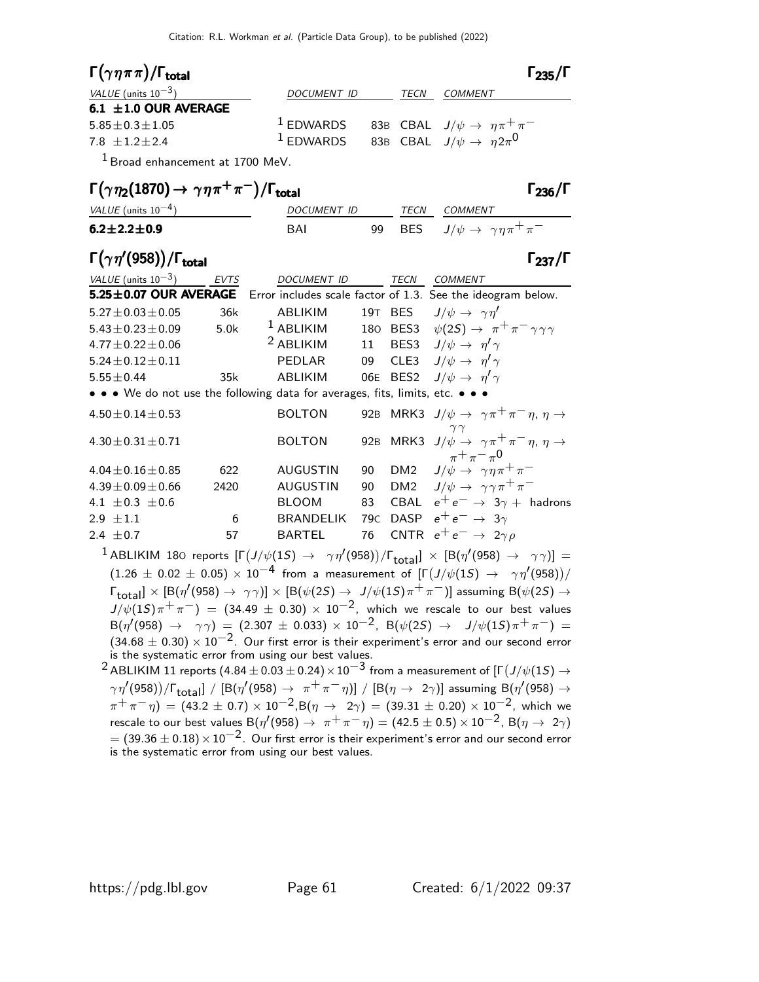| $\Gamma(\gamma\eta\pi\pi)/\Gamma_{\rm total}$ |             |             | $\Gamma_{235}/\Gamma$                                               |
|-----------------------------------------------|-------------|-------------|---------------------------------------------------------------------|
| VALUE (units $10^{-3}$ )                      | DOCUMENT ID | <i>TECN</i> | COMMENT                                                             |
| 6.1 $\pm$ 1.0 OUR AVERAGE                     |             |             |                                                                     |
| $5.85 \pm 0.3 \pm 1.05$                       |             |             | <sup>1</sup> EDWARDS 83B CBAL $J/\psi \rightarrow \eta \pi^+ \pi^-$ |
| $7.8 + 1.2 + 2.4$                             | $1$ EDWARDS |             | 83B CBAL $J/\psi \rightarrow \eta 2\pi^0$                           |
|                                               |             |             |                                                                     |

1 Broad enhancement at 1700 MeV.

### $\Gamma(\gamma \eta_2(1870) \to \gamma \eta \pi^+ \pi^-)/\Gamma_{\text{total}}$  Γ<sub>236</sub>/Γ

| VALUE (units $10^{-4}$ ) | DOCUMENT ID |  | TFCN | COMMENT                                             |
|--------------------------|-------------|--|------|-----------------------------------------------------|
| $6.2 \pm 2.2 \pm 0.9$    | BAI         |  |      | 99 BES $J/\psi \rightarrow \gamma \eta \pi^+ \pi^-$ |

### Γ $(\gamma \eta' (958)) /$ Γ<sub>total</sub> Γ<sub>237</sub>/Γ /Γ $_{\rm total}$  Γ $_{237}$ /Γ

| VALUE (units $10^{-3}$ ) | <b>EVTS</b> | <b>DOCUMENT ID</b>                                                            |                 | TECN        | <i>COMMENT</i>                                                                                             |
|--------------------------|-------------|-------------------------------------------------------------------------------|-----------------|-------------|------------------------------------------------------------------------------------------------------------|
|                          |             |                                                                               |                 |             | 5.25±0.07 OUR AVERAGE Error includes scale factor of 1.3. See the ideogram below.                          |
| $5.27 \pm 0.03 \pm 0.05$ | 36k         | ABLIKIM                                                                       | 19T             | <b>BES</b>  | $J/\psi \rightarrow \gamma \eta'$                                                                          |
| $5.43 \pm 0.23 \pm 0.09$ | 5.0k        | $1$ ABLIKIM                                                                   | 180             | BES3        | $\psi(2S) \rightarrow \pi^+ \pi^- \gamma \gamma \gamma$                                                    |
| $4.77 \pm 0.22 \pm 0.06$ |             | <sup>2</sup> ABLIKIM                                                          | 11              |             | BES3 $J/\psi \rightarrow \eta' \gamma$                                                                     |
| $5.24 \pm 0.12 \pm 0.11$ |             | <b>PEDLAR</b>                                                                 | 09              |             | CLE3 $J/\psi \rightarrow \eta' \gamma$                                                                     |
| $5.55 \pm 0.44$          | 35k         | ABLIKIM                                                                       |                 | 06E BES2    | $J/\psi \rightarrow \eta' \gamma$                                                                          |
|                          |             | • • • We do not use the following data for averages, fits, limits, etc. • • • |                 |             |                                                                                                            |
| $4.50 \pm 0.14 \pm 0.53$ |             | <b>BOLTON</b>                                                                 |                 |             | 92B MRK3 $J/\psi \rightarrow \gamma \pi^+ \pi^- \eta$ , $\eta \rightarrow$                                 |
| $4.30 \pm 0.31 \pm 0.71$ |             | <b>BOLTON</b>                                                                 |                 |             | 92B MRK3 $J/\psi \rightarrow \gamma \pi^+ \pi^- \eta$ , $\eta \rightarrow$<br>$_{\pi} + _{\pi} - _{\pi} 0$ |
| $4.04 \pm 0.16 \pm 0.85$ | 622         | <b>AUGUSTIN</b>                                                               | 90              |             | DM2 $J/\psi \rightarrow \gamma \eta \pi^+ \pi^-$                                                           |
| $4.39 \pm 0.09 \pm 0.66$ | 2420        | <b>AUGUSTIN</b>                                                               | 90              |             | DM2 $J/\psi \rightarrow \gamma \gamma \pi^+ \pi^-$                                                         |
| 4.1 $\pm$ 0.3 $\pm$ 0.6  |             | <b>BLOOM</b>                                                                  | 83              |             | CBAL $e^+e^- \rightarrow 3\gamma +$ hadrons                                                                |
| 2.9 $\pm 1.1$            | 6           | <b>BRANDELIK</b>                                                              | 79 <sub>C</sub> | <b>DASP</b> | $e^+e^- \rightarrow 3\gamma$                                                                               |
| 2.4 $\pm$ 0.7            | 57          | <b>BARTEL</b>                                                                 | 76              |             | CNTR $e^+e^- \rightarrow 2\gamma \rho$                                                                     |
|                          |             |                                                                               |                 |             |                                                                                                            |

 $^1$  ABLIKIM 180 reports  $[\Gamma\big(J/\psi(1S) \to \gamma\eta'(958)\big)/\Gamma_{\rm total}]\times$   $[{\rm B}(\eta'(958) \to \gamma\gamma)]$  =  $(1.26 \pm 0.02 \pm 0.05) \times 10^{-4}$  from a measurement of  $[\Gamma(J/\psi(1S) \rightarrow \gamma\eta'(958))]$  $\lceil \tau_{\text{total}} \rceil \times \left[ \text{B}(\eta' (958) \to~\gamma \gamma) \right] \times \left[ \text{B}(\psi(2S) \to~J/\psi(1S) \pi^+ \pi^-) \right]$  assuming  $\text{B}(\psi(2S) \to~J/\psi(1S) \pi^+ \pi^-)$  $J/\psi(1S)\pi^+\pi^-)\ =\ (34.49\ \pm\ 0.30)\ \times\ 10^{-2},$  which we rescale to our best values  $B(\eta^\prime(958) \rightarrow \gamma \gamma) = (2.307 \pm 0.033) \times 10^{-2}$ ,  $B(\psi(2S) \rightarrow J/\psi(1S) \pi^+ \pi^-) =$  $(34.68 \pm 0.30) \times 10^{-2}$ . Our first error is their experiment's error and our second error is the systematic error from using our best values.

 $^2$  ABLIKIM 11 reports (4.84  $\pm$  0.03  $\pm$  0.24)  $\times$  10 $^{-3}$  from a measurement of [Г $(J/\psi(1S) \rightarrow$  $\gamma\,\eta'($ 958) $)/\Gamma_{\rm total}$ ]  $/$  [B( $\eta'($ 958)  $\rightarrow$   $\pi^+\pi^-\eta)$ ]  $/$  [B( $\eta\rightarrow$  2 $\gamma$ )] assuming B( $\eta'($ 958)  $\rightarrow$  $\pi^+\pi^-\eta) = (43.2\pm 0.7)\times 10^{-2}$ ,B $(\eta\,\rightarrow\,\,\,2\gamma) = (39.31\pm 0.20)\times 10^{-2}$ , which we rescale to our best values B $(\eta'(958) \to \pi^+ \pi^- \eta) = (42.5 \pm 0.5) \times 10^{-2}$ , B $(\eta \to 2\gamma)$  $=$  (39.36  $\pm$  0.18)  $\times$  10 $^{-2}$ . Our first error is their experiment's error and our second error is the systematic error from using our best values.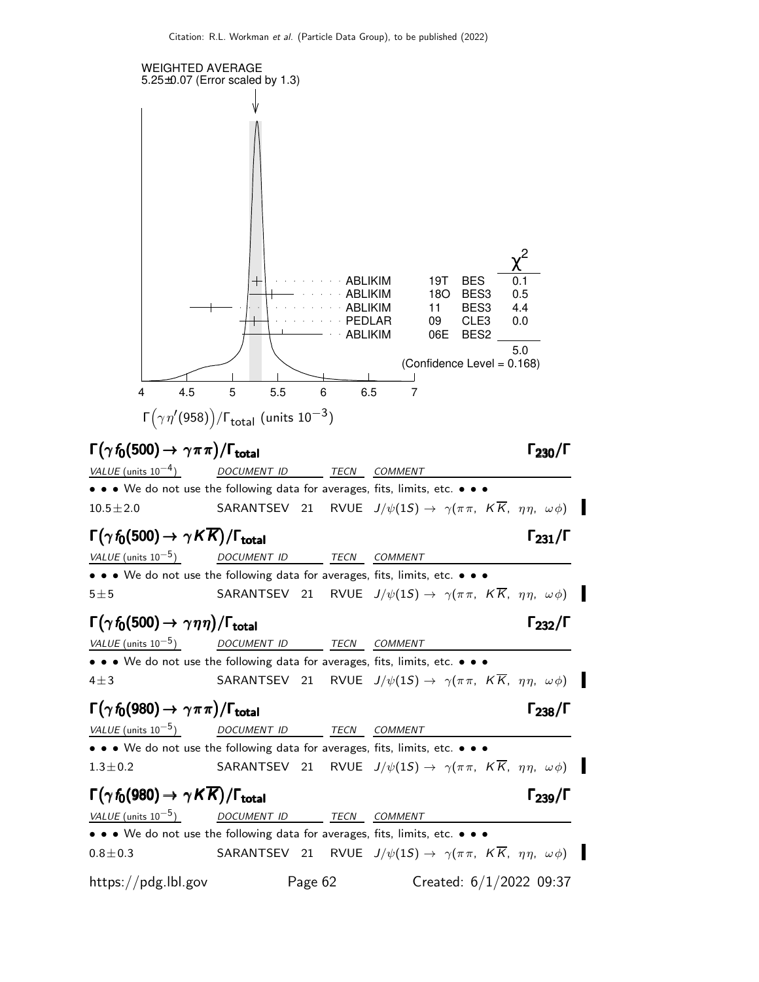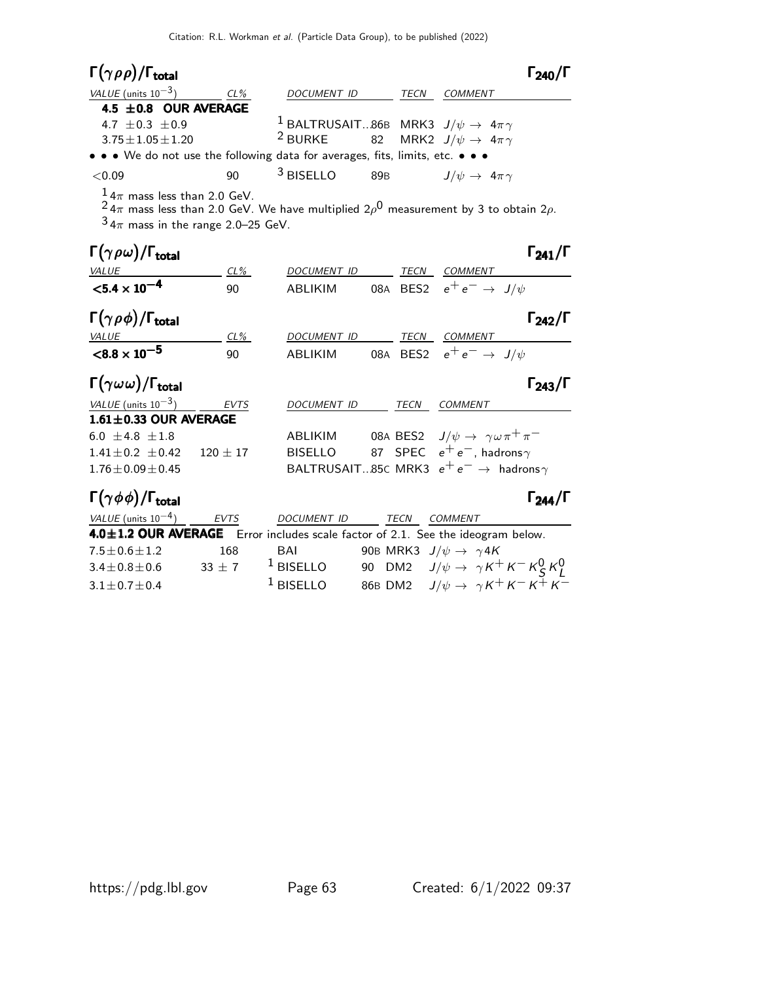| $\Gamma(\gamma \rho \rho)/\Gamma_{\rm total}$                                 |        |                                                                  |     |      |                                  | $\Gamma_{240}/\Gamma$ |
|-------------------------------------------------------------------------------|--------|------------------------------------------------------------------|-----|------|----------------------------------|-----------------------|
| VALUE (units $10^{-3}$ )                                                      | $CL\%$ | <b>DOCUMENT ID</b>                                               |     | TECN | <b>COMMENT</b>                   |                       |
| 4.5 $\pm$ 0.8 OUR AVERAGE                                                     |        |                                                                  |     |      |                                  |                       |
| 4.7 $\pm$ 0.3 $\pm$ 0.9                                                       |        | <sup>1</sup> BALTRUSAIT86B MRK3 $J/\psi \rightarrow 4\pi \gamma$ |     |      |                                  |                       |
| $3.75 \pm 1.05 \pm 1.20$                                                      |        | <sup>2</sup> BURKE 82 MRK2 $J/\psi \rightarrow 4\pi\gamma$       |     |      |                                  |                       |
| • • • We do not use the following data for averages, fits, limits, etc. • • • |        |                                                                  |     |      |                                  |                       |
| < 0.09                                                                        | 90     | $3$ BISELLO                                                      | 89B |      | $J/\psi \rightarrow 4\pi \gamma$ |                       |
| $14$ mass loss than 2.0 CaV                                                   |        |                                                                  |     |      |                                  |                       |

 $\frac{1}{2}$  4 $\pi$  mass less than 2.0 GeV.

 $^2$ 4 $\pi$  mass less than 2.0 GeV. We have multiplied 2 $\rho^0$  measurement by 3 to obtain 2 $\rho$ .

 $3\frac{1}{4\pi}$  mass in the range 2.0–25 GeV.

| $\Gamma(\gamma \rho \omega)/\Gamma_{\rm total}$ |              |                    |      |                                                          | $\Gamma_{241}/\Gamma$ |
|-------------------------------------------------|--------------|--------------------|------|----------------------------------------------------------|-----------------------|
| <b>VALUE</b>                                    | $CL\%$       | DOCUMENT ID        | TECN | <b>COMMENT</b>                                           |                       |
| $< 5.4 \times 10^{-4}$                          | 90           | <b>ABLIKIM</b>     |      | 08A BES2 $e^+e^- \rightarrow J/\psi$                     |                       |
| $\Gamma(\gamma \rho \phi)/\Gamma_{\rm total}$   |              |                    |      |                                                          | $\Gamma_{242}/\Gamma$ |
| <b>VALUE</b>                                    | $CL\%$       | <b>DOCUMENT ID</b> | TECN | <b>COMMENT</b>                                           |                       |
| $< 8.8 \times 10^{-5}$                          | 90           | ABLIKIM            |      | 08A BES2 $e^+e^- \rightarrow J/\psi$                     |                       |
| $\Gamma(\gamma\omega\omega)/\Gamma_{\rm total}$ |              |                    |      |                                                          | $\Gamma_{243}/\Gamma$ |
| VALUE (units $10^{-3}$ )                        | <b>EVTS</b>  | <b>DOCUMENT ID</b> | TECN | <b>COMMENT</b>                                           |                       |
| $1.61 \pm 0.33$ OUR AVERAGE                     |              |                    |      |                                                          |                       |
| 6.0 $\pm$ 4.8 $\pm$ 1.8                         |              | <b>ABLIKIM</b>     |      | 08A BES2 $J/\psi \rightarrow \gamma \omega \pi^+ \pi^-$  |                       |
| $1.41 \pm 0.2 \pm 0.42$                         | $120 \pm 17$ | <b>BISELLO</b>     |      | 87 SPEC $e^+e^-$ , hadrons $\gamma$                      |                       |
| $1.76 \pm 0.09 \pm 0.45$                        |              |                    |      | BALTRUSAIT85C MRK3 $e^+e^- \rightarrow$ hadrons $\gamma$ |                       |

# Γ $(\gamma \phi \phi)/\Gamma_{\text{total}}$  Γ $_{244}/\Gamma$

| <i>VALUE</i> (units $10^{-4}$ ) | EVTS     | DOCUMENT ID | TECN | COMMENT                                                                         |
|---------------------------------|----------|-------------|------|---------------------------------------------------------------------------------|
|                                 |          |             |      | 4.0±1.2 OUR AVERAGE Error includes scale factor of 2.1. See the ideogram below. |
| $7.5 \pm 0.6 \pm 1.2$           | 168      | BAI         |      | 90B MRK3 $J/\psi \rightarrow \gamma 4K$                                         |
| $3.4 \pm 0.8 \pm 0.6$           | $33 + 7$ | $1$ BISELLO |      | 90 DM2 $J/\psi \rightarrow \gamma K^+ K^- K^0_S K^0_I$                          |
| $3.1 \pm 0.7 \pm 0.4$           |          | $1$ BISELLO |      | 86B DM2 $J/\psi \to \gamma K^+ K^- K^+ K^-$                                     |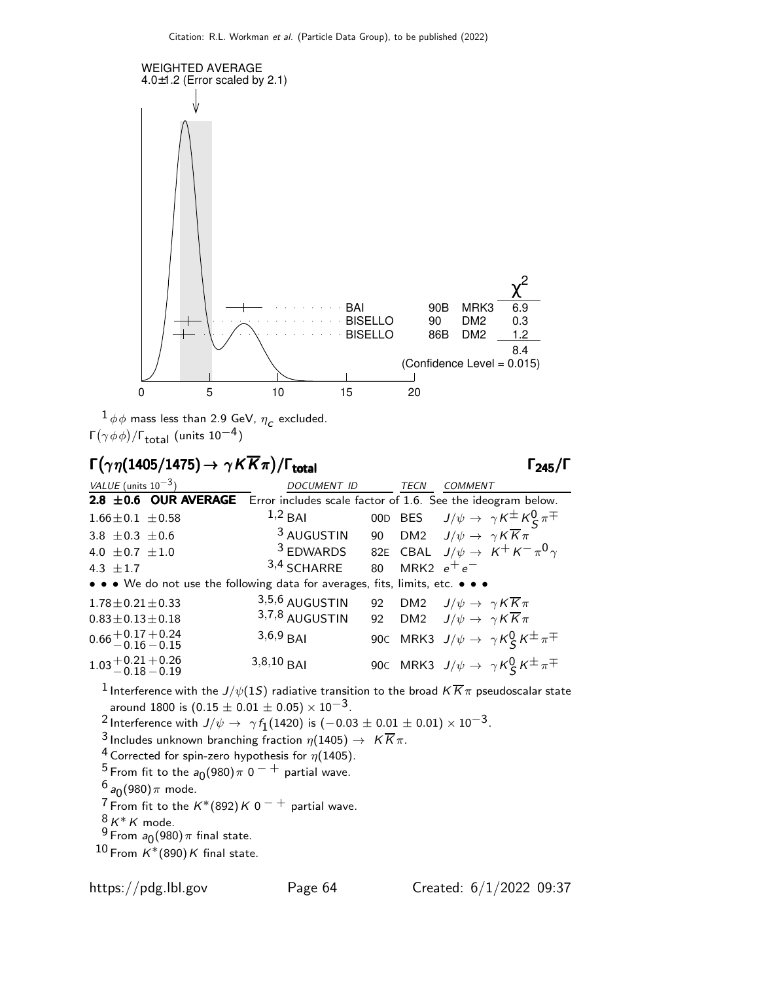

 $^{1}\phi\phi$  mass less than 2.9 GeV,  $\eta_c$  excluded. Γ $(\gamma \, \phi \, \phi)/\Gamma_{\rm total}$  (units 10 $^{-4})$ 

### $\Gamma(\gamma \, \eta(1405/1475) \rightarrow \gamma \, \mathcal{K} \overline{\mathcal{K}} \pi) / \Gamma_{\text{total}}$  Γ<sub>245</sub>/Γ

VALUE (units  $10^{-3}$ ) DOCUMENT ID TECN COMMENT 2.8  $\pm$ 0.6 OUR AVERAGE Error includes scale factor of 1.6. See the ideogram below. 1.66 $\pm$ 0.1  $\pm$ 0.58 1,2 BAI 00D BES  $J/\psi \rightarrow \gamma K \pm K$  $S \pi$ <sup> $\mp$ </sup> 3.8  $\pm$  0.3  $\pm$  0.6 3 AUGUSTIN 90 DM2  $J/\psi \rightarrow \gamma K \overline{K} \pi$ 4.0  $\pm$  0.7  $\pm$  1.0  $^3$  EDWARDS 82E CBAL  $J/\psi\rightarrow K^+K^-\pi^0\gamma$ 4.3  $\pm 1.7$  $3,4$  SCHARRE 80 MRK2  $e^+e^-$ • • • We do not use the following data for averages, fits, limits, etc. • • •  $1.78 \pm 0.21 \pm 0.33$   $3,5,6$  AUGUSTIN 92 DM2  $J/\psi \to \gamma K \overline{K} \pi$ <br> $0.83 \pm 0.13 \pm 0.18$   $3,7,8$  AUGUSTIN 92 DM2  $J/\psi \to \gamma K \overline{K} \pi$  $0.83 \pm 0.13 \pm 0.18$  3,7,8 AUGUSTIN 92 DM2  $J/\psi \rightarrow \gamma K \overline{K}_{\pi}$  $0.66 \,{}^{+\, 0.17}_{-\, 0.16}$  $+0.24$  $-0.15$ 3,6,9 BAI 90C MRK3  $J/\psi \rightarrow \gamma K_S^0 K^{\pm} \pi^{\mp}$  $1.03 + 0.21$ <br> $-0.18$  $+0.26$  $-0.19$ 3,8,10 BAI 90C MRK3  $J/\psi \rightarrow \gamma K_S^0 K^{\pm} \pi^{\mp}$ 

<sup>1</sup> Interference with the  $J/\psi(1S)$  radiative transition to the broad  $K{\overline K} \pi$  pseudoscalar state around 1800 is  $(0.15 \pm 0.01 \pm 0.05) \times 10^{-3}$ .

<sup>2</sup> Interference with  $J/\psi \rightarrow \gamma f_1(1420)$  is  $(-0.03 \pm 0.01 \pm 0.01) \times 10^{-3}$ .

3 Includes unknown branching fraction  $\eta(1405) \to K \overline{K} \pi$ .

<sup>4</sup> Corrected for spin-zero hypothesis for  $\eta(1405)$ .

 $\frac{5}{5}$  From fit to the  $a_0(980)$   $\pi$   $0^{-}$   $+$  partial wave.

 $\frac{6}{5}$ a $_0$ (980) $\pi$  mode.

<sup>7</sup> From fit to the  $K^*(892)K0^{-+}$  partial wave.

 $8 K^* K$  mode.

 $\frac{9}{5}$  From  $a_0(980)$   $\pi$  final state.

 $10$  From  $K^*(890)K$  final state.

/ΓΓ245/Γ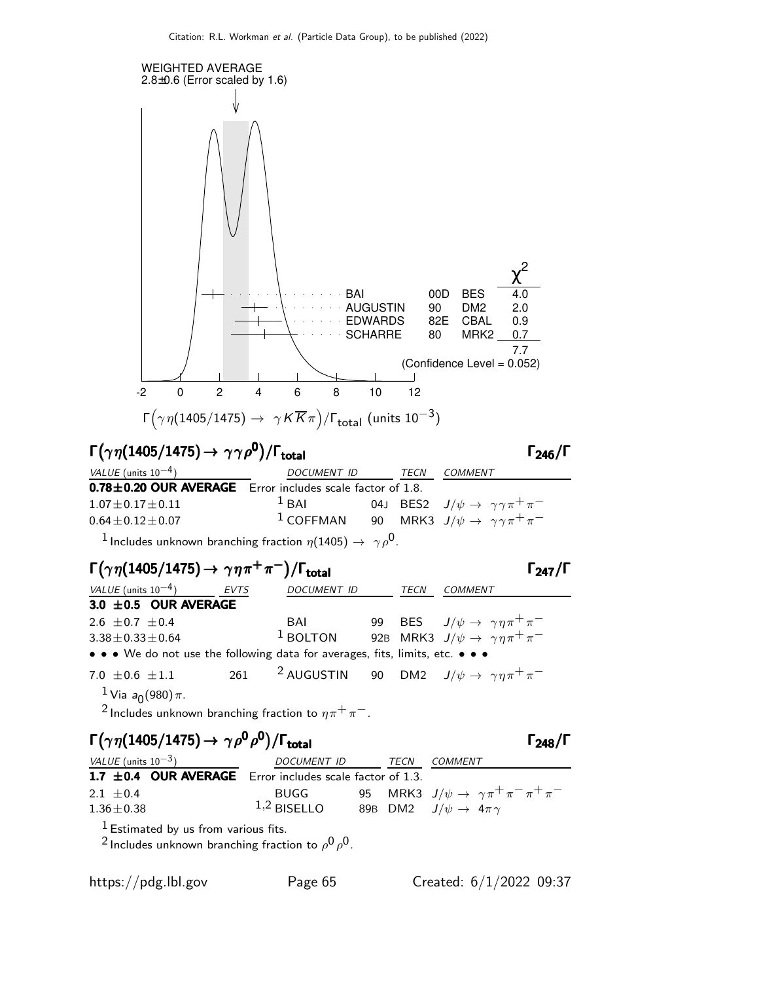

### $\Gamma(\gamma\,\eta(1405/1475) \rightarrow \gamma\gamma\rho^{0})/\Gamma_{\rm total}$  Γ<sub>246</sub>/Γ

| VALUE (units $10^{-4}$ )                                        | DOCUMENT ID       |  | TECN | COMMENT                                                 |
|-----------------------------------------------------------------|-------------------|--|------|---------------------------------------------------------|
| $0.78 \pm 0.20$ OUR AVERAGE Error includes scale factor of 1.8. |                   |  |      |                                                         |
| $1.07 \pm 0.17 \pm 0.11$                                        | $\frac{1}{2}$ BAI |  |      | 04J BES2 $J/\psi \rightarrow \gamma \gamma \pi^+ \pi^-$ |
| $0.64 \pm 0.12 \pm 0.07$                                        | $1$ COFFMAN       |  |      | 90 MRK3 $J/\psi \rightarrow \gamma \gamma \pi^+ \pi^-$  |
|                                                                 |                   |  |      |                                                         |

<sup>1</sup> Includes unknown branching fraction  $\eta(1405) \rightarrow \gamma \rho^0$ .

### $\Gamma(\gamma \eta(1405/1475) \rightarrow \gamma \eta \pi^+ \pi^-)/\Gamma_{\text{total}}$  Γ<sub>247</sub>/Γ

| $\Gamma(\gamma\eta(1405/1475) \rightarrow \gamma\eta\pi^{+}\pi^{-})/\Gamma_{\text{total}}$ |             |                    |      | $\Gamma_{247}/\Gamma$                                                     |
|--------------------------------------------------------------------------------------------|-------------|--------------------|------|---------------------------------------------------------------------------|
| <i>VALUE</i> (units $10^{-4}$ )                                                            | <b>EVTS</b> | <b>DOCUMENT ID</b> | TECN | <b>COMMENT</b>                                                            |
| 3.0 $\pm$ 0.5 OUR AVERAGE                                                                  |             |                    |      |                                                                           |
| 2.6 $\pm$ 0.7 $\pm$ 0.4                                                                    |             |                    |      | BAI 99 BES $J/\psi \to \gamma \eta \pi^+ \pi^-$                           |
| $3.38 \pm 0.33 \pm 0.64$                                                                   |             |                    |      | <sup>1</sup> BOLTON 92B MRK3 $J/\psi \rightarrow \gamma \eta \pi^+ \pi^-$ |
| • • • We do not use the following data for averages, fits, limits, etc. • • •              |             |                    |      |                                                                           |
| 7.0 $\pm$ 0.6 $\pm$ 1.1                                                                    | 261         |                    |      | <sup>2</sup> AUGUSTIN 90 DM2 $J/\psi \rightarrow \gamma \eta \pi^+ \pi^-$ |
| <sup>1</sup> Via $a_0(980)\pi$ .                                                           |             |                    |      |                                                                           |

<sup>2</sup> Includes unknown branching fraction to  $\eta \pi^+ \pi^-$ .

### $\Gamma(\gamma \eta(1405/1475) \rightarrow \gamma \rho^0 \rho^0)/\Gamma_{\text{total}}$  Γ<sub>248</sub>/Γ

| VALUE (units $10^{-3}$ )                                      | DOCUMENT ID   | TECN | COMMENT                                                     |
|---------------------------------------------------------------|---------------|------|-------------------------------------------------------------|
| 1.7 $\pm$ 0.4 OUR AVERAGE Error includes scale factor of 1.3. |               |      |                                                             |
| 2.1 $\pm$ 0.4                                                 | BUGG          |      | 95 MRK3 $J/\psi \rightarrow \gamma \pi^+ \pi^- \pi^+ \pi^-$ |
| $1.36\pm0.38$                                                 | $1,2$ BISELLO |      | 89B DM2 $J/\psi \rightarrow 4\pi \gamma$                    |
|                                                               |               |      |                                                             |

 $<sup>1</sup>$  Estimated by us from various fits.</sup>

 $^2$  Includes unknown branching fraction to  $\rho^0\rho^0$ .

 $\Gamma_{246}/\Gamma$ 

 $\Gamma_{248}/\Gamma$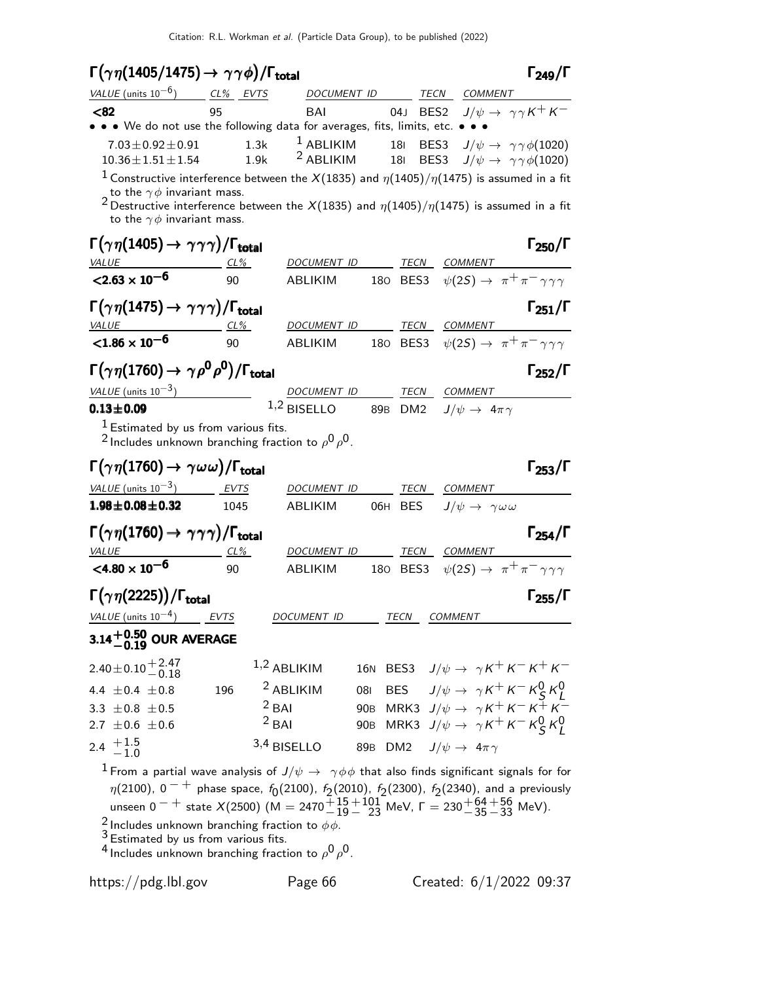### Γ  $\big($  $\eta(1405/1475)\rightarrow\gamma\gamma\phi)$

|                                                                                                                                                                                                                                                                                                                                                     | Citation: R.L. Workman et al. (Particle Data Group), to be published (2022) |                            |                 |             |                                                                                                                  |                       |
|-----------------------------------------------------------------------------------------------------------------------------------------------------------------------------------------------------------------------------------------------------------------------------------------------------------------------------------------------------|-----------------------------------------------------------------------------|----------------------------|-----------------|-------------|------------------------------------------------------------------------------------------------------------------|-----------------------|
| $\Gamma(\gamma\eta(1405/1475) \rightarrow \gamma\gamma\phi)/\Gamma_{\rm total}$                                                                                                                                                                                                                                                                     |                                                                             |                            |                 |             |                                                                                                                  | $\Gamma_{249}/\Gamma$ |
| VALUE (units $10^{-6}$ ) CL% EVTS                                                                                                                                                                                                                                                                                                                   |                                                                             |                            | DOCUMENT ID     |             | TECN COMMENT                                                                                                     |                       |
| <82                                                                                                                                                                                                                                                                                                                                                 | 95                                                                          | BAI                        |                 |             | 04J BES2 $J/\psi \rightarrow \gamma \gamma K^+ K^-$                                                              |                       |
| • • • We do not use the following data for averages, fits, limits, etc. •                                                                                                                                                                                                                                                                           |                                                                             |                            |                 |             |                                                                                                                  |                       |
| $7.03 \pm 0.92 \pm 0.91$<br>$10.36 \pm 1.51 \pm 1.54$                                                                                                                                                                                                                                                                                               | 1.3k<br>1.9k                                                                | $1$ ABLIKIM<br>$2$ ABLIKIM |                 |             | 181 BES3 $J/\psi \rightarrow \gamma \gamma \phi(1020)$<br>18  BES3 $J/\psi \rightarrow \gamma \gamma \phi(1020)$ |                       |
| $^1$ Constructive interference between the $X(1835)$ and $\eta(1405)/\eta(1475)$ is assumed in a fit<br>to the $\gamma \phi$ invariant mass.<br><sup>2</sup> Destructive interference between the $X(1835)$ and $\eta(1405)/\eta(1475)$ is assumed in a fit<br>to the $\gamma \phi$ invariant mass.                                                 |                                                                             |                            |                 |             |                                                                                                                  |                       |
| $\Gamma(\gamma\eta(1405) \to \gamma\gamma\gamma)/\Gamma_{\rm total}$                                                                                                                                                                                                                                                                                |                                                                             |                            |                 |             |                                                                                                                  | $\Gamma_{250}/\Gamma$ |
| <b>VALUE</b>                                                                                                                                                                                                                                                                                                                                        |                                                                             | DOCUMENT ID TECN COMMENT   |                 |             |                                                                                                                  |                       |
| $<$ 2.63 $\times$ 10 <sup>-6</sup>                                                                                                                                                                                                                                                                                                                  | 90                                                                          | ABLIKIM                    |                 |             | 180 BES3 $\psi(2S) \rightarrow \pi^+ \pi^- \gamma \gamma \gamma$                                                 |                       |
| $\Gamma(\gamma\eta(1475) \rightarrow \gamma\gamma\gamma)/\Gamma_{\rm total}$<br>VALUE CL%                                                                                                                                                                                                                                                           |                                                                             |                            |                 |             |                                                                                                                  | $\Gamma_{251}/\Gamma$ |
| ${<}1.86 \times 10^{-6}$                                                                                                                                                                                                                                                                                                                            | 90                                                                          |                            |                 |             | <u>DOCUMENT ID TECN</u> COMMENT<br>ABLIKIM 180 BES3 $\psi(2S) \rightarrow \pi^+ \pi^- \gamma \gamma \gamma$      |                       |
| $\Gamma(\gamma\eta(1760) \to \gamma\rho^0\rho^0)/\Gamma_{\rm total}$                                                                                                                                                                                                                                                                                |                                                                             |                            |                 |             |                                                                                                                  | $\Gamma_{252}/\Gamma$ |
| VALUE (units $10^{-3}$ )                                                                                                                                                                                                                                                                                                                            |                                                                             | DOCUMENT ID TECN COMMENT   |                 |             |                                                                                                                  |                       |
| $0.13 \pm 0.09$                                                                                                                                                                                                                                                                                                                                     |                                                                             |                            |                 |             | 1,2 BISELLO 89B DM2 $J/\psi \rightarrow 4\pi \gamma$                                                             |                       |
| $1$ Estimated by us from various fits.<br><sup>2</sup> Includes unknown branching fraction to $\rho^0 \rho^0$ .                                                                                                                                                                                                                                     |                                                                             |                            |                 |             |                                                                                                                  |                       |
| $\Gamma(\gamma\,\eta(1760) \rightarrow \,\gamma \omega\,\omega)/\Gamma_{\rm total}$                                                                                                                                                                                                                                                                 |                                                                             |                            |                 |             |                                                                                                                  | $\Gamma_{253}/\Gamma$ |
| $VALUE$ (units $10^{-3}$ ) EVTS                                                                                                                                                                                                                                                                                                                     |                                                                             | DOCUMENT ID                |                 |             | TECN COMMENT                                                                                                     |                       |
| $1.98 \pm 0.08 \pm 0.32$                                                                                                                                                                                                                                                                                                                            | 1045                                                                        | ABLIKIM                    |                 | 06H BES     | $J/\psi \rightarrow \gamma \omega \omega$                                                                        |                       |
| $\Gamma(\gamma\eta(1760)\to\gamma\gamma\gamma)/\Gamma_{\rm total}$                                                                                                                                                                                                                                                                                  |                                                                             |                            |                 |             |                                                                                                                  | $\Gamma_{254}/\Gamma$ |
| $CL\%$<br><i>VALUE</i>                                                                                                                                                                                                                                                                                                                              |                                                                             | DOCUMENT ID                |                 | TECN        | <b>COMMENT</b>                                                                                                   |                       |
| $\leq 4.80 \times 10^{-6}$                                                                                                                                                                                                                                                                                                                          | 90                                                                          | ABLIKIM                    |                 |             | 180 BES3 $\psi(2S) \rightarrow \pi^+ \pi^- \gamma \gamma \gamma$                                                 |                       |
| $\Gamma(\gamma\eta(2225))/\Gamma_{\rm total}$<br>VALUE (units $10^{-4}$ )                                                                                                                                                                                                                                                                           |                                                                             |                            |                 |             |                                                                                                                  | $\Gamma_{255}/\Gamma$ |
|                                                                                                                                                                                                                                                                                                                                                     | EVTS                                                                        | DOCUMENT ID                |                 | <b>TECN</b> | <b>COMMENT</b>                                                                                                   |                       |
| $3.14^{+0.50}_{-0.19}$ OUR AVERAGE                                                                                                                                                                                                                                                                                                                  |                                                                             |                            |                 |             |                                                                                                                  |                       |
| $2.40 \pm 0.10 \pm 2.47 \ -0.18$                                                                                                                                                                                                                                                                                                                    |                                                                             | $1,2$ ABLIKIM              | <b>16N</b>      |             | BES3 $J/\psi \rightarrow \gamma K^+ K^- K^+ K^-$                                                                 |                       |
| 4.4 $\pm$ 0.4 $\pm$ 0.8                                                                                                                                                                                                                                                                                                                             | 196                                                                         | <sup>2</sup> ABLIKIM       |                 |             | 081 BES $J/\psi \rightarrow \gamma K^+ K^- K^0_S K^0_L$<br>908 MRK3 $J/\psi \rightarrow \gamma K^+ K^- K^+ K^-$  |                       |
| 3.3 $\pm$ 0.8 $\pm$ 0.5                                                                                                                                                                                                                                                                                                                             |                                                                             | $2$ BAI                    |                 |             |                                                                                                                  |                       |
| 2.7 $\pm$ 0.6 $\pm$ 0.6                                                                                                                                                                                                                                                                                                                             |                                                                             | $2$ BAI                    |                 |             | 90B MRK3 $J/\psi \rightarrow \gamma K^+ K^- K^0_S K^0_I$                                                         |                       |
| 2.4 $+1.5$<br>-1.0                                                                                                                                                                                                                                                                                                                                  |                                                                             | 3,4 BISELLO                | 89 <sub>B</sub> |             | DM2 $J/\psi \rightarrow 4\pi \gamma$                                                                             |                       |
| $^1$ From a partial wave analysis of $J/\psi \,\rightarrow\,\, \gamma \phi \phi$ that also finds significant signals for for<br>$\eta(2100)$ , 0 <sup>- +</sup> phase space, $f_0(2100)$ , $f_2(2010)$ , $f_2(2300)$ , $f_2(2340)$ , and a previously<br>unseen $0^{-}$ + state $X(2500)$ $(M = 2470 - 19 - 23$ MeV, $\Gamma = 230 + 64 + 56$ MeV). |                                                                             |                            |                 |             |                                                                                                                  |                       |

<sup>2</sup> Includes unknown branching fraction to  $\phi \overline{\phi}$ .

<sup>3</sup> Estimated by us from various fits.

<sup>4</sup> Includes unknown branching fraction to  $\rho^0 \rho^0$ .

https://pdg.lbl.gov Page 66 Created: 6/1/2022 09:37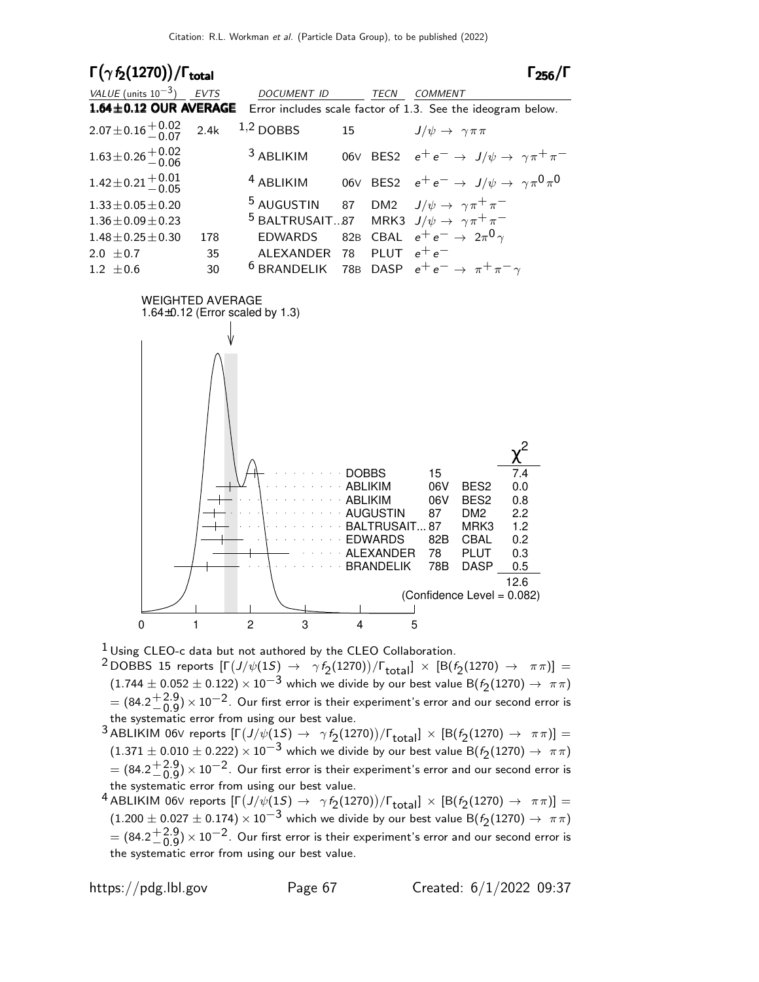

 $1$  Using CLEO-c data but not authored by the CLEO Collaboration.

 $^2$ DOBBS 15 reports  $[\Gamma(J/\psi(1S)] \to \gamma f_2(1270))/\Gamma_{\text{total}}] \times [B(f_2(1270) \to \pi\pi)] =$  $(1.744 \pm 0.052 \pm 0.122) \times 10^{-3}$  which we divide by our best value B( $f_2(1270) \rightarrow \pi \pi$ )  $= (84.2 \frac{+2.9}{0.9})$  $^{+2.9}_{-0.9})\times$  10 $^{-2}$ . Our first error is their experiment's error and our second error is the systematic error from using our best value.

- $^3$  ABLIKIM 06V reports  $[\Gamma\big(J/\psi(1S) \to \gamma f_2(1270)\big)/\Gamma_{\rm total}]\times [B(f_2(1270) \to \pi\pi)] =$  $(1.371 \pm 0.010 \pm 0.222) \times 10^{-3}$  which we divide by our best value B( $f_2(1270) \rightarrow \pi \pi$ )  $= (84.2 + 2.9)$  $^{+2.9}_{-0.9}$ )  $\times$  10 $^{-2}$ . Our first error is their experiment's error and our second error is the systematic error from using our best value.
- $^4$  ABLIKIM 06V reports  $[\Gamma\big(J/\psi(1S) \to \gamma f_2(1270)\big)/\Gamma_{\rm total}]\times[{\rm B}(f_2(1270) \to \pi\pi)] =$  $(1.200 \pm 0.027 \pm 0.174) \times 10^{-3}$  which we divide by our best value B( $f_2(1270) \rightarrow \pi \pi$ )  $= (84.2 \frac{+2.9}{0.9})$  $^{+2.9}_{-0.9}$ )  $\times$  10 $^{-2}$ . Our first error is their experiment's error and our second error is the systematic error from using our best value.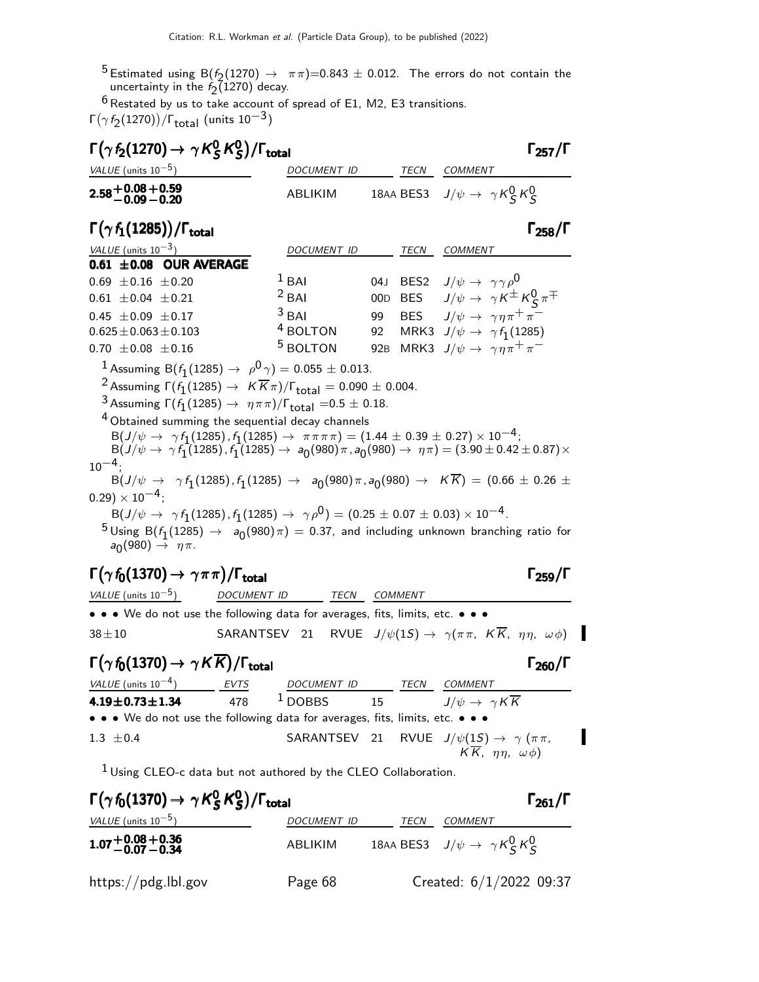$^{5}$  Estimated using B( $f_2(1270) \rightarrow \pi \pi$ )=0.843  $\pm$  0.012. The errors do not contain the uncertainty in the  $f_2(1270)$  decay.

 $6$  Restated by us to take account of spread of E1, M2, E3 transitions. Γ $(\gamma f_2(1270))/$ Γ $_{\text{total}}$  (units  $10^{-3})$ 

| $(\gamma t_2(1270))/t_{\text{total}}$ (units 10 $\degree$ )                                                                                                                                                                                                                                                                                                                                                                                                                                                                                                                                                                                                                                                                                                                                                                                                                                                                                                                                                                                              |                     |     |                |                                                       |  |  |  |  |
|----------------------------------------------------------------------------------------------------------------------------------------------------------------------------------------------------------------------------------------------------------------------------------------------------------------------------------------------------------------------------------------------------------------------------------------------------------------------------------------------------------------------------------------------------------------------------------------------------------------------------------------------------------------------------------------------------------------------------------------------------------------------------------------------------------------------------------------------------------------------------------------------------------------------------------------------------------------------------------------------------------------------------------------------------------|---------------------|-----|----------------|-------------------------------------------------------|--|--|--|--|
| $\Gamma(\gamma f_2(1270) \rightarrow \gamma K_S^0 K_S^0)/\Gamma_{\rm total}$                                                                                                                                                                                                                                                                                                                                                                                                                                                                                                                                                                                                                                                                                                                                                                                                                                                                                                                                                                             |                     |     |                | $\Gamma_{257}/\Gamma$                                 |  |  |  |  |
| VALUE (units $10^{-5}$ )                                                                                                                                                                                                                                                                                                                                                                                                                                                                                                                                                                                                                                                                                                                                                                                                                                                                                                                                                                                                                                 | DOCUMENT ID         |     |                | TECN COMMENT                                          |  |  |  |  |
| $2.58 + 0.08 + 0.59$<br>-0.09 -0.20                                                                                                                                                                                                                                                                                                                                                                                                                                                                                                                                                                                                                                                                                                                                                                                                                                                                                                                                                                                                                      | ABLIKIM             |     |                | 18AA BES3 $J/\psi \rightarrow \gamma K_S^0 K_S^0$     |  |  |  |  |
| $\Gamma(\gamma f_1(1285))/\Gamma_{\rm total}$                                                                                                                                                                                                                                                                                                                                                                                                                                                                                                                                                                                                                                                                                                                                                                                                                                                                                                                                                                                                            |                     |     |                | $\Gamma_{258}/\Gamma$                                 |  |  |  |  |
| VALUE (units $10^{-3}$ )                                                                                                                                                                                                                                                                                                                                                                                                                                                                                                                                                                                                                                                                                                                                                                                                                                                                                                                                                                                                                                 | DOCUMENT ID         |     | TECN           | <b>COMMENT</b>                                        |  |  |  |  |
| $0.61 \pm 0.08$ OUR AVERAGE                                                                                                                                                                                                                                                                                                                                                                                                                                                                                                                                                                                                                                                                                                                                                                                                                                                                                                                                                                                                                              |                     |     |                |                                                       |  |  |  |  |
| $0.69 \pm 0.16 \pm 0.20$                                                                                                                                                                                                                                                                                                                                                                                                                                                                                                                                                                                                                                                                                                                                                                                                                                                                                                                                                                                                                                 | $1$ BAI             |     |                | 04J BES2 $J/\psi \rightarrow \gamma \gamma \rho^0$    |  |  |  |  |
| $0.61 \pm 0.04 \pm 0.21$                                                                                                                                                                                                                                                                                                                                                                                                                                                                                                                                                                                                                                                                                                                                                                                                                                                                                                                                                                                                                                 | $2$ BAI             | 00D |                | BES $J/\psi \to \gamma K^{\pm} K^0_S \pi^{\mp}$       |  |  |  |  |
| $0.45 \pm 0.09 \pm 0.17$                                                                                                                                                                                                                                                                                                                                                                                                                                                                                                                                                                                                                                                                                                                                                                                                                                                                                                                                                                                                                                 | $3$ BAI             | 99  |                | BES $J/\psi \rightarrow \gamma \eta \pi^+ \pi^-$      |  |  |  |  |
| $0.625 \pm 0.063 \pm 0.103$                                                                                                                                                                                                                                                                                                                                                                                                                                                                                                                                                                                                                                                                                                                                                                                                                                                                                                                                                                                                                              | $^4$ BOLTON         | 92  |                | MRK3 $J/\psi \rightarrow \gamma f_1(1285)$            |  |  |  |  |
| $0.70 \pm 0.08 \pm 0.16$                                                                                                                                                                                                                                                                                                                                                                                                                                                                                                                                                                                                                                                                                                                                                                                                                                                                                                                                                                                                                                 | <sup>5</sup> BOLTON |     |                | 92B MRK3 $J/\psi \rightarrow \gamma \eta \pi^+ \pi^-$ |  |  |  |  |
| <sup>1</sup> Assuming B( $f_1(1285) \rightarrow \rho^0 \gamma$ ) = 0.055 ± 0.013.<br><sup>2</sup> Assuming $\Gamma(f_1(1285) \to K \overline{K} \pi)/\Gamma_{\text{total}} = 0.090 \pm 0.004$ .<br>3 Assuming $\Gamma(f_1(1285) \to \eta \pi \pi)/\Gamma_{\text{total}} = 0.5 \pm 0.18.$<br><sup>4</sup> Obtained summing the sequential decay channels<br>${\sf B}(J/\psi\to\ \gamma\,f_{1}(1285)$ , $f_{1}(1285)\to\ \pi\,\pi\,\pi\,\pi)=(1.44\pm0.39\pm0.27)\times10^{-4}$ ;<br>$B(J/\psi \to \gamma f_1(1285), f_1(1285) \to a_0(980)\pi, a_0(980) \to \eta\pi) = (3.90 \pm 0.42 \pm 0.87) \times$<br>$10^{-4}$<br>$B(J/\psi \rightarrow \gamma f_1(1285), f_1(1285) \rightarrow a_0(980)\pi, a_0(980) \rightarrow K\overline{K}) = (0.66 \pm 0.26 \pm 0.26)$<br>$(0.29) \times 10^{-4}$ ;<br>$B(J/\psi \to \gamma f_1(1285), f_1(1285) \to \gamma \rho^0) = (0.25 \pm 0.07 \pm 0.03) \times 10^{-4}$ .<br>$5$ Using B( $f_1(1285) \rightarrow a_0(980)\pi$ ) = 0.37, and including unknown branching ratio for<br>$a_0(980) \rightarrow \eta \pi$ . |                     |     |                |                                                       |  |  |  |  |
| $\Gamma(\gamma f_0(1370) \rightarrow \gamma \pi \pi)/\Gamma_{\rm total}$<br>VALUE (units $10^{-5}$ )<br>DOCUMENT ID                                                                                                                                                                                                                                                                                                                                                                                                                                                                                                                                                                                                                                                                                                                                                                                                                                                                                                                                      | <b>TECN</b>         |     | <b>COMMENT</b> | $\Gamma_{259}/\Gamma$                                 |  |  |  |  |
| • • • We do not use the following data for averages, fits, limits, etc. • • •                                                                                                                                                                                                                                                                                                                                                                                                                                                                                                                                                                                                                                                                                                                                                                                                                                                                                                                                                                            |                     |     |                |                                                       |  |  |  |  |

38 $\pm$ 10 SARANTSEV 21 RVUE  $J/\psi(1S) \rightarrow \gamma(\pi \pi, K \overline{K}, \eta \eta, \omega \phi)$ 

### $\Gamma(\gamma f_0(1370) \rightarrow \gamma K \overline{K}) / \Gamma_{\text{total}}$  Γ<sub>260</sub>/Γ

VALUE (units  $10^{-4}$ ) EVTS DOCUMENT ID TECN COMMENT **4.19±0.73±1.34** 478 <sup>1</sup> DOBBS 15  $J/\psi \to \gamma K \overline{K}$ • • • We do not use the following data for averages, fits, limits, etc. • • • 1.3  $\pm$ 0.4 SARANTSEV 21 RVUE  $J/\psi(1S) \rightarrow \gamma (\pi \pi,$ I  $K \overline{K}$ ,  $\eta \eta$ ,  $\omega \phi$ )

 $1$  Using CLEO-c data but not authored by the CLEO Collaboration.

| $\Gamma(\gamma f_0(1370) \rightarrow \gamma K_S^0 K_S^0)/\Gamma_{\text{total}}$ |                    |      |                                                   | $\Gamma_{261}/\Gamma$ |
|---------------------------------------------------------------------------------|--------------------|------|---------------------------------------------------|-----------------------|
| VALUE (units $10^{-5}$ )                                                        | <b>DOCUMENT ID</b> | TECN | COMMENT                                           |                       |
| $1.07 + 0.08 + 0.36$<br>-0.07 -0.34                                             | ABLIKIM            |      | 18AA BES3 $J/\psi \rightarrow \gamma K_S^0 K_S^0$ |                       |
| https://pdg.lbl.gov                                                             | Page 68            |      | Created: $6/1/2022$ 09:37                         |                       |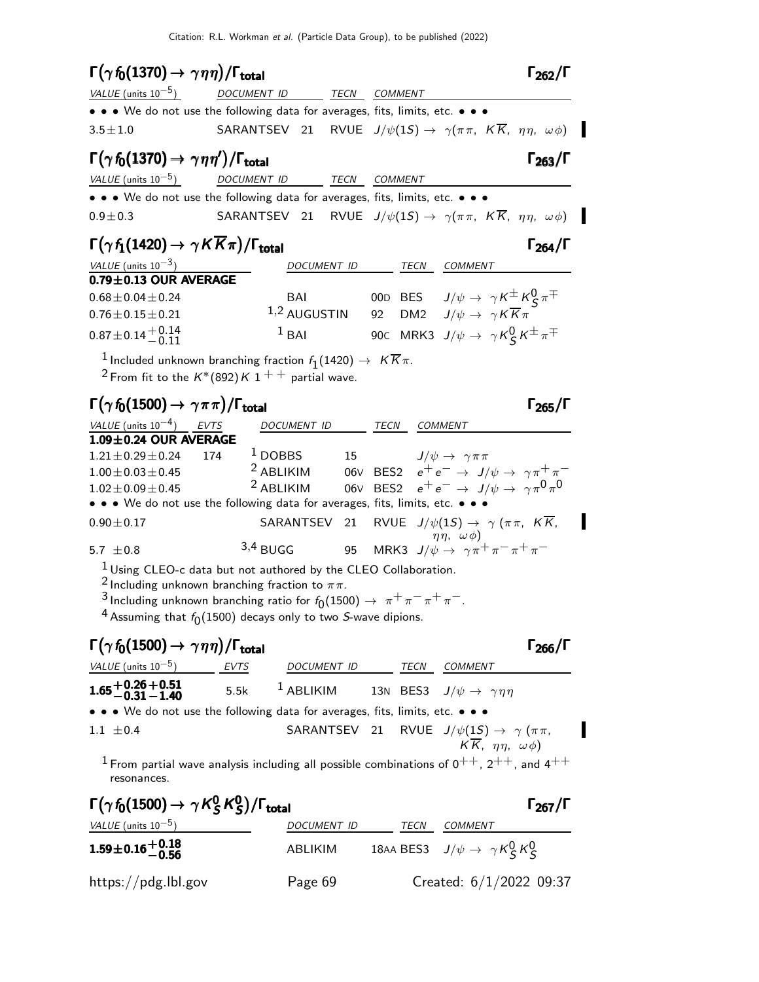Citation: R.L. Workman et al. (Particle Data Group), to be published (2022)

# $\Gamma(\gamma f_0(1370) \to \gamma \eta \eta)/\Gamma_{\text{total}}$  Γ<sub>262</sub>/Γ

| <i>VALUE</i> (units $10^{-5}$ )                                               | DOCUMENT ID                                                                                       | TECN | COMMENT |  |
|-------------------------------------------------------------------------------|---------------------------------------------------------------------------------------------------|------|---------|--|
| • • • We do not use the following data for averages, fits, limits, etc. • • • |                                                                                                   |      |         |  |
| $3.5 \pm 1.0$                                                                 | SARANTSEV 21 RVUE $J/\psi(1S) \rightarrow \gamma(\pi \pi, K\overline{K}, \eta \eta, \omega \phi)$ |      |         |  |

# $\Gamma(\gamma f_0(1370) \to \gamma \eta \eta')/\Gamma_{\text{total}}$  Γ<sub>263</sub>/Γ

VALUE (units 10<sup>-5</sup>) DOCUMENT ID TECN COMMENT • • • We do not use the following data for averages, fits, limits, etc. • • • 0.9 $\pm$ 0.3 SARANTSEV 21 RVUE  $J/\psi(1S) \rightarrow \gamma(\pi \pi, K \overline{K}, \eta \eta, \omega \phi)$ 

## $\Gamma(\gamma f_1(1420) \to \gamma K \overline{K} \pi)/\Gamma_{\rm total}$  Γ<sub>264</sub>/Γ

| VALUE (units $10^{-3}$ )                                    | <b>DOCUMENT ID</b> |  | TECN | COMMENT                                                      |  |
|-------------------------------------------------------------|--------------------|--|------|--------------------------------------------------------------|--|
| $0.79 \pm 0.13$ OUR AVERAGE                                 |                    |  |      |                                                              |  |
| $0.68 \pm 0.04 \pm 0.24$                                    | BAI                |  |      | 00D BES $J/\psi \rightarrow \gamma K^{\pm} K^0_S \pi^{\mp}$  |  |
| $0.76 \pm 0.15 \pm 0.21$                                    | $1,2$ AUGUSTIN     |  |      | 92 DM2 $J/\psi \rightarrow \gamma K \overline{K} \pi$        |  |
| $0.87 \pm 0.14 \begin{array}{c} +0.14 \\ -0.11 \end{array}$ | $1$ BAI            |  |      | 90C MRK3 $J/\psi \rightarrow \gamma K^0_S K^{\pm} \pi^{\mp}$ |  |

 $\frac{1}{2}$ Included unknown branching fraction  $f_1(1420) \rightarrow K \overline{K} \pi$ . <sup>2</sup> From fit to the  $K^*(892)K1$ <sup>++</sup> partial wave.

## $\Gamma(\gamma f_0(1500) \to \gamma \pi \pi)/\Gamma_{\text{total}}$  Γ<sub>265</sub>/Γ

| VALUE (units $10^{-4}$ ) EVTS                                                                                                                           |     | <b>DOCUMENT ID</b> |  | TECN | COMMENT                                                                     |  |
|---------------------------------------------------------------------------------------------------------------------------------------------------------|-----|--------------------|--|------|-----------------------------------------------------------------------------|--|
| $1.09 \pm 0.24$ OUR AVERAGE                                                                                                                             |     |                    |  |      |                                                                             |  |
| $1.21 \pm 0.29 \pm 0.24$                                                                                                                                | 174 | $1$ DOBBS          |  |      | 15 $J/\psi \rightarrow \gamma \pi \pi$                                      |  |
| $1.00 \pm 0.03 \pm 0.45$                                                                                                                                |     | $2$ ABLIKIM        |  |      | 06V BES2 $e^+e^- \rightarrow J/\psi \rightarrow \gamma \pi^+ \pi^-$         |  |
| $1.02 \pm 0.09 \pm 0.45$                                                                                                                                |     | $2$ ABLIKIM        |  |      | 06V BES2 $e^+e^- \rightarrow J/\psi \rightarrow \gamma \pi^0 \pi^0$         |  |
| $\bullet \bullet \bullet$ We do not use the following data for averages, fits, limits, etc. $\bullet \bullet \bullet$                                   |     |                    |  |      |                                                                             |  |
| $0.90 \pm 0.17$                                                                                                                                         |     |                    |  |      | SARANTSEV 21 RVUE $J/\psi(1S) \rightarrow \gamma (\pi \pi, K \overline{K})$ |  |
| 5.7 $\pm$ 0.8                                                                                                                                           |     | $3,4$ BUGG         |  |      | 95 MRK3 $J/\psi \rightarrow \gamma \pi^+ \pi^- \pi^+ \pi^-$                 |  |
| <sup>1</sup> Using CLEO-c data but not authored by the CLEO Collaboration.<br>$2$ to absolve a surface on the condition for attack $\epsilon_{\rm c} =$ |     |                    |  |      |                                                                             |  |

Including unknown branching fraction to  $\pi\pi$ .

3 Including unknown branching ratio for  $f_0(1500) \to \pi^+ \pi^- \pi^+ \pi^-$ .

 $^4$  Assuming that  $f_0(1500)$  decays only to two *S*-wave dipions.

# $\Gamma(\gamma f_0(1500) \to \gamma \eta \eta)/\Gamma_{\text{total}}$  Γ<sub>266</sub>/Γ

I

VALUE (units  $10^{-5}$ ) EVTS DOCUMENT ID TECN COMMENT  $1.65 {+ 0.26 \atop - 0.31}$  $1.65 + 0.26 + 0.51$ <br>-0.31 -1.40 1.65±0.26 ±0.51<br>−0.31 − 1.40 5.5k <sup>1</sup> ABLIKIM 13N BES3  $J/\psi \rightarrow \gamma \eta \eta$ • • • We do not use the following data for averages, fits, limits, etc. • • • 1.1  $\pm$ 0.4 SARANTSEV 21 RVUE  $J/\psi(1S) \rightarrow \gamma (\pi \pi,$  $K \overline{K}$ ,  $\eta \eta$ ,  $\omega \phi$ )

 $1$  From partial wave analysis including all possible combinations of  $0^{++}$ ,  $2^{++}$ , and  $4^{++}$ resonances.

| $\Gamma(\gamma f_0(1500) \rightarrow \gamma K_S^0 K_S^0)/\Gamma_{\text{total}}$ |             |      |                                                   | $\Gamma_{267}/\Gamma$ |
|---------------------------------------------------------------------------------|-------------|------|---------------------------------------------------|-----------------------|
| VALUE (units $10^{-5}$ )                                                        | DOCUMENT ID | TECN | COMMENT                                           |                       |
| $1.59\pm0.16\genfrac{}{}{0pt}{}{+0.18}{-0.56}$                                  | ABLIKIM     |      | 18AA BES3 $J/\psi \rightarrow \gamma K_S^0 K_S^0$ |                       |
| https://pdg.lbl.gov                                                             | Page 69     |      | Created: $6/1/2022$ 09:37                         |                       |

 $\Gamma_{264}/\Gamma$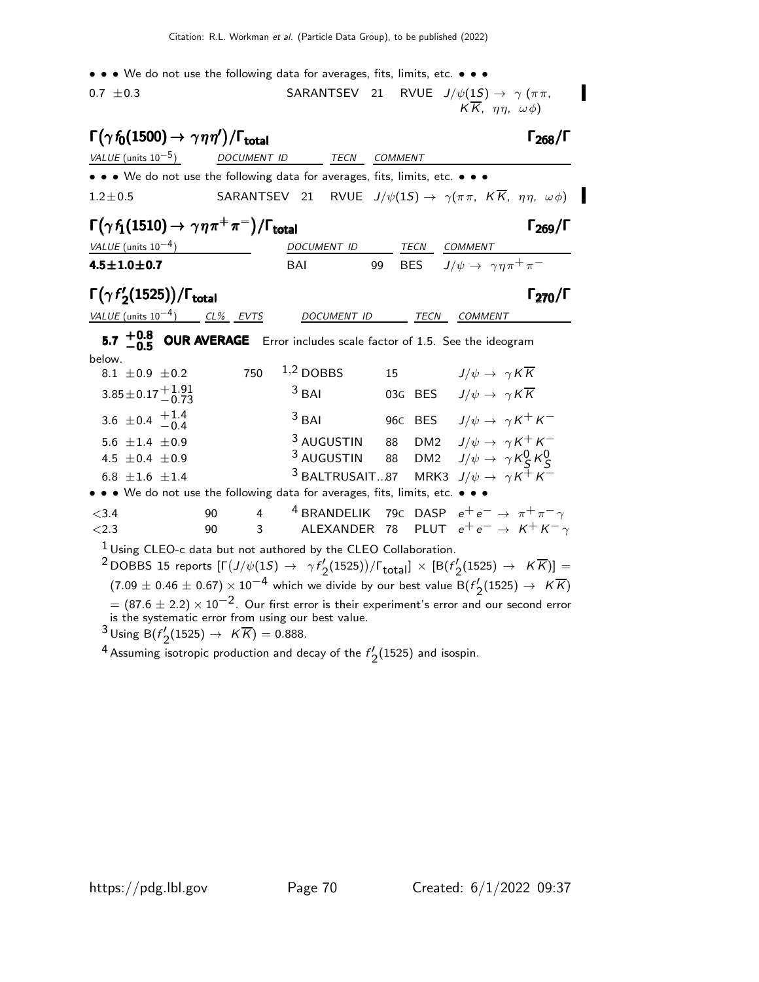- • We do not use the following data for averages, fits, limits, etc. • •
- 0.7  $\pm$ 0.3 SARANTSEV 21 RVUE  $J/\psi(1S) \rightarrow \gamma (\pi \pi,$  $KK$ ,  $\eta\eta$ ,  $\omega\phi$ )

# $\Gamma(\gamma f_0(1500) \to \gamma \eta \eta')/\Gamma_{\text{total}}$  Γ<sub>268</sub>/Γ

| <i>VALUE</i> (units $10^{-5}$ )                                                                                       | DOCUMENT ID | TECN | COMMENT                                                                                            |  |
|-----------------------------------------------------------------------------------------------------------------------|-------------|------|----------------------------------------------------------------------------------------------------|--|
| $\bullet \bullet \bullet$ We do not use the following data for averages, fits, limits, etc. $\bullet \bullet \bullet$ |             |      |                                                                                                    |  |
| $1.2 \pm 0.5$                                                                                                         |             |      | SARANTSEV 21 RVUE $J/\psi(1S) \rightarrow \gamma(\pi \pi, K \overline{K}, \eta \eta, \omega \phi)$ |  |

### $\Gamma(\gamma f_1(1510) \to \gamma \eta \pi^+ \pi^-)/\Gamma_{\text{total}}$  Γ<sub>269</sub>/Γ

| <i>VALUE</i> (units $10^{-4}$ ) | <i>DOCUMENT ID</i> |  |  | <i>TECN COMMENT</i>                                 |  |
|---------------------------------|--------------------|--|--|-----------------------------------------------------|--|
| 4.5 $\pm$ 1.0 $\pm$ 0.7         | <b>BAI</b>         |  |  | 99 BES $J/\psi \rightarrow \gamma \eta \pi^+ \pi^-$ |  |

### $Γ(γf')$ Γ( $\gamma f'_{2}$ (1525))/Γ<sub>total</sub>Γ270/Γ

VALUE (units 10<sup>-4</sup>) CL% EVTS DOCUMENT ID TECN COMMENT

 $5.7 \begin{array}{c} +0.8 \ -0.5 \end{array}$ **5.7**  $+0.8$  **OUR AVERAGE** Error includes scale factor of 1.5. See the ideogram

| below.                                                                         |                                   |     |  |                                                                               |    |  |                                                                          |
|--------------------------------------------------------------------------------|-----------------------------------|-----|--|-------------------------------------------------------------------------------|----|--|--------------------------------------------------------------------------|
|                                                                                | 8.1 $\pm 0.9 \pm 0.2$             | 750 |  | $1,2$ DOBBS                                                                   | 15 |  | $J/\psi \rightarrow \gamma K \overline{K}$                               |
|                                                                                | $3.85 \pm 0.17 + 1.91$            |     |  | $3$ BAI                                                                       |    |  | 03G BES $J/\psi \rightarrow \gamma K \overline{K}$                       |
|                                                                                | 3.6 $\pm$ 0.4 $\frac{+1.4}{-0.4}$ |     |  | $3$ BAI                                                                       |    |  | 96C BES $J/\psi \rightarrow \gamma K^+ K^-$                              |
|                                                                                | 5.6 $\pm 1.4$ $\pm 0.9$           |     |  | <sup>3</sup> AUGUSTIN                                                         |    |  | 88 DM2 $J/\psi \rightarrow \gamma K^+ K^-$                               |
|                                                                                | 4.5 $\pm$ 0.4 $\pm$ 0.9           |     |  |                                                                               |    |  | <sup>3</sup> AUGUSTIN 88 DM2 $J/\psi \rightarrow \gamma K_S^0 K_S^0$     |
|                                                                                | 6.8 $\pm 1.6 \pm 1.4$             |     |  |                                                                               |    |  | <sup>3</sup> BALTRUSAIT87 MRK3 $J/\psi \rightarrow \gamma K^{\pm} K^{-}$ |
|                                                                                |                                   |     |  | • • • We do not use the following data for averages, fits, limits, etc. • • • |    |  |                                                                          |
| < 3.4                                                                          |                                   | 90  |  |                                                                               |    |  | 4 4 BRANDELIK 79C DASP $e^+e^- \rightarrow \pi^+\pi^-\gamma$             |
| $<2.3$                                                                         |                                   | 90  |  |                                                                               |    |  | 3 ALEXANDER 78 PLUT $e^+e^- \rightarrow K^+K^-\gamma$                    |
| $\frac{1}{2}$ Using $C$ FO is data but not evidenced by the CLEO Callebournian |                                   |     |  |                                                                               |    |  |                                                                          |

Using CLEO-c data but not authored by the CLEO Collaboration.

 $^{\text{2}}$ DOBBS 15 reports  $[\Gamma(J/\psi(1S) \rightarrow \gamma f/2]$  $\frac{1}{2}$ (1525))/ $\Gamma_{\text{total}}$ ]  $\times$  [B( $f'_{2}$  $\binom{1}{2} (1525) \rightarrow K K$ )] =  $(7.09 \pm 0.46 \pm 0.67) \times 10^{-4}$  which we divide by our best value B(f<sup>/</sup>.  $\frac{1}{2}$ (1525)  $\rightarrow$  KK)  $= (87.6 \pm 2.2) \times 10^{-2}$ . Our first error is their experiment's error and our second error is the systematic error from using our best value.

 $3$  Using B( $f'$  $V'_2(1525) \to K\,K) = 0.888.$ 

<sup>4</sup> Assuming isotropic production and decay of the  $f'$ .  $\frac{7}{2}$ (1525) and isospin.

 $\Gamma_{268}/\Gamma$ 

П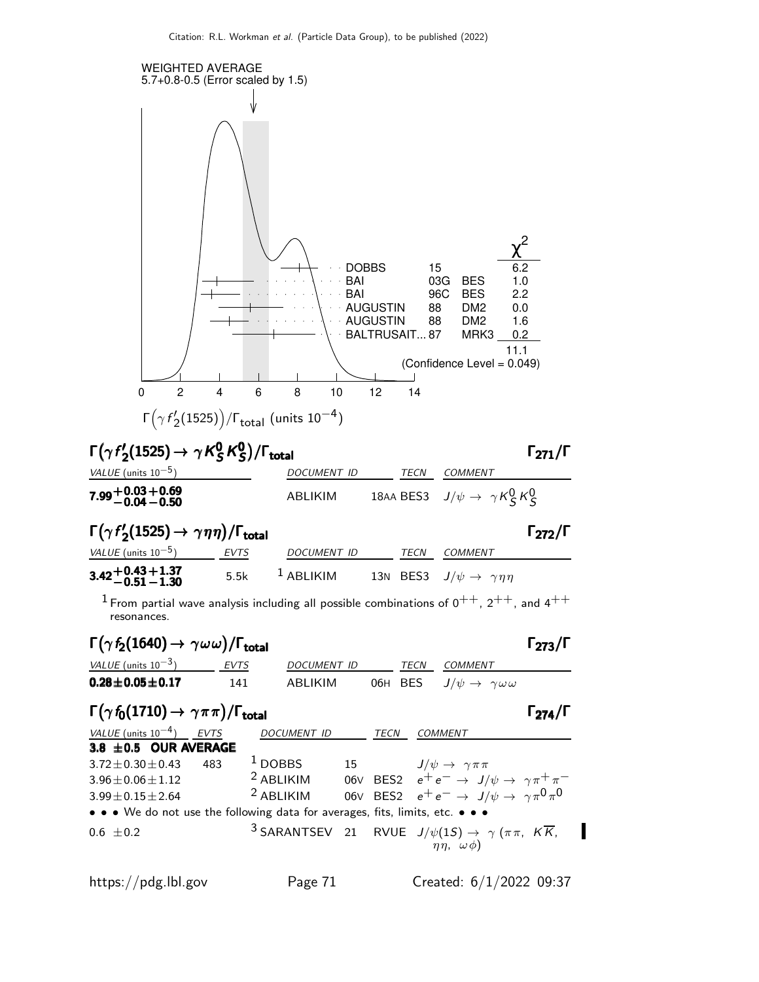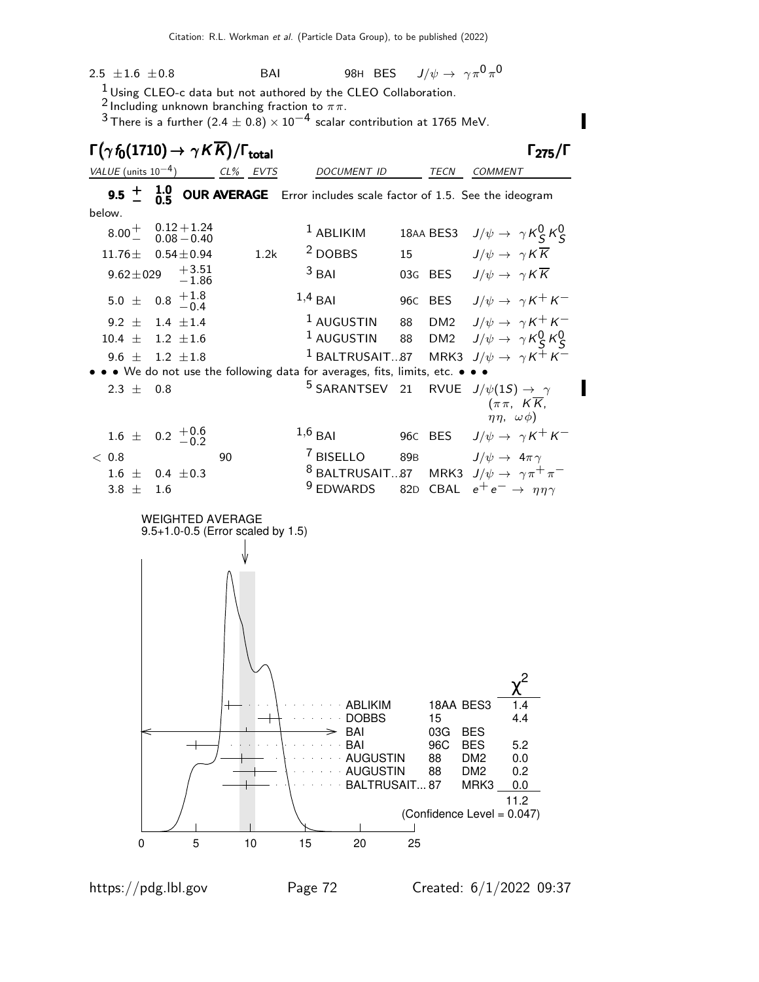$2.5$   $\pm 1.6$   $\pm 0.8$  BAI 98H BES  $J/\psi \rightarrow \ \gamma \pi^0 \pi^0$  $\frac{1}{2}$  Using CLEO-c data but not authored by the CLEO Collaboration. 2 Including unknown branching fraction to  $\pi\pi$ . 3 There is a further  $(2.4 \pm 0.8) \times 10^{-4}$  scalar contribution at 1765 MeV.  $\Gamma(\gamma f_0(1710) \to \gamma K \overline{K}) / \Gamma_{\text{total}}$  Γ<sub>275</sub>/Γ VALUE (units 10<sup>-4</sup>) CL% EVTS DOCUMENT ID TECN COMMENT **9.5**  $\pm$  **1.0−0UR AVERAGE** Error includes scale factor of 1.5. See the ideogram + 1.0 9.5 − 0.5 − 0.5 below.  $0.12 + 1.24$  $8.00 +$  $1$  ABLIKIM 18AA BES3  $J/\psi \rightarrow \gamma K_S^0 K_S^0$  $-$  0.08  $-$ 0.40 11.76 $\pm$  0.54 $\pm$ 0.94 1.2k <sup>2</sup> DOBBS 15  $J/\psi \to \gamma K \overline{K}$  $9.62 \pm 0.29 + 3.51$ <sup>3</sup> BAI 03G BES  $J/\psi \rightarrow \gamma K \overline{K}$ −1.86 1,4 BAI 96C BES  $J/\psi \rightarrow \gamma K^+ K^ +1.8$ 5.0  $\pm$  $-0.4$ <sup>1</sup> AUGUSTIN 88 DM2  $J/\psi \rightarrow \gamma K^+ K^ 9.2 \pm 1.4 \pm 1.4$  $\frac{1}{4}$  AUGUSTIN 88 DM2  $J/\psi \rightarrow \gamma K_S^0 K_S^0$  $10.4 \pm 1.2 \pm 1.6$ <sup>1</sup> BALTRUSAIT...87 MRK3  $J/\psi \rightarrow \gamma K^+ K^ 9.6 + 1.2 + 1.8$ • • • We do not use the following data for averages, fits, limits, etc. • • • <sup>5</sup> SARANTSEV 21 RVUE  $J/\psi(1S) \rightarrow \gamma$  $2.3 \pm 0.8$  $(\pi \pi, K \overline{K})$  $\eta \eta$ ,  $\omega \phi$ )  $+0.6$ 1,6 BAI 96C BES  $J/\psi \rightarrow \gamma K^+ K^-$ 1.6  $\pm$  $-0.2$  $< 0.8$  90  $<sup>7</sup>$  BISELLO 89B  $J/\psi \rightarrow 4\pi \gamma$ </sup> <sup>8</sup> BALTRUSAIT...87 MRK3  $J/\psi \rightarrow \gamma \pi^+ \pi^ 1.6 \pm 0.4 \pm 0.3$ 9 EDWARDS 82D CBAL  $e^+e^- \rightarrow \eta \eta \gamma$  $3.8 \pm 1.6$ WEIGHTED AVERAGE 9.5+1.0-0.5 (Error scaled by 1.5) 2 χ ABLIKIM 18AA BES3 DOBBS 15 4.4 BAI 03G BES BAI 96C BES 5.2 AUGUSTIN 88 DM2 0.0 AUGUSTIN 88 DM2 0.2 BALTRUSAIT... 87 MRK3 0.0 11.2 (Confidence Level = 0.047)  $\overline{\phantom{a}}$ 0 5 10 15 20 25

https://pdg.lbl.gov Page 72 Created: 6/1/2022 09:37

П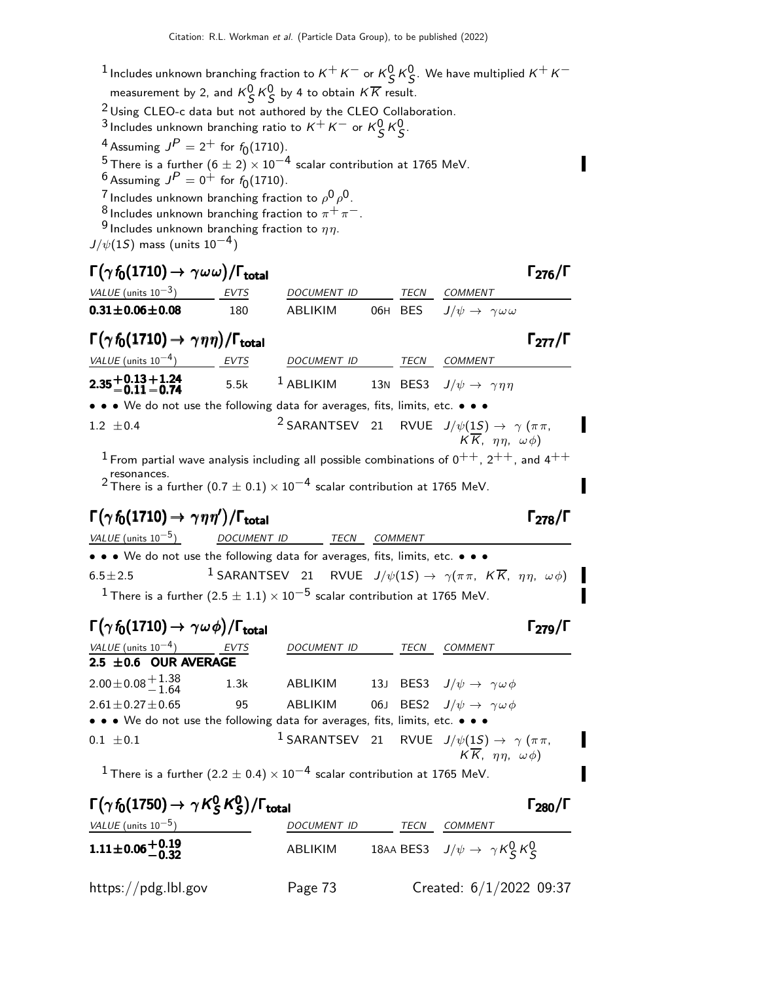- 1 Includes unknown branching fraction to  $K^+ K^-$  or  $K^0_S K^0_S$ . We have multiplied  $K^+ K^$ measurement by 2, and  $K_S^0 K_S^0$  by 4 to obtain  $K\overline{K}$  result.
- $2$  Using CLEO-c data but not authored by the CLEO Collaboration.
- 3 Includes unknown branching ratio to  $K^+ K^-$  or  $K^0_S K^0_S$ .
- <sup>4</sup> Assuming  $J^P = 2^+$  for  $f_0(1710)$ .

<sup>5</sup> There is a further  $(6 \pm 2) \times 10^{-4}$  scalar contribution at 1765 MeV.

- $^6$  Assuming  $J^P=0^+$  for  $f_0(1710)$ .
- <sup>7</sup> Includes unknown branching fraction to  $\rho^0\rho^0$ .
- <sup>8</sup> Includes unknown branching fraction to  $\pi^+ \pi^-$ .
- <sup>9</sup> Includes unknown branching fraction to  $\eta\eta$ .

 $J/\psi(1S)$  mass (units  $10^{-4}$ )

 $\Gamma(\gamma f_0(1710) \to \gamma \omega \omega)/\Gamma_{\text{total}}$  Γ<sub>276</sub>/Γ VALUE (units  $10^{-3}$ ) ) EVTS DOCUMENT ID TECN COMMENT **0.31±0.06±0.08** 180 ABLIKIM 06H BES  $J/\psi \to \gamma \omega \omega$  $\Gamma(\gamma f_0(1710) \to \gamma \eta \eta)/\Gamma_{\text{total}}$  Γ<sub>277</sub>/Γ VALUE (units  $10^{-4}$ ) EVTS DOCUMENT ID TECN COMMENT  $\phantom{0}2.35\genfrac{}{}{0pt}{}{+0.13}{-0.11}$ 2.35 <del>+</del>0.13 + 1.24<br>1−0.11 − 0.74 2.35±0.13±1<mark>.24</mark><br>−0.11 <sup>−</sup>0.74 5.5k <sup>1</sup> ABLIKIM 13N BES3  $J/\psi \rightarrow \gamma \eta \eta$ • • • We do not use the following data for averages, fits, limits, etc. • • •  $1.2 \pm 0.4$ <sup>2</sup> SARANTSEV 21 RVUE  $J/\psi(1S) \rightarrow \gamma (\pi \pi,$  $K \overline{K}$ ,  $\eta \eta$ ,  $\omega \phi$ ) <sup>1</sup> From partial wave analysis including all possible combinations of  $0^{++}$ ,  $2^{++}$ , and  $4^{++}$ resonances.

2 There is a further (0.7  $\pm$  0.1)  $\times$  10<sup>-4</sup> scalar contribution at 1765 MeV.

# $\Gamma(\gamma f_0(1710) \to \gamma \eta \eta')/\Gamma_{\text{total}}$ Γ $\Gamma_{278}/\Gamma$

VALUE (units  $10^{-5}$ ) DOCUMENT ID TECN COMMENT • • • We do not use the following data for averages, fits, limits, etc. • • •  $6.5 \pm 2.5$ <sup>1</sup> SARANTSEV 21 RVUE  $J/\psi(1S) \rightarrow \gamma(\pi \pi, K \overline{K}, \eta \eta, \omega \phi)$  $^1$ There is a further  $(2.5 \pm 1.1) \times 10^{-5}$  scalar contribution at 1765 MeV.

### $\Gamma(\gamma f_0(1710) \to \gamma \omega \phi)/\Gamma_{\text{total}}$  Γ<sub>279</sub>/Γ

 $\Gamma_{279}/\Gamma$ 

| VALUE (units $10^{-4}$ )                                                                                              | <b>EVTS</b> | DOCUMENT ID | TECN | COMMENT                                                                  |
|-----------------------------------------------------------------------------------------------------------------------|-------------|-------------|------|--------------------------------------------------------------------------|
| $2.5 \pm 0.6$ OUR AVERAGE                                                                                             |             |             |      |                                                                          |
| $2.00\!\pm\!0.08\frac{+1.38}{-1.64}$                                                                                  | 1.3k        | ABLIKIM     |      | 13J BES3 $J/\psi \rightarrow \gamma \omega \phi$                         |
| $2.61 \pm 0.27 \pm 0.65$                                                                                              | 95          | ABLIKIM     |      | 06J BES2 $J/\psi \rightarrow \gamma \omega \phi$                         |
| $\bullet \bullet \bullet$ We do not use the following data for averages, fits, limits, etc. $\bullet \bullet \bullet$ |             |             |      |                                                                          |
| $0.1 \pm 0.1$                                                                                                         |             |             |      | <sup>1</sup> SARANTSEV 21 RVUE $J/\psi(1S) \rightarrow \gamma (\pi \pi,$ |
|                                                                                                                       |             |             |      | $K\overline{K}$ , $\eta\eta$ , $\omega\phi$ )                            |
| $1 - i$ $1 - 2i$ $(2 - 1 - 1)$ $1 - 4i$ $1 - 1$ $1 - 2i$                                                              |             |             |      |                                                                          |

<sup>1</sup> There is a further (2.2  $\pm$  0.4)  $\times$  10<sup>-4</sup> scalar contribution at 1765 MeV.

| $\Gamma(\gamma f_0(1750) \rightarrow \gamma K_S^0 K_S^0)/\Gamma_{\text{total}}$ |                    |      |                                                   |  |  |
|---------------------------------------------------------------------------------|--------------------|------|---------------------------------------------------|--|--|
| VALUE (units $10^{-5}$ )                                                        | <b>DOCUMENT ID</b> | TECN | COMMENT                                           |  |  |
| $1.11 \pm 0.06 \begin{array}{c} +0.19 \\ -0.32 \end{array}$                     | ABLIKIM            |      | 18AA BES3 $J/\psi \rightarrow \gamma K_S^0 K_S^0$ |  |  |
| $\frac{https://pdg.1b1.gov}{%$                                                  | Page 73            |      | Created: $6/1/2022$ 09:37                         |  |  |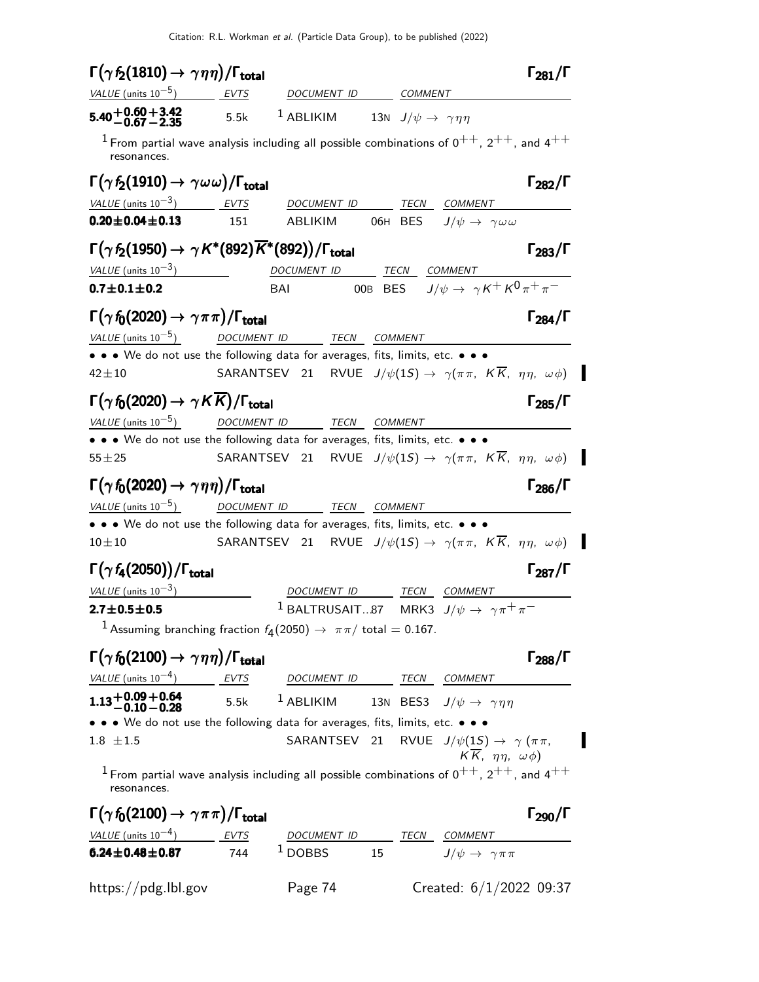| $\Gamma(\gamma f_2(1810) \rightarrow \gamma \eta \eta)/\Gamma_{\rm total}$                                               |             |                                                                                                    |    |                                                                        | $\Gamma_{281}/\Gamma$                         |
|--------------------------------------------------------------------------------------------------------------------------|-------------|----------------------------------------------------------------------------------------------------|----|------------------------------------------------------------------------|-----------------------------------------------|
| <i>VALUE</i> (units $10^{-5}$ )                                                                                          | <b>EVTS</b> | DOCUMENT ID COMMENT                                                                                |    |                                                                        |                                               |
| $5.40 + 0.60 + 3.42$<br>$-0.67 - 2.35$<br>5.5k                                                                           |             | <sup>1</sup> ABLIKIM 13N $J/\psi \rightarrow \gamma \eta \eta$                                     |    |                                                                        |                                               |
| $^1$ From partial wave analysis including all possible combinations of $0^{++}$ , $2^{++}$ , and $4^{++}$<br>resonances. |             |                                                                                                    |    |                                                                        |                                               |
| $\Gamma(\gamma f_2(1910) \rightarrow \gamma \omega \omega)/\Gamma_{\rm total}$                                           |             |                                                                                                    |    |                                                                        | $\Gamma_{282}/\Gamma$                         |
| <u>VALUE</u> (units $10^{-3}$ ) EVTS                                                                                     |             | DOCUMENT ID                                                                                        |    | TECN COMMENT                                                           |                                               |
| $0.20 \pm 0.04 \pm 0.13$                                                                                                 | 151         |                                                                                                    |    | ABLIKIM 06H BES $J/\psi \rightarrow \gamma \omega \omega$              |                                               |
| $\Gamma(\gamma f_2(1950) \rightarrow \gamma K^*(892)\overline{K}^*(892))/\Gamma_{\text{total}}$                          |             |                                                                                                    |    |                                                                        | $\Gamma_{283}/\Gamma$                         |
| $VALUE$ (units $10^{-3}$ )                                                                                               |             | DOCUMENT ID TECN COMMENT                                                                           |    |                                                                        |                                               |
| $0.7 \pm 0.1 \pm 0.2$                                                                                                    |             | BAI                                                                                                |    | OOB BES $J/\psi \rightarrow \gamma K^+ K^0 \pi^+ \pi^-$                |                                               |
| $\Gamma(\gamma f_0(2020) \rightarrow \gamma \pi \pi)/\Gamma_{\text{total}}$                                              |             |                                                                                                    |    |                                                                        | $\Gamma_{284}/\Gamma$                         |
| VALUE (units $10^{-5}$ )                                                                                                 |             | DOCUMENT ID TECN COMMENT                                                                           |    |                                                                        |                                               |
| • • • We do not use the following data for averages, fits, limits, etc. • • •                                            |             |                                                                                                    |    |                                                                        |                                               |
| $42 + 10$                                                                                                                |             | SARANTSEV 21 RVUE $J/\psi(1S) \rightarrow \gamma(\pi \pi, K \overline{K}, \eta \eta, \omega \phi)$ |    |                                                                        |                                               |
| $\Gamma(\gamma f_0(2020) \rightarrow \gamma K \overline{K})/\Gamma_{\text{total}}$                                       |             |                                                                                                    |    |                                                                        | $\Gamma_{285}/\Gamma$                         |
| VALUE (units $10^{-5}$ )                                                                                                 |             | DOCUMENT ID TECN COMMENT                                                                           |    |                                                                        |                                               |
| • • • We do not use the following data for averages, fits, limits, etc. • • •                                            |             |                                                                                                    |    |                                                                        |                                               |
| $55 + 25$                                                                                                                |             | SARANTSEV 21 RVUE $J/\psi(1S) \rightarrow \gamma(\pi \pi, K\overline{K}, \eta \eta, \omega \phi)$  |    |                                                                        |                                               |
| $\Gamma(\gamma f_0(2020) \rightarrow \gamma \eta \eta)/\Gamma_{\text{total}}$                                            |             |                                                                                                    |    |                                                                        | $\Gamma_{286}/\Gamma$                         |
| VALUE (units $10^{-5}$ ) DOCUMENT ID TECN COMMENT                                                                        |             |                                                                                                    |    |                                                                        |                                               |
| • • • We do not use the following data for averages, fits, limits, etc. • • •                                            |             |                                                                                                    |    |                                                                        |                                               |
| $10 + 10$                                                                                                                |             | SARANTSEV 21 RVUE $J/\psi(1S) \rightarrow \gamma(\pi \pi, K\overline{K}, \eta \eta, \omega \phi)$  |    |                                                                        |                                               |
| $\Gamma(\gamma f_4(2050))/\Gamma_{\rm total}$                                                                            |             |                                                                                                    |    |                                                                        | $\Gamma_{287}/\Gamma$                         |
| VALUE (units $10^{-3}$ )                                                                                                 |             | DOCUMENT ID                                                                                        |    | TECN COMMENT                                                           |                                               |
| $2.7 \pm 0.5 \pm 0.5$                                                                                                    |             |                                                                                                    |    | <sup>1</sup> BALTRUSAIT87 MRK3 $J/\psi \rightarrow \gamma \pi^+ \pi^-$ |                                               |
| <sup>1</sup> Assuming branching fraction $f_4(2050) \rightarrow \pi \pi / \text{ total} = 0.167$ .                       |             |                                                                                                    |    |                                                                        |                                               |
| $\Gamma(\gamma f_0(2100) \rightarrow \gamma \eta \eta)/\Gamma_{\text{total}}$                                            |             |                                                                                                    |    |                                                                        | $\Gamma_{288}/\Gamma$                         |
| VALUE (units $10^{-4}$ ) EVTS                                                                                            |             | DOCUMENT ID TECN COMMENT                                                                           |    |                                                                        |                                               |
| <b>1.13+0.09+0.64</b> 5.5k <sup>1</sup> ABLIKIM 13N BES3 $J/\psi \to \gamma \eta \eta$                                   |             |                                                                                                    |    |                                                                        |                                               |
| • • • We do not use the following data for averages, fits, limits, etc. • • •                                            |             |                                                                                                    |    |                                                                        |                                               |
| $1.8 \pm 1.5$                                                                                                            |             |                                                                                                    |    | SARANTSEV 21 RVUE $J/\psi(1S) \rightarrow \gamma (\pi \pi,$            |                                               |
| $1$ From partial wave analysis including all possible combinations of $0^{++}$ , $2^{++}$ , and $4^{++}$<br>resonances.  |             |                                                                                                    |    |                                                                        | $K\overline{K}$ , $\eta\eta$ , $\omega\phi$ ) |
| $\Gamma(\gamma f_0(2100) \rightarrow \gamma \pi \pi)/\Gamma_{\text{total}}$                                              |             |                                                                                                    |    |                                                                        | $\Gamma_{290}/\Gamma$                         |
| VALUE (units $10^{-4}$ ) EVTS                                                                                            |             |                                                                                                    |    | DOCUMENT ID TECN COMMENT                                               |                                               |
| $6.24 \pm 0.48 \pm 0.87$                                                                                                 | 744         | $1$ DOBBS                                                                                          | 15 | $J/\psi \rightarrow \gamma \pi \pi$                                    |                                               |

 $\blacksquare$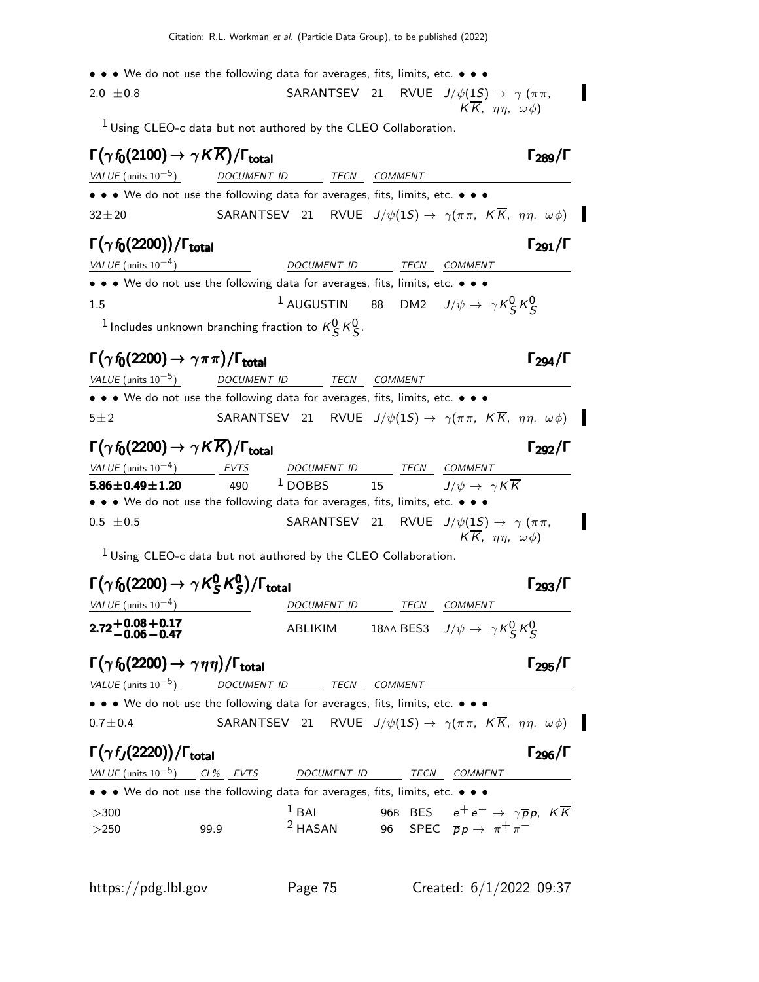- • We do not use the following data for averages, fits, limits, etc. • •
- 2.0  $\pm$ 0.8 SARANTSEV 21 RVUE  $J/\psi(1S) \rightarrow \gamma (\pi \pi,$  $KK$ ,  $\eta\eta$ ,  $\omega\phi$ )

 $1$  Using CLEO-c data but not authored by the CLEO Collaboration.

| $\Gamma(\gamma\,f_0(2100)\rightarrow\gamma\,K\overline{K})/\Gamma_{\rm total}$     |                                                                             |                          |                | $\Gamma_{289}/\Gamma$                                                                                        |
|------------------------------------------------------------------------------------|-----------------------------------------------------------------------------|--------------------------|----------------|--------------------------------------------------------------------------------------------------------------|
| VALUE (units $10^{-5}$ )                                                           | DOCUMENT ID TECN                                                            |                          | <b>COMMENT</b> |                                                                                                              |
|                                                                                    | • • We do not use the following data for averages, fits, limits, etc. • • • |                          |                |                                                                                                              |
| $32 \pm 20$                                                                        |                                                                             |                          |                | SARANTSEV 21 RVUE $J/\psi(1S) \rightarrow \gamma(\pi \pi, K\overline{K}, \eta \eta, \omega \phi)$            |
| $\Gamma(\gamma\,f_0(2200))/\Gamma_{\rm total}$                                     |                                                                             |                          |                | $\Gamma_{291}/\Gamma$                                                                                        |
| VALUE (units $10^{-4}$ )                                                           |                                                                             | DOCUMENT ID              | TECN COMMENT   |                                                                                                              |
|                                                                                    | • • We do not use the following data for averages, fits, limits, etc. • • • |                          |                |                                                                                                              |
| $1.5\,$                                                                            |                                                                             |                          |                | <sup>1</sup> AUGUSTIN 88 DM2 $J/\psi \rightarrow \gamma K_S^0 K_S^0$                                         |
|                                                                                    | <sup>1</sup> Includes unknown branching fraction to $K^0_S$ $K^0_S$ .       |                          |                |                                                                                                              |
| $\Gamma(\gamma f_0(2200) \rightarrow \gamma \pi \pi)/\Gamma_{\text{total}}$        |                                                                             |                          |                | $\Gamma_{294}/\Gamma$                                                                                        |
| <i>VALUE</i> (units $10^{-5}$ )                                                    | DOCUMENT ID TECN COMMENT                                                    |                          |                |                                                                                                              |
|                                                                                    | • • We do not use the following data for averages, fits, limits, etc. • • • |                          |                |                                                                                                              |
| $5\pm2$                                                                            |                                                                             |                          |                | SARANTSEV 21 RVUE $J/\psi(1S) \rightarrow \gamma(\pi \pi, K\overline{K}, \eta \eta, \omega \phi)$            |
| $\Gamma(\gamma f_0(2200) \rightarrow \gamma K \overline{K})/\Gamma_{\text{total}}$ |                                                                             |                          |                | $\Gamma_{292}/\Gamma$                                                                                        |
| VALUE (units $10^{-4}$ ) EVTS                                                      |                                                                             | DOCUMENT ID TECN COMMENT |                |                                                                                                              |
| $5.86 \pm 0.49 \pm 1.20$                                                           | 490                                                                         | $1$ DOBBS                | 15             | $J/\psi \rightarrow \gamma K \overline{K}$                                                                   |
| • • • We do not use the following data for averages, fits, limits, etc. • • •      |                                                                             |                          |                |                                                                                                              |
| $0.5 \pm 0.5$                                                                      |                                                                             |                          |                | SARANTSEV 21 RVUE $J/\psi(1S) \rightarrow \gamma (\pi \pi,$<br>$K\overline{K}$ , $\eta\eta$ , $\omega\phi$ ) |
|                                                                                    | <sup>1</sup> Using CLEO-c data but not authored by the CLEO Collaboration.  |                          |                |                                                                                                              |
| $\Gamma(\gamma\,f_0(2200)\rightarrow\gamma\,K^0_S\,K^0_S)/\Gamma_{\rm total}$      |                                                                             |                          |                | $\Gamma_{293}/\Gamma$                                                                                        |
| VALUE (units $10^{-4}$ )                                                           |                                                                             | DOCUMENT ID TECN COMMENT |                |                                                                                                              |
| 2.72±0.08±0.17<br>2.72−0.06−0.47                                                   |                                                                             |                          |                | ABLIKIM 18AA BES3 $J/\psi \rightarrow \gamma K_S^0 K_S^0$                                                    |
| $\Gamma(\gamma f_0(2200) \rightarrow \gamma \eta \eta)/\Gamma_{\text{total}}$      |                                                                             |                          |                | $\Gamma_{295}/\Gamma$                                                                                        |
| VALUE (units $10^{-5}$ )                                                           | DOCUMENT ID                                                                 | TECN                     | <b>COMMENT</b> |                                                                                                              |
| • • • We do not use the following data for averages, fits, limits, etc. • • •      |                                                                             |                          |                |                                                                                                              |
| $0.7 \pm 0.4$                                                                      |                                                                             |                          |                | SARANTSEV 21 RVUE $J/\psi(1S) \rightarrow \gamma(\pi \pi, K\overline{K}, \eta \eta, \omega \phi)$            |
| $\Gamma(\gamma f_J(2220))/\Gamma_{\rm total}$                                      |                                                                             |                          |                | $\Gamma_{296}/\Gamma$                                                                                        |
| VALUE (units $10^{-5}$ ) CL% EVTS                                                  |                                                                             | DOCUMENT ID              | TECN           | COMMENT                                                                                                      |
| • • • We do not use the following data for averages, fits, limits, etc. • • •      |                                                                             |                          |                |                                                                                                              |
| >300                                                                               |                                                                             | $1$ BAI                  |                | 96B BES $e^+e^- \rightarrow \gamma \overline{p}p$ , $K\overline{K}$                                          |
| >250                                                                               | 99.9                                                                        | <sup>2</sup> HASAN       |                | 96 SPEC $\overline{p}p \rightarrow \pi^+\pi^-$                                                               |
|                                                                                    |                                                                             |                          |                |                                                                                                              |

 $\blacksquare$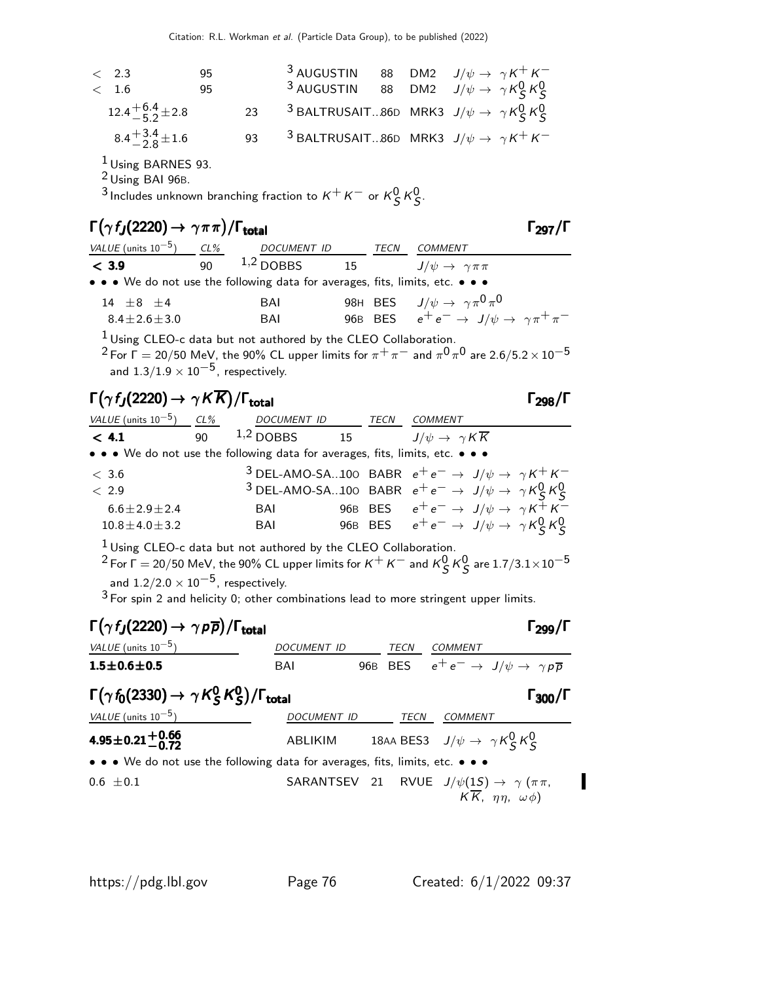| < 2.3<br>< 1.6            | 95<br>95 |    | <sup>3</sup> AUGUSTIN 88 DM2 $J/\psi \rightarrow \gamma K^+ K^-$<br><sup>3</sup> AUGUSTIN 88 DM2 $J/\psi \rightarrow \gamma K_S^0 K_S^0$ |  |  |
|---------------------------|----------|----|------------------------------------------------------------------------------------------------------------------------------------------|--|--|
| $12.4 + 6.4 + 2.8$        |          | 23 | <sup>3</sup> BALTRUSAIT86D MRK3 $J/\psi \rightarrow \gamma K_S^0 K_S^0$                                                                  |  |  |
| $8.4^{+3.4}_{-2.8}$ ± 1.6 |          | 93 | $3$ BALTRUSAIT86D MRK3 $J/\psi \rightarrow \gamma K^+ K^-$                                                                               |  |  |

1 Using BARNES 93.

2 Using BAI 96B.

<sup>3</sup> Includes unknown branching fraction to  $K^+ K^-$  or  $K^0_S K^0_S$ .

#### $\Gamma(\gamma f_J(2220) \to \gamma \pi \pi) / \Gamma_{\text{total}}$  Γ<sub>297</sub>/Γ

| VALUE (units $10^{-5}$ )                                                      | CL%          | <i>DOCUMENT ID</i>                                                         | TECN | COMMENT                                                            |
|-------------------------------------------------------------------------------|--------------|----------------------------------------------------------------------------|------|--------------------------------------------------------------------|
| < 3.9                                                                         | $90^{\circ}$ | $1,2$ DOBBS                                                                |      | 15 $J/\psi \rightarrow \gamma \pi \pi$                             |
| • • • We do not use the following data for averages, fits, limits, etc. • • • |              |                                                                            |      |                                                                    |
| $14 + 8 + 4$                                                                  |              | BAI                                                                        |      | 98H BES $J/\psi \rightarrow \gamma \pi^0 \pi^0$                    |
| $8.4 \pm 2.6 \pm 3.0$                                                         |              | BAI                                                                        |      | 96B BES $e^+e^- \rightarrow J/\psi \rightarrow \gamma \pi^+ \pi^-$ |
|                                                                               |              | <sup>1</sup> Using CLEO-c data but not authored by the CLEO Collaboration. |      |                                                                    |

 $^2$  For  $\Gamma=$  20/50 MeV, the 90% CL upper limits for  $\pi^+\,\pi^-$  and  $\pi^0\,\pi^0$  are 2.6/5.2  $\times$   $10^{-5}$ and  $1.3/1.9 \times 10^{-5}$ , respectively.

# $\Gamma(\gamma f_J(2220) \to \gamma K \overline{K}) / \Gamma_{\text{total}}$  Γ<sub>298</sub>/Γ

| <i>VALUE</i> (units $10^{-5}$ )                                               | $CL\%$ | <b>DOCUMENT ID</b> |    | TECN | COMMENT                                                                                    |
|-------------------------------------------------------------------------------|--------|--------------------|----|------|--------------------------------------------------------------------------------------------|
| < 4.1                                                                         | 90     | $1,2$ DOBBS        | 15 |      | $J/\psi \rightarrow \gamma K \overline{K}$                                                 |
| • • • We do not use the following data for averages, fits, limits, etc. • • • |        |                    |    |      |                                                                                            |
| < 3.6                                                                         |        |                    |    |      | <sup>3</sup> DEL-AMO-SA100 BABR $e^+e^- \rightarrow J/\psi \rightarrow \gamma K^+ K^-$     |
| < 2.9                                                                         |        |                    |    |      | <sup>3</sup> DEL-AMO-SA100 BABR $e^+e^- \rightarrow J/\psi \rightarrow \gamma K_S^0 K_S^0$ |
| $6.6 \pm 2.9 \pm 2.4$                                                         |        | BAI                |    |      | 96B BES $e^+e^- \rightarrow J/\psi \rightarrow \gamma K^+ K^-$                             |
| $10.8 \pm 4.0 \pm 3.2$                                                        |        | BAI                |    |      | 96B BES $e^+e^- \rightarrow J/\psi \rightarrow \gamma K_S^0 K_S^0$                         |
|                                                                               |        |                    |    |      |                                                                                            |

 $^{1}$  Using CLEO-c data but not authored by the CLEO Collaboration.

 $^{2}$  For  $\Gamma=$  20/50 MeV, the 90% CL upper limits for  $K^{+}$   $K^{-}$  and  $K^{0}_{\cal S}$   $K^{0}_{\cal S}$  are 1.7/3.1 $\times10^{-5}$ and  $1.2/2.0 \times 10^{-5}$ , respectively.

 $3$  For spin 2 and helicity 0; other combinations lead to more stringent upper limits.



/ΓΓ298/Γ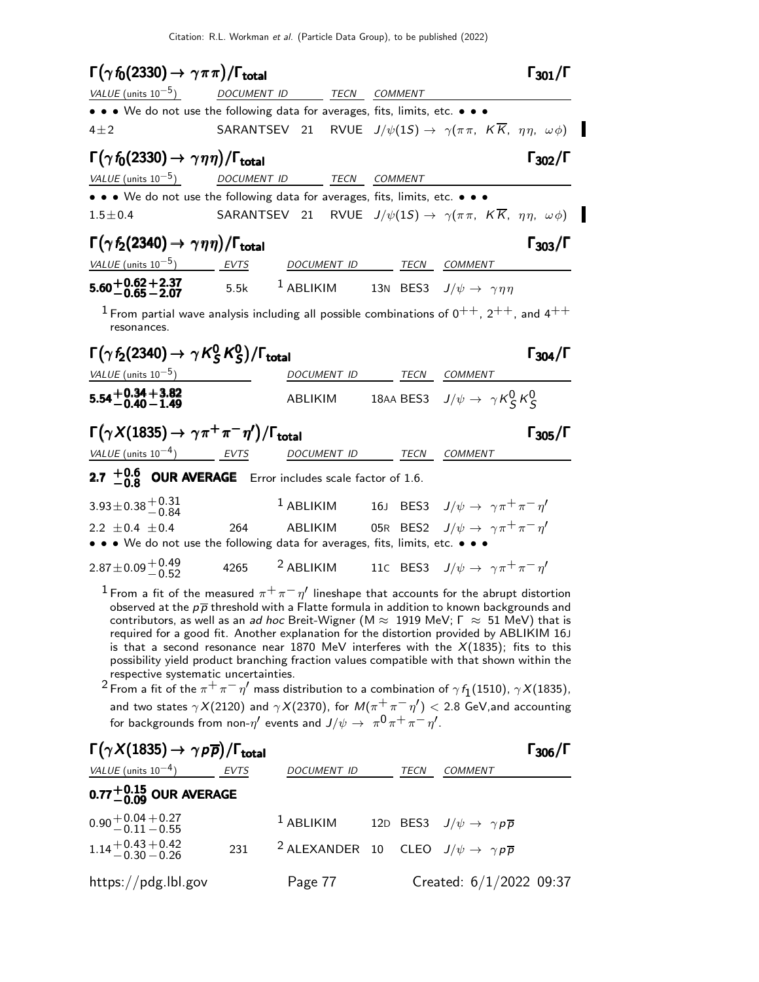$\blacksquare$ 

| $\Gamma(\gamma f_0(2330) \rightarrow \gamma \pi \pi)/\Gamma_{\text{total}}$                                                          |             |                                                                     | $\Gamma_{301}/\Gamma$                                                                                                                                                                                                                                                                                                                                                                                                                                                                                                                                                                                                                                                                                                                                                                                                                                 |
|--------------------------------------------------------------------------------------------------------------------------------------|-------------|---------------------------------------------------------------------|-------------------------------------------------------------------------------------------------------------------------------------------------------------------------------------------------------------------------------------------------------------------------------------------------------------------------------------------------------------------------------------------------------------------------------------------------------------------------------------------------------------------------------------------------------------------------------------------------------------------------------------------------------------------------------------------------------------------------------------------------------------------------------------------------------------------------------------------------------|
| <i>VALUE</i> (units $10^{-5}$ )                                                                                                      | DOCUMENT ID | TECN COMMENT                                                        |                                                                                                                                                                                                                                                                                                                                                                                                                                                                                                                                                                                                                                                                                                                                                                                                                                                       |
| • • • We do not use the following data for averages, fits, limits, etc. • • •                                                        |             |                                                                     |                                                                                                                                                                                                                                                                                                                                                                                                                                                                                                                                                                                                                                                                                                                                                                                                                                                       |
| $4\pm 2$                                                                                                                             |             |                                                                     | SARANTSEV 21 RVUE $J/\psi(1S) \rightarrow \gamma(\pi \pi, K\overline{K}, \eta \eta, \omega \phi)$                                                                                                                                                                                                                                                                                                                                                                                                                                                                                                                                                                                                                                                                                                                                                     |
| $\Gamma(\gamma f_0(2330) \rightarrow \gamma \eta \eta)/\Gamma_{\text{total}}$                                                        |             |                                                                     | $\Gamma_{302}/\Gamma$                                                                                                                                                                                                                                                                                                                                                                                                                                                                                                                                                                                                                                                                                                                                                                                                                                 |
| VALUE (units $10^{-5}$ )                                                                                                             |             | DOCUMENT ID TECN COMMENT                                            |                                                                                                                                                                                                                                                                                                                                                                                                                                                                                                                                                                                                                                                                                                                                                                                                                                                       |
| $\bullet\,\bullet\,\bullet\,$ We do not use the following data for averages, fits, limits, etc. $\bullet\,\bullet\,\bullet\,\bullet$ |             |                                                                     |                                                                                                                                                                                                                                                                                                                                                                                                                                                                                                                                                                                                                                                                                                                                                                                                                                                       |
| $1.5 \pm 0.4$                                                                                                                        |             |                                                                     | SARANTSEV 21 RVUE $J/\psi(1S) \rightarrow \gamma(\pi \pi, K\overline{K}, \eta \eta, \omega \phi)$                                                                                                                                                                                                                                                                                                                                                                                                                                                                                                                                                                                                                                                                                                                                                     |
| $\Gamma(\gamma f_2(2340) \rightarrow \gamma \eta \eta)/\Gamma_{\text{total}}$                                                        |             |                                                                     | $\Gamma_{303}/\Gamma$                                                                                                                                                                                                                                                                                                                                                                                                                                                                                                                                                                                                                                                                                                                                                                                                                                 |
| VALUE (units $10^{-5}$ )                                                                                                             | <b>EVTS</b> | DOCUMENT ID TECN COMMENT                                            |                                                                                                                                                                                                                                                                                                                                                                                                                                                                                                                                                                                                                                                                                                                                                                                                                                                       |
| $5.60 + 0.62 + 2.37$<br>$5.5k$<br>$-0.65 - 2.07$<br>5.5k                                                                             |             | <sup>1</sup> ABLIKIM 13N BES3 $J/\psi \rightarrow \gamma \eta \eta$ |                                                                                                                                                                                                                                                                                                                                                                                                                                                                                                                                                                                                                                                                                                                                                                                                                                                       |
| resonances.                                                                                                                          |             |                                                                     | $^1$ From partial wave analysis including all possible combinations of 0 $^{++}$ , 2 $^{++}$ , and 4 $^{++}$                                                                                                                                                                                                                                                                                                                                                                                                                                                                                                                                                                                                                                                                                                                                          |
| $\Gamma(\gamma f_2(2340) \rightarrow \gamma K_S^0 K_S^0)/\Gamma_{\rm total}$                                                         |             |                                                                     | $\Gamma_{304}/\Gamma$                                                                                                                                                                                                                                                                                                                                                                                                                                                                                                                                                                                                                                                                                                                                                                                                                                 |
| VALUE (units $10^{-5}$ )                                                                                                             |             | DOCUMENT ID TECN COMMENT                                            |                                                                                                                                                                                                                                                                                                                                                                                                                                                                                                                                                                                                                                                                                                                                                                                                                                                       |
| $5.54 + 0.34 + 3.82$<br>$-0.40 - 1.49$                                                                                               |             |                                                                     | ABLIKIM 18AA BES3 $J/\psi \rightarrow \gamma K_S^0 K_S^0$                                                                                                                                                                                                                                                                                                                                                                                                                                                                                                                                                                                                                                                                                                                                                                                             |
| $\Gamma(\gamma X(1835) \rightarrow \gamma \pi^+ \pi^- \eta')/\Gamma_{\text{total}}$                                                  |             |                                                                     | $\Gamma_{305}/\Gamma$                                                                                                                                                                                                                                                                                                                                                                                                                                                                                                                                                                                                                                                                                                                                                                                                                                 |
| VALUE (units $10^{-4}$ ) EVTS                                                                                                        |             | DOCUMENT ID TECN COMMENT                                            |                                                                                                                                                                                                                                                                                                                                                                                                                                                                                                                                                                                                                                                                                                                                                                                                                                                       |
| 2.7 $+0.6$ OUR AVERAGE Error includes scale factor of 1.6.                                                                           |             |                                                                     |                                                                                                                                                                                                                                                                                                                                                                                                                                                                                                                                                                                                                                                                                                                                                                                                                                                       |
| $3.93 \pm 0.38 \begin{array}{c} +0.31 \\ -0.84 \end{array}$                                                                          |             | $1$ ABLIKIM                                                         | 16J BES3 $J/\psi \rightarrow \gamma \pi^+ \pi^- \eta'$                                                                                                                                                                                                                                                                                                                                                                                                                                                                                                                                                                                                                                                                                                                                                                                                |
| 2.2 $\pm$ 0.4 $\pm$ 0.4                                                                                                              | 264         | ABLIKIM                                                             | 05R BES2 $J/\psi \rightarrow \gamma \pi^+ \pi^- \eta'$                                                                                                                                                                                                                                                                                                                                                                                                                                                                                                                                                                                                                                                                                                                                                                                                |
| • • • We do not use the following data for averages, fits, limits, etc. • • •                                                        |             |                                                                     |                                                                                                                                                                                                                                                                                                                                                                                                                                                                                                                                                                                                                                                                                                                                                                                                                                                       |
| $2.87 \pm 0.09 \begin{array}{c} +0.49 \\ -0.52 \end{array}$                                                                          |             |                                                                     | 4265 <sup>2</sup> ABLIKIM 11C BES3 $J/\psi \rightarrow \gamma \pi^+ \pi^- \eta'$                                                                                                                                                                                                                                                                                                                                                                                                                                                                                                                                                                                                                                                                                                                                                                      |
| respective systematic uncertainties.<br>for backgrounds from non- $\eta'$ events and $J/\psi \rightarrow \pi^0 \pi^+ \pi^- \eta'$ .  |             |                                                                     | $^1$ From a fit of the measured $\pi^+\pi^-\eta'$ lineshape that accounts for the abrupt distortion<br>observed at the $p\overline{p}$ threshold with a Flatte formula in addition to known backgrounds and<br>contributors, as well as an ad hoc Breit-Wigner (M $\approx$ 1919 MeV; $\Gamma \approx 51$ MeV) that is<br>required for a good fit. Another explanation for the distortion provided by ABLIKIM 16J<br>is that a second resonance near 1870 MeV interferes with the $X(1835)$ ; fits to this<br>possibility yield product branching fraction values compatible with that shown within the<br><sup>2</sup> From a fit of the $\pi^+\pi^-\eta'$ mass distribution to a combination of $\gamma f_1$ (1510), $\gamma X$ (1835),<br>and two states $\gamma X(2120)$ and $\gamma X(2370)$ , for $M(\pi^+\pi^-\eta') <$ 2.8 GeV,and accounting |

| $\Gamma(\gamma X(1835) \rightarrow \gamma p \overline{p})/\Gamma_{\text{total}}$ |     |                                                                           |      |                           | $\Gamma_{306}/\Gamma$ |
|----------------------------------------------------------------------------------|-----|---------------------------------------------------------------------------|------|---------------------------|-----------------------|
| VALUE (units $10^{-4}$ ) EVTS                                                    |     | <b>DOCUMENT ID</b>                                                        | TECN | <b>COMMENT</b>            |                       |
| $0.77^{+0.15}_{-0.09}$ OUR AVERAGE                                               |     |                                                                           |      |                           |                       |
| $0.90 + 0.04 + 0.27$<br>$-0.11 - 0.55$                                           |     | <sup>1</sup> ABLIKIM 12D BES3 $J/\psi \rightarrow \gamma p \overline{p}$  |      |                           |                       |
| $1.14 + 0.43 + 0.42$<br>$-0.30 - 0.26$                                           | 231 | <sup>2</sup> ALEXANDER 10 CLEO $J/\psi \rightarrow \gamma p \overline{p}$ |      |                           |                       |
| https://pdg.lbl.gov                                                              |     | Page 77                                                                   |      | Created: $6/1/2022$ 09:37 |                       |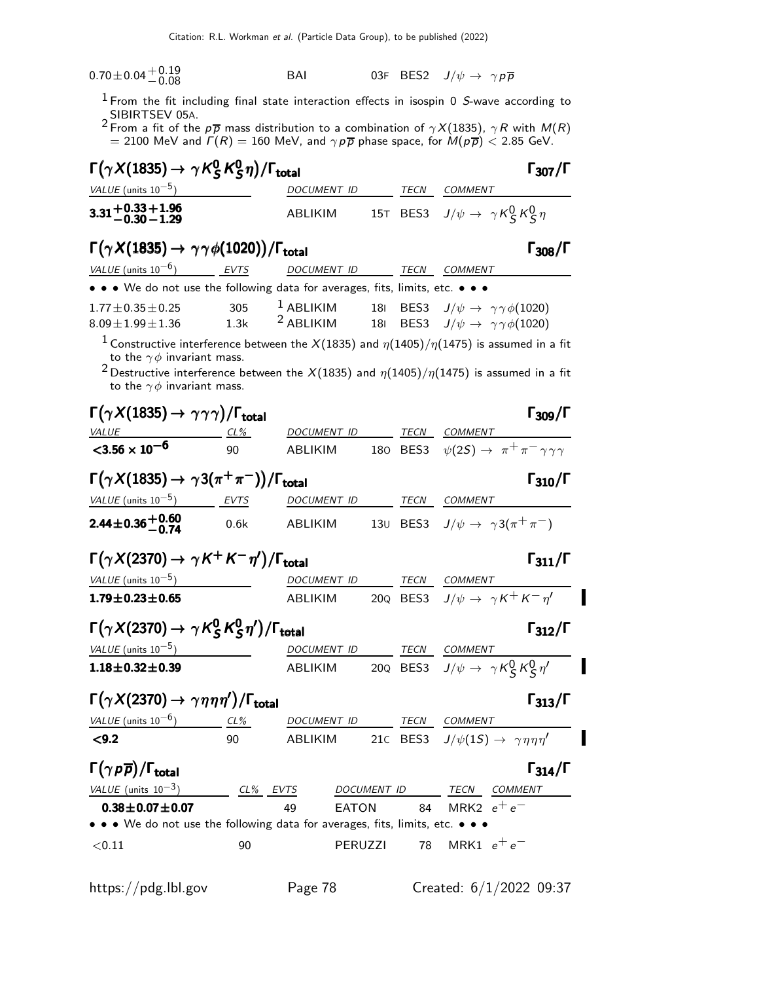| $0.70\!\pm\!0.04\frac{+0.19}{-0.08}$ | BAI |  | 03F BES2 $J/\psi \rightarrow \gamma \rho \overline{\rho}$ |  |
|--------------------------------------|-----|--|-----------------------------------------------------------|--|
|                                      |     |  |                                                           |  |

 $1$  From the fit including final state interaction effects in isospin 0 S-wave according to

SIBIRTSEV 05A.<br><sup>2</sup> From a fit of the p $\overline{p}$  mass distribution to a combination of  $\gamma X(1835)$ ,  $\gamma R$  with  $M(R)$  $=$  2100 MeV and  $\varGamma(R) =$  160 MeV, and  $\gamma \, p \, \overline{p}$  phase space, for  $M(p \, \overline{p}) <$  2.85 GeV.

| $\Gamma(\gamma X(1835) \rightarrow \gamma K_S^0 K_S^0 \eta)/\Gamma_{\text{total}}$ | $\Gamma_{307}/\Gamma$ |             |                                                       |
|------------------------------------------------------------------------------------|-----------------------|-------------|-------------------------------------------------------|
| <i>VALUE</i> (units $10^{-5}$ )                                                    | DOCUMENT ID           | <b>TECN</b> | COMMENT                                               |
| $3.31 + 0.33 + 1.96$<br>-0.30 - 1.29                                               | ABLIKIM               |             | 15T BES3 $J/\psi \rightarrow \gamma K_S^0 K_S^0 \eta$ |

## $\Gamma(\gamma X(1835) \rightarrow \gamma \gamma \phi(1020)) / \Gamma_{\text{total}}$  Γ<sub>308</sub>/Γ

| VALUE (units $10^{-6}$ )                                                                                                                                                                                                                                                                                            | EVTS | <b>DOCUMENT ID</b> | TECN | COMMENT                                                |  |
|---------------------------------------------------------------------------------------------------------------------------------------------------------------------------------------------------------------------------------------------------------------------------------------------------------------------|------|--------------------|------|--------------------------------------------------------|--|
| • • • We do not use the following data for averages, fits, limits, etc. • • •                                                                                                                                                                                                                                       |      |                    |      |                                                        |  |
| $1.77 \pm 0.35 \pm 0.25$                                                                                                                                                                                                                                                                                            | 305  | $1$ ABLIKIM        |      | 181 BES3 $J/\psi \rightarrow \gamma \gamma \phi(1020)$ |  |
| $8.09 \pm 1.99 \pm 1.36$                                                                                                                                                                                                                                                                                            | 1.3k | $2$ ABLIKIM        |      | 181 BES3 $J/\psi \rightarrow \gamma \gamma \phi(1020)$ |  |
| $\frac{1}{2}$ $\frac{1}{2}$ $\frac{1}{2}$ $\frac{1}{2}$ $\frac{1}{2}$ $\frac{1}{2}$ $\frac{1}{2}$ $\frac{1}{2}$ $\frac{1}{2}$ $\frac{1}{2}$ $\frac{1}{2}$ $\frac{1}{2}$ $\frac{1}{2}$ $\frac{1}{2}$ $\frac{1}{2}$ $\frac{1}{2}$ $\frac{1}{2}$ $\frac{1}{2}$ $\frac{1}{2}$ $\frac{1}{2}$ $\frac{1}{2}$ $\frac{1}{2}$ |      |                    |      |                                                        |  |

<sup>1</sup> Constructive interference between the X(1835) and  $\eta(1405)/\eta(1475)$  is assumed in a fit to the  $\gamma \phi$  invariant mass.

<sup>2</sup> Destructive interference between the X(1835) and  $\eta(1405)/\eta(1475)$  is assumed in a fit to the  $\gamma \phi$  invariant mass.

| $\Gamma(\gamma X(1835) \rightarrow \gamma \gamma \gamma)/\Gamma_{\rm total}$            |               |             |              |             | $\Gamma_{309}/\Gamma$                                            |
|-----------------------------------------------------------------------------------------|---------------|-------------|--------------|-------------|------------------------------------------------------------------|
| <b>VALUE</b>                                                                            | <u>__ CL%</u> | DOCUMENT ID |              | TECN        | COMMENT                                                          |
| $<$ 3.56 $\times$ 10 <sup>-6</sup>                                                      | 90            | ABLIKIM     |              |             | 180 BES3 $\psi(2S) \rightarrow \pi^+ \pi^- \gamma \gamma \gamma$ |
| $\Gamma(\gamma X(1835) \rightarrow \gamma 3(\pi^+\pi^-))/\Gamma_{\rm total}$            |               |             |              |             | $\Gamma_{310}/\Gamma$                                            |
| $VALUE$ (units $10^{-5}$ ) EVTS                                                         |               |             |              |             | DOCUMENT ID TECN COMMENT                                         |
| $2.44 \pm 0.36 \pm 0.60$                                                                | 0.6k          | ABLIKIM     |              |             | 130 BES3 $J/\psi \rightarrow \gamma 3(\pi^+\pi^-)$               |
| $\Gamma(\gamma X(2370) \rightarrow \gamma K^+ K^- \eta^{\prime})/\Gamma_{\text{total}}$ |               |             |              |             | $\Gamma_{311}/\Gamma$                                            |
| VALUE (units $10^{-5}$ )                                                                |               | DOCUMENT ID |              |             | TECN COMMENT                                                     |
| $1.79 \pm 0.23 \pm 0.65$                                                                |               |             |              |             | ABLIKIM 20Q BES3 $J/\psi \rightarrow \gamma K^+ K^- \eta'$       |
| $\Gamma(\gamma X(2370) \rightarrow \gamma K_S^0 K_S^0 \eta')/\Gamma_{\rm total}$        |               |             |              |             | $\Gamma_{312}/\Gamma$                                            |
| VALUE (units $10^{-5}$ )                                                                |               |             |              |             | DOCUMENT ID TECN COMMENT                                         |
| $1.18 \pm 0.32 \pm 0.39$                                                                |               |             |              |             | ABLIKIM 20Q BES3 $J/\psi \rightarrow \gamma K_S^0 K_S^0 \eta'$   |
| $\Gamma(\gamma X(2370) \rightarrow \gamma \eta \eta \eta')/\Gamma_{\text{total}}$       |               |             |              |             | $\Gamma_{313}/\Gamma$                                            |
| VALUE (units $10^{-6}$ )                                                                | CL%           | DOCUMENT ID |              | TECN        | <b>COMMENT</b>                                                   |
| < 9.2                                                                                   | 90            | ABLIKIM     |              |             | 210 BES3 $J/\psi(15) \rightarrow \gamma \eta \eta \eta'$         |
| $\Gamma(\gamma p \overline{p})/\Gamma_{\rm total}$                                      |               |             |              |             | $\Gamma_{314}/\Gamma$                                            |
| VALUE (units $10^{-3}$ )                                                                | CL% EVTS      |             |              | DOCUMENT ID | TECN<br>COMMENT                                                  |
| $0.38 \pm 0.07 \pm 0.07$                                                                |               | 49          | <b>EATON</b> | 84          | MRK2 $e^+e^-$                                                    |
| • • • We do not use the following data for averages, fits, limits, etc. • • •           |               |             |              |             |                                                                  |
| < 0.11                                                                                  | 90            |             | PERUZZI      | 78          | MRK1 $e^+e^-$                                                    |
|                                                                                         |               |             |              |             |                                                                  |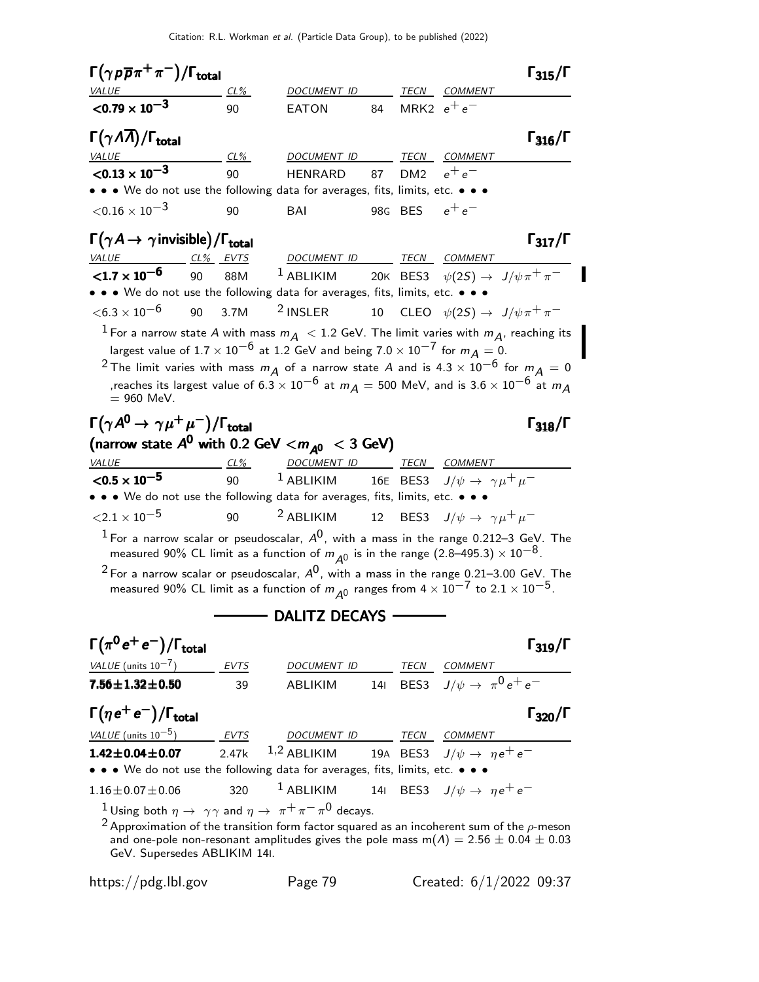Citation: R.L. Workman et al. (Particle Data Group), to be published (2022)

| $\Gamma\big(\gamma\,\rho\,\overline{\rho}\,\pi^+\,\pi^-\big)/\Gamma_{\rm total}$                                                        |          |      |                                                                            |    |                 |                                     | $\Gamma_{315}/\Gamma$                                                                                             |
|-----------------------------------------------------------------------------------------------------------------------------------------|----------|------|----------------------------------------------------------------------------|----|-----------------|-------------------------------------|-------------------------------------------------------------------------------------------------------------------|
| <i>VALUE</i><br>$<$ 0.79 $\times$ 10 <sup>-3</sup>                                                                                      |          | CL%  | <i>DOCUMENT ID</i>                                                         |    |                 | TECN COMMENT                        |                                                                                                                   |
|                                                                                                                                         |          | 90   | <b>EATON</b>                                                               | 84 | MRK2 $e^+e^-$   |                                     |                                                                                                                   |
| $\Gamma(\gamma\Lambda\overline{\Lambda})/\Gamma_{\rm total}$                                                                            |          |      |                                                                            |    |                 |                                     | $\Gamma_{316}/\Gamma$                                                                                             |
| <b>VALUE</b>                                                                                                                            |          | CL%  | <u>DOCUMENT ID</u>                                                         |    |                 | TECN COMMENT                        |                                                                                                                   |
| ${<}0.13 \times 10^{-3}$                                                                                                                |          | 90   | <b>HENRARD</b>                                                             | 87 | DM <sub>2</sub> | $e^+e^-$                            |                                                                                                                   |
| • • • We do not use the following data for averages, fits, limits, etc. • • •                                                           |          |      |                                                                            |    |                 |                                     |                                                                                                                   |
| $<$ 0.16 $\times$ 10 $^{-3}$                                                                                                            |          | 90   | BAI                                                                        |    | 98G BES         | $e^+e^-$                            |                                                                                                                   |
| $\Gamma(\gamma A \rightarrow \gamma$ invisible)/ $\Gamma_{\rm total}$                                                                   |          |      |                                                                            |    |                 |                                     | $\Gamma_{317}/\Gamma$                                                                                             |
| VALUE                                                                                                                                   | CL% EVTS |      | DOCUMENT ID TECN COMMENT                                                   |    |                 |                                     |                                                                                                                   |
| $< 1.7 \times 10^{-6}$                                                                                                                  | 90       | 88M  | <sup>1</sup> ABLIKIM 20K BES3 $\psi(2S) \rightarrow J/\psi \pi^+ \pi^-$    |    |                 |                                     |                                                                                                                   |
| • • • We do not use the following data for averages, fits, limits, etc. • • •                                                           |          |      |                                                                            |    |                 |                                     |                                                                                                                   |
| ${<}6.3\times10^{-6}$                                                                                                                   | 90 3.7M  |      | $2$ INSLER                                                                 |    |                 |                                     | 10 CLEO $\psi(2S) \rightarrow J/\psi \pi^+ \pi^-$                                                                 |
| $^1$ For a narrow state A with mass $m_{\tilde{\mathcal{A}}}~<$ 1.2 GeV. The limit varies with $m_{\tilde{\mathcal{A}}}$ , reaching its |          |      |                                                                            |    |                 |                                     |                                                                                                                   |
| largest value of $1.7 \times 10^{-6}$ at 1.2 GeV and being $7.0 \times 10^{-7}$ for $m_A = 0$ .                                         |          |      |                                                                            |    |                 |                                     |                                                                                                                   |
| $^2$ The limit varies with mass $m_A$ of a narrow state A and is 4.3 $\times$ $10^{-6}$ for $m_A$ = 0                                   |          |      |                                                                            |    |                 |                                     |                                                                                                                   |
| $= 960$ MeV.                                                                                                                            |          |      |                                                                            |    |                 |                                     | ,reaches its largest value of 6.3 $\times$ $10^{-6}$ at $m_A$ $=$ 500 MeV, and is 3.6 $\times$ $10^{-6}$ at $m_A$ |
|                                                                                                                                         |          |      |                                                                            |    |                 |                                     |                                                                                                                   |
| $\Gamma(\gamma A^0\!\rightarrow \gamma\mu^+\mu^-)/\Gamma_{\rm total}$                                                                   |          |      |                                                                            |    |                 |                                     | $\Gamma_{318}/\Gamma$                                                                                             |
| (narrow state $A^0$ with 0.2 GeV $<$ $m_{A^0}$ $<$ 3 GeV)                                                                               |          |      |                                                                            |    |                 |                                     |                                                                                                                   |
| VALUE<br>$<$ 0.5 $\times$ 10 <sup>-5</sup>                                                                                              | $CL\%$   |      | DOCUMENT ID TECN COMMENT                                                   |    |                 |                                     |                                                                                                                   |
| • • • We do not use the following data for averages, fits, limits, etc. • • •                                                           |          | 90   | $^{-1}$ ABLIKIM $^{-1}$ 16E BES3 $J/\psi \rightarrow \ \gamma \mu^+ \mu^-$ |    |                 |                                     |                                                                                                                   |
| ${<}2.1\times10^{-5}$                                                                                                                   |          | 90   | <sup>2</sup> ABLIKIM 12 BES3 $J/\psi \rightarrow \gamma \mu^+ \mu^-$       |    |                 |                                     |                                                                                                                   |
| $^1$ For a narrow scalar or pseudoscalar, $A^0$ , with a mass in the range 0.212–3 GeV. The                                             |          |      |                                                                            |    |                 |                                     |                                                                                                                   |
| measured 90% CL limit as a function of $m_{A^0}$ is in the range (2.8–495.3) $\times$ $10^{-8}$ .                                       |          |      |                                                                            |    |                 |                                     |                                                                                                                   |
| <sup>2</sup> For a narrow scalar or pseudoscalar, $A^0$ , with a mass in the range 0.21–3.00 GeV. The                                   |          |      |                                                                            |    |                 |                                     |                                                                                                                   |
| measured 90% CL limit as a function of $m_{A0}$ ranges from $4 \times 10^{-7}$ to $2.1 \times 10^{-5}$ .                                |          |      |                                                                            |    |                 |                                     |                                                                                                                   |
|                                                                                                                                         |          |      | $\longrightarrow$ dalitz decays $\rightarrow$                              |    |                 |                                     |                                                                                                                   |
| $\Gamma(\pi^0\,e^+\,e^-)/\Gamma_{\rm total}$                                                                                            |          |      |                                                                            |    |                 |                                     | $\Gamma_{319}/\Gamma$                                                                                             |
| <i>VALUE</i> (units $10^{-7}$ )                                                                                                         |          | EVTS | DOCUMENT ID TECN COMMENT                                                   |    |                 |                                     |                                                                                                                   |
| $7.56 \pm 1.32 \pm 0.50$                                                                                                                |          | 39   | ABLIKIM                                                                    |    |                 | 141 BES3 $J/\psi \to \pi^0 e^+ e^-$ |                                                                                                                   |
|                                                                                                                                         |          |      |                                                                            |    |                 |                                     |                                                                                                                   |
| $\Gamma(\eta\,e^+\,e^-)/\Gamma_{\rm total}$                                                                                             |          |      |                                                                            |    |                 |                                     | $\Gamma_{320}/\Gamma$                                                                                             |
| $VALUE$ (units $10^{-5}$ ) EVTS DOCUMENT ID TECN COMMENT                                                                                |          |      |                                                                            |    |                 |                                     |                                                                                                                   |
| $1.42 \pm 0.04 \pm 0.07$                                                                                                                |          |      | 2.47k 1,2 ABLIKIM 19A BES3 $J/\psi \to \eta e^+ e^-$                       |    |                 |                                     |                                                                                                                   |
| • • • We do not use the following data for averages, fits, limits, etc. • •                                                             |          |      |                                                                            |    |                 |                                     |                                                                                                                   |
| $1.16 \pm 0.07 \pm 0.06$                                                                                                                |          | 320  | <sup>1</sup> ABLIKIM 141 BES3 $J/\psi \rightarrow \eta e^+e^-$             |    |                 |                                     |                                                                                                                   |
| <sup>1</sup> Using both $\eta \to \gamma \gamma$ and $\eta \to \pi^+ \pi^- \pi^0$ decays.                                               |          |      |                                                                            |    |                 |                                     |                                                                                                                   |
| $^2$ Approximation of the transition form factor squared as an incoherent sum of the $\rho$ -meson<br>GeV. Supersedes ABLIKIM 14I.      |          |      |                                                                            |    |                 |                                     | and one-pole non-resonant amplitudes gives the pole mass m( $\Lambda$ ) = 2.56 $\pm$ 0.04 $\pm$ 0.03              |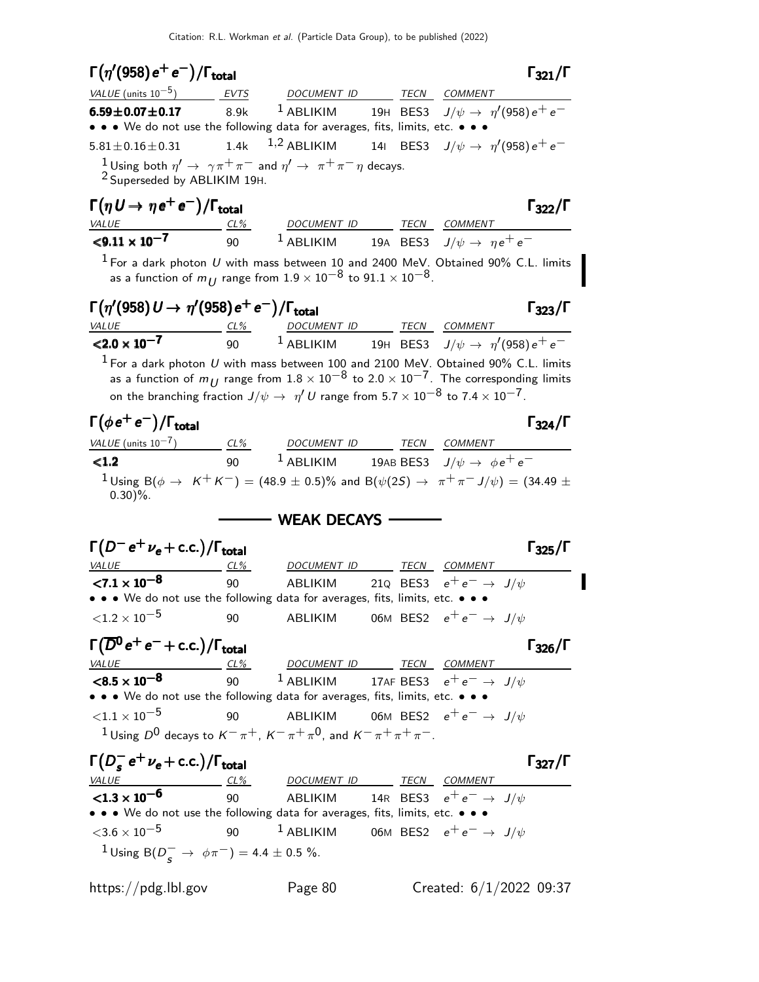$\Gamma(\eta^{\prime}(958) e^+e^-)/\Gamma_{\rm total}$  Γ<sub>321</sub>/Γ total and  $\overline{321}/\overline{1}$ VALUE (units  $10^{-5}$ ) EVTS DOCUMENT ID TECN COMMENT  $\rm 6.59\pm 0.07\pm 0.17$   $\rm 8.9k$   $\rm 1$  ABLIKIM  $\rm 19H$  BES3  $\rm J/\psi \rightarrow \rm \ \eta^{\prime}(958)\rm \, e^+ \, e^-$ • • • We do not use the following data for averages, fits, limits, etc. • •  $5.81\pm0.16\pm0.31$   $1.4$ k  $1.2$  ABLIKIM  $14$ I BES3  $J/\psi\rightarrow~\eta^{\prime}(958)\,e^+ \,e^ \frac{1}{2}$ Using both  $\eta' \to \gamma \pi^+ \pi^-$  and  $\eta' \to \pi^+ \pi^- \eta$  decays. 2 Superseded by ABLIKIM 19H.  $\Gamma(\eta U \to \eta e^+ e^-)/\Gamma_{\text{total}}$  Γ<sub>322</sub>/Γ VALUE CL<sup>%</sup> DOCUMENT ID TECN COMMENT  $< 9.11 \times 10^{-7}$ 90 <sup>1</sup> ABLIKIM 19A BES3  $J/\psi \rightarrow ne^+e^ 1$  For a dark photon U with mass between 10 and 2400 MeV. Obtained 90% C.L. limits as a function of  $m_{II}$  range from  $1.9 \times 10^{-8}$  to  $91.1 \times 10^{-8}$ .  $\Gamma(\eta^\prime(958) U \to \eta^\prime(958) e^+ e^-)/\Gamma_{\rm total}$  Γ<sub>323</sub>/Γ  $\Gamma_{323}/\Gamma$ VALUE CL<sup>%</sup> DOCUMENT ID TECN COMMENT  ${<}2.0 \times 10^{-7}$ 90  $^1$  ABLIKIM  $^1$  19H BES3  $\,$  J/ $\psi \rightarrow \,$   $\eta^{\prime}($ 958) $\rm e^+$   $\rm e^ 1$  For a dark photon U with mass between 100 and 2100 MeV. Obtained 90% C.L. limits as a function of  $m_{U}$  range from  $1.8 \times 10^{-8}$  to  $2.0 \times 10^{-7}$ . The corresponding limits on the branching fraction  $J/\psi\rightarrow~\eta' \, U$  range from  $5.7\times 10^{-8}$  to  $7.4\times 10^{-7}$ .  $\Gamma(\phi e^+ e^-)/\Gamma_{\rm total}$  Γ<sub>324</sub>/Γ /Γ $_{\rm total}$ Γ<sub>324</sub>/Γ VALUE (units  $10^{-7}$ ) CL% DOCUMENT ID TECN COMMENT **<1.2** 90  $1$  ABLIKIM 19AB BES3  $J/\psi \to \phi e^+ e^-$ <sup>1</sup>Using B( $\phi$  → K<sup>+</sup>K<sup>-</sup>) = (48.9 ± 0.5)% and B( $\psi$ (2S) → π<sup>+</sup>π<sup>-</sup>J/ $\psi$ ) = (34.49 ±  $0.30\%$ . - WEAK DECAYS  $\Gamma(D^- e^+ \nu_e + \text{c.c.}) / \Gamma_{\text{total}}$   $\Gamma_{325}/\Gamma$  $\Gamma_{325}/\Gamma$ VALUE CL% DOCUMENT ID TECN COMMENT  ${<}7.1\times10^{-8}$ 90 ABLIKIM 21Q BES3  $e^+e^- \rightarrow J/\psi$ • • • We do not use the following data for averages, fits, limits, etc. •  $\langle 1.2 \times 10^{-5}$  90 ABLIKIM 06M BES2  $e^+e^- \rightarrow J/\psi$  $\Gamma(\overline{D}^0 e^+ e^- + \text{c.c.}) / \Gamma_{\text{total}}$ VALUE CL% DOCUMENT ID TECN COMMENT  $<$ 8.5  $\times$  10 $^{-8}$ 90 <sup>1</sup> ABLIKIM 17AF BES3  $e^+e^- \rightarrow J/\psi$ • • • We do not use the following data for averages, fits, limits, etc.  $\langle 1.1 \times 10^{-5}$  90 ABLIKIM 06M BES2  $e^+e^- \rightarrow J/\psi$  $^1$ Using  $D^0$  decays to  $K^-\,\pi^+$ ,  $K^-\,\pi^+\,\pi^0$ , and  $K^-\,\pi^+\,\pi^+\,\pi^-$ .  $Γ(D<sub>s</sub>^{-})$  $\Gamma(D_s^- e^+ \nu_e + \text{c.c.}) / \Gamma_{\text{total}}$  Γ<sub>327</sub>/Γ  $\Gamma(D_s^- e^+ \nu_e + \text{c.c.})/\Gamma_{\text{total}}$  Γ<sub>327</sub>/Γ VALUE CL<sup>%</sup> DOCUMENT ID TECN COMMENT  ${<}1.3\times10^{-6}$ 90 ABLIKIM 14R BES3  $e^+e^- \rightarrow J/\psi$ • • • We do not use the following data for averages, fits, limits, etc. • • •  $<$ 3.6  $\times$  10 $^{-5}$  90 <sup>1</sup> ABLIKIM 06M BES2  $e^+e^-$  → J/ $\psi$  $1 \text{ Using } B(D_S^- \to \phi \pi^-) = 4.4 \pm 0.5 \%$ . https://pdg.lbl.gov Page 80 Created: 6/1/2022 09:37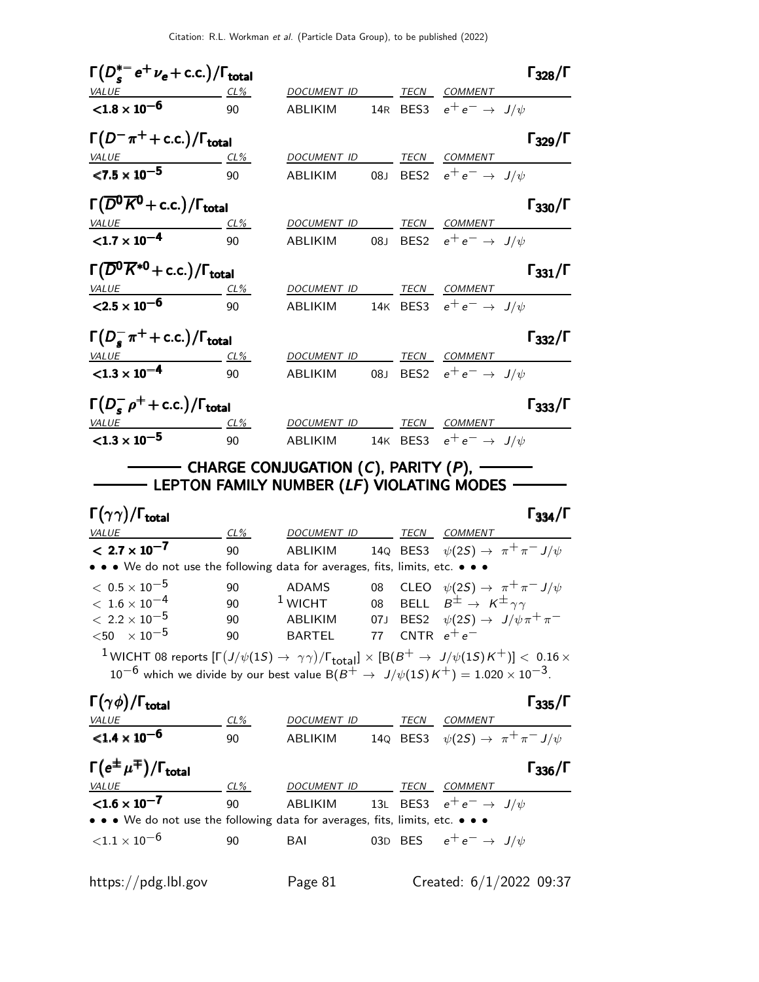| $\Gamma(D_s^{*-}e^+\nu_e + \text{c.c.})/\Gamma_{\text{total}}$                                                            |                 |                                                                                                      |  | $\Gamma_{328}/\Gamma$                                                                                                                                                                                                                                            |
|---------------------------------------------------------------------------------------------------------------------------|-----------------|------------------------------------------------------------------------------------------------------|--|------------------------------------------------------------------------------------------------------------------------------------------------------------------------------------------------------------------------------------------------------------------|
| $VALUE$ CL%                                                                                                               |                 | DOCUMENT ID TECN COMMENT                                                                             |  |                                                                                                                                                                                                                                                                  |
| ${<}1.8 \times 10^{-6}$                                                                                                   | 90              | ABLIKIM                                                                                              |  | 14R BES3 $e^+e^- \rightarrow J/\psi$                                                                                                                                                                                                                             |
| $\Gamma(D^-\pi^+ + \text{c.c.})/\Gamma_{\text{total}}$                                                                    |                 |                                                                                                      |  | $\Gamma_{329}/\Gamma$                                                                                                                                                                                                                                            |
|                                                                                                                           |                 | DOCUMENT ID                                                                                          |  | TECN COMMENT                                                                                                                                                                                                                                                     |
| $\frac{VALUE}{27.5 \times 10^{-5}}$ $\frac{CL\%}{90}$                                                                     |                 | ABLIKIM                                                                                              |  | 08J BES2 $e^+e^- \rightarrow J/\psi$                                                                                                                                                                                                                             |
| $\Gamma(\overline{D^0K^0}+c.c.)/\Gamma_{\text{total}}$                                                                    |                 |                                                                                                      |  | $\Gamma_{330}/\Gamma$                                                                                                                                                                                                                                            |
|                                                                                                                           | <u>CL%</u>      |                                                                                                      |  | DOCUMENT ID TECN COMMENT                                                                                                                                                                                                                                         |
| <u>VALUE</u><br><1.7 $\times$ 10 <sup>-4</sup>                                                                            | 90              | ABLIKIM                                                                                              |  | 08J BES2 $e^+e^- \rightarrow J/\psi$                                                                                                                                                                                                                             |
| $\Gamma(\overline{D}^0\overline{K}^{*0}$ + c.c.)/ $\Gamma_{\rm total}$                                                    |                 |                                                                                                      |  | $\Gamma_{331}/\Gamma$                                                                                                                                                                                                                                            |
| $\frac{VALUE}{2.5 \times 10^{-6}}$ $\frac{CL\%}{90}$                                                                      |                 | DOCUMENT ID TECN COMMENT                                                                             |  |                                                                                                                                                                                                                                                                  |
|                                                                                                                           |                 |                                                                                                      |  | ABLIKIM 14K BES3 $e^+e^- \rightarrow J/\psi$                                                                                                                                                                                                                     |
| $\Gamma(D_s^- \pi^+ + \text{c.c.})/\Gamma_{\text{total}}$                                                                 |                 |                                                                                                      |  | $\Gamma_{332}/\Gamma$                                                                                                                                                                                                                                            |
|                                                                                                                           |                 |                                                                                                      |  | DOCUMENT ID TECN COMMENT                                                                                                                                                                                                                                         |
|                                                                                                                           |                 |                                                                                                      |  | ABLIKIM 08J BES2 $e^+e^- \rightarrow J/\psi$                                                                                                                                                                                                                     |
| $\Gamma(D_s^- \rho^+ + \text{c.c.})/\Gamma_{\text{total}}$                                                                |                 |                                                                                                      |  | $\Gamma_{333}/\Gamma$                                                                                                                                                                                                                                            |
| $\frac{VALUE}{21.3 \times 10^{-5}}$ $\frac{CL\%}{90}$                                                                     |                 | DOCUMENT ID TECN COMMENT                                                                             |  |                                                                                                                                                                                                                                                                  |
|                                                                                                                           |                 |                                                                                                      |  | ABLIKIM 14K BES3 $e^+e^- \rightarrow J/\psi$                                                                                                                                                                                                                     |
| <b>CONFIDENT LEPTON FAMILY NUMBER (LF) VIOLATING MODES -</b><br>$\Gamma(\gamma\gamma)/\Gamma_{\rm total}$<br><b>VALUE</b> |                 | ———— CHARGE CONJUGATION ( <i>C</i> ), PARITY ( <i>P</i> ), ——<br><u>CL% DOCUMENT ID TECN COMMENT</u> |  | $\Gamma_{334}/\Gamma$                                                                                                                                                                                                                                            |
| $< 2.7 \times 10^{-7}$                                                                                                    | 90              |                                                                                                      |  | ABLIKIM 14Q BES3 $\psi(2S) \rightarrow \pi^+ \pi^- J/\psi$                                                                                                                                                                                                       |
| • • • We do not use the following data for averages, fits, limits, etc. • • •                                             |                 |                                                                                                      |  |                                                                                                                                                                                                                                                                  |
| $~<~0.5\times 10^{-5}$                                                                                                    |                 | 90 ADAMS                                                                                             |  | 08 CLEO $\psi(2S) \rightarrow \pi^+ \pi^- J/\psi$                                                                                                                                                                                                                |
| $< 1.6 \times 10^{-4}$                                                                                                    | 90              | $1$ WICHT                                                                                            |  | 08 BELL $B^{\pm} \rightarrow K^{\pm} \gamma \gamma$                                                                                                                                                                                                              |
| $< 2.2 \times 10^{-5}$                                                                                                    | 90              |                                                                                                      |  | ABLIKIM 07J BES2 $\psi(2S) \rightarrow J/\psi \pi^+ \pi^-$                                                                                                                                                                                                       |
| $<$ 50 $\times$ 10 <sup>-5</sup>                                                                                          | 90              | BARTEL 77 CNTR $e^+e^-$                                                                              |  |                                                                                                                                                                                                                                                                  |
|                                                                                                                           |                 |                                                                                                      |  | <sup>1</sup> WICHT 08 reports $[\Gamma(J/\psi(1S) \to \gamma\gamma)/\Gamma_{\rm total}] \times [B(B^+ \to J/\psi(1S)K^+)] < 0.16 \times$<br>$10^{-6}$ which we divide by our best value B( $B^+ \rightarrow J/\psi(1S)K^+$ ) = 1.020 $\times$ 10 <sup>-3</sup> . |
| $\Gamma(\gamma\phi)/\Gamma_{\rm total}$                                                                                   |                 |                                                                                                      |  | $\Gamma_{335}/\Gamma$                                                                                                                                                                                                                                            |
| $\frac{VALUE}{<1.4 \times 10^{-6}}$                                                                                       | $\frac{CL\%}{}$ | DOCUMENT ID TECN COMMENT                                                                             |  |                                                                                                                                                                                                                                                                  |
|                                                                                                                           | 90              |                                                                                                      |  | ABLIKIM 14Q BES3 $\psi(2S) \rightarrow \pi^+ \pi^- J/\psi$                                                                                                                                                                                                       |
| $\Gamma(e^{\pm}\mu^{\mp})/\Gamma_{\text{total}}$                                                                          |                 |                                                                                                      |  | $\Gamma_{336}/\Gamma$                                                                                                                                                                                                                                            |
| <b>VALUE</b>                                                                                                              | $CL\%$          | DOCUMENT ID TECN COMMENT                                                                             |  |                                                                                                                                                                                                                                                                  |
| ${<}1.6 \times 10^{-7}$                                                                                                   | 90              | ABLIKIM                                                                                              |  | 13L BES3 $e^+e^- \rightarrow J/\psi$                                                                                                                                                                                                                             |

• • • We do not use the following data for averages, fits, limits, etc. • • •  $\langle 1.1 \times 10^{-6}$  90 BAI 03D BES  $e^+e^- \rightarrow J/\psi$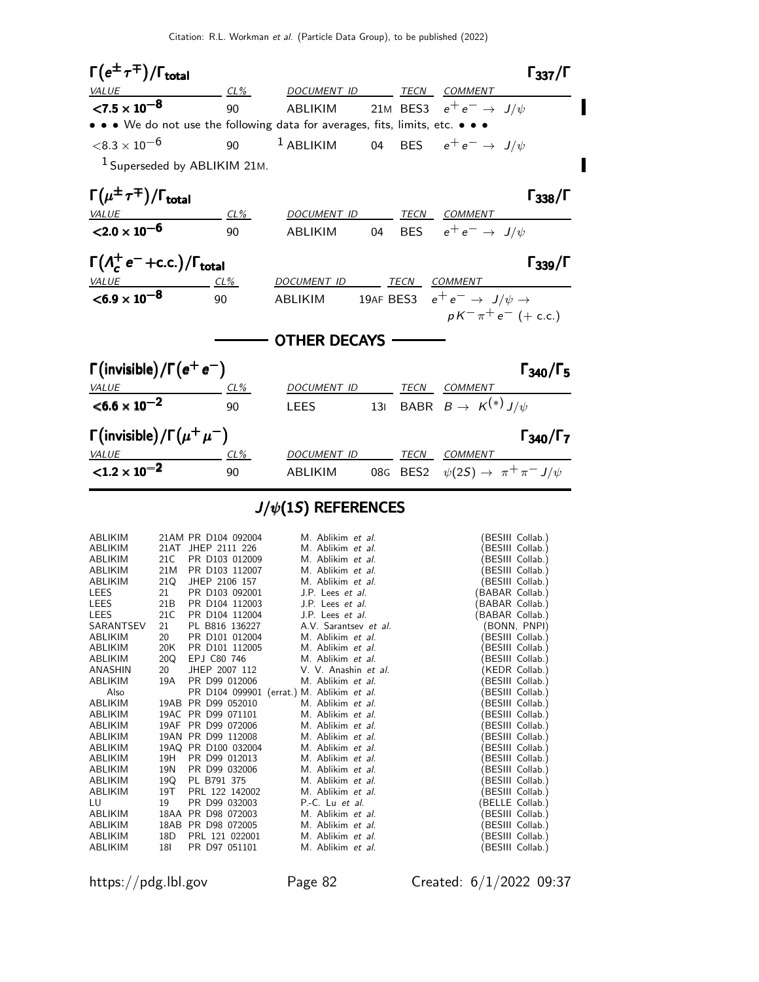

#### $J/\psi(1S)$  REFERENCES

| ABLIKIM        |     | 21AM PR D104 092004 | M. Ablikim et al.                         | (BESIII Collab.) |
|----------------|-----|---------------------|-------------------------------------------|------------------|
| ABLIKIM        |     | 21AT JHEP 2111 226  | M. Ablikim et al.                         | BESIII Collab.)  |
| ABLIKIM        | 21C | PR D103 012009      | M. Ablikim et al.                         | BESIII Collab.)  |
| ABLIKIM        | 21M | PR D103 112007      | M. Ablikim et al.                         | BESIII Collab.)  |
| ABLIKIM        | 21Q | JHEP 2106 157       | M. Ablikim et al.                         | (BESIII Collab.) |
| LEES           | 21  | PR D103 092001      | J.P. Lees et al.                          | BABAR Collab.)   |
| LEES           | 21B | PR D104 112003      | J.P. Lees et al.                          | BABAR Collab.)   |
| LEES           | 21C | PR D104 112004      | J.P. Lees et al.                          | BABAR Collab.)   |
| SARANTSEV      | 21  | PL B816 136227      | A.V. Sarantsev et al.                     | (BONN, PNPI)     |
| ABLIKIM        | 20  | PR D101 012004      | M. Ablikim et al.                         | (BESIII Collab.) |
| ABLIKIM        | 20K | PR D101 112005      | M. Ablikim et al.                         | (BESIII Collab.) |
| ABLIKIM        | 20Q | EPJ C80 746         | M. Ablikim et al.                         | BESIII Collab.)  |
| ANASHIN        | 20  | JHEP 2007 112       | V. V. Anashin et al.                      | (KEDR Collab.)   |
| ABLIKIM        | 19A | PR D99 012006       | M. Ablikim et al.                         | BESIII Collab.)  |
| Also           |     |                     | PR D104 099901 (errat.) M. Ablikim et al. | BESIII Collab.)  |
| ABLIKIM        |     | 19AB PR D99 052010  | M. Ablikim et al.                         | BESIII Collab.)  |
| ABLIKIM        |     | 19AC PR D99 071101  | M. Ablikim et al.                         | BESIII Collab.)  |
| ABLIKIM        |     | 19AF PR D99 072006  | M. Ablikim et al.                         | BESIII Collab.)  |
| ABLIKIM        |     | 19AN PR D99 112008  | M. Ablikim et al.                         | BESIII Collab.)  |
| ABLIKIM        |     | 19AQ PR D100 032004 | M. Ablikim et al.                         | (BESIII Collab.) |
| ABLIKIM        | 19H | PR D99 012013       | M. Ablikim et al.                         | BESIII Collab.)  |
| ABLIKIM        | 19N | PR D99 032006       | M. Ablikim et al.                         | BESIII Collab.)  |
| ABLIKIM        | 19Q | PL B791 375         | M. Ablikim et al.                         | BESIII Collab.)  |
| ABLIKIM        | 19T | PRL 122 142002      | M. Ablikim et al.                         | (BESIII Collab.) |
| LU             | 19  | PR D99 032003       | $P.-C.$ Lu et al.                         | (BELLE Collab.)  |
| <b>ABLIKIM</b> |     | 18AA PR D98 072003  | M. Ablikim et al.                         | (BESIII Collab.) |
| ABLIKIM        |     | 18AB PR D98 072005  | M. Ablikim et al.                         | BESIII Collab.)  |
| ABLIKIM        | 18D | PRL 121 022001      | M. Ablikim et al.                         | (BESIII Collab.) |
| ABLIKIM        | 18I | PR D97 051101       | M. Ablikim et al.                         | (BESIII Collab.) |
|                |     |                     |                                           |                  |

https://pdg.lbl.gov Page 82 Created: 6/1/2022 09:37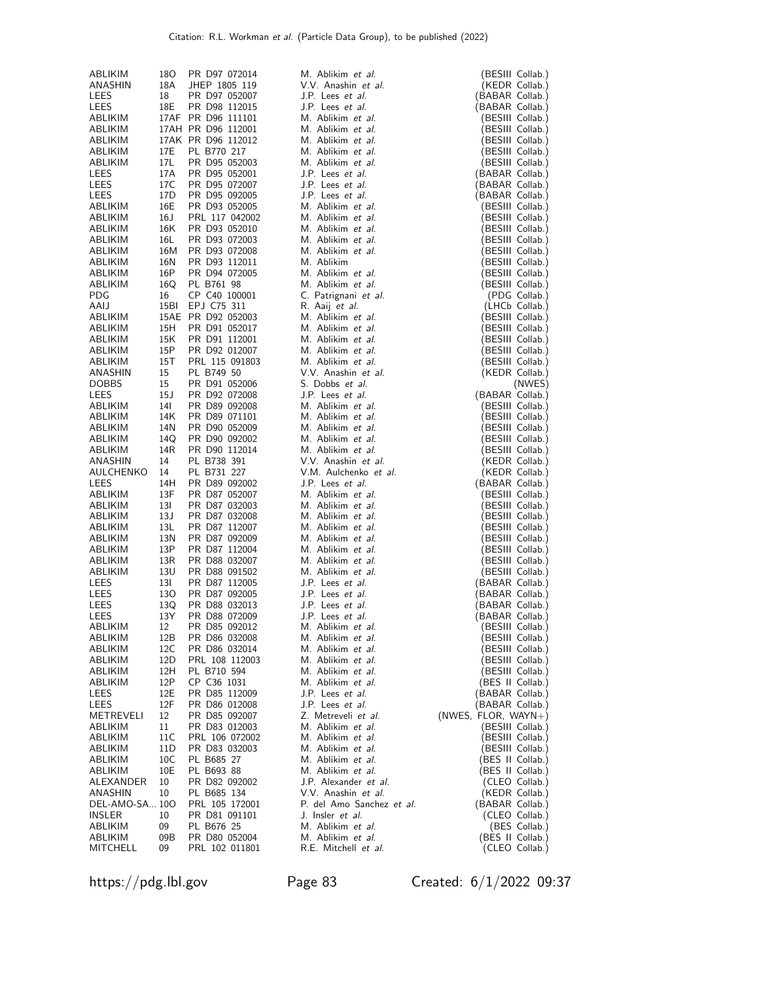| ABLIKIM              | 18O       | PR D97 072014                            | M. Ablikim et al.                            | (BESIII Collab.)                     |
|----------------------|-----------|------------------------------------------|----------------------------------------------|--------------------------------------|
| ANASHIN              | 18A       | JHEP 1805 119                            | V.V. Anashin et al.                          | (KEDR Collab.)                       |
| LEES                 | 18        | PR D97 052007                            | J.P. Lees et al.                             | (BABAR Collab.)                      |
| LEES                 | 18E       | PR D98 112015                            | J.P. Lees et al.                             | (BABAR Collab.)                      |
| ABLIKIM              |           | 17AF PR D96 111101                       | M. Ablikim et al.                            | (BESIII Collab.)                     |
| ABLIKIM<br>ABLIKIM   |           | 17AH PR D96 112001<br>17AK PR D96 112012 | M. Ablikim et al.<br>M. Ablikim et al.       | (BESIII Collab.)<br>(BESIII Collab.) |
| ABLIKIM              | 17E       | PL B770 217                              | M. Ablikim et al.                            | (BESIII Collab.)                     |
| ABLIKIM              | 17L       | PR D95 052003                            | M. Ablikim et al.                            | (BESIII Collab.)                     |
| LEES                 | 17A       | PR D95 052001                            | J.P. Lees et al.                             | (BABAR Collab.)                      |
| LEES                 | 17C       | PR D95 072007                            | J.P. Lees et al.                             | (BABAR Collab.)                      |
| LEES                 | 17D       | PR D95 092005                            | J.P. Lees et al.                             | (BABAR Collab.)                      |
| ABLIKIM              | 16E       | PR D93 052005                            | M. Ablikim et al.                            | (BESIII Collab.)                     |
| ABLIKIM              | 16 J      | PRL 117 042002                           | M. Ablikim et al.                            | (BESIII Collab.)                     |
| ABLIKIM              | 16K       | PR D93 052010                            | M. Ablikim et al.                            | (BESIII Collab.)                     |
| ABLIKIM              | 16L       | PR D93 072003                            | M. Ablikim et al.                            | (BESIII Collab.)                     |
| ABLIKIM              | 16M       | PR D93 072008                            | M. Ablikim et al.                            | (BESIII Collab.)                     |
| ABLIKIM              | 16N       | PR D93 112011                            | M. Ablikim                                   | (BESIII Collab.)                     |
| ABLIKIM              | 16P       | PR D94 072005                            | M. Ablikim et al.                            | (BESIII Collab.)                     |
| ABLIKIM              | 16Q       | PL B761 98                               | M. Ablikim et al.                            | (BESIII Collab.)                     |
| PDG<br>AAIJ          | 16        | CP C40 100001<br>EPJ C75 311             | C. Patrignani et al.<br>R. Aaij et al.       | (PDG Collab.)                        |
| ABLIKIM              | 15BI      | 15AE PR D92 052003                       | M. Ablikim et al.                            | (LHCb Collab.)<br>(BESIII Collab.)   |
| ABLIKIM              | 15H       | PR D91 052017                            | M. Ablikim et al.                            | (BESIII Collab.)                     |
| ABLIKIM              | 15K       | PR D91 112001                            | M. Ablikim et al.                            | (BESIII Collab.)                     |
| ABLIKIM              | 15P       | PR D92 012007                            | M. Ablikim et al.                            | (BESIII Collab.)                     |
| ABLIKIM              | 15T       | PRL 115 091803                           | M. Ablikim et al.                            | (BESIII Collab.)                     |
| ANASHIN              | 15        | PL B749 50                               | V.V. Anashin et al.                          | (KEDR Collab.)                       |
| <b>DOBBS</b>         | 15        | PR D91 052006                            | S. Dobbs et al.                              | (NWES)                               |
| LEES                 | 15J       | PR D92 072008                            | J.P. Lees et al.                             | (BABAR Collab.)                      |
| ABLIKIM              | 14I       | PR D89 092008                            | M. Ablikim et al.                            | (BESIII Collab.)                     |
| ABLIKIM              | 14K       | PR D89 071101                            | M. Ablikim et al.                            | (BESIII Collab.)                     |
| ABLIKIM              | 14N       | PR D90 052009                            | M. Ablikim et al.                            | (BESIII Collab.)                     |
| ABLIKIM              | 14Q       | PR D90 092002                            | M. Ablikim et al.                            | (BESIII Collab.)                     |
| ABLIKIM              | 14R       | PR D90 112014                            | M. Ablikim et al.                            | (BESIII Collab.)                     |
| ANASHIN              | 14<br>14  | PL B738 391                              | V.V. Anashin et al.<br>V.M. Aulchenko et al. | (KEDR Collab.)                       |
| AULCHENKO<br>LEES    | 14H       | PL B731 227<br>PR D89 092002             | J.P. Lees et al.                             | (KEDR Collab.)<br>(BABAR Collab.)    |
| ABLIKIM              | 13F       | PR D87 052007                            | M. Ablikim et al.                            | (BESIII Collab.)                     |
| ABLIKIM              | 13I       | PR D87 032003                            | M. Ablikim et al.                            | (BESIII Collab.)                     |
| ABLIKIM              | 13 J      | PR D87 032008                            | M. Ablikim et al.                            | (BESIII Collab.)                     |
| ABLIKIM              | 13L       | PR D87 112007                            | M. Ablikim et al.                            | (BESIII Collab.)                     |
| ABLIKIM              | 13N       | PR D87 092009                            | M. Ablikim et al.                            | (BESIII Collab.)                     |
| ABLIKIM              | 13P       | PR D87 112004                            | M. Ablikim et al.                            | (BESIII Collab.)                     |
| ABLIKIM              | 13R       | PR D88 032007                            | M. Ablikim et al.                            | (BESIII Collab.)                     |
| ABLIKIM              | 13U       | PR D88 091502                            | M. Ablikim et al.                            | (BESIII Collab.)                     |
| LEES                 | 13I       | PR D87 112005                            | J.P. Lees et al.                             | (BABAR Collab.)                      |
| LEES                 | 130       | PR D87 092005                            | J.P. Lees et al.                             | (BABAR Collab.)                      |
| LEES                 | 13Q       | PR D88 032013                            | J.P. Lees et al.                             | (BABAR Collab.)                      |
| LEES                 | 13Y       | PR D88 072009<br>PR D85 092012           | J.P. Lees et al.<br>M. Ablikim et al.        | (BABAR Collab.)<br>(BESIII Collab.)  |
| ABLIKIM<br>ABLIKIM   | 12<br>12B | PR D86 032008                            | M. Ablikim et al.                            | (BESIII Collab.)                     |
| ABLIKIM              | 12C       | PR D86 032014                            | M. Ablikim et al.                            | (BESIII Collab.)                     |
| ABLIKIM              | 12D       | PRL 108 112003                           | M. Ablikim et al.                            | (BESIII Collab.)                     |
| ABLIKIM              | 12H       | PL B710 594                              | M. Ablikim et al.                            | (BESIII Collab.)                     |
| ABLIKIM              | 12P       | CP C36 1031                              | M. Ablikim et al.                            | (BES II Collab.)                     |
| LEES                 | 12E       | PR D85 112009                            | J.P. Lees et al.                             | (BABAR Collab.)                      |
| LEES                 | 12F       | PR D86 012008                            | J.P. Lees et al.                             | (BABAR Collab.)                      |
| METREVELI            | 12        | PR D85 092007                            | Z. Metreveli et al.                          | $(NWES, FLOR, WAYN+)$                |
| ABLIKIM              | 11        | PR D83 012003                            | M. Ablikim et al.                            | (BESIII Collab.)                     |
| ABLIKIM              | 11C       | PRL 106 072002                           | M. Ablikim et al.                            | (BESIII Collab.)                     |
| ABLIKIM              | 11D       | PR D83 032003                            | M. Ablikim et al.                            | (BESIII Collab.)                     |
| ABLIKIM              | 10C       | PL B685 27<br>PL B693 88                 | M. Ablikim et al.                            | (BES II Collab.)                     |
| ABLIKIM<br>ALEXANDER | 10E<br>10 | PR D82 092002                            | M. Ablikim et al.<br>J.P. Alexander et al.   | (BES II Collab.)<br>(CLEO Collab.)   |
| ANASHIN              | 10        | PL B685 134                              | V.V. Anashin et al.                          | (KEDR Collab.)                       |
| DEL-AMO-SA 10O       |           | PRL 105 172001                           | P. del Amo Sanchez et al.                    | (BABAR Collab.)                      |
| INSLER               | 10        | PR D81 091101                            | J. Insler et al.                             | (CLEO Collab.)                       |
| ABLIKIM              | 09        | PL B676 25                               | M. Ablikim et al.                            | (BES Collab.)                        |
| ABLIKIM              | 09B       | PR D80 052004                            | M. Ablikim et al.                            | (BES II Collab.)                     |
| MITCHELL             | 09        | PRL 102 011801                           | R.E. Mitchell et al.                         | (CLEO Collab.)                       |

https://pdg.lbl.gov Page 83 Created: 6/1/2022 09:37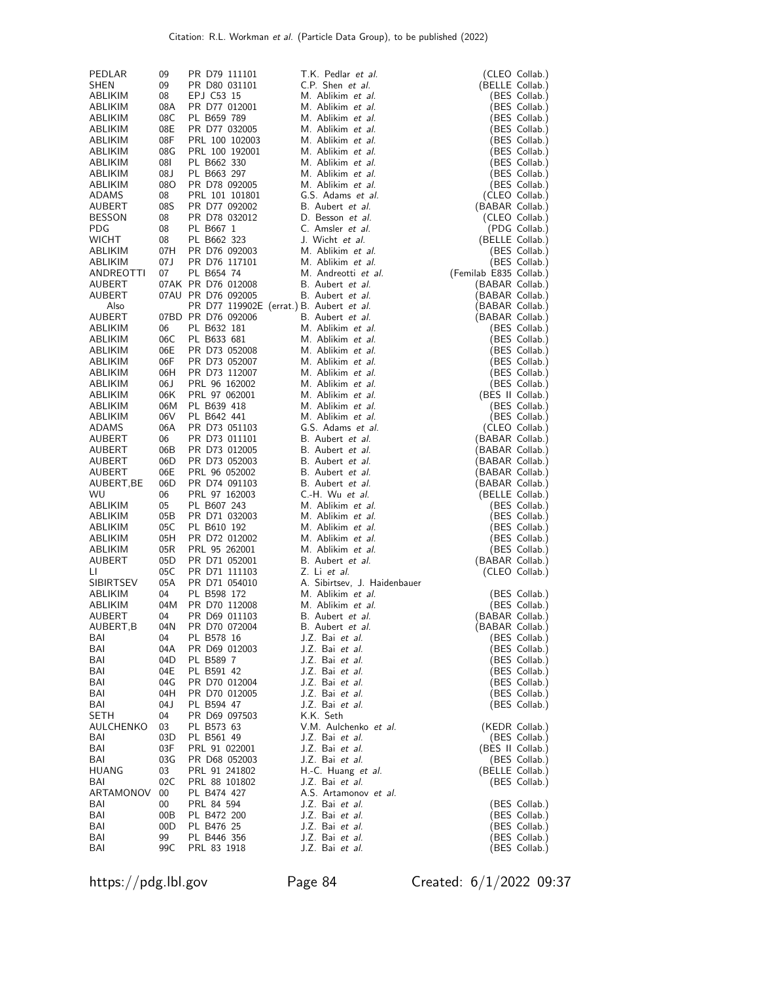| PEDLAR                  | 09         | PR D79 111101                  | T.K. Pedlar <i>et al.</i>                  | (CLEO Collab.)                    |
|-------------------------|------------|--------------------------------|--------------------------------------------|-----------------------------------|
| SHEN                    | 09         | PR D80 031101                  | C.P. Shen et al.                           | (BELLE Collab.)                   |
| ABLIKIM                 | 08         | EPJ C53 15                     | M. Ablikim et al.                          | (BES Collab.)                     |
| ABLIKIM                 | 08A        | PR D77 012001                  | M. Ablikim et al.                          | (BES Collab.)                     |
| ABLIKIM                 | 08C        | PL B659 789                    | M. Ablikim et al.                          | (BES Collab.)                     |
| ABLIKIM                 | 08E        | PR D77 032005                  | M. Ablikim et al.                          | (BES Collab.)                     |
| ABLIKIM                 | 08F        | PRL 100 102003                 | M. Ablikim et al.                          | (BES Collab.)                     |
| ABLIKIM                 | 08G        | PRL 100 192001                 | M. Ablikim et al.                          | (BES Collab.)                     |
| ABLIKIM                 | 180        | PL B662 330                    | M. Ablikim et al.                          | (BES Collab.)                     |
| ABLIKIM                 | 08J        | PL B663 297                    | M. Ablikim et al.                          | (BES Collab.)                     |
| ABLIKIM                 | 08O        | PR D78 092005                  | M. Ablikim et al.                          | (BES Collab.)                     |
| ADAMS                   | 08<br>08S  | PRL 101 101801                 | G.S. Adams et al.<br>B. Aubert et al.      | (CLEO Collab.)                    |
| AUBERT<br><b>BESSON</b> | 08         | PR D77 092002<br>PR D78 032012 | D. Besson et al.                           | (BABAR Collab.)                   |
| PDG                     | 08         | PL B667 1                      | C. Amsler et al.                           | (CLEO Collab.)<br>(PDG Collab.)   |
| <b>WICHT</b>            | 08         | PL B662 323                    | J. Wicht et al.                            | (BELLE Collab.)                   |
| ABLIKIM                 | 07H        | PR D76 092003                  | M. Ablikim et al.                          | (BES Collab.)                     |
| ABLIKIM                 | 07J        | PR D76 117101                  | M. Ablikim et al.                          | (BES Collab.)                     |
| ANDREOTTI               | 07         | PL B654 74                     | M. Andreotti <i>et al.</i>                 | (Femilab E835 Collab.)            |
| AUBERT                  |            | 07AK PR D76 012008             | B. Aubert <i>et al.</i>                    | (BABAR Collab.)                   |
| AUBERT                  |            | 07AU PR D76 092005             | B. Aubert <i>et al.</i>                    | (BABAR Collab.)                   |
| Also                    |            |                                | PR D77 119902E (errat.) B. Aubert et al.   | (BABAR Collab.)                   |
| AUBERT                  |            | 07BD PR D76 092006             | B. Aubert et al.                           | (BABAR Collab.)                   |
| ABLIKIM                 | 06         | PL B632 181                    | M. Ablikim et al.                          | (BES Collab.)                     |
| ABLIKIM                 | 06C        | PL B633 681                    | M. Ablikim et al.                          | (BES Collab.)                     |
| ABLIKIM                 | 06E        | PR D73 052008                  | M. Ablikim <i>et al.</i>                   | (BES Collab.)                     |
| ABLIKIM                 | 06F        | PR D73 052007                  | M. Ablikim et al.                          | (BES Collab.)                     |
| ABLIKIM                 | 06H        | PR D73 112007                  | M. Ablikim et al.                          | (BES Collab.)                     |
| ABLIKIM                 | 06 J       | PRL 96 162002                  | M. Ablikim et al.                          | (BES Collab.)                     |
| ABLIKIM                 | 06K        | PRL 97 062001                  | M. Ablikim et al.                          | (BES II Collab.)                  |
| ABLIKIM                 | 06M<br>06V | PL B639 418<br>PL B642 441     | M. Ablikim et al.<br>M. Ablikim et al.     | (BES Collab.)                     |
| ABLIKIM                 | 06A        |                                | G.S. Adams et al.                          | (BES Collab.)                     |
| ADAMS<br>AUBERT         | 06         | PR D73 051103<br>PR D73 011101 | B. Aubert <i>et al.</i>                    | (CLEO Collab.)<br>(BABAR Collab.) |
| AUBERT                  | 06B        | PR D73 012005                  | B. Aubert <i>et al.</i>                    | (BABAR Collab.)                   |
| AUBERT                  | 06D        | PR D73 052003                  | B. Aubert <i>et al.</i>                    | (BABAR Collab.)                   |
| AUBERT                  | 06E        | PRL 96 052002                  | B. Aubert <i>et al.</i>                    | (BABAR Collab.)                   |
| AUBERT,BE               | 06D        | PR D74 091103                  | B. Aubert <i>et al.</i>                    | (BABAR Collab.)                   |
| WU                      | 06         | PRL 97 162003                  | C.-H. Wu et al.                            | (BELLE Collab.)                   |
| ABLIKIM                 | 05         | PL B607 243                    | M. Ablikim et al.                          | (BES Collab.)                     |
| ABLIKIM                 | 05B        | PR D71 032003                  | M. Ablikim et al.                          | (BES Collab.)                     |
| ABLIKIM                 | 05C        | PL B610 192                    | M. Ablikim et al.                          | (BES Collab.)                     |
| ABLIKIM                 | 05H        | PR D72 012002                  | M. Ablikim et al.                          | (BES Collab.)                     |
| ABLIKIM                 | 05R        | PRL 95 262001                  | M. Ablikim et al.                          | (BES Collab.)                     |
| AUBERT                  | 05D        | PR D71 052001                  | B. Aubert et al.                           | (BABAR Collab.)                   |
| П                       | 05C        | PR D71 111103                  | Z. Li et al.                               | (CLEO Collab.)                    |
| <b>SIBIRTSEV</b>        | 05A        | PR D71 054010                  | A. Sibirtsev, J. Haidenbauer               |                                   |
| ABLIKIM                 | 04         | PL B598 172                    | M. Ablikim <i>et al.</i>                   | (BES Collab.)                     |
| ABLIKIM                 | 04M        | PR D70 112008                  | M. Ablikim et al.                          | (BES Collab.)                     |
| AUBERT                  | 04         | PR D69 011103                  | B. Aubert <i>et al.</i>                    | (BABAR Collab.)                   |
| AUBERT, B<br>BAI        | 04N<br>04  | PR D70 072004<br>PL B578 16    | B. Aubert <i>et al.</i><br>J.Z. Bai et al. | (BABAR Collab.)<br>(BES Collab.)  |
| BAI                     | 04A        | PR D69 012003                  | J.Z. Bai et al.                            | (BES Collab.)                     |
| BAI                     | 04D        | PL B589 7                      | J.Z. Bai et al.                            | (BES Collab.)                     |
| BAI                     | 04E        | PL B591 42                     | J.Z. Bai <i>et al.</i>                     | (BES Collab.)                     |
| BAI                     | 04G        | PR D70 012004                  | J.Z. Bai et al.                            | (BES Collab.)                     |
| BAI                     | 04H        | PR D70 012005                  | J.Z. Bai et al.                            | (BES Collab.)                     |
| BAI                     | 04 J       | PL B594 47                     | J.Z. Bai <i>et al.</i>                     | (BES Collab.)                     |
| SETH                    | 04         | PR D69 097503                  | K.K. Seth                                  |                                   |
| AULCHENKO               | 03         | PL B573 63                     | V.M. Aulchenko et al.                      | (KEDR Collab.)                    |
| BAI                     | 03D        | PL B561 49                     | J.Z. Bai <i>et al.</i>                     | (BES Collab.)                     |
| BAI                     | 03F        | PRL 91 022001                  | J.Z. Bai et al.                            | (BES II Collab.)                  |
| BAI                     | 03G        | PR D68 052003                  | J.Z. Bai <i>et al.</i>                     | (BES Collab.)                     |
| <b>HUANG</b>            | 03         | PRL 91 241802                  | H.-C. Huang et al.                         | (BELLE Collab.)                   |
| BAI                     | 02C        | PRL 88 101802                  | J.Z. Bai et al.                            | (BES Collab.)                     |
| ARTAMONOV               | 00         | PL B474 427                    | A.S. Artamonov et al.                      |                                   |
| BAI                     | 00         | PRL 84 594                     | J.Z. Bai <i>et al.</i>                     | (BES Collab.)                     |
| BAI<br>BAI              | 00B        | PL B472 200                    | J.Z. Bai et al.                            | (BES Collab.)                     |
| BAI                     | 00D<br>99  | PL B476 25<br>PL B446 356      | J.Z. Bai <i>et al.</i><br>J.Z. Bai et al.  | (BES Collab.)<br>(BES Collab.)    |
| BAI                     | 99C        | PRL 83 1918                    | J.Z. Bai <i>et al.</i>                     | BES Collab.)                      |
|                         |            |                                |                                            |                                   |

https://pdg.lbl.gov Page 84 Created: 6/1/2022 09:37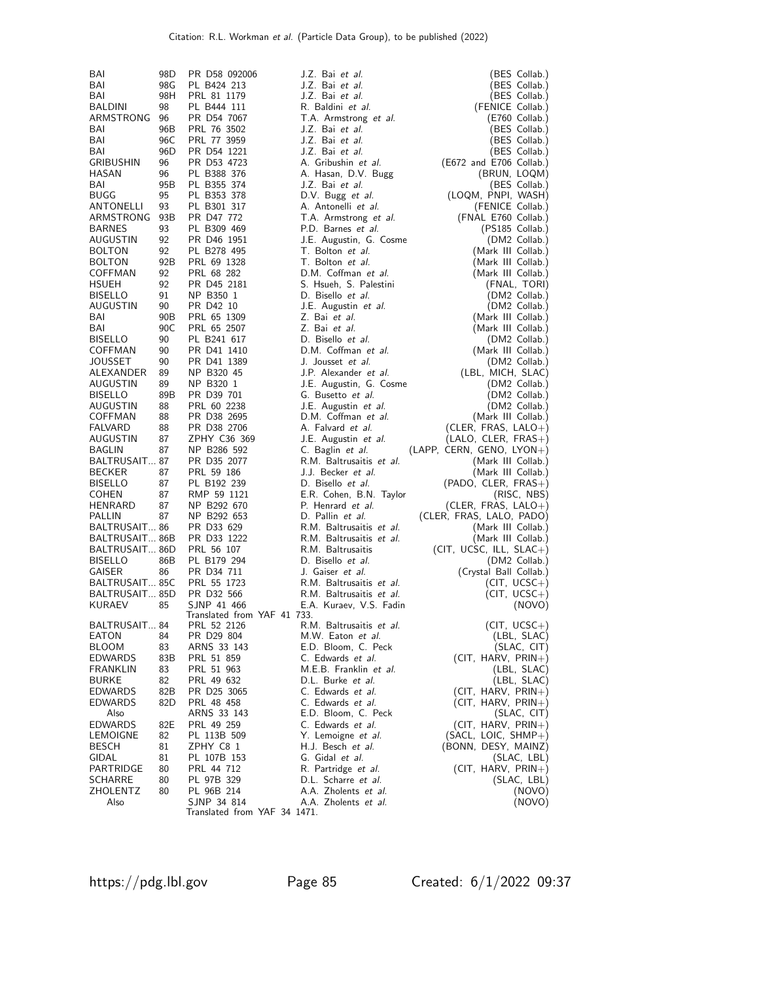| BAI                            | 98D      | PR D58 092006               | J.Z. Bai et al.                              | (BES Collab.)                       |
|--------------------------------|----------|-----------------------------|----------------------------------------------|-------------------------------------|
| BAI                            | 98G      | PL B424 213                 | J.Z. Bai et al.                              | (BES Collab.)                       |
| BAI                            | 98H      | PRL 81 1179                 | J.Z. Bai et al.                              | (BES Collab.)                       |
| BALDINI                        | 98       | PL B444 111                 | R. Baldini et al.                            | (FENICE Collab.)                    |
| ARMSTRONG 96                   |          | PR D54 7067                 | T.A. Armstrong et al.                        | (E760 Collab.)                      |
| BAI                            | 96B      | PRL 76 3502                 | J.Z. Bai et al.                              | (BES Collab.)                       |
| BAI                            | 96C      | PRL 77 3959                 | J.Z. Bai et al.                              | (BES Collab.)                       |
| BAI                            | 96D      | PR D54 1221                 | J.Z. Bai et al.                              | (BES Collab.)                       |
| <b>GRIBUSHIN</b>               | 96       | PR D53 4723                 | A. Gribushin et al.                          | (E672 and E706 Collab.)             |
| HASAN                          | 96       | PL B388 376                 | A. Hasan, D.V. Bugg                          | (BRUN, LOQM)                        |
| BAI                            | 95B      | PL B355 374                 | J.Z. Bai et al.                              | (BES Collab.)                       |
| <b>BUGG</b>                    | 95       | PL B353 378                 | D.V. Bugg et al.                             | (LOQM, PNPI, WASH)                  |
| ANTONELLI                      | 93       | PL B301 317                 | A. Antonelli et al.                          | (FENICE Collab.)                    |
| ARMSTRONG                      | 93B      | PR D47 772                  | T.A. Armstrong et al.                        | (FNAL E760 Collab.)                 |
| <b>BARNES</b>                  | 93       | PL B309 469                 | P.D. Barnes et al.                           | $(PS185$ Collab.)                   |
| AUGUSTIN                       | 92       | PR D46 1951                 | J.E. Augustin, G. Cosme                      | (DM2 Collab.)                       |
| <b>BOLTON</b>                  | 92       | PL B278 495                 | T. Bolton et al.                             | (Mark III Collab.)                  |
| <b>BOLTON</b>                  | 92B      | PRL 69 1328                 | T. Bolton et al.                             | (Mark III Collab.)                  |
| COFFMAN                        | 92       | PRL 68 282                  | D.M. Coffman et al.                          | (Mark III Collab.)                  |
| HSUEH                          | 92       | PR D45 2181                 | S. Hsueh, S. Palestini                       | (FNAL, TORI)                        |
| <b>BISELLO</b>                 | 91       | NP B350 1                   | D. Bisello et al.                            | (DM2 Collab.)                       |
| AUGUSTIN                       | 90       | PR D42 10                   | J.E. Augustin et al.                         | (DM2 Collab.)                       |
| BAI                            | 90B      | PRL 65 1309                 | Z. Bai et al.                                | (Mark III Collab.)                  |
| BAI                            | 90C      | PRL 65 2507                 | Z. Bai et al.                                | (Mark III Collab.)                  |
| <b>BISELLO</b>                 | 90       | PL B241 617                 | D. Bisello et al.                            | (DM2 Collab.)                       |
| COFFMAN                        | 90       | PR D41 1410                 | D.M. Coffman et al.                          | (Mark III Collab.)                  |
| JOUSSET                        | 90       | PR D41 1389                 | J. Jousset et al.                            | (DM2 Collab.)                       |
| ALEXANDER<br>AUGUSTIN          | 89<br>89 | NP B320 45<br>NP B320 1     | J.P. Alexander et al.                        | (LBL, MICH, SLAC)<br>(DM2 Collab.)  |
| <b>BISELLO</b>                 | 89B      | PR D39 701                  | J.E. Augustin, G. Cosme<br>G. Busetto et al. | (DM2 Collab.)                       |
| AUGUSTIN                       | 88       | PRL 60 2238                 | J.E. Augustin et al.                         | (DM2 Collab.)                       |
| COFFMAN                        | 88       | PR D38 2695                 | D.M. Coffman et al.                          | (Mark III Collab.)                  |
| <b>FALVARD</b>                 | 88       | PR D38 2706                 | A. Falvard et al.                            | (CLER, FRAS, LALO+)                 |
| AUGUSTIN                       | 87       | ZPHY C36 369                | J.E. Augustin et al.                         | $(LALO, CLER, FRAS+)$               |
| BAGLIN                         | 87       | NP B286 592                 | C. Baglin et al.                             | (LAPP, CERN, GENO, LYON+)           |
| BALTRUSAIT 87                  |          | PR D35 2077                 | R.M. Baltrusaitis et al.                     | (Mark III Collab.)                  |
| <b>BECKER</b>                  | 87       | PRL 59 186                  | J.J. Becker et al.                           | (Mark III Collab.)                  |
| <b>BISELLO</b>                 | 87       | PL B192 239                 | D. Bisello et al.                            | $(PADO, CLER, FRAS+)$               |
| <b>COHEN</b>                   | 87       | RMP 59 1121                 | E.R. Cohen, B.N. Taylor                      | (RISC, NBS)                         |
| HENRARD                        | 87       | NP B292 670                 | P. Henrard et al.                            | (CLER, FRAS, $LALO+$ )              |
| PALLIN                         | 87       | NP B292 653                 | D. Pallin et al.                             | (CLER, FRAS, LALO, PADO)            |
| BALTRUSAIT 86                  |          | PR D33 629                  | R.M. Baltrusaitis et al.                     | (Mark III Collab.)                  |
| BALTRUSAIT 86B                 |          | PR D33 1222                 | R.M. Baltrusaitis et al.                     | (Mark III Collab.)                  |
| BALTRUSAIT 86D                 |          | PRL 56 107                  | R.M. Baltrusaitis                            | $(CIT, UCSC, ILL, SLAC+)$           |
| <b>BISELLO</b>                 | 86B      | PL B179 294                 | D. Bisello et al.                            | (DM2 Collab.)                       |
| GAISER                         | 86       | PR D34 711                  | J. Gaiser et al.                             | (Crystal Ball Collab.)              |
| BALTRUSAIT 85C                 |          | PRL 55 1723                 | R.M. Baltrusaitis et al.                     | $(CIT, UCSC+)$                      |
| BALTRUSAIT 85D                 |          | PR D32 566                  | R.M. Baltrusaitis et al.                     | (CIT, UCSC+)                        |
| KURAEV                         | 85       | SJNP 41 466                 | E.A. Kuraev, V.S. Fadin                      | (NOVO)                              |
|                                |          | Translated from YAF 41 733. |                                              |                                     |
| BALTRUSAIT 84                  |          | PRL 52 2126                 | R.M. Baltrusaitis et al.                     | $(CIT, UCSC+)$                      |
| EATON                          | 84<br>83 | PR D29 804                  | M.W. Eaton et al.                            | (LBL, SLAC)                         |
| <b>BLOOM</b><br><b>EDWARDS</b> | 83B      | ARNS 33 143                 | E.D. Bloom, C. Peck<br>C. Edwards et al.     | (SLAC, CIT)<br>$(CIT, HARV, PRIN+)$ |
| FRANKLIN                       | 83       | PRL 51 859<br>PRL 51 963    | M.E.B. Franklin et al.                       | (LBL, SLAC)                         |
| <b>BURKE</b>                   | 82       | PRL 49 632                  | D.L. Burke et al.                            | (LBL, SLAC)                         |
| <b>EDWARDS</b>                 | 82B      | PR D25 3065                 | C. Edwards et al.                            | $(CIT, HARV, PRIN+)$                |
| <b>EDWARDS</b>                 | 82D      | PRL 48 458                  | C. Edwards et al.                            | $(CIT, HARV, PRIN+)$                |
| Also                           |          | ARNS 33 143                 | E.D. Bloom, C. Peck                          | (SLAC, CIT)                         |
| <b>EDWARDS</b>                 |          |                             |                                              |                                     |
|                                |          |                             |                                              |                                     |
| <b>LEMOIGNE</b>                | 82E      | PRL 49 259                  | C. Edwards et al.                            | $(CIT, HARV, PRIN+)$                |
| <b>BESCH</b>                   | 82       | PL 113B 509                 | Y. Lemoigne <i>et al.</i>                    | $(SACL, LOIC, SHMP+)$               |
| GIDAL                          | 81<br>81 | ZPHY C8 1<br>PL 107B 153    | H.J. Besch et al.<br>G. Gidal et al.         | (BONN, DESY, MAINZ)                 |
| PARTRIDGE                      | 80       | PRL 44 712                  | R. Partridge et al.                          | (SLAC, LBL)<br>$(CIT, HARV, PRIN+)$ |
| SCHARRE                        | 80       | PL 97B 329                  | D.L. Scharre et al.                          | (SLAC, LBL)                         |
| ZHOLENTZ                       | 80       | PL 96B 214                  | A.A. Zholents et al.                         | (NOVO)                              |
| Also                           |          | SJNP 34 814                 | A.A. Zholents et al.                         | (NOVO)                              |